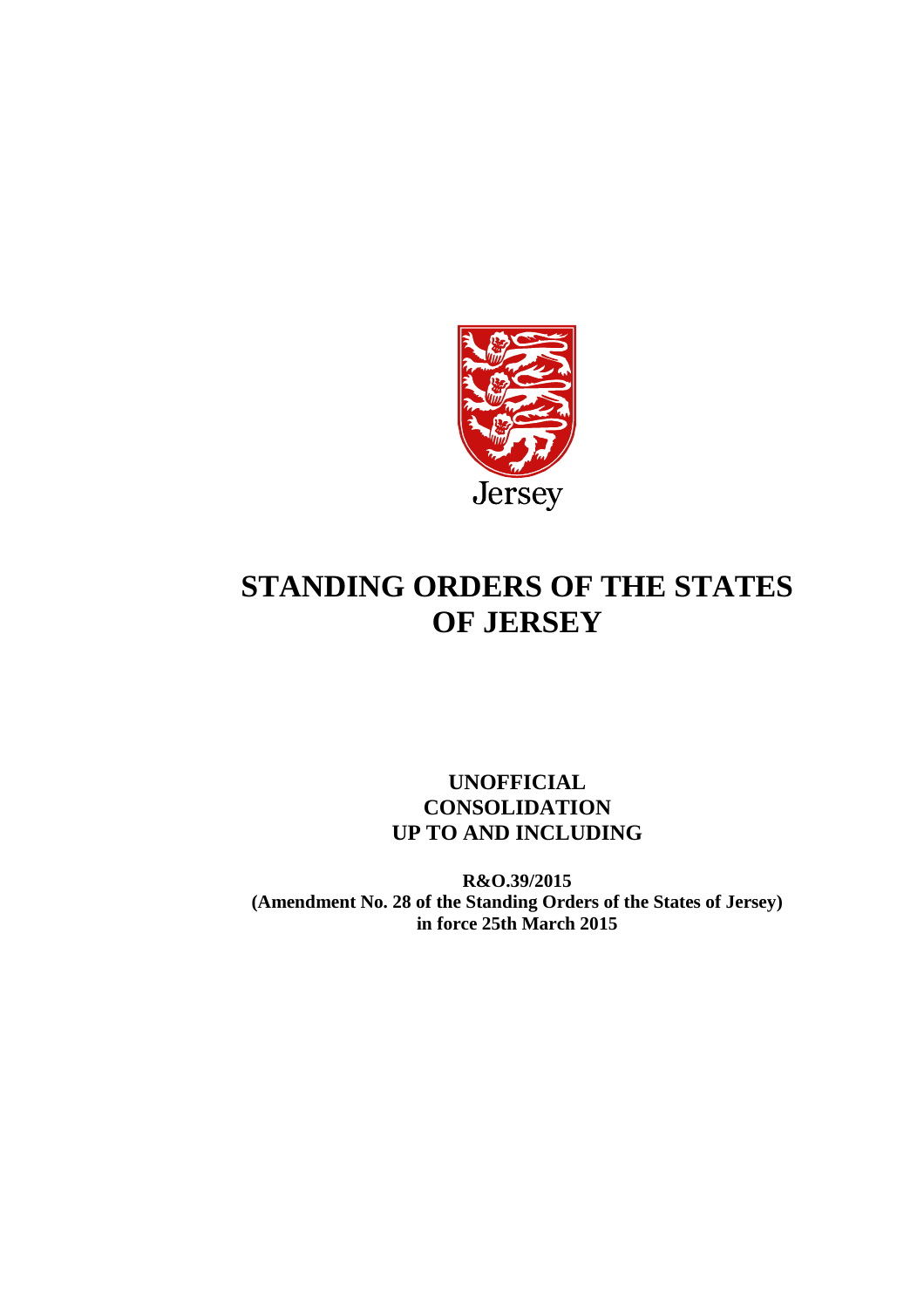

# **STANDING ORDERS OF THE STATES OF JERSEY**

## **UNOFFICIAL CONSOLIDATION UP TO AND INCLUDING**

**R&O.39/2015 (Amendment No. 28 of the Standing Orders of the States of Jersey) in force 25th March 2015**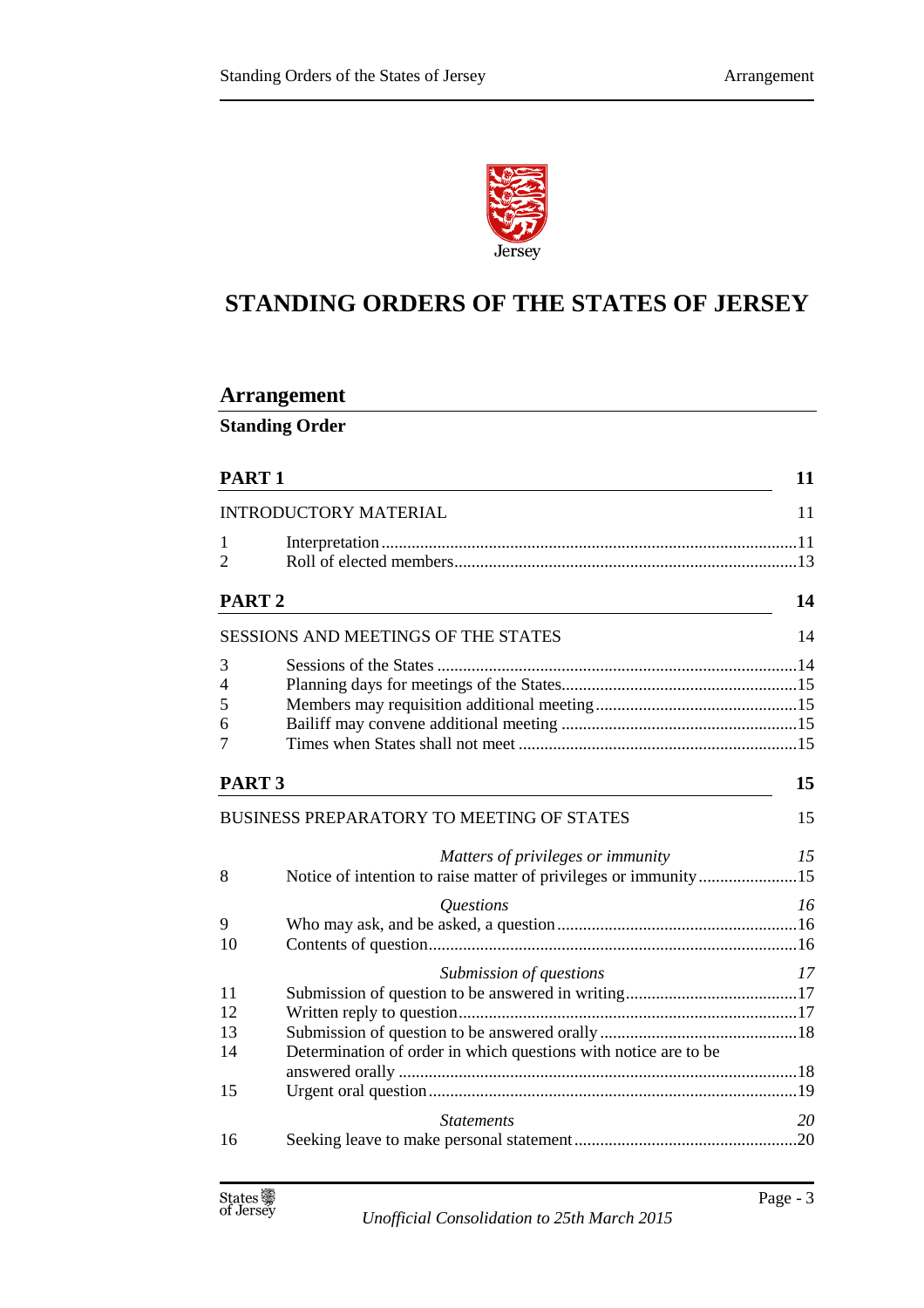

## **STANDING ORDERS OF THE STATES OF JERSEY**

## **Arrangement**

**Standing Order** 

| PART <sub>1</sub>                 | 11                                                                                                                                                                                                                                   |
|-----------------------------------|--------------------------------------------------------------------------------------------------------------------------------------------------------------------------------------------------------------------------------------|
|                                   | 11                                                                                                                                                                                                                                   |
|                                   |                                                                                                                                                                                                                                      |
|                                   |                                                                                                                                                                                                                                      |
|                                   | 14                                                                                                                                                                                                                                   |
|                                   | 14                                                                                                                                                                                                                                   |
|                                   |                                                                                                                                                                                                                                      |
|                                   |                                                                                                                                                                                                                                      |
|                                   |                                                                                                                                                                                                                                      |
|                                   |                                                                                                                                                                                                                                      |
|                                   |                                                                                                                                                                                                                                      |
|                                   | 15                                                                                                                                                                                                                                   |
|                                   | 15                                                                                                                                                                                                                                   |
| Matters of privileges or immunity | 15                                                                                                                                                                                                                                   |
|                                   |                                                                                                                                                                                                                                      |
| <i><u><b>Ouestions</b></u></i>    | 16                                                                                                                                                                                                                                   |
|                                   |                                                                                                                                                                                                                                      |
|                                   |                                                                                                                                                                                                                                      |
| Submission of questions           | 17                                                                                                                                                                                                                                   |
|                                   |                                                                                                                                                                                                                                      |
|                                   |                                                                                                                                                                                                                                      |
|                                   |                                                                                                                                                                                                                                      |
|                                   |                                                                                                                                                                                                                                      |
|                                   |                                                                                                                                                                                                                                      |
|                                   |                                                                                                                                                                                                                                      |
| <b>Statements</b>                 | 20                                                                                                                                                                                                                                   |
|                                   |                                                                                                                                                                                                                                      |
|                                   | <b>INTRODUCTORY MATERIAL</b><br>PART <sub>2</sub><br><b>SESSIONS AND MEETINGS OF THE STATES</b><br>PART <sub>3</sub><br>BUSINESS PREPARATORY TO MEETING OF STATES<br>Determination of order in which questions with notice are to be |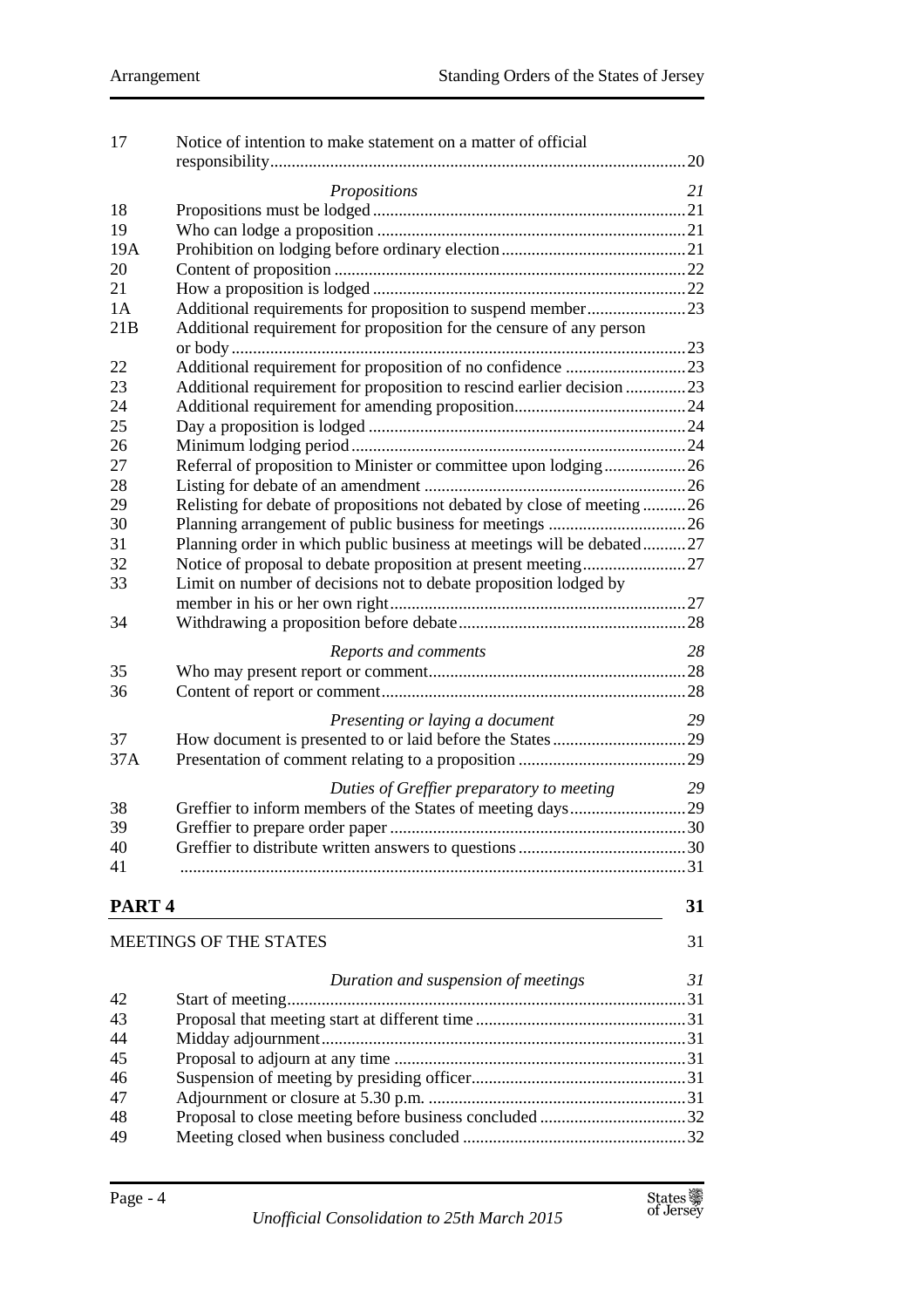| 17                | Notice of intention to make statement on a matter of official          |     |
|-------------------|------------------------------------------------------------------------|-----|
|                   |                                                                        | .20 |
|                   | Propositions                                                           | 21  |
| 18                |                                                                        |     |
| 19                |                                                                        |     |
| 19A               |                                                                        |     |
| 20                |                                                                        |     |
| 21                |                                                                        |     |
| 1A                |                                                                        |     |
| 21B               | Additional requirement for proposition for the censure of any person   |     |
|                   |                                                                        |     |
| 22                |                                                                        |     |
| 23                | Additional requirement for proposition to rescind earlier decision 23  |     |
| 24                |                                                                        |     |
| 25                |                                                                        |     |
| 26                |                                                                        |     |
| 27                | Referral of proposition to Minister or committee upon lodging26        |     |
| 28                |                                                                        |     |
| 29                | Relisting for debate of propositions not debated by close of meeting26 |     |
| 30                |                                                                        |     |
| 31                | Planning order in which public business at meetings will be debated27  |     |
| 32                |                                                                        |     |
| 33                | Limit on number of decisions not to debate proposition lodged by       |     |
|                   |                                                                        |     |
| 34                |                                                                        |     |
|                   | Reports and comments                                                   | 28  |
| 35                |                                                                        |     |
| 36                |                                                                        |     |
|                   | Presenting or laying a document                                        | 29  |
| 37                |                                                                        |     |
| 37A               |                                                                        |     |
|                   |                                                                        |     |
|                   | Duties of Greffier preparatory to meeting                              | 29  |
| 38                |                                                                        |     |
| 39                |                                                                        |     |
| 40                |                                                                        |     |
| 41                |                                                                        |     |
| PART <sub>4</sub> |                                                                        | 31  |
|                   |                                                                        |     |
|                   | <b>MEETINGS OF THE STATES</b>                                          | 31  |
|                   |                                                                        |     |
|                   | Duration and suspension of meetings                                    | 31  |
| 42                |                                                                        |     |
| 43                |                                                                        |     |
| 44                |                                                                        |     |
| 45                |                                                                        |     |
| 46                |                                                                        |     |
| 47                |                                                                        |     |
| 48                |                                                                        |     |
| 49                |                                                                        |     |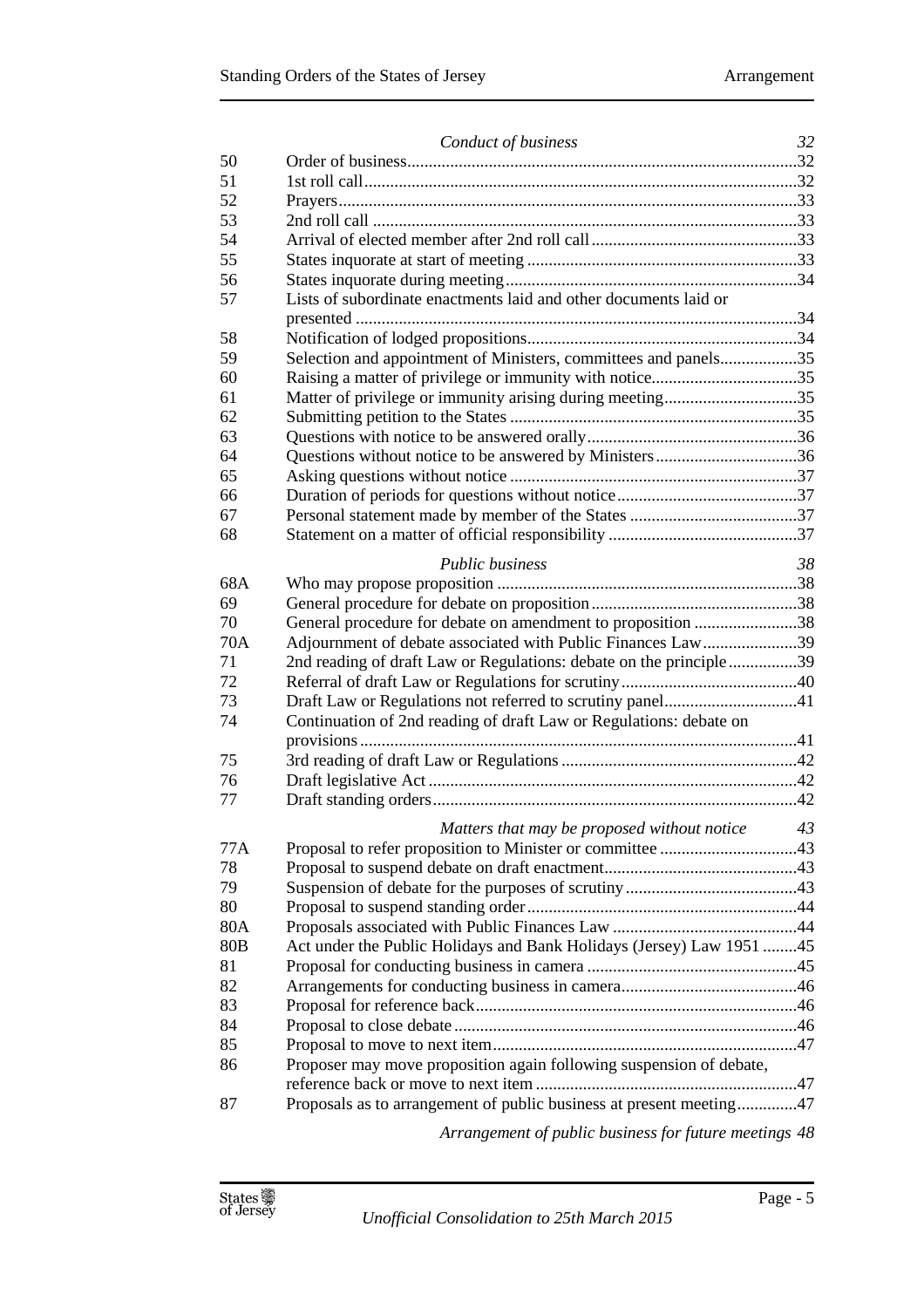|                 | Conduct of business                                                  | 32 |
|-----------------|----------------------------------------------------------------------|----|
| 50              |                                                                      |    |
| 51              |                                                                      |    |
| 52              |                                                                      |    |
| 53              |                                                                      |    |
| 54              |                                                                      |    |
| 55              |                                                                      |    |
| 56              |                                                                      |    |
| 57              | Lists of subordinate enactments laid and other documents laid or     |    |
|                 |                                                                      |    |
| 58              |                                                                      |    |
| 59              | Selection and appointment of Ministers, committees and panels35      |    |
| 60              | Raising a matter of privilege or immunity with notice35              |    |
| 61              | Matter of privilege or immunity arising during meeting35             |    |
| 62              |                                                                      |    |
| 63              |                                                                      |    |
| 64              | Questions without notice to be answered by Ministers36               |    |
| 65              |                                                                      |    |
| 66              |                                                                      |    |
| 67              |                                                                      |    |
| 68              |                                                                      |    |
|                 |                                                                      |    |
|                 | <b>Public business</b>                                               | 38 |
| 68A             |                                                                      |    |
| 69              |                                                                      |    |
| 70              | General procedure for debate on amendment to proposition 38          |    |
| 70A             | Adjournment of debate associated with Public Finances Law39          |    |
| 71              | 2nd reading of draft Law or Regulations: debate on the principle39   |    |
| 72              |                                                                      |    |
| 73              |                                                                      |    |
| 74              | Continuation of 2nd reading of draft Law or Regulations: debate on   |    |
|                 |                                                                      |    |
| 75              |                                                                      |    |
| 76              |                                                                      |    |
| 77              |                                                                      |    |
|                 | Matters that may be proposed without notice 43                       |    |
| 77A             |                                                                      |    |
| 78              |                                                                      |    |
| 79              |                                                                      |    |
| 80              |                                                                      |    |
| 80A             |                                                                      |    |
| 80 <sub>B</sub> | Act under the Public Holidays and Bank Holidays (Jersey) Law 1951 45 |    |
| 81              |                                                                      |    |
| 82              |                                                                      |    |
| 83              |                                                                      |    |
| 84              |                                                                      |    |
| 85              |                                                                      |    |
| 86              | Proposer may move proposition again following suspension of debate,  |    |
|                 |                                                                      |    |
| 87              | Proposals as to arrangement of public business at present meeting47  |    |
|                 |                                                                      |    |
|                 | Arrangement of public business for future meetings 48                |    |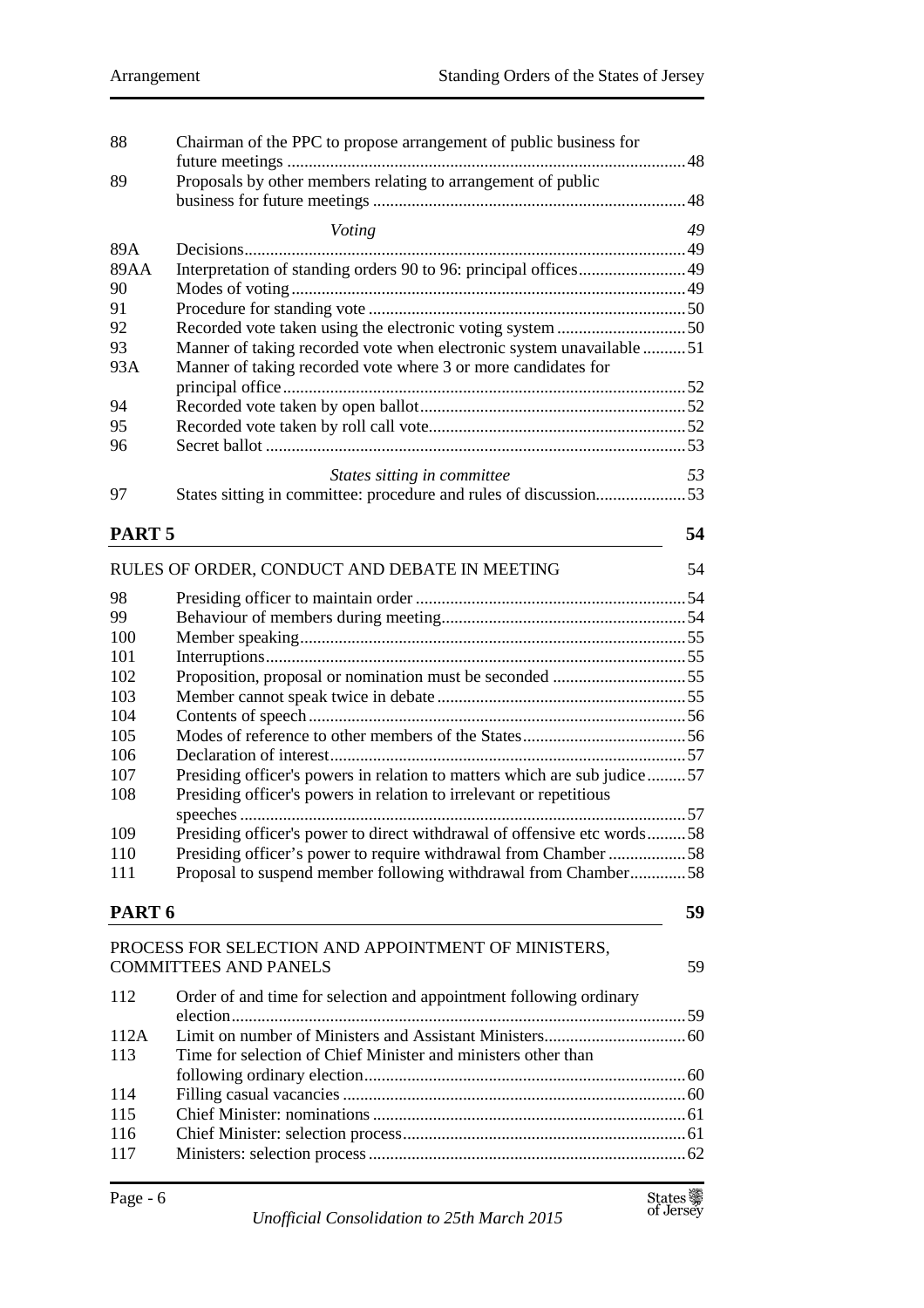| 88                | Chairman of the PPC to propose arrangement of public business for        |    |
|-------------------|--------------------------------------------------------------------------|----|
| 89                | Proposals by other members relating to arrangement of public             |    |
|                   | Voting                                                                   | 49 |
| 89A               |                                                                          |    |
| 89AA              |                                                                          |    |
| 90                |                                                                          |    |
| 91                |                                                                          |    |
| 92                |                                                                          |    |
| 93                | Manner of taking recorded vote when electronic system unavailable 51     |    |
| 93A               | Manner of taking recorded vote where 3 or more candidates for            |    |
|                   |                                                                          |    |
| 94                |                                                                          |    |
| 95                |                                                                          |    |
| 96                |                                                                          |    |
|                   |                                                                          | 53 |
|                   | States sitting in committee                                              |    |
| 97                | States sitting in committee: procedure and rules of discussion53         |    |
| PART <sub>5</sub> |                                                                          | 54 |
|                   | RULES OF ORDER, CONDUCT AND DEBATE IN MEETING                            | 54 |
| 98                |                                                                          |    |
| 99                |                                                                          |    |
| 100               |                                                                          |    |
| 101               |                                                                          |    |
| 102               | Proposition, proposal or nomination must be seconded 55                  |    |
| 103               |                                                                          |    |
| 104               |                                                                          |    |
| 105               |                                                                          |    |
| 106               |                                                                          |    |
| 107               | Presiding officer's powers in relation to matters which are sub judice57 |    |
| 108               | Presiding officer's powers in relation to irrelevant or repetitious      |    |
|                   |                                                                          |    |
| 109               | Presiding officer's power to direct withdrawal of offensive etc words58  |    |
| 110               | Presiding officer's power to require withdrawal from Chamber 58          |    |
| 111               | Proposal to suspend member following withdrawal from Chamber58           |    |
|                   |                                                                          |    |
| PART <sub>6</sub> |                                                                          | 59 |
|                   | PROCESS FOR SELECTION AND APPOINTMENT OF MINISTERS,                      |    |
|                   | <b>COMMITTEES AND PANELS</b>                                             | 59 |
|                   |                                                                          |    |
| 112               | Order of and time for selection and appointment following ordinary       |    |
| 112A              |                                                                          |    |
| 113               | Time for selection of Chief Minister and ministers other than            |    |
|                   |                                                                          |    |
| 114               |                                                                          |    |
| 115               |                                                                          |    |
| 116               |                                                                          |    |
| 117               |                                                                          |    |
|                   |                                                                          |    |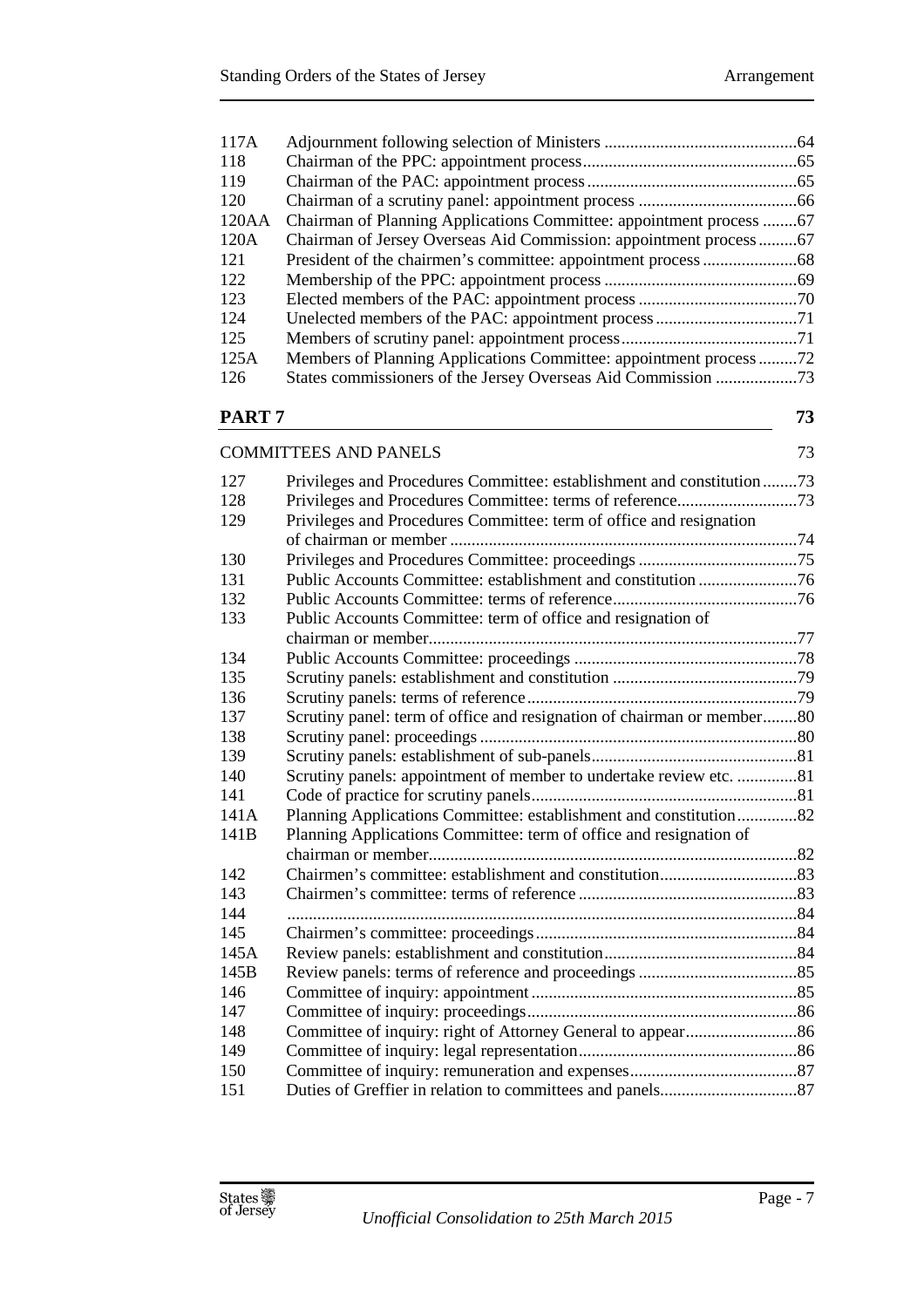| 117A              |                                                                        |    |
|-------------------|------------------------------------------------------------------------|----|
| 118               |                                                                        |    |
| 119               |                                                                        |    |
| 120               |                                                                        |    |
| 120AA             | Chairman of Planning Applications Committee: appointment process 67    |    |
| 120A              | Chairman of Jersey Overseas Aid Commission: appointment process67      |    |
| 121               |                                                                        |    |
| 122               |                                                                        |    |
| 123               |                                                                        |    |
| 124               |                                                                        |    |
| 125               |                                                                        |    |
| 125A              | Members of Planning Applications Committee: appointment process72      |    |
| 126               | States commissioners of the Jersey Overseas Aid Commission 73          |    |
|                   |                                                                        |    |
| PART <sub>7</sub> |                                                                        | 73 |
|                   | <b>COMMITTEES AND PANELS</b>                                           | 73 |
|                   |                                                                        |    |
| 127               | Privileges and Procedures Committee: establishment and constitution73  |    |
| 128               |                                                                        |    |
| 129               | Privileges and Procedures Committee: term of office and resignation    |    |
| 130               |                                                                        |    |
|                   |                                                                        |    |
| 131<br>132        |                                                                        |    |
|                   |                                                                        |    |
| 133               | Public Accounts Committee: term of office and resignation of           |    |
| 134               |                                                                        |    |
| 135               |                                                                        |    |
| 136               |                                                                        |    |
| 137               | Scrutiny panel: term of office and resignation of chairman or member80 |    |
| 138               |                                                                        |    |
| 139               |                                                                        |    |
| 140               | Scrutiny panels: appointment of member to undertake review etc. 81     |    |
| 141               |                                                                        |    |
| 141A              | Planning Applications Committee: establishment and constitution82      |    |
| 141B              | Planning Applications Committee: term of office and resignation of     |    |
|                   |                                                                        |    |
| 142               |                                                                        |    |
| 143               |                                                                        |    |
| 144               |                                                                        |    |
| 145               |                                                                        |    |
| 145A              |                                                                        |    |
| 145B              |                                                                        |    |
| 146               |                                                                        |    |
| 147               |                                                                        |    |
| 148               |                                                                        |    |
| 149               |                                                                        |    |
| 150               |                                                                        |    |
| 151               |                                                                        |    |
|                   |                                                                        |    |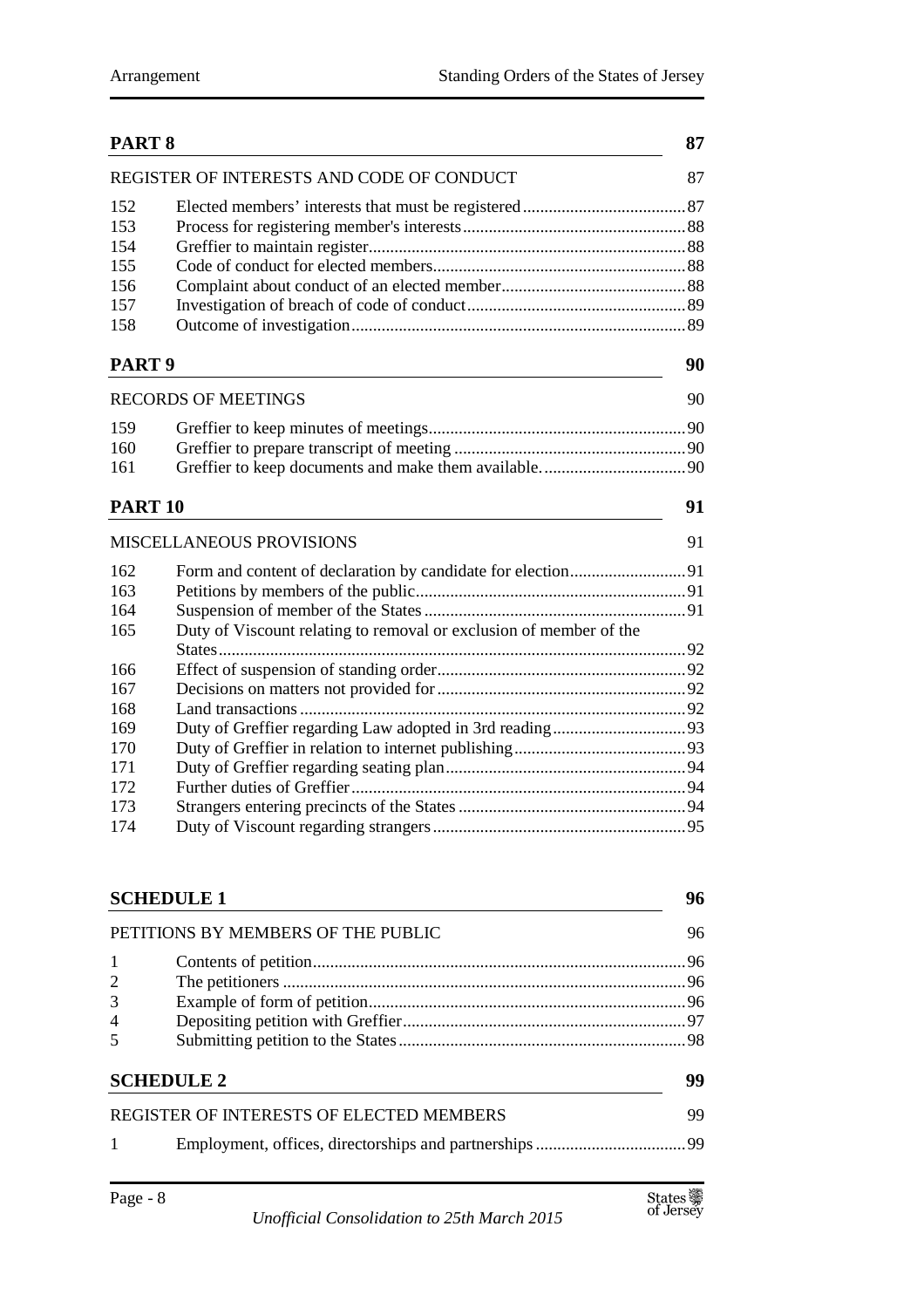|                   | PART <sub>8</sub>                                                  |    |
|-------------------|--------------------------------------------------------------------|----|
|                   | REGISTER OF INTERESTS AND CODE OF CONDUCT                          | 87 |
| 152               |                                                                    |    |
| 153               |                                                                    |    |
| 154               |                                                                    |    |
| 155               |                                                                    |    |
| 156               |                                                                    |    |
| 157               |                                                                    |    |
| 158               |                                                                    |    |
| PART <sub>9</sub> |                                                                    | 90 |
|                   | <b>RECORDS OF MEETINGS</b>                                         | 90 |
| 159               |                                                                    |    |
| 160               |                                                                    |    |
| 161               |                                                                    |    |
| <b>PART 10</b>    |                                                                    | 91 |
|                   | <b>MISCELLANEOUS PROVISIONS</b>                                    | 91 |
| 162               |                                                                    |    |
| 163               |                                                                    |    |
| 164               |                                                                    |    |
| 165               | Duty of Viscount relating to removal or exclusion of member of the |    |
| 166               |                                                                    |    |
| 167               |                                                                    |    |
| 168               |                                                                    |    |
| 169               |                                                                    |    |
| 170               |                                                                    |    |
| 171               |                                                                    |    |
| 172               |                                                                    |    |
| 173               |                                                                    |    |
| 174               |                                                                    | 95 |
|                   |                                                                    |    |
|                   | <b>SCHEDULE 1</b>                                                  | 96 |
|                   | PETITIONS BY MEMBERS OF THE PUBLIC                                 | 96 |
| 1                 |                                                                    |    |
| 2                 |                                                                    |    |
| 3                 |                                                                    |    |
| 4                 |                                                                    |    |
| 5                 |                                                                    |    |
|                   | <b>SCHEDULE 2</b>                                                  | 99 |
|                   | REGISTER OF INTERESTS OF ELECTED MEMBERS                           | 99 |
| 1                 |                                                                    |    |
|                   |                                                                    |    |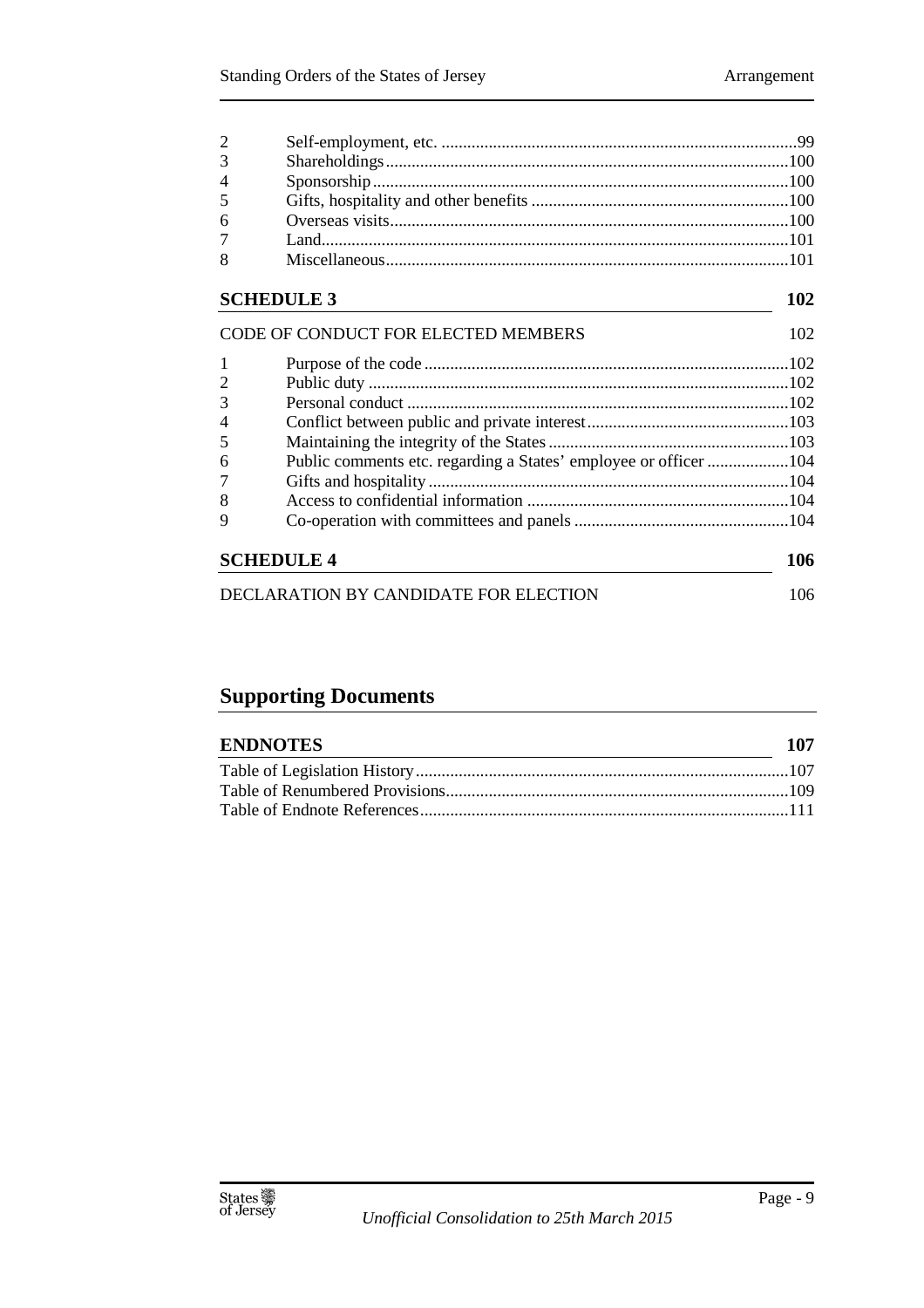| $\overline{2}$  |  |
|-----------------|--|
| 3 <sup>7</sup>  |  |
| $\overline{4}$  |  |
| 5 <sup>5</sup>  |  |
| 6               |  |
| $7\overline{ }$ |  |
| 8               |  |

## **SCHEDULE 3** 102

|   | CODE OF CONDUCT FOR ELECTED MEMBERS                              | 102 |
|---|------------------------------------------------------------------|-----|
| 1 |                                                                  |     |
|   |                                                                  |     |
|   |                                                                  |     |
| 4 |                                                                  |     |
|   |                                                                  |     |
| 6 | Public comments etc. regarding a States' employee or officer 104 |     |
|   |                                                                  |     |
| 8 |                                                                  |     |
|   |                                                                  |     |
|   | <b>SCHEDULE 4</b>                                                | 106 |
|   | DECLARATION BY CANDIDATE FOR ELECTION                            | 106 |

## **Supporting Documents**

| <b>ENDNOTES</b> | 107 |
|-----------------|-----|
|                 |     |
|                 |     |
|                 |     |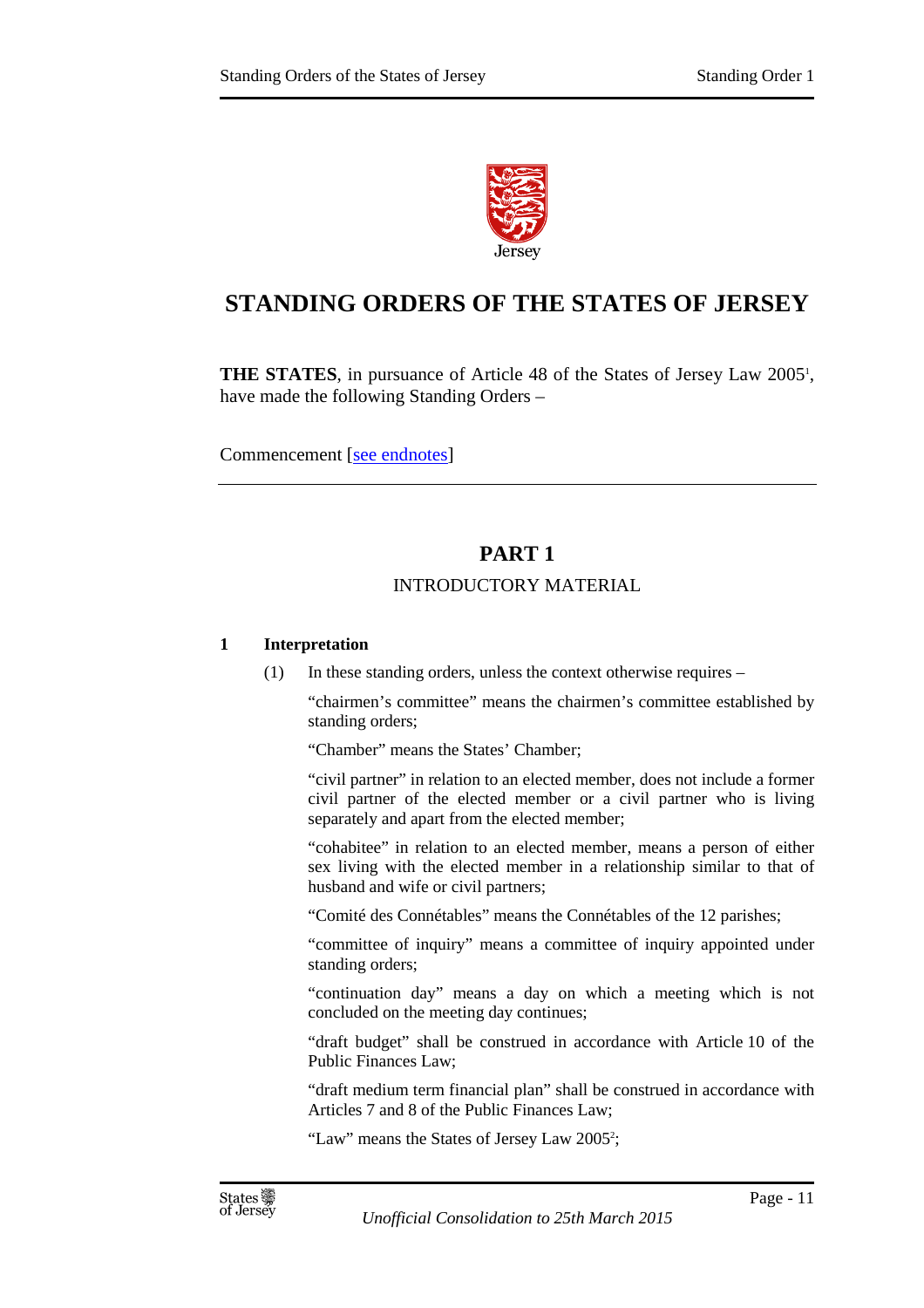

## **STANDING ORDERS OF THE STATES OF JERSEY**

**THE STATES**, in pursuance of Article 48 of the States of Jersey Law 2005<sup>1</sup>, have made the following Standing Orders –

Commencement [see endnotes]

## **PART 1**

#### INTRODUCTORY MATERIAL

#### **1 Interpretation**

(1) In these standing orders, unless the context otherwise requires  $-$ 

"chairmen's committee" means the chairmen's committee established by standing orders;

"Chamber" means the States' Chamber;

"civil partner" in relation to an elected member, does not include a former civil partner of the elected member or a civil partner who is living separately and apart from the elected member;

"cohabitee" in relation to an elected member, means a person of either sex living with the elected member in a relationship similar to that of husband and wife or civil partners;

"Comité des Connétables" means the Connétables of the 12 parishes;

"committee of inquiry" means a committee of inquiry appointed under standing orders;

"continuation day" means a day on which a meeting which is not concluded on the meeting day continues;

"draft budget" shall be construed in accordance with Article 10 of the Public Finances Law;

"draft medium term financial plan" shall be construed in accordance with Articles 7 and 8 of the Public Finances Law;

"Law" means the States of Jersey Law 2005<sup>2</sup>;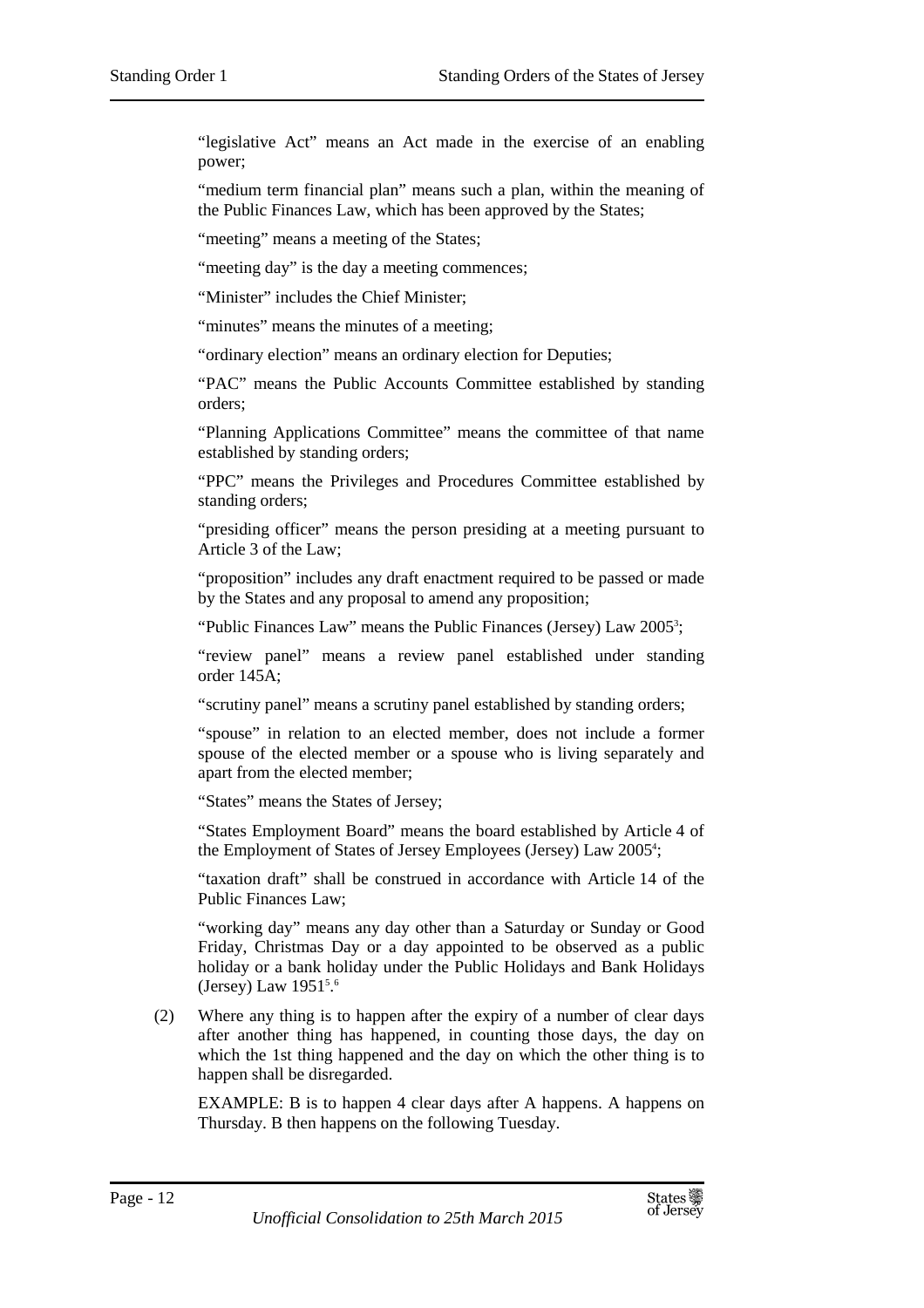"legislative Act" means an Act made in the exercise of an enabling power;

"medium term financial plan" means such a plan, within the meaning of the Public Finances Law, which has been approved by the States;

"meeting" means a meeting of the States;

"meeting day" is the day a meeting commences;

"Minister" includes the Chief Minister;

"minutes" means the minutes of a meeting;

"ordinary election" means an ordinary election for Deputies;

"PAC" means the Public Accounts Committee established by standing orders;

"Planning Applications Committee" means the committee of that name established by standing orders;

"PPC" means the Privileges and Procedures Committee established by standing orders;

"presiding officer" means the person presiding at a meeting pursuant to Article 3 of the Law;

"proposition" includes any draft enactment required to be passed or made by the States and any proposal to amend any proposition;

"Public Finances Law" means the Public Finances (Jersey) Law 2005<sup>3</sup>;

"review panel" means a review panel established under standing order 145A;

"scrutiny panel" means a scrutiny panel established by standing orders;

"spouse" in relation to an elected member, does not include a former spouse of the elected member or a spouse who is living separately and apart from the elected member;

"States" means the States of Jersey;

"States Employment Board" means the board established by Article 4 of the Employment of States of Jersey Employees (Jersey) Law 2005<sup>4</sup>;

"taxation draft" shall be construed in accordance with Article 14 of the Public Finances Law;

"working day" means any day other than a Saturday or Sunday or Good Friday, Christmas Day or a day appointed to be observed as a public holiday or a bank holiday under the Public Holidays and Bank Holidays (Jersey) Law 1951<sup>5.6</sup>

(2) Where any thing is to happen after the expiry of a number of clear days after another thing has happened, in counting those days, the day on which the 1st thing happened and the day on which the other thing is to happen shall be disregarded.

EXAMPLE: B is to happen 4 clear days after A happens. A happens on Thursday. B then happens on the following Tuesday.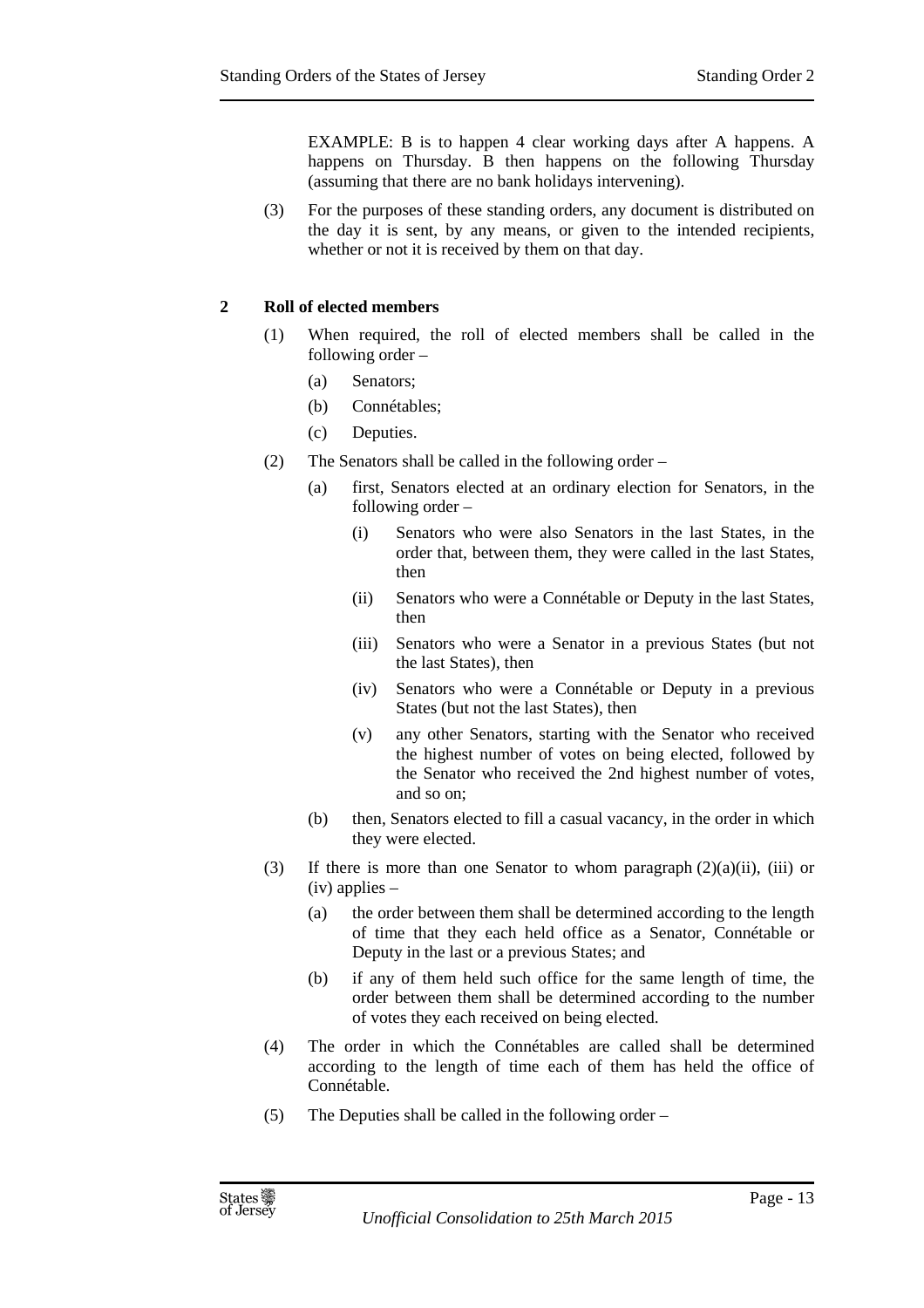EXAMPLE: B is to happen 4 clear working days after A happens. A happens on Thursday. B then happens on the following Thursday (assuming that there are no bank holidays intervening).

(3) For the purposes of these standing orders, any document is distributed on the day it is sent, by any means, or given to the intended recipients, whether or not it is received by them on that day.

#### **2 Roll of elected members**

- (1) When required, the roll of elected members shall be called in the following order –
	- (a) Senators;
	- (b) Connétables;
	- (c) Deputies.
- (2) The Senators shall be called in the following order
	- (a) first, Senators elected at an ordinary election for Senators, in the following order –
		- (i) Senators who were also Senators in the last States, in the order that, between them, they were called in the last States, then
		- (ii) Senators who were a Connétable or Deputy in the last States, then
		- (iii) Senators who were a Senator in a previous States (but not the last States), then
		- (iv) Senators who were a Connétable or Deputy in a previous States (but not the last States), then
		- (v) any other Senators, starting with the Senator who received the highest number of votes on being elected, followed by the Senator who received the 2nd highest number of votes, and so on;
	- (b) then, Senators elected to fill a casual vacancy, in the order in which they were elected.
- (3) If there is more than one Senator to whom paragraph  $(2)(a)(ii)$ , (iii) or (iv) applies –
	- (a) the order between them shall be determined according to the length of time that they each held office as a Senator, Connétable or Deputy in the last or a previous States; and
	- (b) if any of them held such office for the same length of time, the order between them shall be determined according to the number of votes they each received on being elected.
- (4) The order in which the Connétables are called shall be determined according to the length of time each of them has held the office of Connétable.
- (5) The Deputies shall be called in the following order –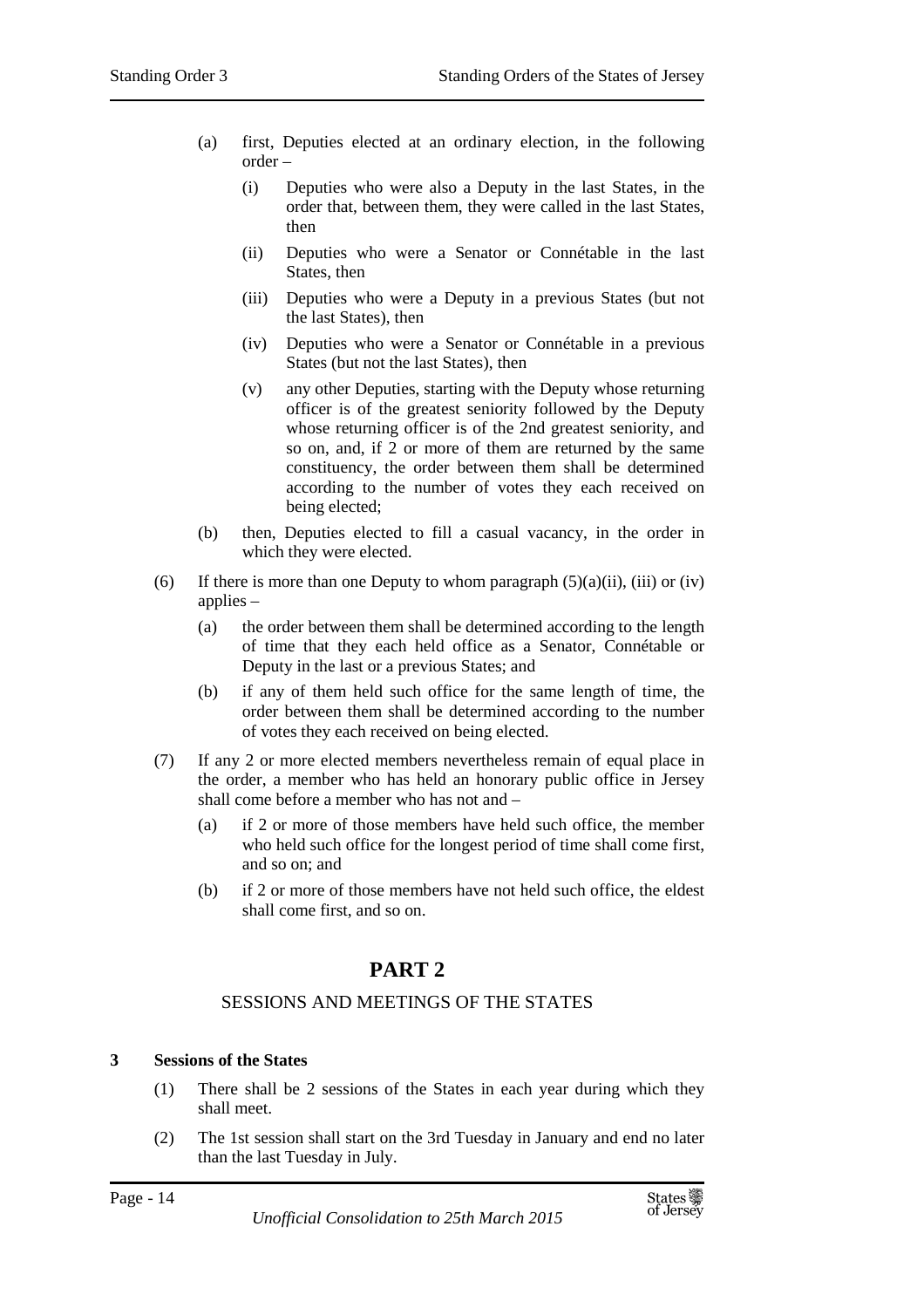- (a) first, Deputies elected at an ordinary election, in the following order –
	- (i) Deputies who were also a Deputy in the last States, in the order that, between them, they were called in the last States, then
	- (ii) Deputies who were a Senator or Connétable in the last States, then
	- (iii) Deputies who were a Deputy in a previous States (but not the last States), then
	- (iv) Deputies who were a Senator or Connétable in a previous States (but not the last States), then
	- (v) any other Deputies, starting with the Deputy whose returning officer is of the greatest seniority followed by the Deputy whose returning officer is of the 2nd greatest seniority, and so on, and, if 2 or more of them are returned by the same constituency, the order between them shall be determined according to the number of votes they each received on being elected;
- (b) then, Deputies elected to fill a casual vacancy, in the order in which they were elected.
- (6) If there is more than one Deputy to whom paragraph  $(5)(a)(ii)$ , (iii) or (iv) applies –
	- (a) the order between them shall be determined according to the length of time that they each held office as a Senator, Connétable or Deputy in the last or a previous States; and
	- (b) if any of them held such office for the same length of time, the order between them shall be determined according to the number of votes they each received on being elected.
- (7) If any 2 or more elected members nevertheless remain of equal place in the order, a member who has held an honorary public office in Jersey shall come before a member who has not and –
	- (a) if 2 or more of those members have held such office, the member who held such office for the longest period of time shall come first, and so on; and
	- (b) if 2 or more of those members have not held such office, the eldest shall come first, and so on.

## **PART 2**

## SESSIONS AND MEETINGS OF THE STATES

## **3 Sessions of the States**

- (1) There shall be 2 sessions of the States in each year during which they shall meet.
- (2) The 1st session shall start on the 3rd Tuesday in January and end no later than the last Tuesday in July.

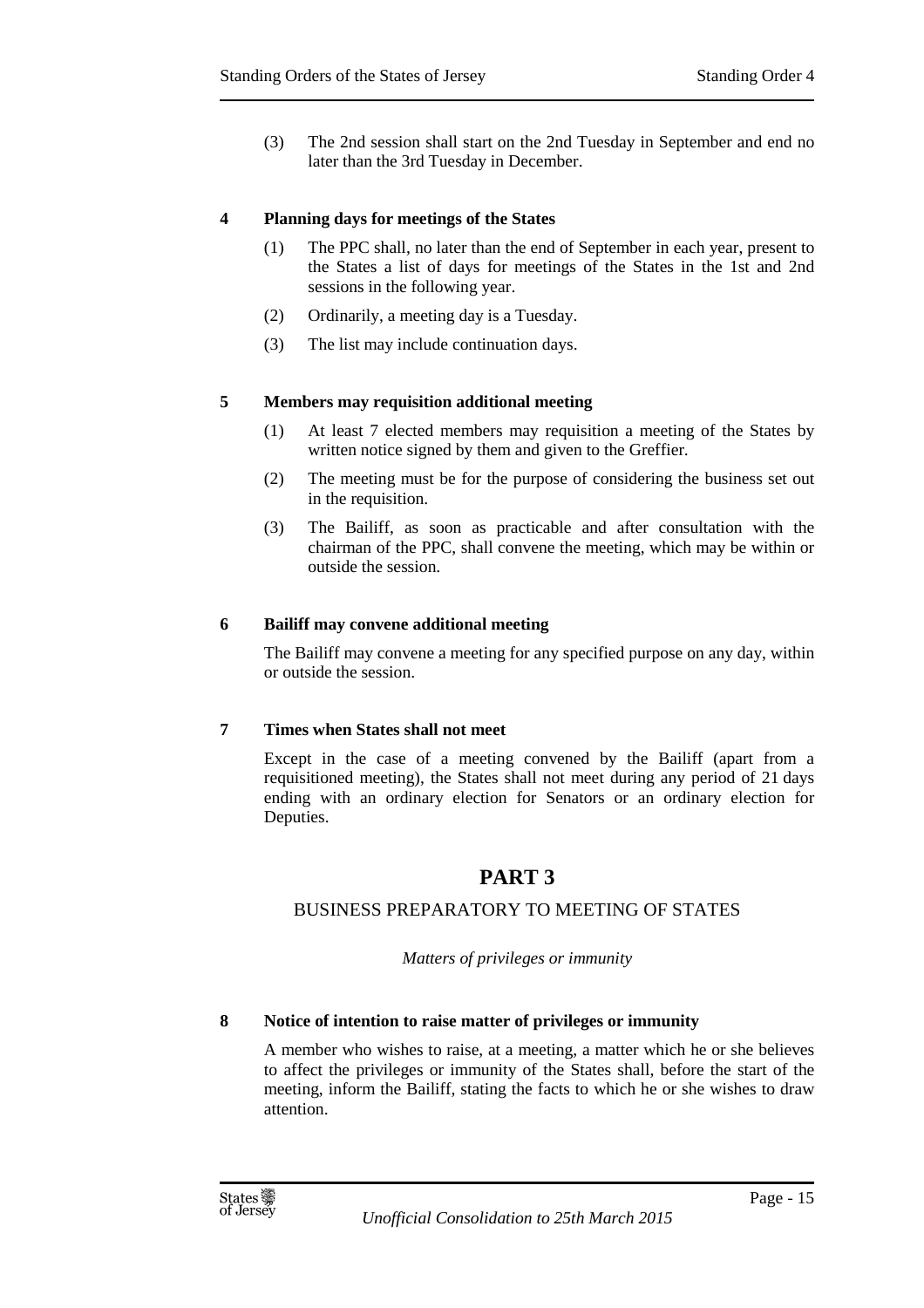(3) The 2nd session shall start on the 2nd Tuesday in September and end no later than the 3rd Tuesday in December.

#### **4 Planning days for meetings of the States**

- (1) The PPC shall, no later than the end of September in each year, present to the States a list of days for meetings of the States in the 1st and 2nd sessions in the following year.
- (2) Ordinarily, a meeting day is a Tuesday.
- (3) The list may include continuation days.

#### **5 Members may requisition additional meeting**

- (1) At least 7 elected members may requisition a meeting of the States by written notice signed by them and given to the Greffier.
- (2) The meeting must be for the purpose of considering the business set out in the requisition.
- (3) The Bailiff, as soon as practicable and after consultation with the chairman of the PPC, shall convene the meeting, which may be within or outside the session.

#### **6 Bailiff may convene additional meeting**

The Bailiff may convene a meeting for any specified purpose on any day, within or outside the session.

#### **7 Times when States shall not meet**

Except in the case of a meeting convened by the Bailiff (apart from a requisitioned meeting), the States shall not meet during any period of 21 days ending with an ordinary election for Senators or an ordinary election for Deputies.

## **PART 3**

## BUSINESS PREPARATORY TO MEETING OF STATES

*Matters of privileges or immunity* 

#### **8 Notice of intention to raise matter of privileges or immunity**

A member who wishes to raise, at a meeting, a matter which he or she believes to affect the privileges or immunity of the States shall, before the start of the meeting, inform the Bailiff, stating the facts to which he or she wishes to draw attention.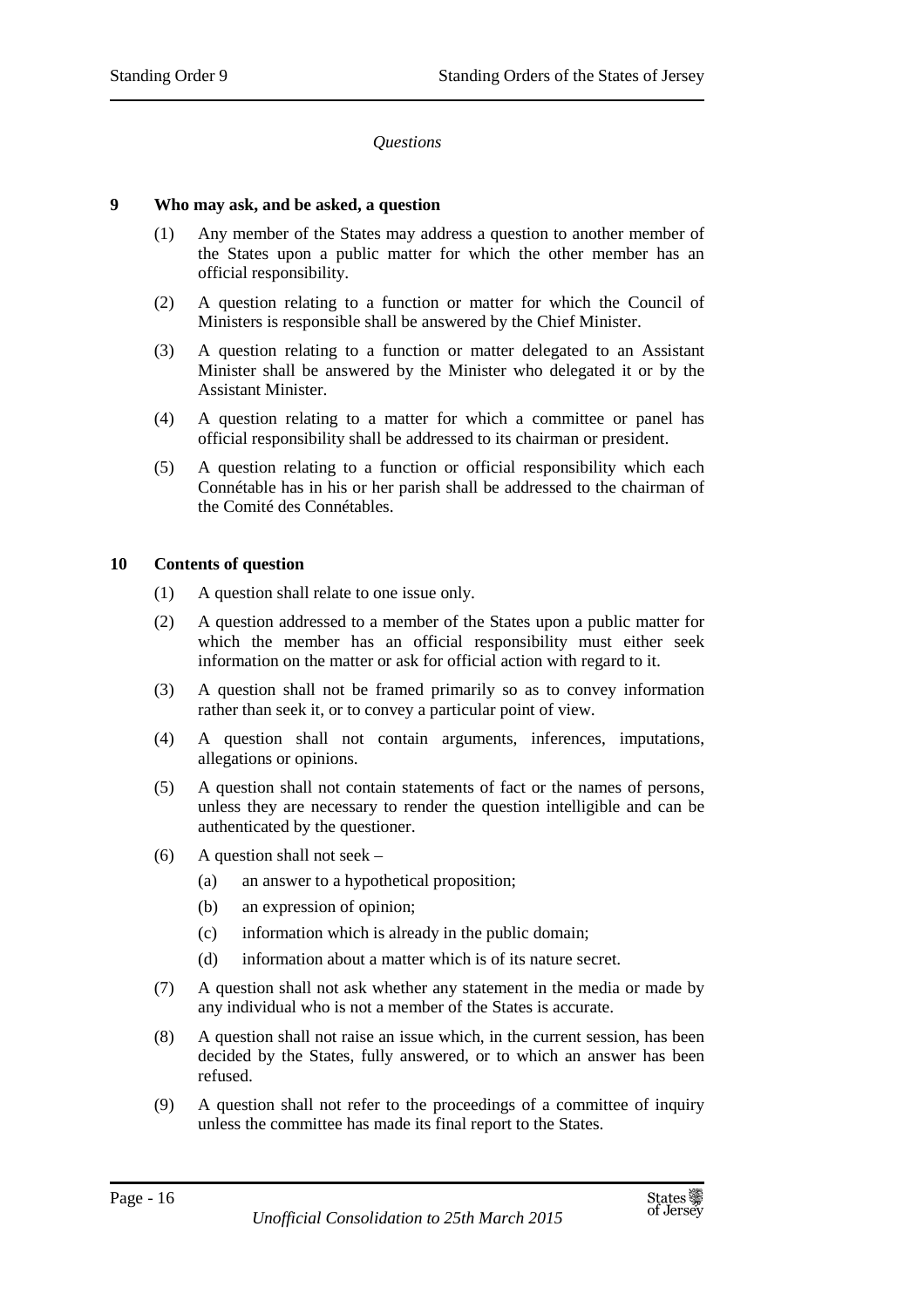#### *Questions*

#### **9 Who may ask, and be asked, a question**

- (1) Any member of the States may address a question to another member of the States upon a public matter for which the other member has an official responsibility.
- (2) A question relating to a function or matter for which the Council of Ministers is responsible shall be answered by the Chief Minister.
- (3) A question relating to a function or matter delegated to an Assistant Minister shall be answered by the Minister who delegated it or by the Assistant Minister.
- (4) A question relating to a matter for which a committee or panel has official responsibility shall be addressed to its chairman or president.
- (5) A question relating to a function or official responsibility which each Connétable has in his or her parish shall be addressed to the chairman of the Comité des Connétables.

#### **10 Contents of question**

- (1) A question shall relate to one issue only.
- (2) A question addressed to a member of the States upon a public matter for which the member has an official responsibility must either seek information on the matter or ask for official action with regard to it.
- (3) A question shall not be framed primarily so as to convey information rather than seek it, or to convey a particular point of view.
- (4) A question shall not contain arguments, inferences, imputations, allegations or opinions.
- (5) A question shall not contain statements of fact or the names of persons, unless they are necessary to render the question intelligible and can be authenticated by the questioner.
- (6) A question shall not seek
	- (a) an answer to a hypothetical proposition;
	- (b) an expression of opinion;
	- (c) information which is already in the public domain;
	- (d) information about a matter which is of its nature secret.
- (7) A question shall not ask whether any statement in the media or made by any individual who is not a member of the States is accurate.
- (8) A question shall not raise an issue which, in the current session, has been decided by the States, fully answered, or to which an answer has been refused.
- (9) A question shall not refer to the proceedings of a committee of inquiry unless the committee has made its final report to the States.

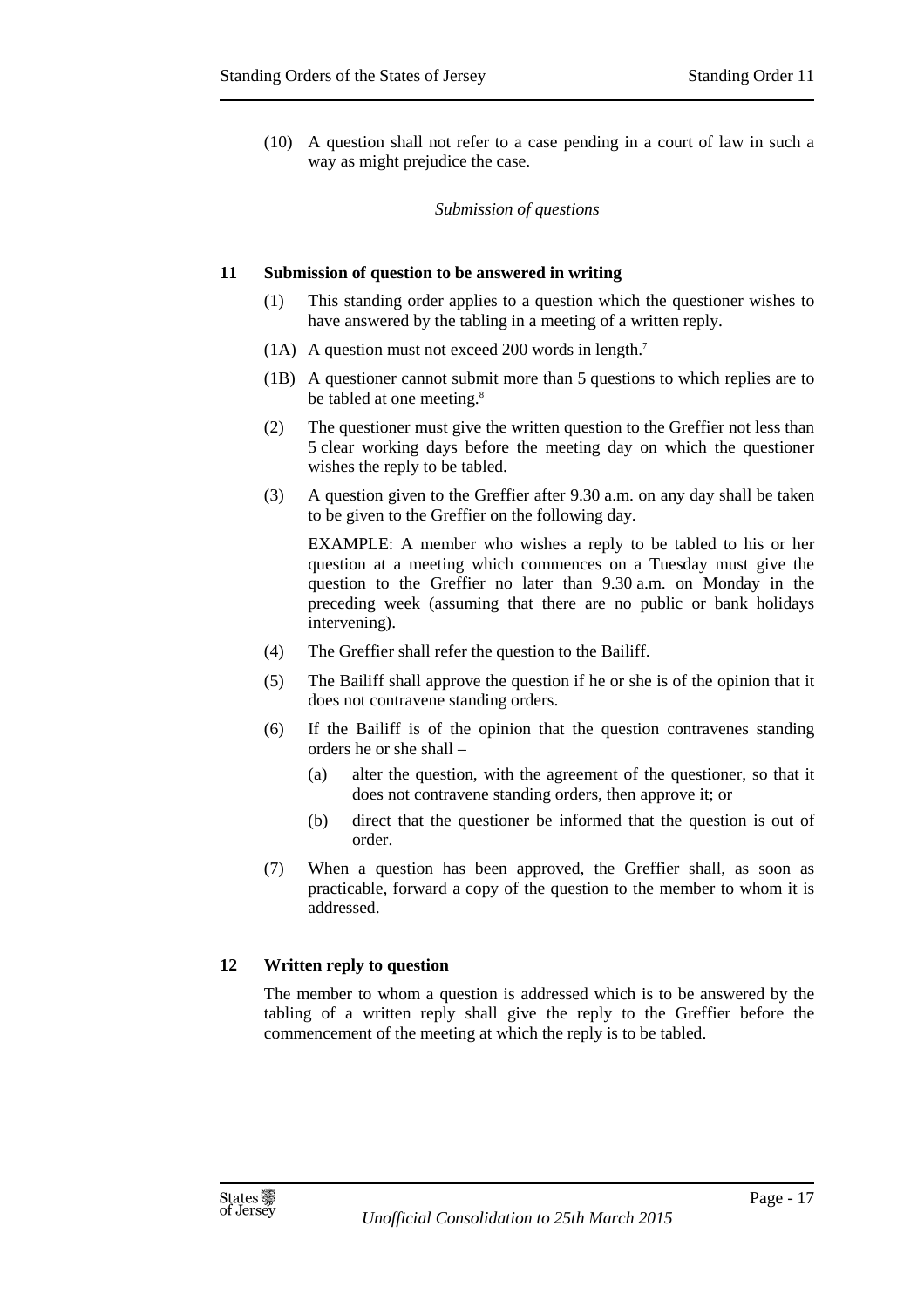(10) A question shall not refer to a case pending in a court of law in such a way as might prejudice the case.

#### *Submission of questions*

#### **11 Submission of question to be answered in writing**

- (1) This standing order applies to a question which the questioner wishes to have answered by the tabling in a meeting of a written reply.
- (1A) A question must not exceed 200 words in length. 7
- (1B) A questioner cannot submit more than 5 questions to which replies are to be tabled at one meeting.<sup>8</sup>
- (2) The questioner must give the written question to the Greffier not less than 5 clear working days before the meeting day on which the questioner wishes the reply to be tabled.
- (3) A question given to the Greffier after 9.30 a.m. on any day shall be taken to be given to the Greffier on the following day.

EXAMPLE: A member who wishes a reply to be tabled to his or her question at a meeting which commences on a Tuesday must give the question to the Greffier no later than 9.30 a.m. on Monday in the preceding week (assuming that there are no public or bank holidays intervening).

- (4) The Greffier shall refer the question to the Bailiff.
- (5) The Bailiff shall approve the question if he or she is of the opinion that it does not contravene standing orders.
- (6) If the Bailiff is of the opinion that the question contravenes standing orders he or she shall –
	- (a) alter the question, with the agreement of the questioner, so that it does not contravene standing orders, then approve it; or
	- (b) direct that the questioner be informed that the question is out of order.
- (7) When a question has been approved, the Greffier shall, as soon as practicable, forward a copy of the question to the member to whom it is addressed.

#### **12 Written reply to question**

The member to whom a question is addressed which is to be answered by the tabling of a written reply shall give the reply to the Greffier before the commencement of the meeting at which the reply is to be tabled.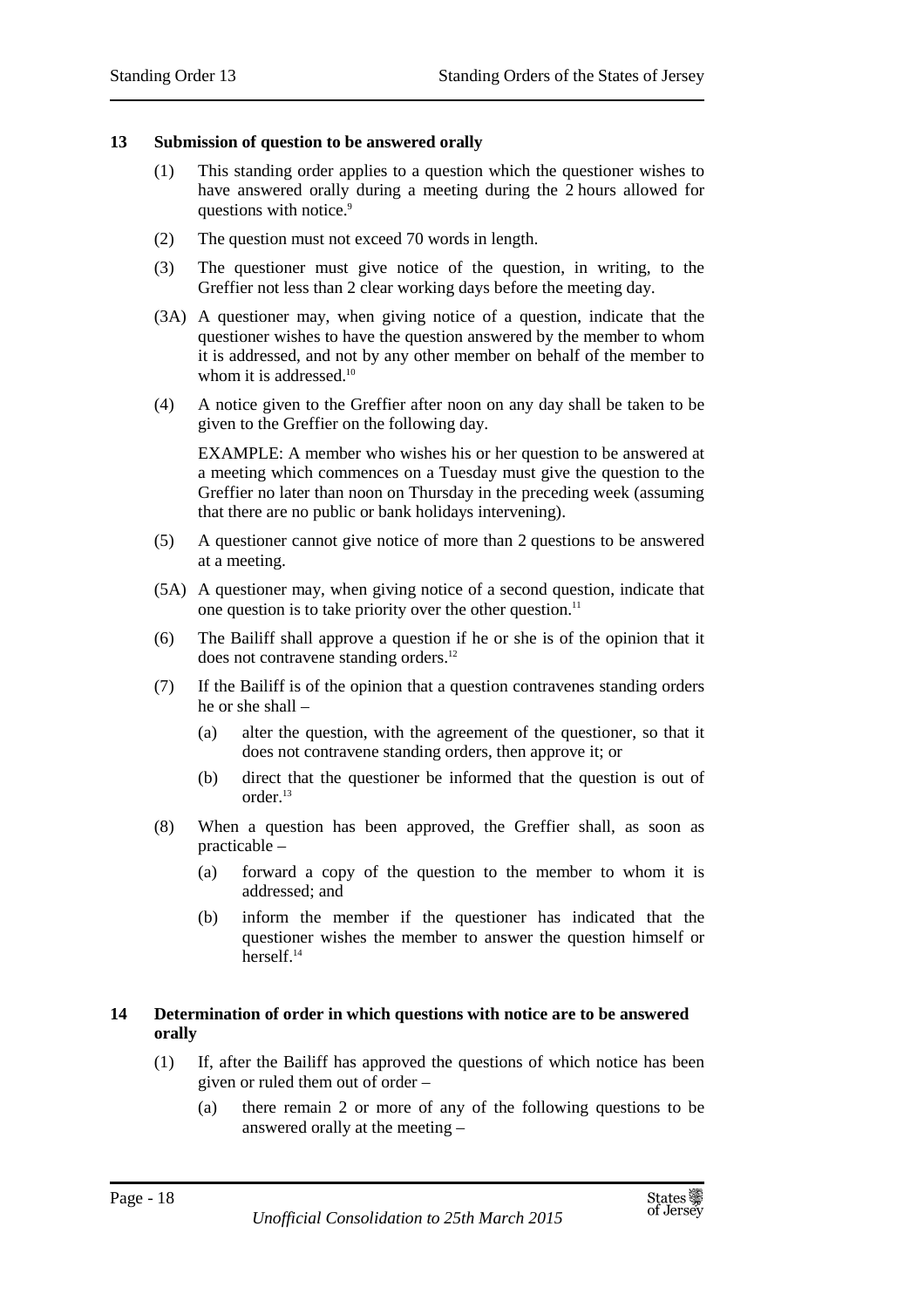#### **13 Submission of question to be answered orally**

- (1) This standing order applies to a question which the questioner wishes to have answered orally during a meeting during the 2 hours allowed for questions with notice.<sup>9</sup>
- (2) The question must not exceed 70 words in length.
- (3) The questioner must give notice of the question, in writing, to the Greffier not less than 2 clear working days before the meeting day.
- (3A) A questioner may, when giving notice of a question, indicate that the questioner wishes to have the question answered by the member to whom it is addressed, and not by any other member on behalf of the member to whom it is addressed.<sup>10</sup>
- (4) A notice given to the Greffier after noon on any day shall be taken to be given to the Greffier on the following day.

EXAMPLE: A member who wishes his or her question to be answered at a meeting which commences on a Tuesday must give the question to the Greffier no later than noon on Thursday in the preceding week (assuming that there are no public or bank holidays intervening).

- (5) A questioner cannot give notice of more than 2 questions to be answered at a meeting.
- (5A) A questioner may, when giving notice of a second question, indicate that one question is to take priority over the other question.<sup>11</sup>
- (6) The Bailiff shall approve a question if he or she is of the opinion that it does not contravene standing orders.<sup>12</sup>
- (7) If the Bailiff is of the opinion that a question contravenes standing orders he or she shall –
	- (a) alter the question, with the agreement of the questioner, so that it does not contravene standing orders, then approve it; or
	- (b) direct that the questioner be informed that the question is out of order.<sup>13</sup>
- (8) When a question has been approved, the Greffier shall, as soon as practicable –
	- (a) forward a copy of the question to the member to whom it is addressed; and
	- (b) inform the member if the questioner has indicated that the questioner wishes the member to answer the question himself or herself<sup>14</sup>

#### **14 Determination of order in which questions with notice are to be answered orally**

- (1) If, after the Bailiff has approved the questions of which notice has been given or ruled them out of order –
	- (a) there remain 2 or more of any of the following questions to be answered orally at the meeting –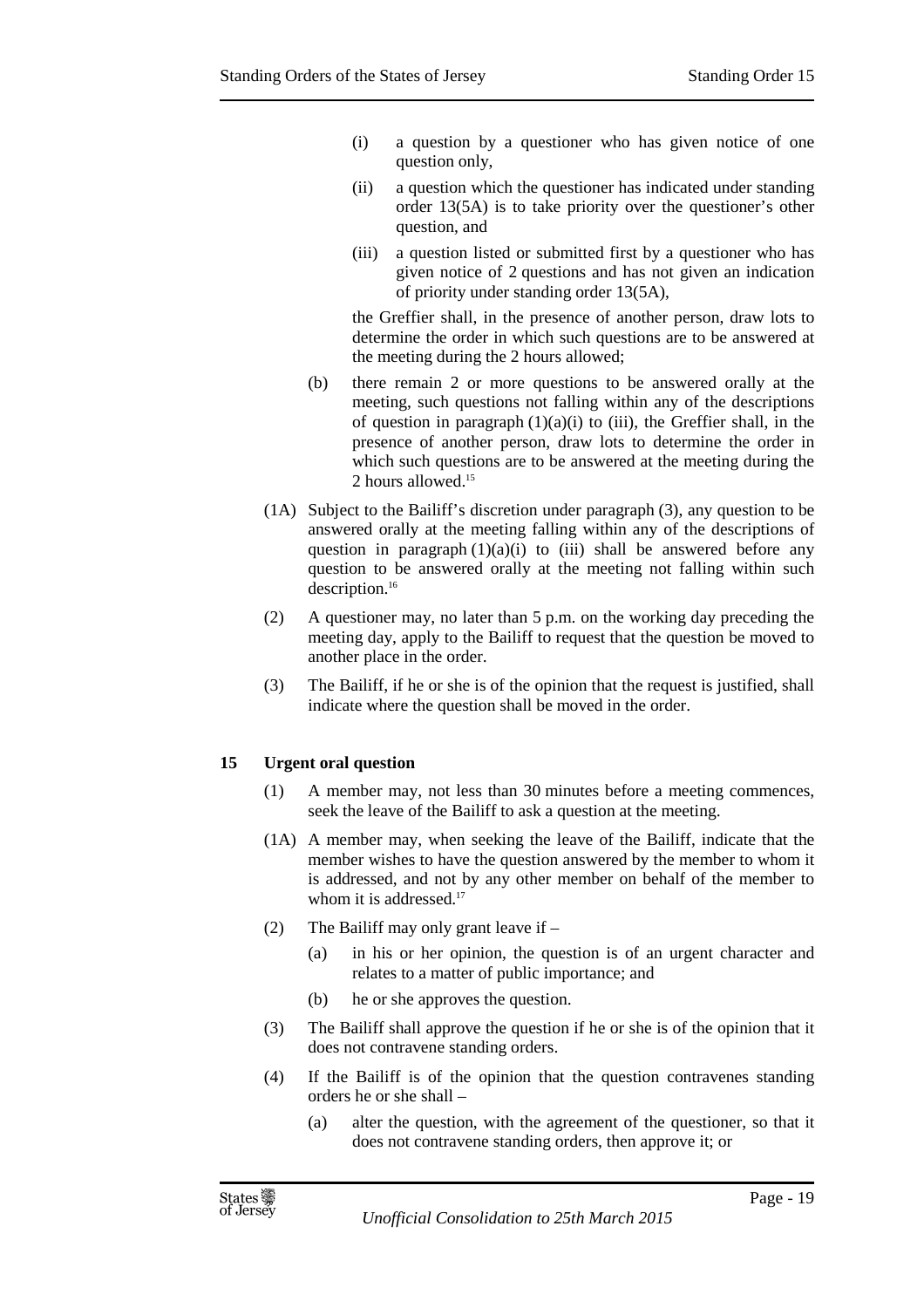- (i) a question by a questioner who has given notice of one question only,
- (ii) a question which the questioner has indicated under standing order 13(5A) is to take priority over the questioner's other question, and
- (iii) a question listed or submitted first by a questioner who has given notice of 2 questions and has not given an indication of priority under standing order 13(5A),

the Greffier shall, in the presence of another person, draw lots to determine the order in which such questions are to be answered at the meeting during the 2 hours allowed;

- (b) there remain 2 or more questions to be answered orally at the meeting, such questions not falling within any of the descriptions of question in paragraph  $(1)(a)(i)$  to (iii), the Greffier shall, in the presence of another person, draw lots to determine the order in which such questions are to be answered at the meeting during the 2 hours allowed.<sup>15</sup>
- (1A) Subject to the Bailiff's discretion under paragraph (3), any question to be answered orally at the meeting falling within any of the descriptions of question in paragraph  $(1)(a)(i)$  to (iii) shall be answered before any question to be answered orally at the meeting not falling within such description.<sup>16</sup>
- (2) A questioner may, no later than 5 p.m. on the working day preceding the meeting day, apply to the Bailiff to request that the question be moved to another place in the order.
- (3) The Bailiff, if he or she is of the opinion that the request is justified, shall indicate where the question shall be moved in the order.

## **15 Urgent oral question**

- (1) A member may, not less than 30 minutes before a meeting commences, seek the leave of the Bailiff to ask a question at the meeting.
- (1A) A member may, when seeking the leave of the Bailiff, indicate that the member wishes to have the question answered by the member to whom it is addressed, and not by any other member on behalf of the member to whom it is addressed.<sup>17</sup>
- (2) The Bailiff may only grant leave if
	- (a) in his or her opinion, the question is of an urgent character and relates to a matter of public importance; and
	- (b) he or she approves the question.
- (3) The Bailiff shall approve the question if he or she is of the opinion that it does not contravene standing orders.
- (4) If the Bailiff is of the opinion that the question contravenes standing orders he or she shall –
	- (a) alter the question, with the agreement of the questioner, so that it does not contravene standing orders, then approve it; or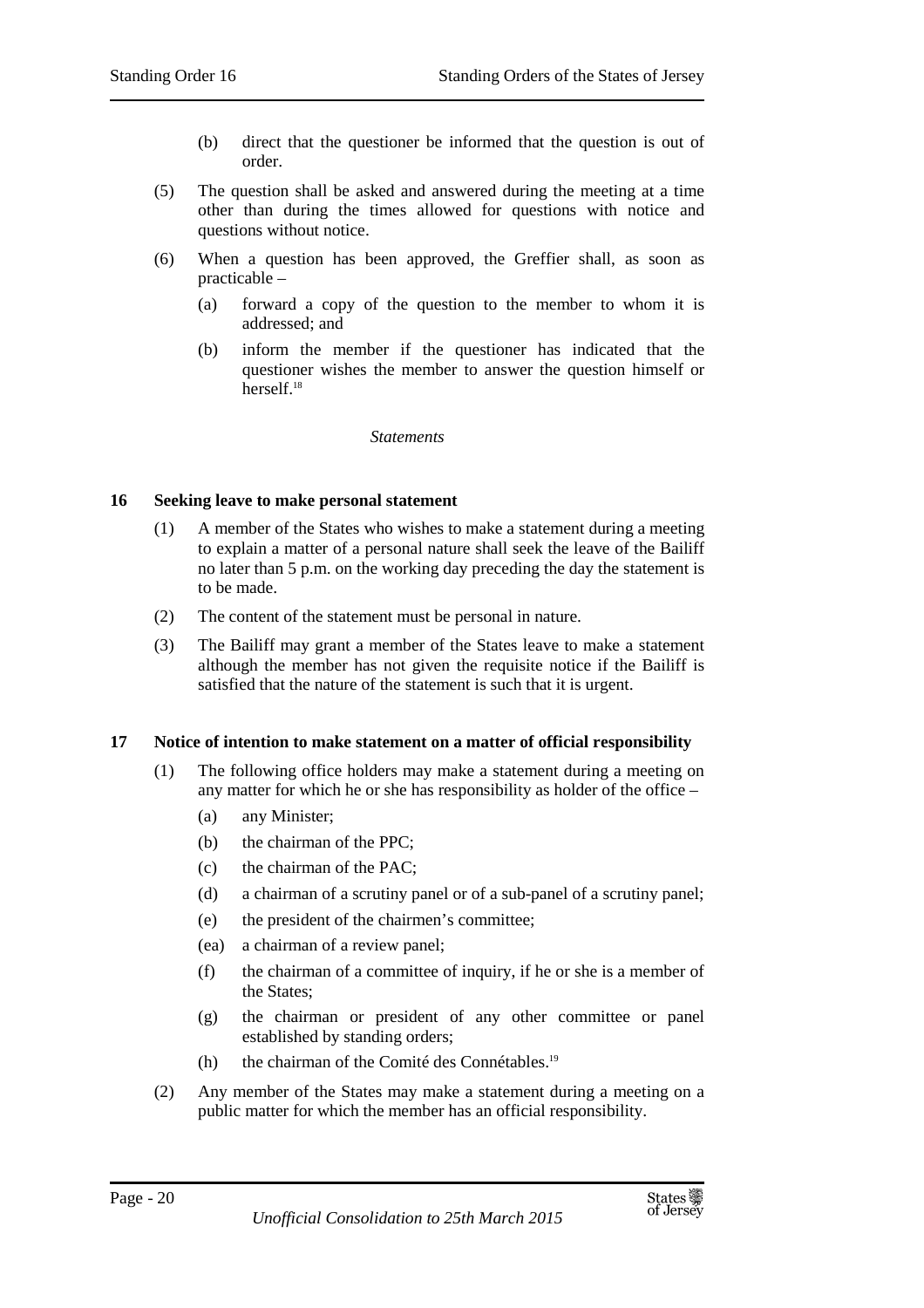- (b) direct that the questioner be informed that the question is out of order.
- (5) The question shall be asked and answered during the meeting at a time other than during the times allowed for questions with notice and questions without notice.
- (6) When a question has been approved, the Greffier shall, as soon as practicable –
	- (a) forward a copy of the question to the member to whom it is addressed; and
	- (b) inform the member if the questioner has indicated that the questioner wishes the member to answer the question himself or herself<sup>18</sup>

*Statements* 

#### **16 Seeking leave to make personal statement**

- (1) A member of the States who wishes to make a statement during a meeting to explain a matter of a personal nature shall seek the leave of the Bailiff no later than 5 p.m. on the working day preceding the day the statement is to be made.
- (2) The content of the statement must be personal in nature.
- (3) The Bailiff may grant a member of the States leave to make a statement although the member has not given the requisite notice if the Bailiff is satisfied that the nature of the statement is such that it is urgent.

#### **17 Notice of intention to make statement on a matter of official responsibility**

- (1) The following office holders may make a statement during a meeting on any matter for which he or she has responsibility as holder of the office –
	- (a) any Minister;
	- (b) the chairman of the PPC;
	- (c) the chairman of the PAC;
	- (d) a chairman of a scrutiny panel or of a sub-panel of a scrutiny panel;
	- (e) the president of the chairmen's committee;
	- (ea) a chairman of a review panel;
	- (f) the chairman of a committee of inquiry, if he or she is a member of the States;
	- (g) the chairman or president of any other committee or panel established by standing orders;
	- (h) the chairman of the Comité des Connétables.<sup>19</sup>
- (2) Any member of the States may make a statement during a meeting on a public matter for which the member has an official responsibility.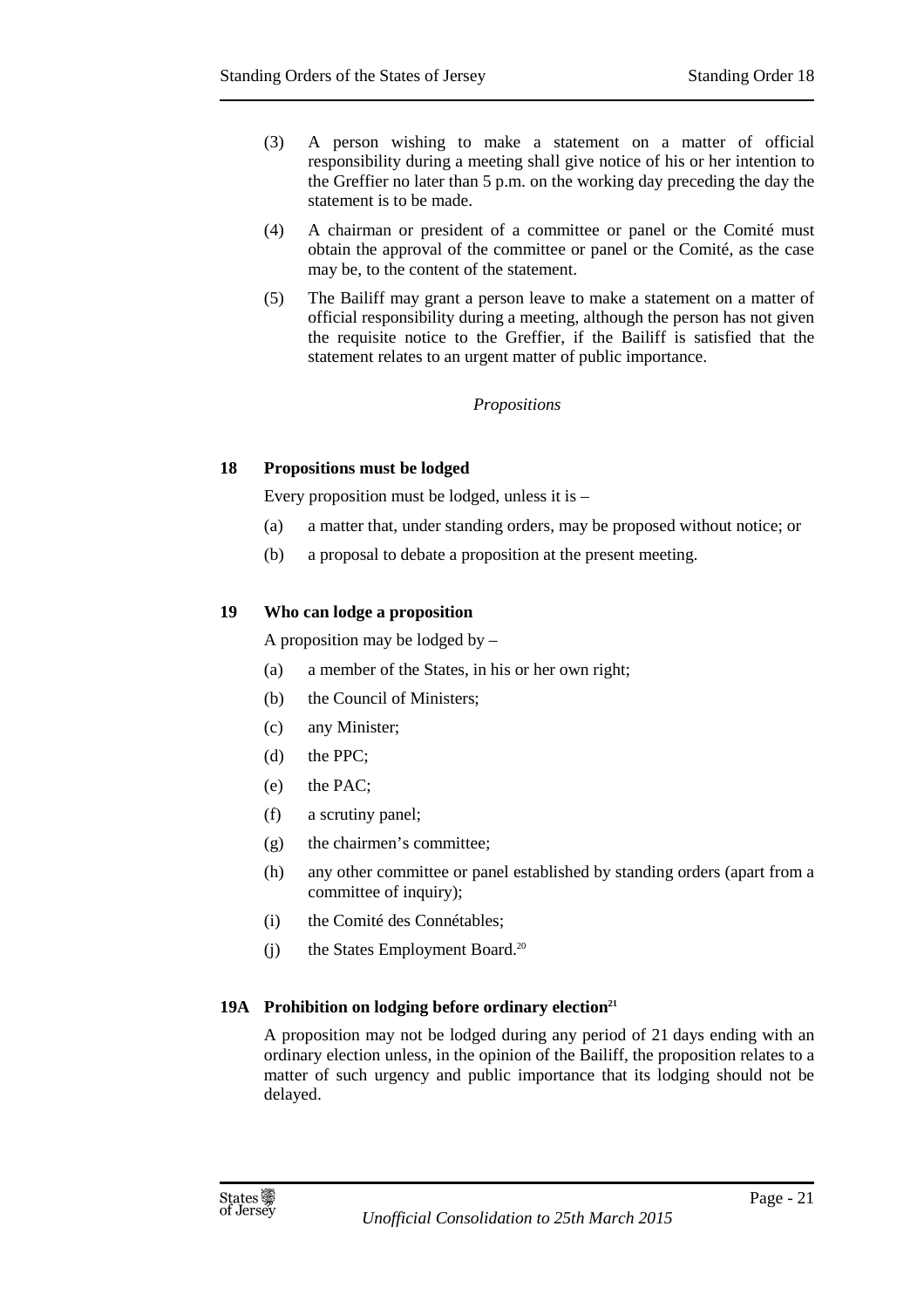- (3) A person wishing to make a statement on a matter of official responsibility during a meeting shall give notice of his or her intention to the Greffier no later than 5 p.m. on the working day preceding the day the statement is to be made.
- (4) A chairman or president of a committee or panel or the Comité must obtain the approval of the committee or panel or the Comité, as the case may be, to the content of the statement.
- (5) The Bailiff may grant a person leave to make a statement on a matter of official responsibility during a meeting, although the person has not given the requisite notice to the Greffier, if the Bailiff is satisfied that the statement relates to an urgent matter of public importance.

#### *Propositions*

#### **18 Propositions must be lodged**

Every proposition must be lodged, unless it is –

- (a) a matter that, under standing orders, may be proposed without notice; or
- (b) a proposal to debate a proposition at the present meeting.

#### **19 Who can lodge a proposition**

A proposition may be lodged by –

- (a) a member of the States, in his or her own right;
- (b) the Council of Ministers;
- (c) any Minister;
- (d) the PPC;
- (e) the PAC;
- (f) a scrutiny panel;
- (g) the chairmen's committee;
- (h) any other committee or panel established by standing orders (apart from a committee of inquiry);
- (i) the Comité des Connétables;
- $(i)$  the States Employment Board.<sup>20</sup>

#### **19A Prohibition on lodging before ordinary election<sup>21</sup>**

A proposition may not be lodged during any period of 21 days ending with an ordinary election unless, in the opinion of the Bailiff, the proposition relates to a matter of such urgency and public importance that its lodging should not be delayed.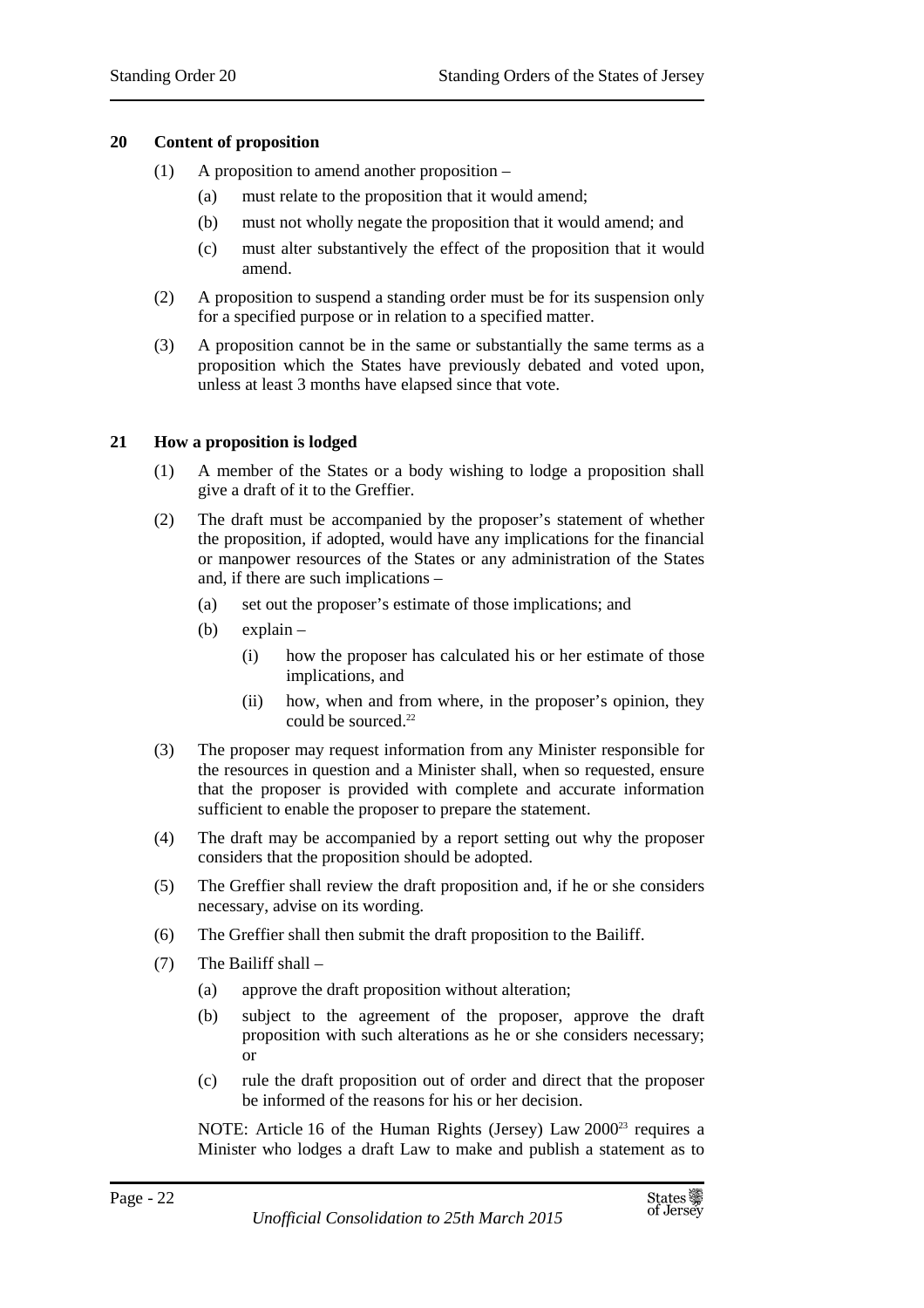#### **20 Content of proposition**

- (1) A proposition to amend another proposition
	- (a) must relate to the proposition that it would amend;
	- (b) must not wholly negate the proposition that it would amend; and
	- (c) must alter substantively the effect of the proposition that it would amend.
- (2) A proposition to suspend a standing order must be for its suspension only for a specified purpose or in relation to a specified matter.
- (3) A proposition cannot be in the same or substantially the same terms as a proposition which the States have previously debated and voted upon, unless at least 3 months have elapsed since that vote.

#### **21 How a proposition is lodged**

- (1) A member of the States or a body wishing to lodge a proposition shall give a draft of it to the Greffier.
- (2) The draft must be accompanied by the proposer's statement of whether the proposition, if adopted, would have any implications for the financial or manpower resources of the States or any administration of the States and, if there are such implications –
	- (a) set out the proposer's estimate of those implications; and
	- (b) explain
		- (i) how the proposer has calculated his or her estimate of those implications, and
		- (ii) how, when and from where, in the proposer's opinion, they could be sourced.<sup>22</sup>
- (3) The proposer may request information from any Minister responsible for the resources in question and a Minister shall, when so requested, ensure that the proposer is provided with complete and accurate information sufficient to enable the proposer to prepare the statement.
- (4) The draft may be accompanied by a report setting out why the proposer considers that the proposition should be adopted.
- (5) The Greffier shall review the draft proposition and, if he or she considers necessary, advise on its wording.
- (6) The Greffier shall then submit the draft proposition to the Bailiff.
- (7) The Bailiff shall
	- (a) approve the draft proposition without alteration;
	- (b) subject to the agreement of the proposer, approve the draft proposition with such alterations as he or she considers necessary; or
	- (c) rule the draft proposition out of order and direct that the proposer be informed of the reasons for his or her decision.

NOTE: Article 16 of the Human Rights (Jersey) Law 2000<sup>23</sup> requires a Minister who lodges a draft Law to make and publish a statement as to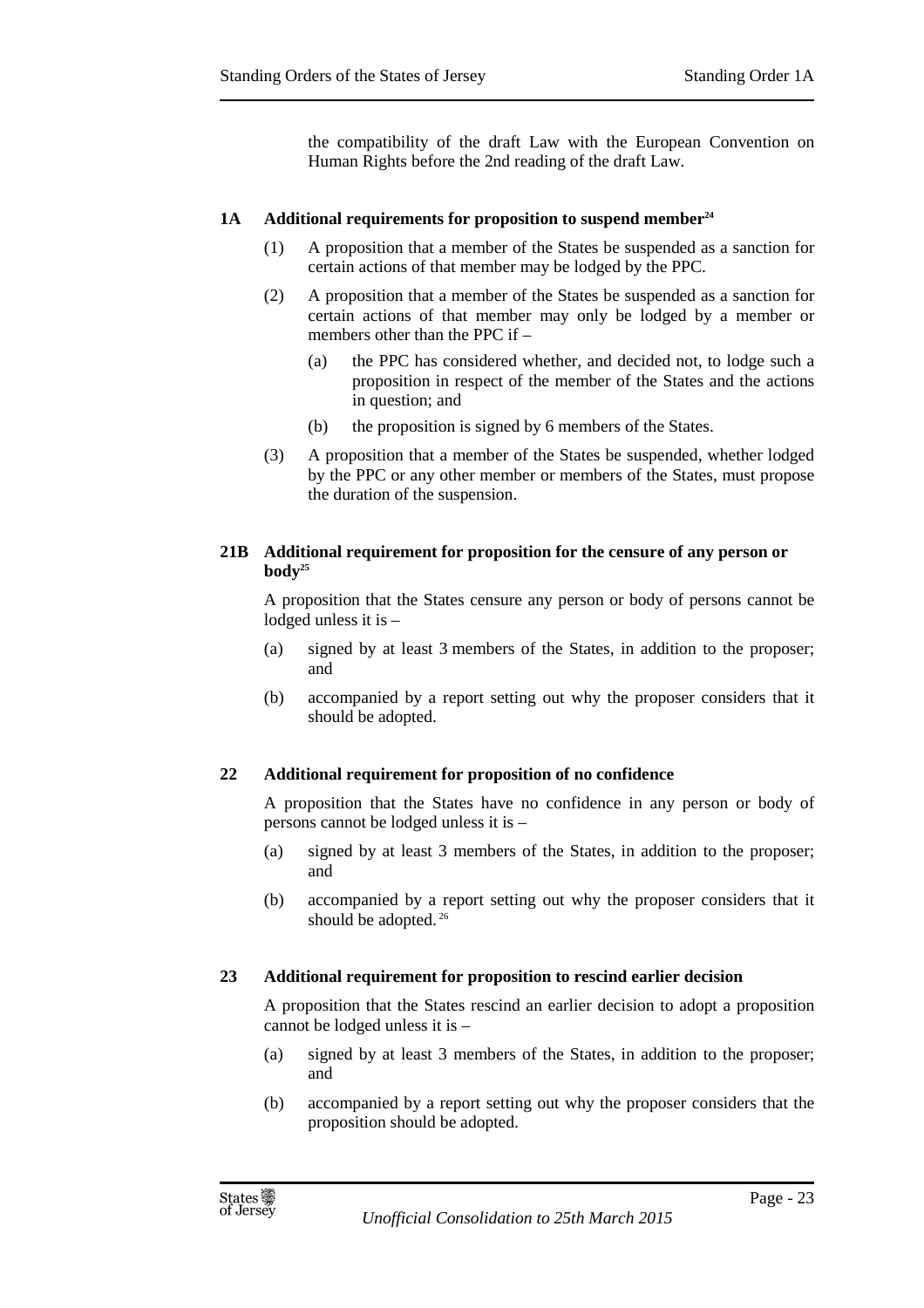the compatibility of the draft Law with the European Convention on Human Rights before the 2nd reading of the draft Law.

## **1A Additional requirements for proposition to suspend member<sup>24</sup>**

- (1) A proposition that a member of the States be suspended as a sanction for certain actions of that member may be lodged by the PPC.
- (2) A proposition that a member of the States be suspended as a sanction for certain actions of that member may only be lodged by a member or members other than the PPC if –
	- (a) the PPC has considered whether, and decided not, to lodge such a proposition in respect of the member of the States and the actions in question; and
	- (b) the proposition is signed by 6 members of the States.
- (3) A proposition that a member of the States be suspended, whether lodged by the PPC or any other member or members of the States, must propose the duration of the suspension.

#### **21B Additional requirement for proposition for the censure of any person or**   $\bf{body}^{25}$

A proposition that the States censure any person or body of persons cannot be lodged unless it is –

- (a) signed by at least 3 members of the States, in addition to the proposer; and
- (b) accompanied by a report setting out why the proposer considers that it should be adopted.

## **22 Additional requirement for proposition of no confidence**

A proposition that the States have no confidence in any person or body of persons cannot be lodged unless it is –

- (a) signed by at least 3 members of the States, in addition to the proposer; and
- (b) accompanied by a report setting out why the proposer considers that it should be adopted.<sup>26</sup>

## **23 Additional requirement for proposition to rescind earlier decision**

A proposition that the States rescind an earlier decision to adopt a proposition cannot be lodged unless it is –

- (a) signed by at least 3 members of the States, in addition to the proposer; and
- (b) accompanied by a report setting out why the proposer considers that the proposition should be adopted.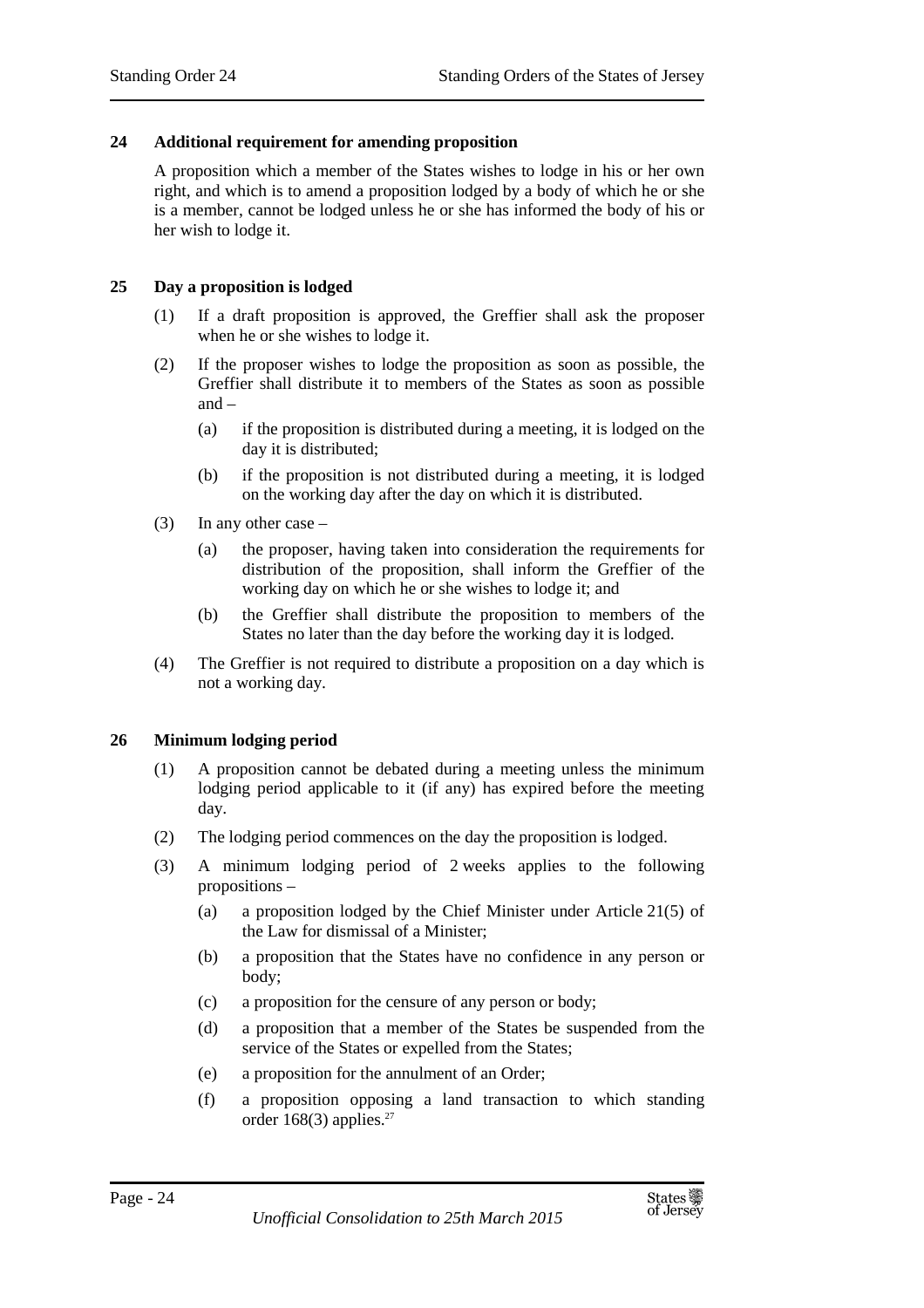#### **24 Additional requirement for amending proposition**

A proposition which a member of the States wishes to lodge in his or her own right, and which is to amend a proposition lodged by a body of which he or she is a member, cannot be lodged unless he or she has informed the body of his or her wish to lodge it.

#### **25 Day a proposition is lodged**

- (1) If a draft proposition is approved, the Greffier shall ask the proposer when he or she wishes to lodge it.
- (2) If the proposer wishes to lodge the proposition as soon as possible, the Greffier shall distribute it to members of the States as soon as possible and –
	- (a) if the proposition is distributed during a meeting, it is lodged on the day it is distributed;
	- (b) if the proposition is not distributed during a meeting, it is lodged on the working day after the day on which it is distributed.
- (3) In any other case
	- (a) the proposer, having taken into consideration the requirements for distribution of the proposition, shall inform the Greffier of the working day on which he or she wishes to lodge it; and
	- (b) the Greffier shall distribute the proposition to members of the States no later than the day before the working day it is lodged.
- (4) The Greffier is not required to distribute a proposition on a day which is not a working day.

#### **26 Minimum lodging period**

- (1) A proposition cannot be debated during a meeting unless the minimum lodging period applicable to it (if any) has expired before the meeting day.
- (2) The lodging period commences on the day the proposition is lodged.
- (3) A minimum lodging period of 2 weeks applies to the following propositions –
	- (a) a proposition lodged by the Chief Minister under Article 21(5) of the Law for dismissal of a Minister;
	- (b) a proposition that the States have no confidence in any person or body;
	- (c) a proposition for the censure of any person or body;
	- (d) a proposition that a member of the States be suspended from the service of the States or expelled from the States;
	- (e) a proposition for the annulment of an Order;
	- (f) a proposition opposing a land transaction to which standing order  $168(3)$  applies.<sup>27</sup>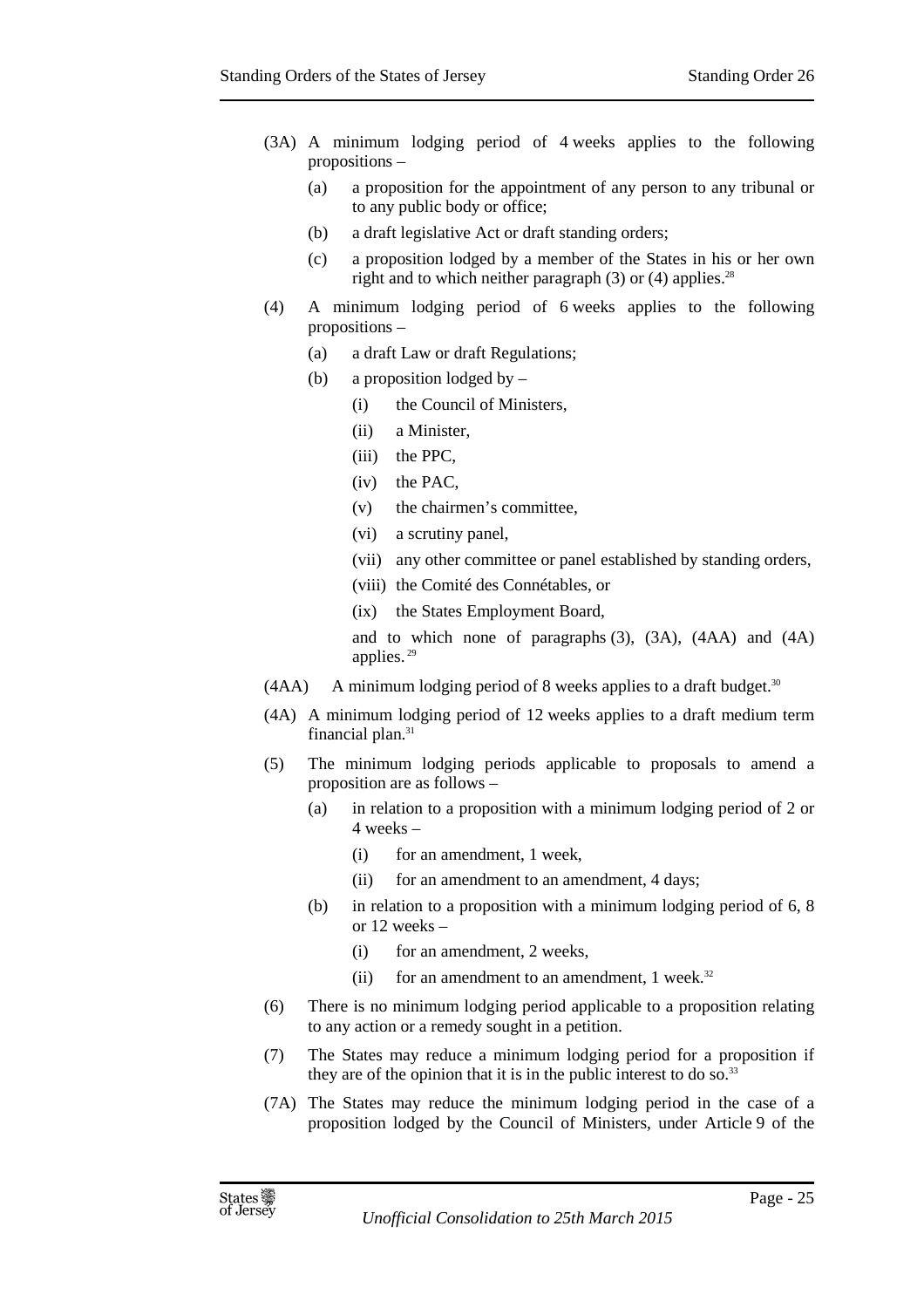- (3A) A minimum lodging period of 4 weeks applies to the following propositions –
	- (a) a proposition for the appointment of any person to any tribunal or to any public body or office;
	- (b) a draft legislative Act or draft standing orders;
	- (c) a proposition lodged by a member of the States in his or her own right and to which neither paragraph  $(3)$  or  $(4)$  applies.<sup>28</sup>
- (4) A minimum lodging period of 6 weeks applies to the following propositions –
	- (a) a draft Law or draft Regulations;
	- (b) a proposition lodged by
		- (i) the Council of Ministers,
		- (ii) a Minister,
		- (iii) the PPC,
		- (iv) the PAC,
		- (v) the chairmen's committee,
		- (vi) a scrutiny panel,
		- (vii) any other committee or panel established by standing orders,
		- (viii) the Comité des Connétables, or
		- (ix) the States Employment Board,

and to which none of paragraphs (3), (3A), (4AA) and (4A) applies.<sup>29</sup>

- $(AAA)$  A minimum lodging period of 8 weeks applies to a draft budget.<sup>30</sup>
- (4A) A minimum lodging period of 12 weeks applies to a draft medium term financial plan.<sup>31</sup>
- (5) The minimum lodging periods applicable to proposals to amend a proposition are as follows –
	- (a) in relation to a proposition with a minimum lodging period of 2 or 4 weeks –
		- (i) for an amendment, 1 week,
		- (ii) for an amendment to an amendment, 4 days;
	- (b) in relation to a proposition with a minimum lodging period of 6, 8 or 12 weeks –
		- (i) for an amendment, 2 weeks,
		- (ii) for an amendment to an amendment,  $1$  week.<sup>32</sup>
- (6) There is no minimum lodging period applicable to a proposition relating to any action or a remedy sought in a petition.
- (7) The States may reduce a minimum lodging period for a proposition if they are of the opinion that it is in the public interest to do so.<sup>33</sup>
- (7A) The States may reduce the minimum lodging period in the case of a proposition lodged by the Council of Ministers, under Article 9 of the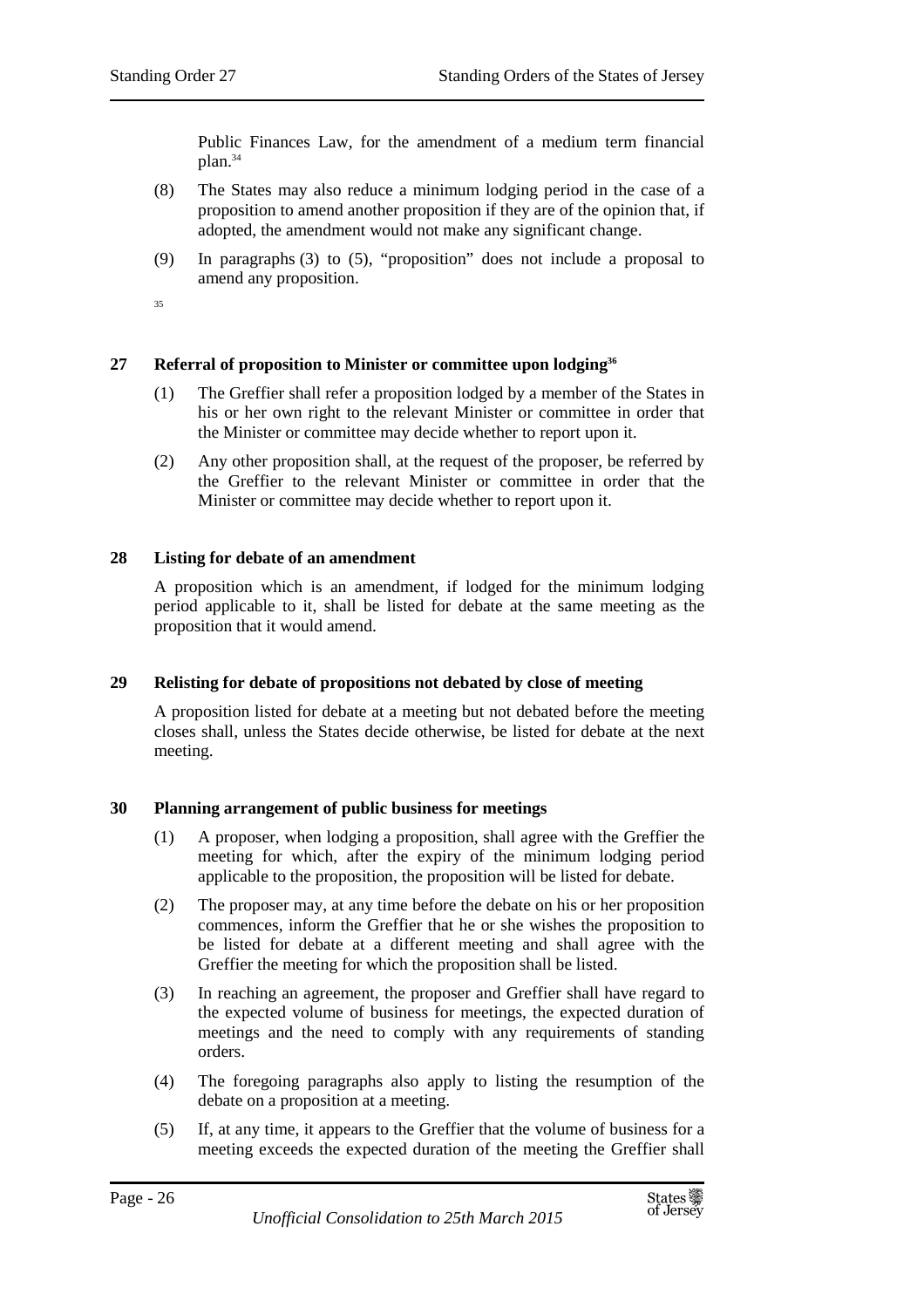Public Finances Law, for the amendment of a medium term financial plan.<sup>34</sup>

- (8) The States may also reduce a minimum lodging period in the case of a proposition to amend another proposition if they are of the opinion that, if adopted, the amendment would not make any significant change.
- (9) In paragraphs (3) to (5), "proposition" does not include a proposal to amend any proposition.
- 35

## **27 Referral of proposition to Minister or committee upon lodging<sup>36</sup>**

- (1) The Greffier shall refer a proposition lodged by a member of the States in his or her own right to the relevant Minister or committee in order that the Minister or committee may decide whether to report upon it.
- (2) Any other proposition shall, at the request of the proposer, be referred by the Greffier to the relevant Minister or committee in order that the Minister or committee may decide whether to report upon it.

#### **28 Listing for debate of an amendment**

A proposition which is an amendment, if lodged for the minimum lodging period applicable to it, shall be listed for debate at the same meeting as the proposition that it would amend.

#### **29 Relisting for debate of propositions not debated by close of meeting**

A proposition listed for debate at a meeting but not debated before the meeting closes shall, unless the States decide otherwise, be listed for debate at the next meeting.

#### **30 Planning arrangement of public business for meetings**

- (1) A proposer, when lodging a proposition, shall agree with the Greffier the meeting for which, after the expiry of the minimum lodging period applicable to the proposition, the proposition will be listed for debate.
- (2) The proposer may, at any time before the debate on his or her proposition commences, inform the Greffier that he or she wishes the proposition to be listed for debate at a different meeting and shall agree with the Greffier the meeting for which the proposition shall be listed.
- (3) In reaching an agreement, the proposer and Greffier shall have regard to the expected volume of business for meetings, the expected duration of meetings and the need to comply with any requirements of standing orders.
- (4) The foregoing paragraphs also apply to listing the resumption of the debate on a proposition at a meeting.
- (5) If, at any time, it appears to the Greffier that the volume of business for a meeting exceeds the expected duration of the meeting the Greffier shall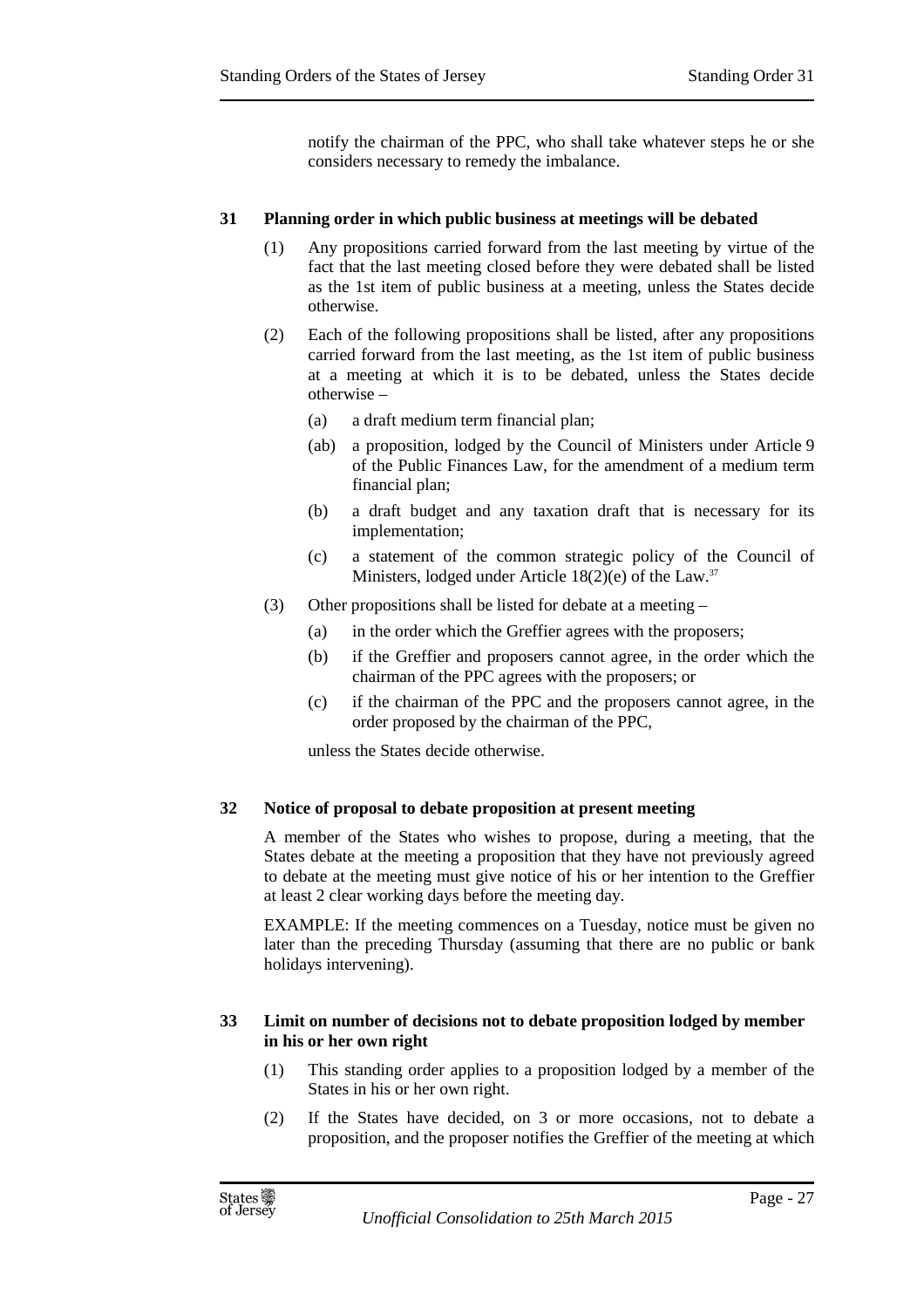notify the chairman of the PPC, who shall take whatever steps he or she considers necessary to remedy the imbalance.

## **31 Planning order in which public business at meetings will be debated**

- (1) Any propositions carried forward from the last meeting by virtue of the fact that the last meeting closed before they were debated shall be listed as the 1st item of public business at a meeting, unless the States decide otherwise.
- (2) Each of the following propositions shall be listed, after any propositions carried forward from the last meeting, as the 1st item of public business at a meeting at which it is to be debated, unless the States decide otherwise –
	- (a) a draft medium term financial plan;
	- (ab) a proposition, lodged by the Council of Ministers under Article 9 of the Public Finances Law, for the amendment of a medium term financial plan;
	- (b) a draft budget and any taxation draft that is necessary for its implementation;
	- (c) a statement of the common strategic policy of the Council of Ministers, lodged under Article 18(2)(e) of the Law.<sup>37</sup>
- (3) Other propositions shall be listed for debate at a meeting
	- (a) in the order which the Greffier agrees with the proposers;
	- (b) if the Greffier and proposers cannot agree, in the order which the chairman of the PPC agrees with the proposers; or
	- (c) if the chairman of the PPC and the proposers cannot agree, in the order proposed by the chairman of the PPC,

unless the States decide otherwise.

## **32 Notice of proposal to debate proposition at present meeting**

A member of the States who wishes to propose, during a meeting, that the States debate at the meeting a proposition that they have not previously agreed to debate at the meeting must give notice of his or her intention to the Greffier at least 2 clear working days before the meeting day.

EXAMPLE: If the meeting commences on a Tuesday, notice must be given no later than the preceding Thursday (assuming that there are no public or bank holidays intervening).

## **33 Limit on number of decisions not to debate proposition lodged by member in his or her own right**

- (1) This standing order applies to a proposition lodged by a member of the States in his or her own right.
- (2) If the States have decided, on 3 or more occasions, not to debate a proposition, and the proposer notifies the Greffier of the meeting at which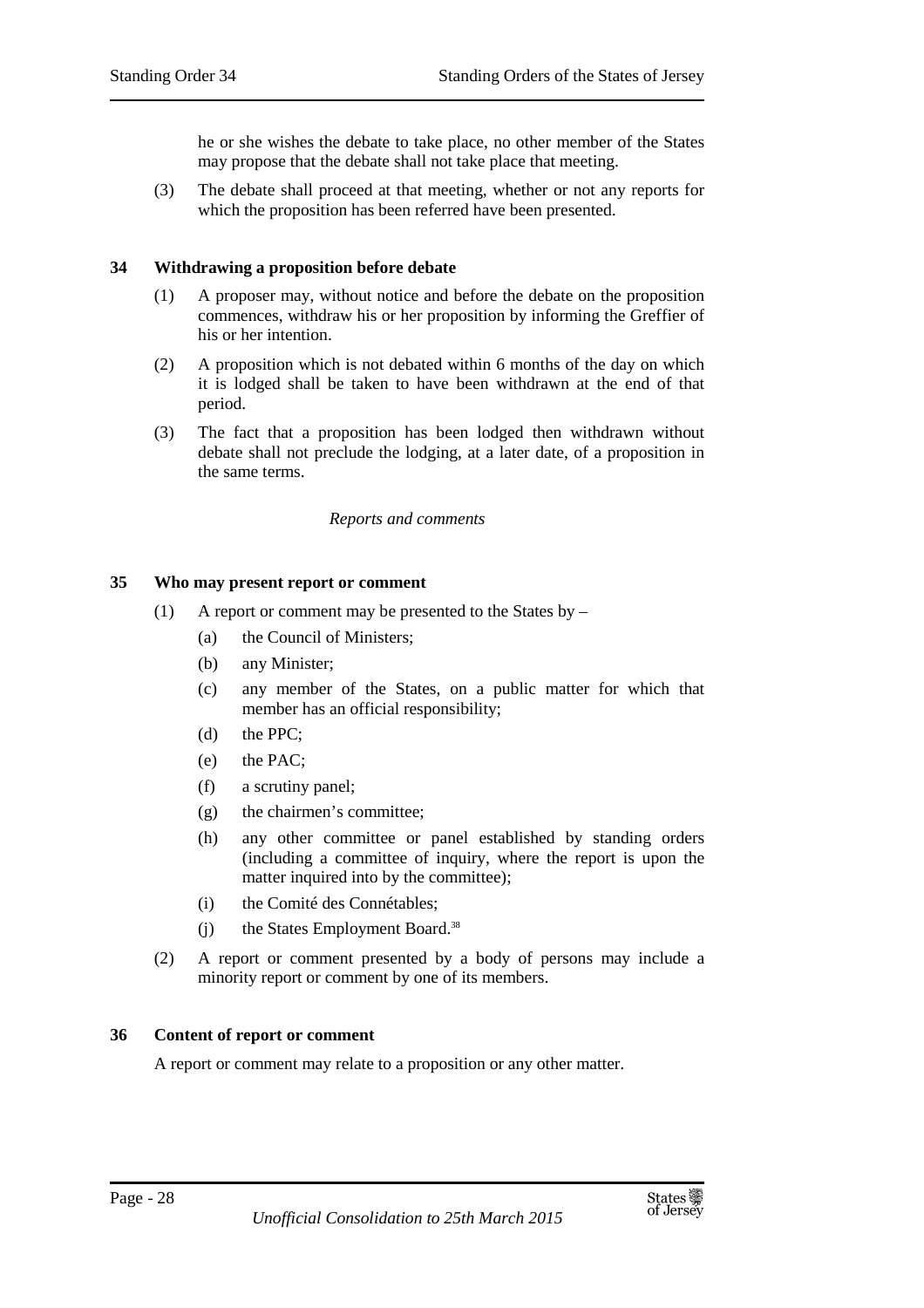he or she wishes the debate to take place, no other member of the States may propose that the debate shall not take place that meeting.

(3) The debate shall proceed at that meeting, whether or not any reports for which the proposition has been referred have been presented.

#### **34 Withdrawing a proposition before debate**

- (1) A proposer may, without notice and before the debate on the proposition commences, withdraw his or her proposition by informing the Greffier of his or her intention.
- (2) A proposition which is not debated within 6 months of the day on which it is lodged shall be taken to have been withdrawn at the end of that period.
- (3) The fact that a proposition has been lodged then withdrawn without debate shall not preclude the lodging, at a later date, of a proposition in the same terms.

#### *Reports and comments*

#### **35 Who may present report or comment**

- (1) A report or comment may be presented to the States by
	- (a) the Council of Ministers;
	- (b) any Minister;
	- (c) any member of the States, on a public matter for which that member has an official responsibility;
	- (d) the PPC;
	- (e) the PAC;
	- (f) a scrutiny panel;
	- (g) the chairmen's committee;
	- (h) any other committee or panel established by standing orders (including a committee of inquiry, where the report is upon the matter inquired into by the committee);
	- (i) the Comité des Connétables;
	- (i) the States Employment Board.<sup>38</sup>
- (2) A report or comment presented by a body of persons may include a minority report or comment by one of its members.

#### **36 Content of report or comment**

A report or comment may relate to a proposition or any other matter.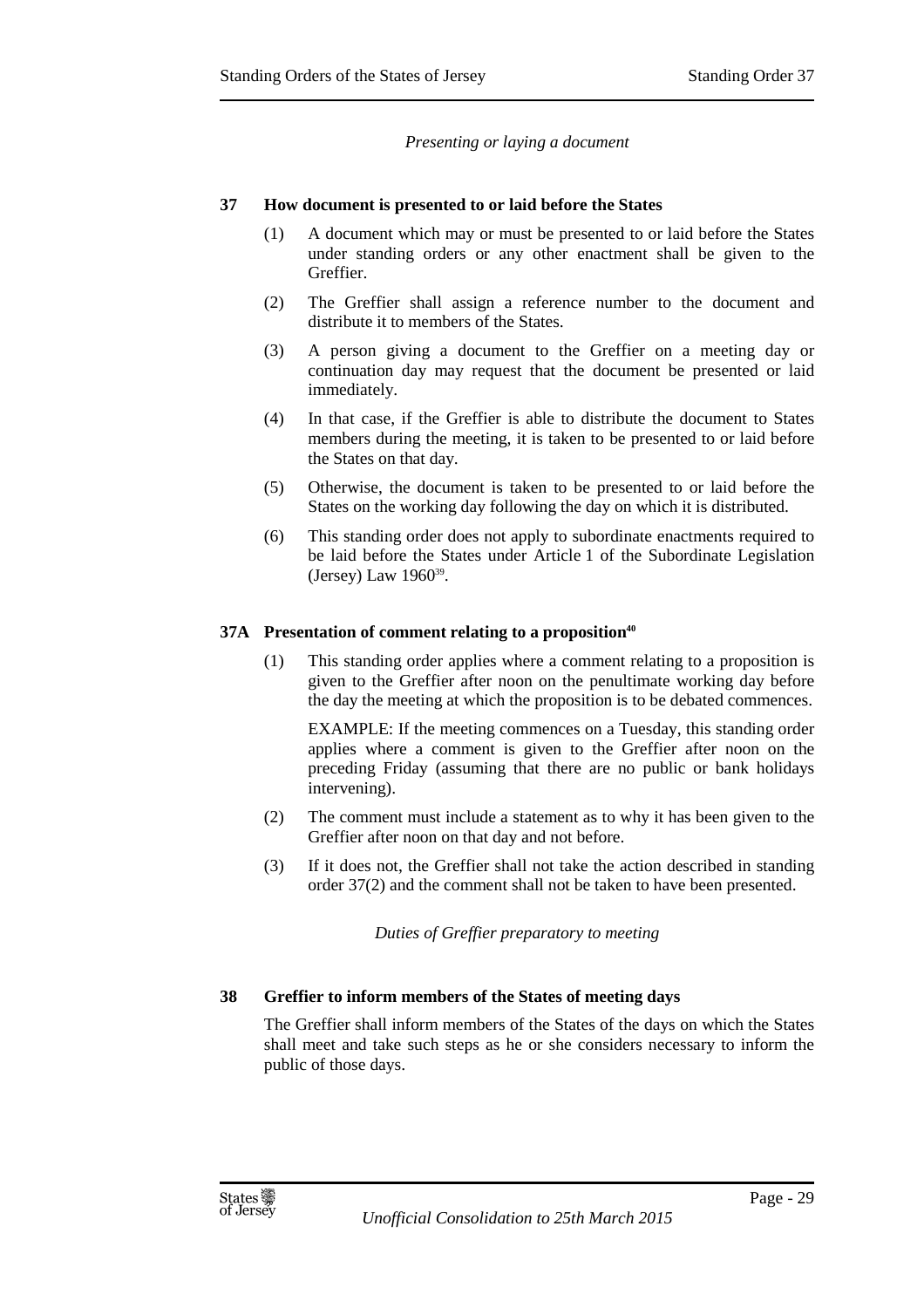#### *Presenting or laying a document*

#### **37 How document is presented to or laid before the States**

- (1) A document which may or must be presented to or laid before the States under standing orders or any other enactment shall be given to the Greffier.
- (2) The Greffier shall assign a reference number to the document and distribute it to members of the States.
- (3) A person giving a document to the Greffier on a meeting day or continuation day may request that the document be presented or laid immediately.
- (4) In that case, if the Greffier is able to distribute the document to States members during the meeting, it is taken to be presented to or laid before the States on that day.
- (5) Otherwise, the document is taken to be presented to or laid before the States on the working day following the day on which it is distributed.
- (6) This standing order does not apply to subordinate enactments required to be laid before the States under Article 1 of the Subordinate Legislation (Jersey) Law 1960<sup>39</sup>.

#### **37A Presentation of comment relating to a proposition<sup>40</sup>**

(1) This standing order applies where a comment relating to a proposition is given to the Greffier after noon on the penultimate working day before the day the meeting at which the proposition is to be debated commences.

EXAMPLE: If the meeting commences on a Tuesday, this standing order applies where a comment is given to the Greffier after noon on the preceding Friday (assuming that there are no public or bank holidays intervening).

- (2) The comment must include a statement as to why it has been given to the Greffier after noon on that day and not before.
- (3) If it does not, the Greffier shall not take the action described in standing order 37(2) and the comment shall not be taken to have been presented.

*Duties of Greffier preparatory to meeting* 

## **38 Greffier to inform members of the States of meeting days**

The Greffier shall inform members of the States of the days on which the States shall meet and take such steps as he or she considers necessary to inform the public of those days.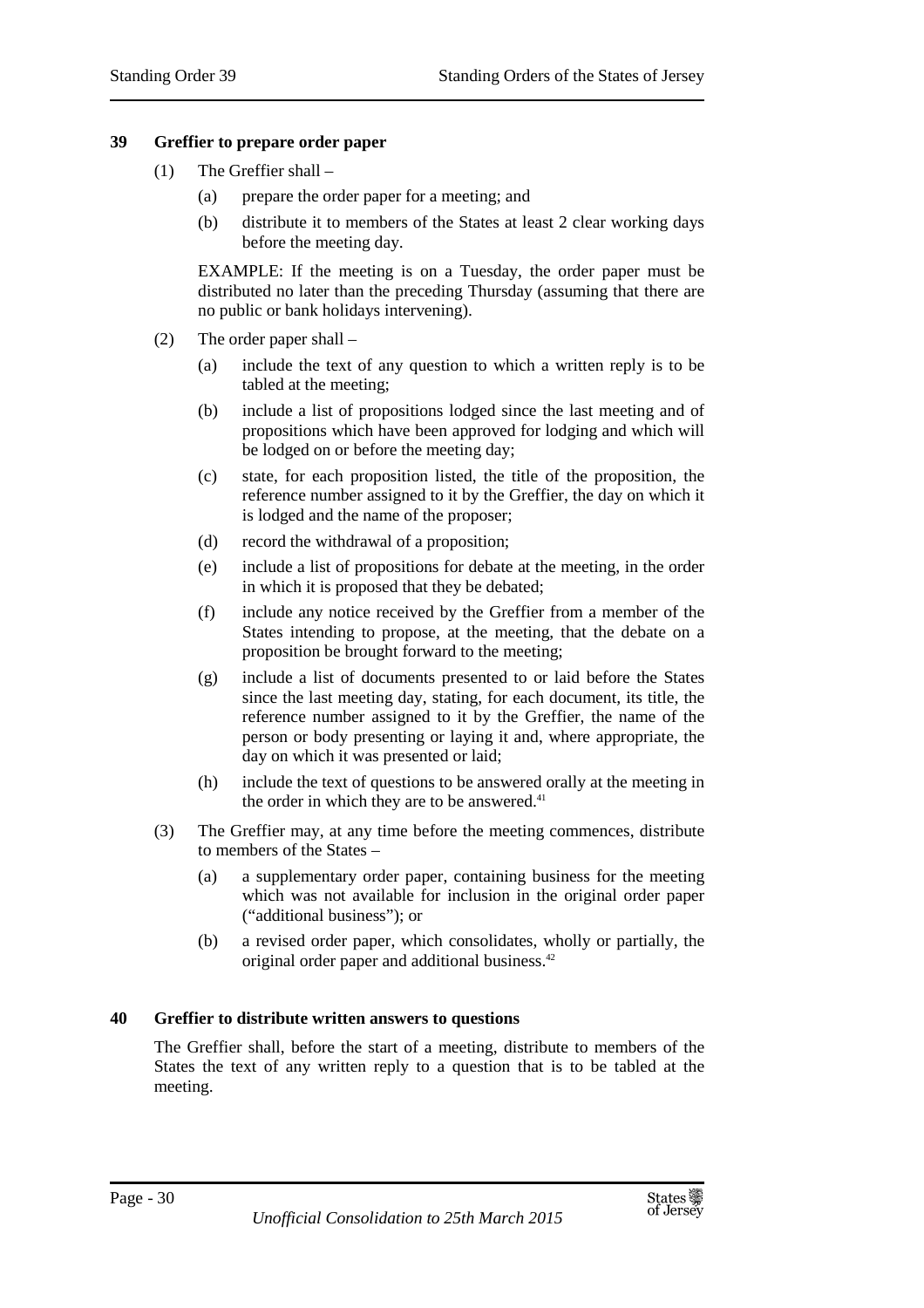#### **39 Greffier to prepare order paper**

- (1) The Greffier shall
	- (a) prepare the order paper for a meeting; and
	- (b) distribute it to members of the States at least 2 clear working days before the meeting day.

EXAMPLE: If the meeting is on a Tuesday, the order paper must be distributed no later than the preceding Thursday (assuming that there are no public or bank holidays intervening).

- (2) The order paper shall
	- (a) include the text of any question to which a written reply is to be tabled at the meeting;
	- (b) include a list of propositions lodged since the last meeting and of propositions which have been approved for lodging and which will be lodged on or before the meeting day;
	- (c) state, for each proposition listed, the title of the proposition, the reference number assigned to it by the Greffier, the day on which it is lodged and the name of the proposer;
	- (d) record the withdrawal of a proposition;
	- (e) include a list of propositions for debate at the meeting, in the order in which it is proposed that they be debated;
	- (f) include any notice received by the Greffier from a member of the States intending to propose, at the meeting, that the debate on a proposition be brought forward to the meeting;
	- (g) include a list of documents presented to or laid before the States since the last meeting day, stating, for each document, its title, the reference number assigned to it by the Greffier, the name of the person or body presenting or laying it and, where appropriate, the day on which it was presented or laid;
	- (h) include the text of questions to be answered orally at the meeting in the order in which they are to be answered.<sup>41</sup>
- (3) The Greffier may, at any time before the meeting commences, distribute to members of the States –
	- (a) a supplementary order paper, containing business for the meeting which was not available for inclusion in the original order paper ("additional business"); or
	- (b) a revised order paper, which consolidates, wholly or partially, the original order paper and additional business.<sup>42</sup>

## **40 Greffier to distribute written answers to questions**

The Greffier shall, before the start of a meeting, distribute to members of the States the text of any written reply to a question that is to be tabled at the meeting.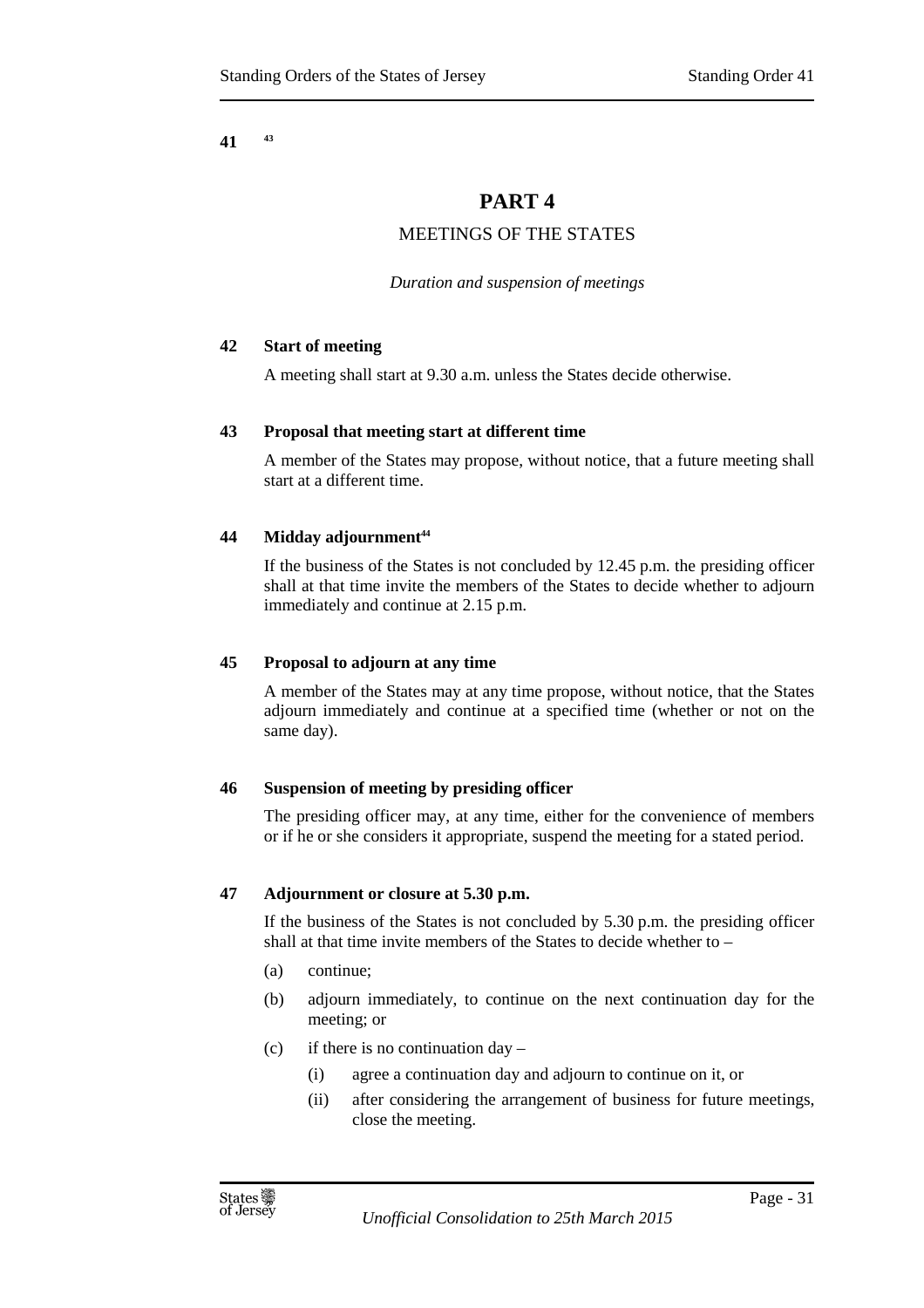**41 <sup>43</sup>**

## **PART 4**

## MEETINGS OF THE STATES

*Duration and suspension of meetings* 

## **42 Start of meeting**

A meeting shall start at 9.30 a.m. unless the States decide otherwise.

## **43 Proposal that meeting start at different time**

A member of the States may propose, without notice, that a future meeting shall start at a different time.

## **44 Midday adjournment<sup>44</sup>**

If the business of the States is not concluded by 12.45 p.m. the presiding officer shall at that time invite the members of the States to decide whether to adjourn immediately and continue at 2.15 p.m.

## **45 Proposal to adjourn at any time**

A member of the States may at any time propose, without notice, that the States adjourn immediately and continue at a specified time (whether or not on the same day).

## **46 Suspension of meeting by presiding officer**

The presiding officer may, at any time, either for the convenience of members or if he or she considers it appropriate, suspend the meeting for a stated period.

## **47 Adjournment or closure at 5.30 p.m.**

If the business of the States is not concluded by 5.30 p.m. the presiding officer shall at that time invite members of the States to decide whether to –

- (a) continue;
- (b) adjourn immediately, to continue on the next continuation day for the meeting; or
- (c) if there is no continuation  $day -$ 
	- (i) agree a continuation day and adjourn to continue on it, or
	- (ii) after considering the arrangement of business for future meetings, close the meeting.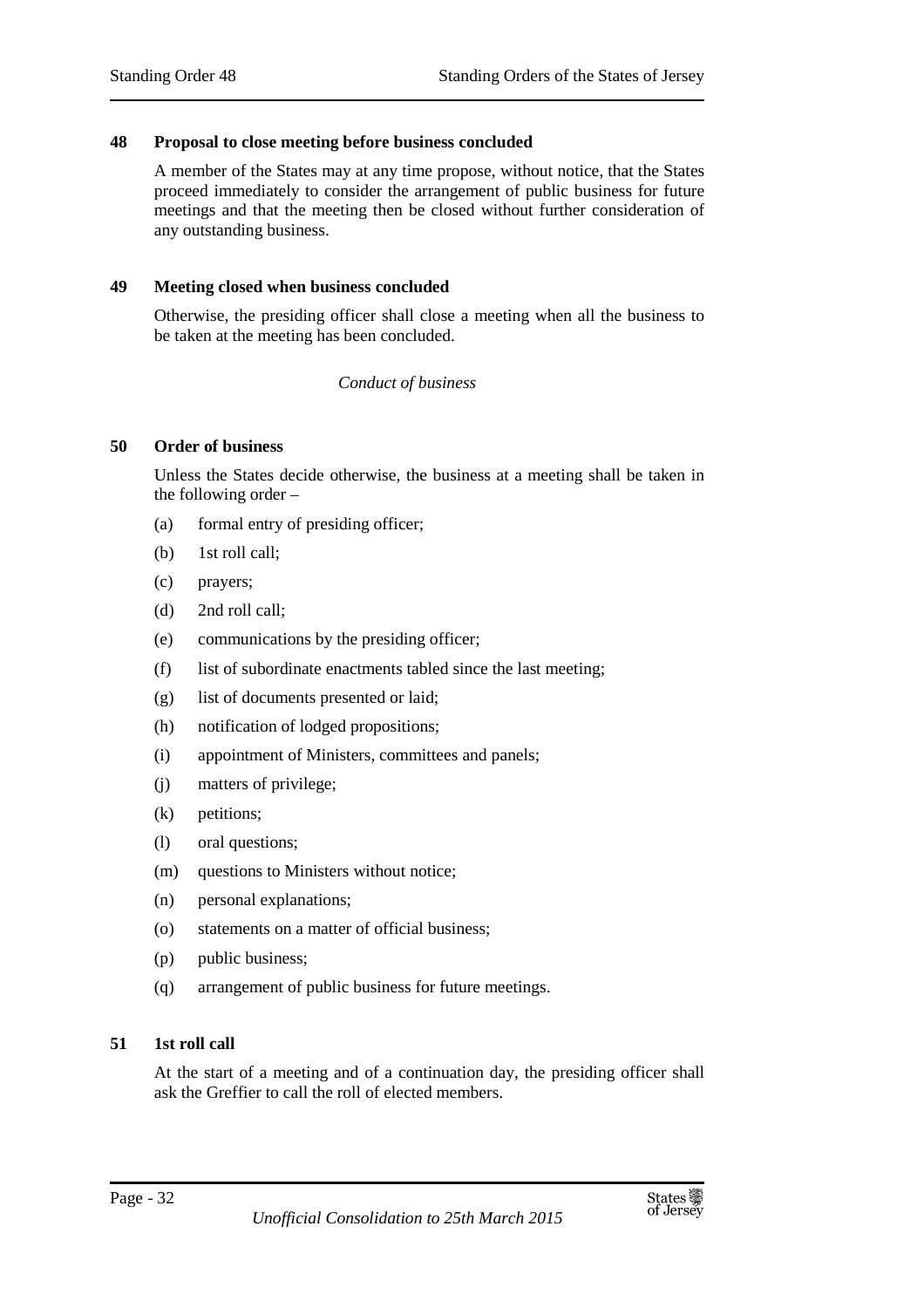#### **48 Proposal to close meeting before business concluded**

A member of the States may at any time propose, without notice, that the States proceed immediately to consider the arrangement of public business for future meetings and that the meeting then be closed without further consideration of any outstanding business.

#### **49 Meeting closed when business concluded**

Otherwise, the presiding officer shall close a meeting when all the business to be taken at the meeting has been concluded.

#### *Conduct of business*

#### **50 Order of business**

Unless the States decide otherwise, the business at a meeting shall be taken in the following order –

- (a) formal entry of presiding officer;
- (b) 1st roll call;
- (c) prayers;
- (d) 2nd roll call;
- (e) communications by the presiding officer;
- (f) list of subordinate enactments tabled since the last meeting;
- (g) list of documents presented or laid;
- (h) notification of lodged propositions;
- (i) appointment of Ministers, committees and panels;
- (j) matters of privilege;
- (k) petitions;
- (l) oral questions;
- (m) questions to Ministers without notice;
- (n) personal explanations;
- (o) statements on a matter of official business;
- (p) public business;
- (q) arrangement of public business for future meetings.

## **51 1st roll call**

At the start of a meeting and of a continuation day, the presiding officer shall ask the Greffier to call the roll of elected members.

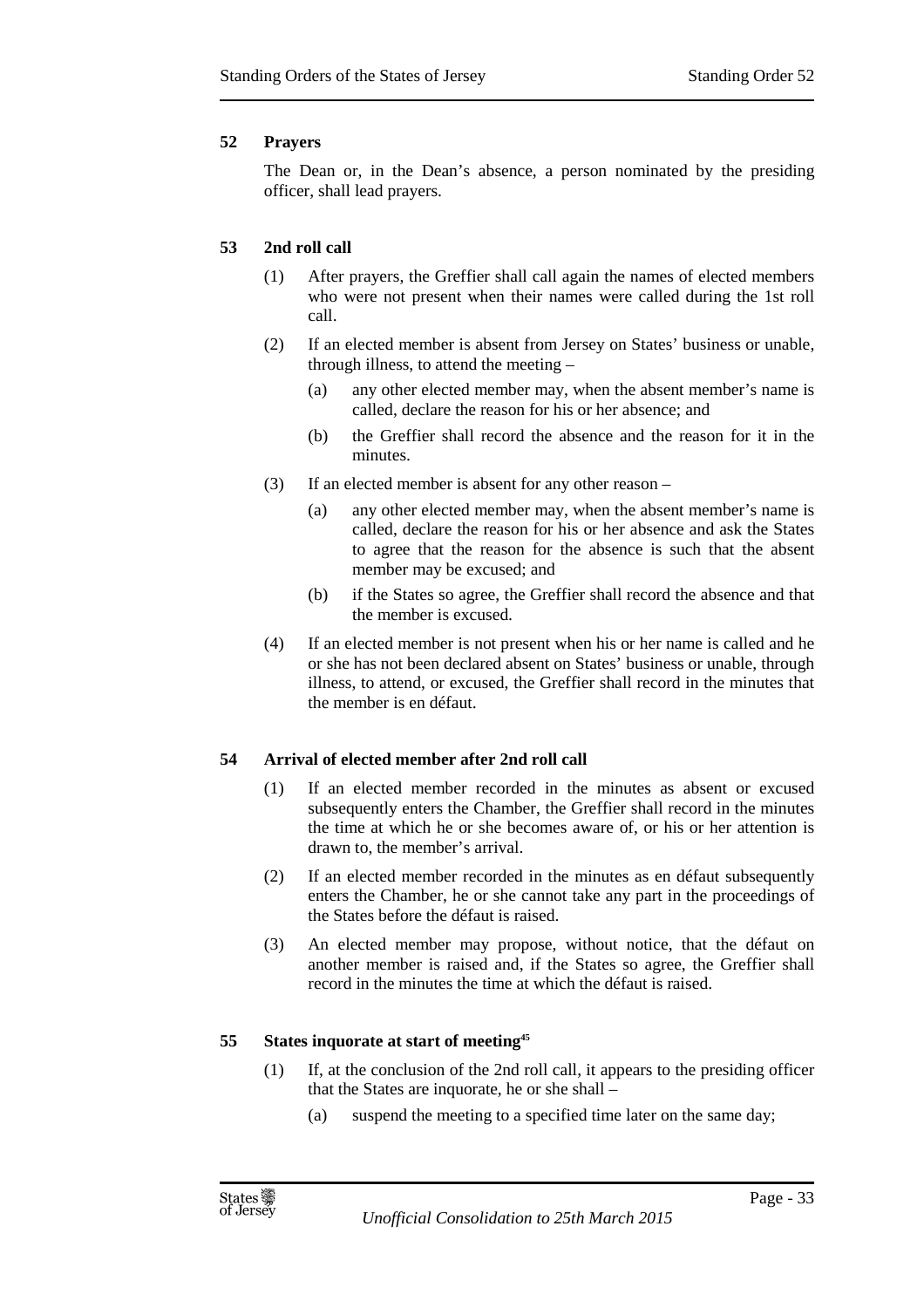## **52 Prayers**

The Dean or, in the Dean's absence, a person nominated by the presiding officer, shall lead prayers.

## **53 2nd roll call**

- (1) After prayers, the Greffier shall call again the names of elected members who were not present when their names were called during the 1st roll call.
- (2) If an elected member is absent from Jersey on States' business or unable, through illness, to attend the meeting –
	- (a) any other elected member may, when the absent member's name is called, declare the reason for his or her absence; and
	- (b) the Greffier shall record the absence and the reason for it in the minutes.
- (3) If an elected member is absent for any other reason
	- (a) any other elected member may, when the absent member's name is called, declare the reason for his or her absence and ask the States to agree that the reason for the absence is such that the absent member may be excused; and
	- (b) if the States so agree, the Greffier shall record the absence and that the member is excused.
- (4) If an elected member is not present when his or her name is called and he or she has not been declared absent on States' business or unable, through illness, to attend, or excused, the Greffier shall record in the minutes that the member is en défaut.

## **54 Arrival of elected member after 2nd roll call**

- (1) If an elected member recorded in the minutes as absent or excused subsequently enters the Chamber, the Greffier shall record in the minutes the time at which he or she becomes aware of, or his or her attention is drawn to, the member's arrival.
- (2) If an elected member recorded in the minutes as en défaut subsequently enters the Chamber, he or she cannot take any part in the proceedings of the States before the défaut is raised.
- (3) An elected member may propose, without notice, that the défaut on another member is raised and, if the States so agree, the Greffier shall record in the minutes the time at which the défaut is raised.

## **55 States inquorate at start of meeting<sup>45</sup>**

- (1) If, at the conclusion of the 2nd roll call, it appears to the presiding officer that the States are inquorate, he or she shall –
	- (a) suspend the meeting to a specified time later on the same day;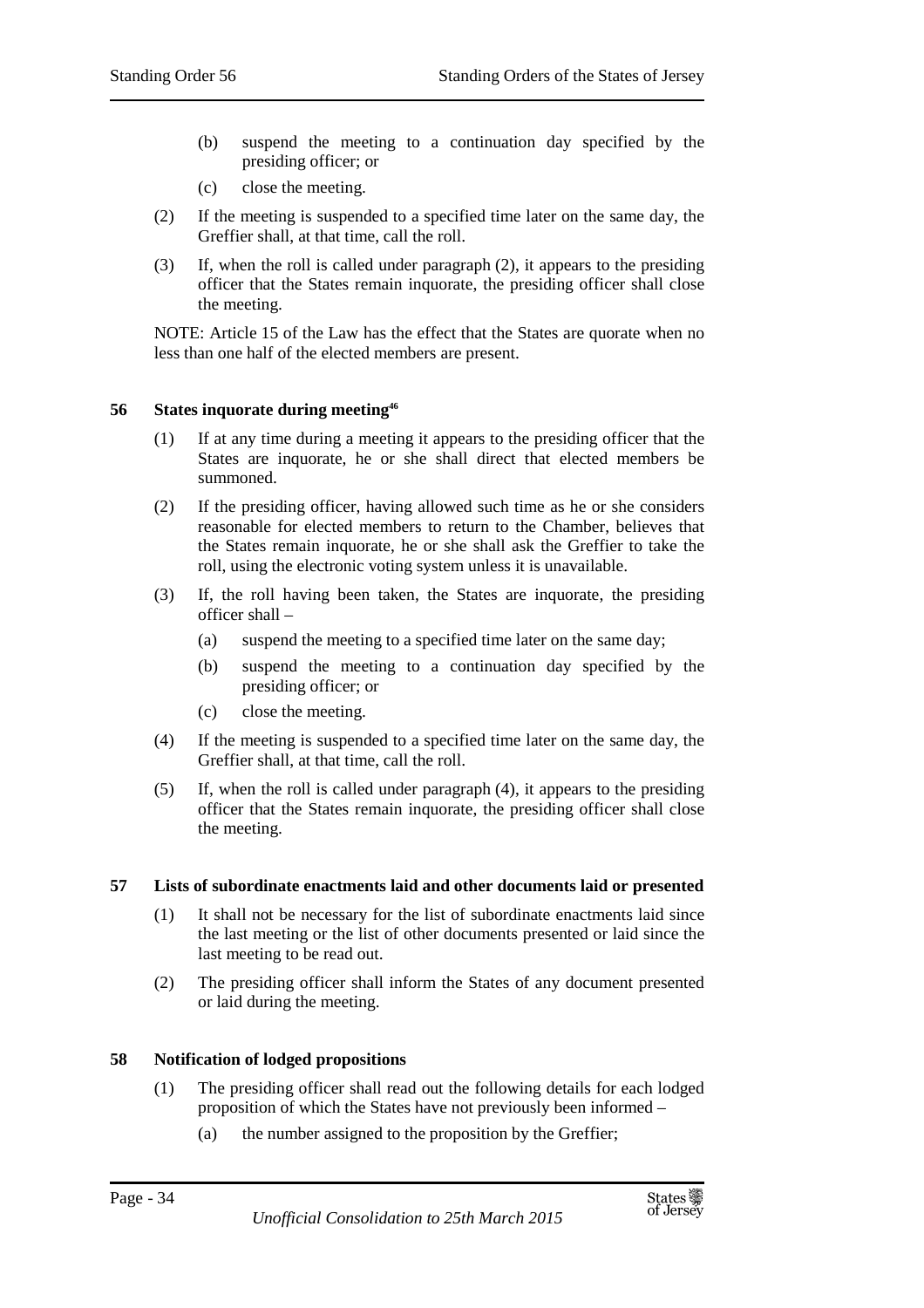- (b) suspend the meeting to a continuation day specified by the presiding officer; or
- (c) close the meeting.
- (2) If the meeting is suspended to a specified time later on the same day, the Greffier shall, at that time, call the roll.
- (3) If, when the roll is called under paragraph (2), it appears to the presiding officer that the States remain inquorate, the presiding officer shall close the meeting.

NOTE: Article 15 of the Law has the effect that the States are quorate when no less than one half of the elected members are present.

#### **56 States inquorate during meeting<sup>46</sup>**

- (1) If at any time during a meeting it appears to the presiding officer that the States are inquorate, he or she shall direct that elected members be summoned.
- (2) If the presiding officer, having allowed such time as he or she considers reasonable for elected members to return to the Chamber, believes that the States remain inquorate, he or she shall ask the Greffier to take the roll, using the electronic voting system unless it is unavailable.
- (3) If, the roll having been taken, the States are inquorate, the presiding officer shall –
	- (a) suspend the meeting to a specified time later on the same day;
	- (b) suspend the meeting to a continuation day specified by the presiding officer; or
	- (c) close the meeting.
- (4) If the meeting is suspended to a specified time later on the same day, the Greffier shall, at that time, call the roll.
- (5) If, when the roll is called under paragraph (4), it appears to the presiding officer that the States remain inquorate, the presiding officer shall close the meeting.

## **57 Lists of subordinate enactments laid and other documents laid or presented**

- (1) It shall not be necessary for the list of subordinate enactments laid since the last meeting or the list of other documents presented or laid since the last meeting to be read out.
- (2) The presiding officer shall inform the States of any document presented or laid during the meeting.

## **58 Notification of lodged propositions**

- (1) The presiding officer shall read out the following details for each lodged proposition of which the States have not previously been informed –
	- (a) the number assigned to the proposition by the Greffier;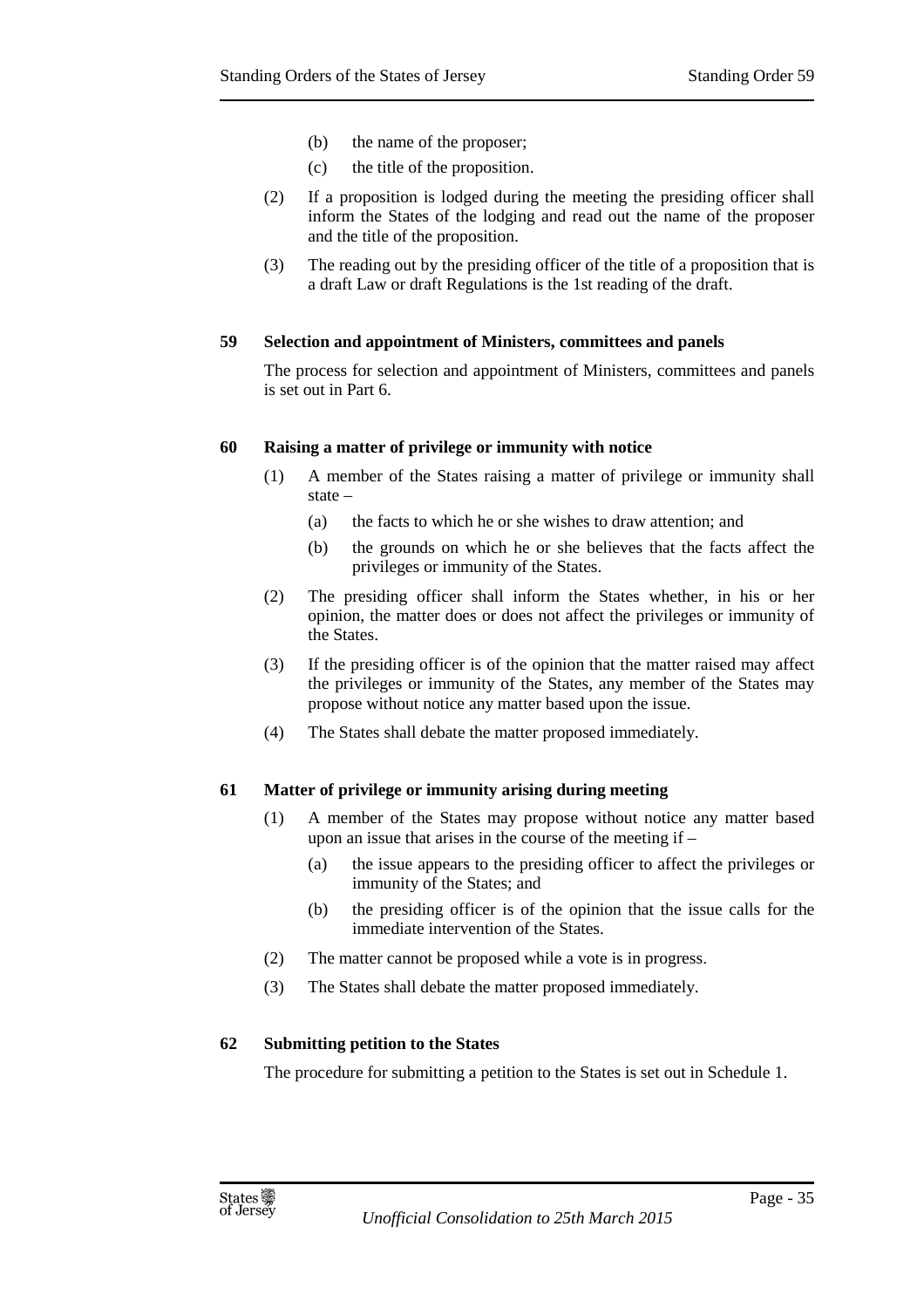- (b) the name of the proposer;
- (c) the title of the proposition.
- (2) If a proposition is lodged during the meeting the presiding officer shall inform the States of the lodging and read out the name of the proposer and the title of the proposition.
- (3) The reading out by the presiding officer of the title of a proposition that is a draft Law or draft Regulations is the 1st reading of the draft.

#### **59 Selection and appointment of Ministers, committees and panels**

The process for selection and appointment of Ministers, committees and panels is set out in Part 6.

#### **60 Raising a matter of privilege or immunity with notice**

- (1) A member of the States raising a matter of privilege or immunity shall state –
	- (a) the facts to which he or she wishes to draw attention; and
	- (b) the grounds on which he or she believes that the facts affect the privileges or immunity of the States.
- (2) The presiding officer shall inform the States whether, in his or her opinion, the matter does or does not affect the privileges or immunity of the States.
- (3) If the presiding officer is of the opinion that the matter raised may affect the privileges or immunity of the States, any member of the States may propose without notice any matter based upon the issue.
- (4) The States shall debate the matter proposed immediately.

#### **61 Matter of privilege or immunity arising during meeting**

- (1) A member of the States may propose without notice any matter based upon an issue that arises in the course of the meeting if –
	- (a) the issue appears to the presiding officer to affect the privileges or immunity of the States; and
	- (b) the presiding officer is of the opinion that the issue calls for the immediate intervention of the States.
- (2) The matter cannot be proposed while a vote is in progress.
- (3) The States shall debate the matter proposed immediately.

#### **62 Submitting petition to the States**

The procedure for submitting a petition to the States is set out in Schedule 1.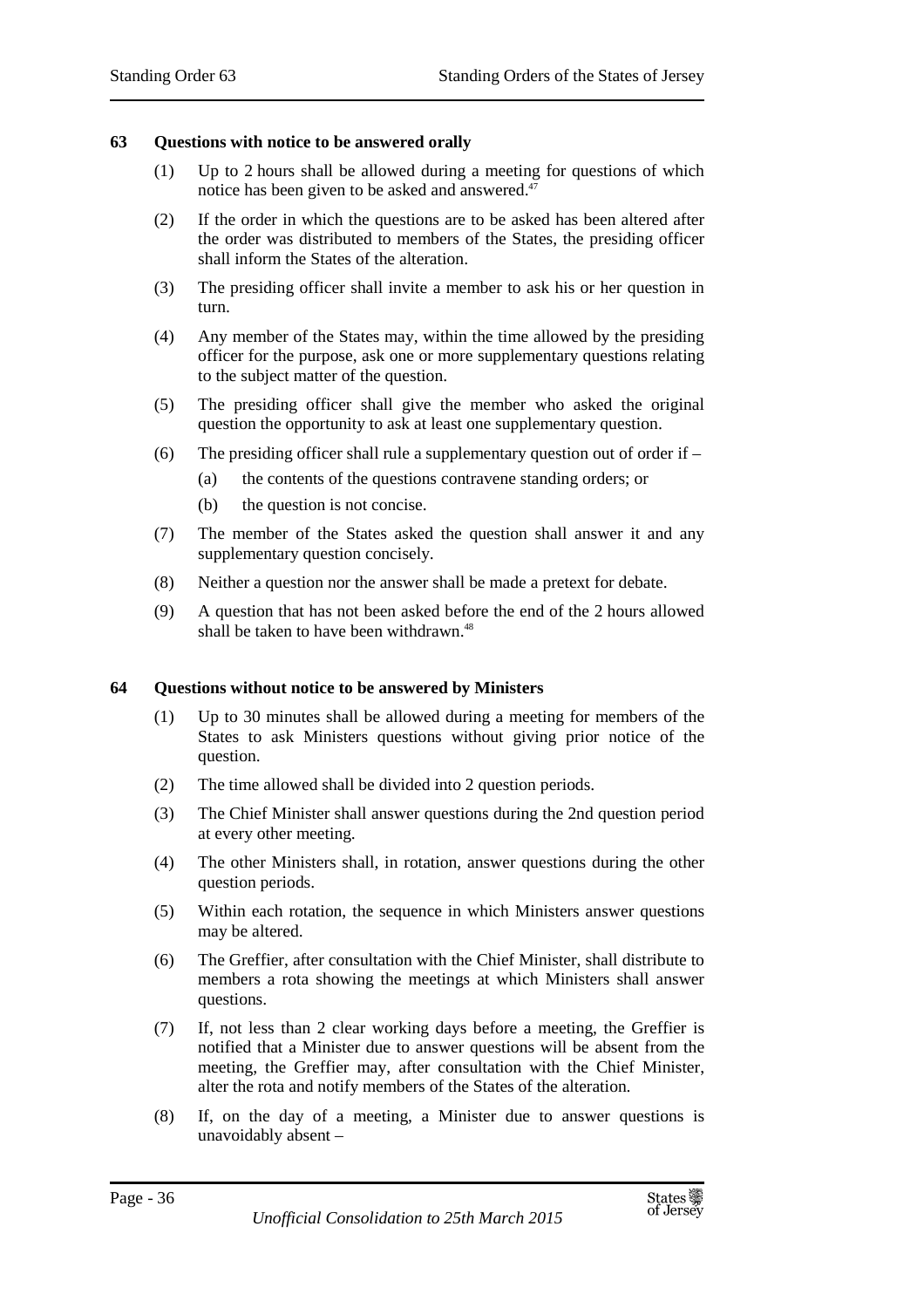#### **63 Questions with notice to be answered orally**

- (1) Up to 2 hours shall be allowed during a meeting for questions of which notice has been given to be asked and answered.<sup>47</sup>
- (2) If the order in which the questions are to be asked has been altered after the order was distributed to members of the States, the presiding officer shall inform the States of the alteration.
- (3) The presiding officer shall invite a member to ask his or her question in turn.
- (4) Any member of the States may, within the time allowed by the presiding officer for the purpose, ask one or more supplementary questions relating to the subject matter of the question.
- (5) The presiding officer shall give the member who asked the original question the opportunity to ask at least one supplementary question.
- (6) The presiding officer shall rule a supplementary question out of order if  $-$ 
	- (a) the contents of the questions contravene standing orders; or
	- (b) the question is not concise.
- (7) The member of the States asked the question shall answer it and any supplementary question concisely.
- (8) Neither a question nor the answer shall be made a pretext for debate.
- (9) A question that has not been asked before the end of the 2 hours allowed shall be taken to have been withdrawn.<sup>48</sup>

#### **64 Questions without notice to be answered by Ministers**

- (1) Up to 30 minutes shall be allowed during a meeting for members of the States to ask Ministers questions without giving prior notice of the question.
- (2) The time allowed shall be divided into 2 question periods.
- (3) The Chief Minister shall answer questions during the 2nd question period at every other meeting.
- (4) The other Ministers shall, in rotation, answer questions during the other question periods.
- (5) Within each rotation, the sequence in which Ministers answer questions may be altered.
- (6) The Greffier, after consultation with the Chief Minister, shall distribute to members a rota showing the meetings at which Ministers shall answer questions.
- (7) If, not less than 2 clear working days before a meeting, the Greffier is notified that a Minister due to answer questions will be absent from the meeting, the Greffier may, after consultation with the Chief Minister, alter the rota and notify members of the States of the alteration.
- (8) If, on the day of a meeting, a Minister due to answer questions is unavoidably absent –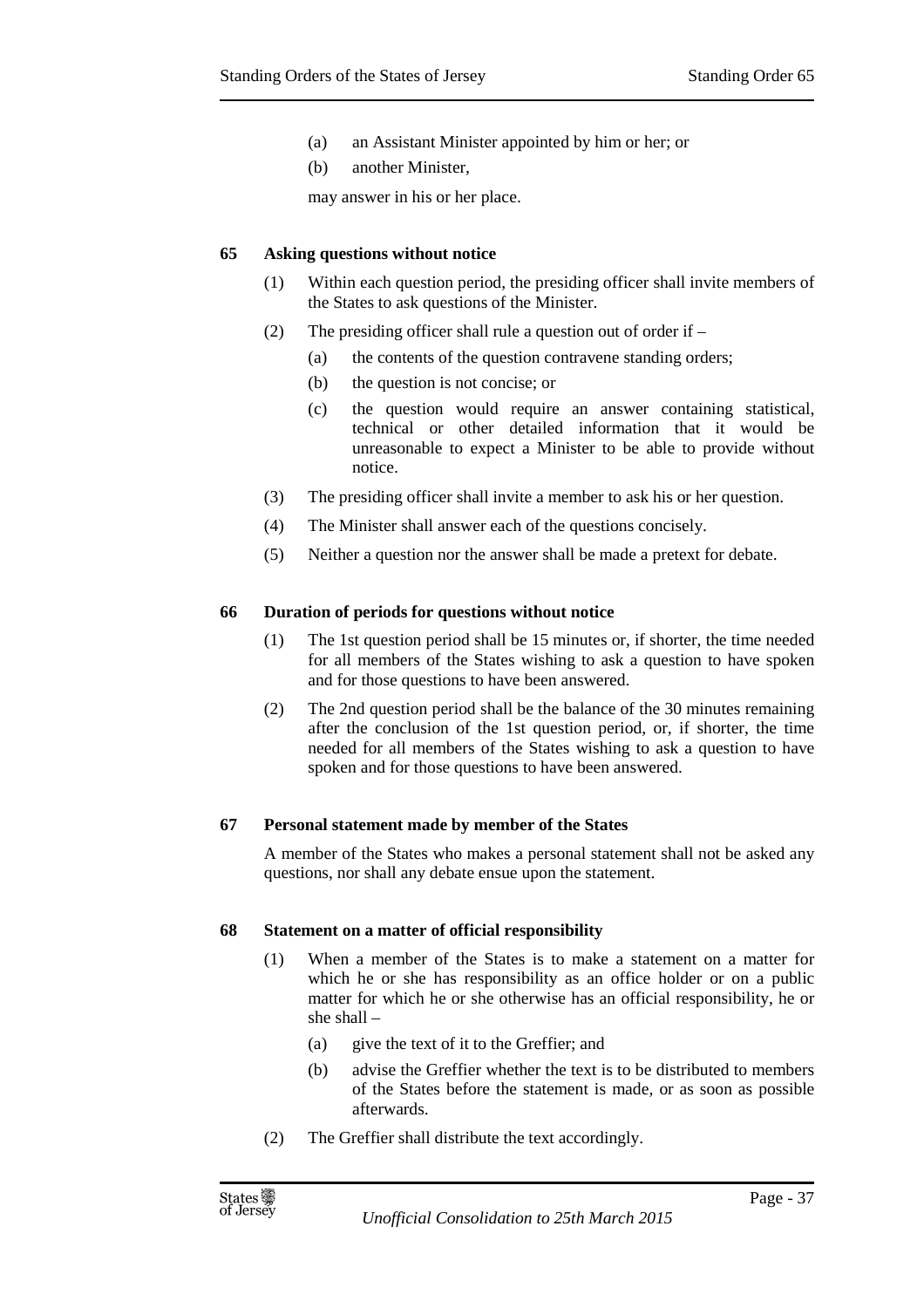- (a) an Assistant Minister appointed by him or her; or
- (b) another Minister,

may answer in his or her place.

### **65 Asking questions without notice**

- (1) Within each question period, the presiding officer shall invite members of the States to ask questions of the Minister.
- (2) The presiding officer shall rule a question out of order if
	- (a) the contents of the question contravene standing orders;
	- (b) the question is not concise; or
	- (c) the question would require an answer containing statistical, technical or other detailed information that it would be unreasonable to expect a Minister to be able to provide without notice.
- (3) The presiding officer shall invite a member to ask his or her question.
- (4) The Minister shall answer each of the questions concisely.
- (5) Neither a question nor the answer shall be made a pretext for debate.

### **66 Duration of periods for questions without notice**

- (1) The 1st question period shall be 15 minutes or, if shorter, the time needed for all members of the States wishing to ask a question to have spoken and for those questions to have been answered.
- (2) The 2nd question period shall be the balance of the 30 minutes remaining after the conclusion of the 1st question period, or, if shorter, the time needed for all members of the States wishing to ask a question to have spoken and for those questions to have been answered.

### **67 Personal statement made by member of the States**

A member of the States who makes a personal statement shall not be asked any questions, nor shall any debate ensue upon the statement.

### **68 Statement on a matter of official responsibility**

- (1) When a member of the States is to make a statement on a matter for which he or she has responsibility as an office holder or on a public matter for which he or she otherwise has an official responsibility, he or she shall –
	- (a) give the text of it to the Greffier; and
	- (b) advise the Greffier whether the text is to be distributed to members of the States before the statement is made, or as soon as possible afterwards.
- (2) The Greffier shall distribute the text accordingly.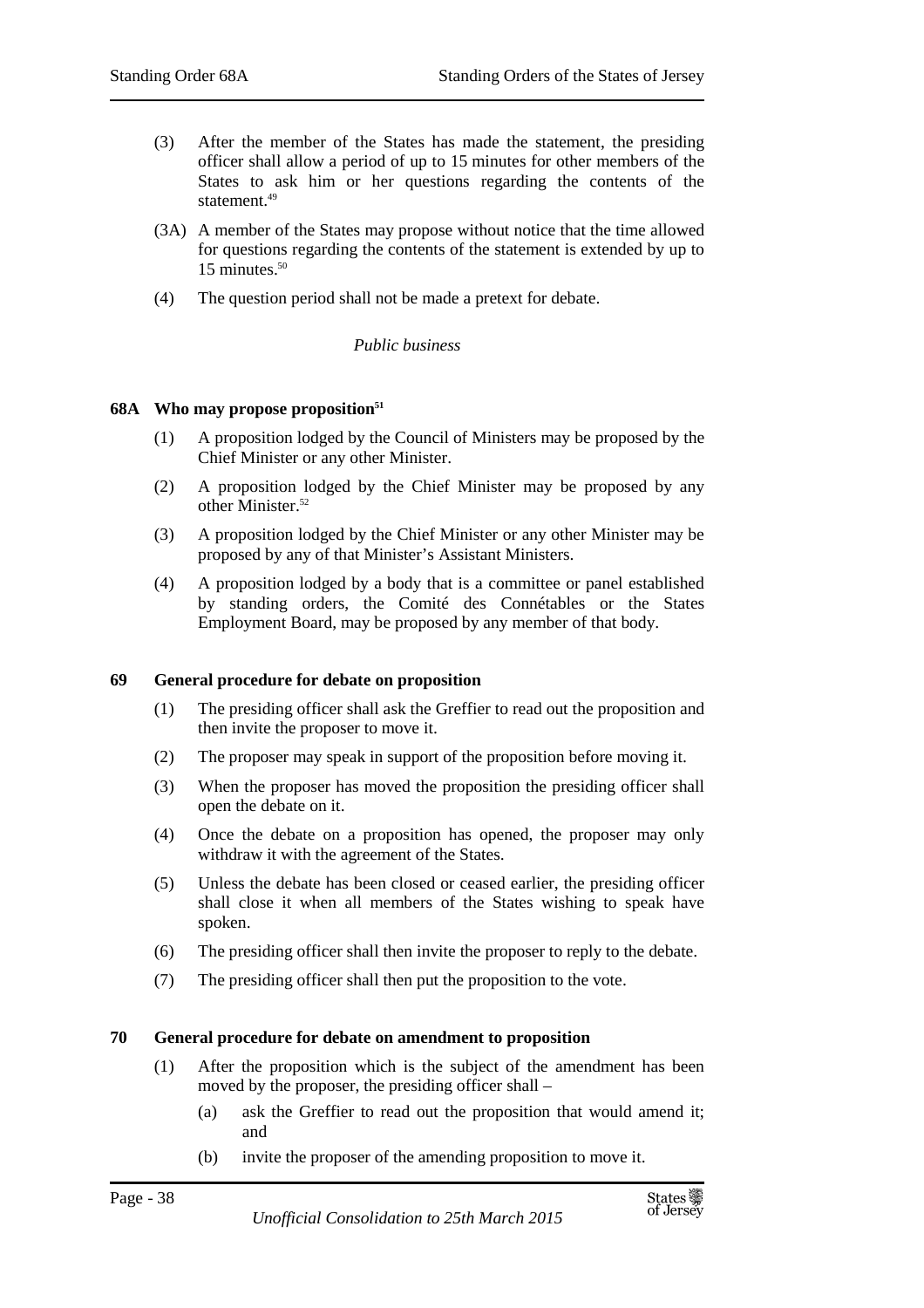- (3) After the member of the States has made the statement, the presiding officer shall allow a period of up to 15 minutes for other members of the States to ask him or her questions regarding the contents of the statement.<sup>49</sup>
- (3A) A member of the States may propose without notice that the time allowed for questions regarding the contents of the statement is extended by up to 15 minutes.<sup>50</sup>
- (4) The question period shall not be made a pretext for debate.

### *Public business*

### **68A Who may propose proposition<sup>51</sup>**

- (1) A proposition lodged by the Council of Ministers may be proposed by the Chief Minister or any other Minister.
- (2) A proposition lodged by the Chief Minister may be proposed by any other Minister.<sup>52</sup>
- (3) A proposition lodged by the Chief Minister or any other Minister may be proposed by any of that Minister's Assistant Ministers.
- (4) A proposition lodged by a body that is a committee or panel established by standing orders, the Comité des Connétables or the States Employment Board, may be proposed by any member of that body.

### **69 General procedure for debate on proposition**

- (1) The presiding officer shall ask the Greffier to read out the proposition and then invite the proposer to move it.
- (2) The proposer may speak in support of the proposition before moving it.
- (3) When the proposer has moved the proposition the presiding officer shall open the debate on it.
- (4) Once the debate on a proposition has opened, the proposer may only withdraw it with the agreement of the States.
- (5) Unless the debate has been closed or ceased earlier, the presiding officer shall close it when all members of the States wishing to speak have spoken.
- (6) The presiding officer shall then invite the proposer to reply to the debate.
- (7) The presiding officer shall then put the proposition to the vote.

### **70 General procedure for debate on amendment to proposition**

- (1) After the proposition which is the subject of the amendment has been moved by the proposer, the presiding officer shall –
	- (a) ask the Greffier to read out the proposition that would amend it; and
	- (b) invite the proposer of the amending proposition to move it.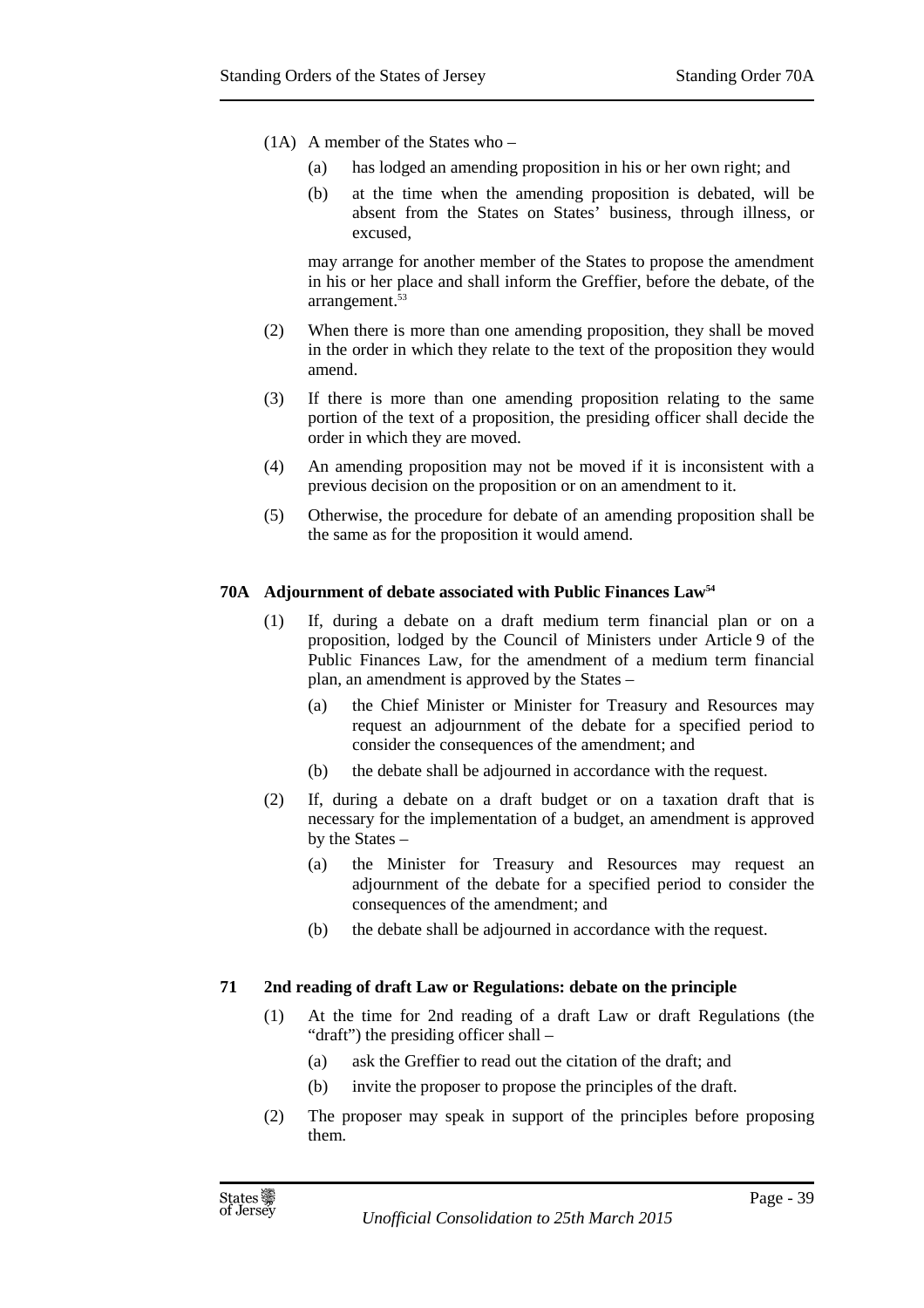- (1A) A member of the States who
	- (a) has lodged an amending proposition in his or her own right; and
	- (b) at the time when the amending proposition is debated, will be absent from the States on States' business, through illness, or excused,

may arrange for another member of the States to propose the amendment in his or her place and shall inform the Greffier, before the debate, of the arrangement.<sup>53</sup>

- (2) When there is more than one amending proposition, they shall be moved in the order in which they relate to the text of the proposition they would amend.
- (3) If there is more than one amending proposition relating to the same portion of the text of a proposition, the presiding officer shall decide the order in which they are moved.
- (4) An amending proposition may not be moved if it is inconsistent with a previous decision on the proposition or on an amendment to it.
- (5) Otherwise, the procedure for debate of an amending proposition shall be the same as for the proposition it would amend.

### **70A Adjournment of debate associated with Public Finances Law<sup>54</sup>**

- (1) If, during a debate on a draft medium term financial plan or on a proposition, lodged by the Council of Ministers under Article 9 of the Public Finances Law, for the amendment of a medium term financial plan, an amendment is approved by the States –
	- (a) the Chief Minister or Minister for Treasury and Resources may request an adjournment of the debate for a specified period to consider the consequences of the amendment; and
	- (b) the debate shall be adjourned in accordance with the request.
- (2) If, during a debate on a draft budget or on a taxation draft that is necessary for the implementation of a budget, an amendment is approved by the States –
	- (a) the Minister for Treasury and Resources may request an adjournment of the debate for a specified period to consider the consequences of the amendment; and
	- (b) the debate shall be adjourned in accordance with the request.

### **71 2nd reading of draft Law or Regulations: debate on the principle**

- (1) At the time for 2nd reading of a draft Law or draft Regulations (the "draft") the presiding officer shall -
	- (a) ask the Greffier to read out the citation of the draft; and
	- (b) invite the proposer to propose the principles of the draft.
- (2) The proposer may speak in support of the principles before proposing them.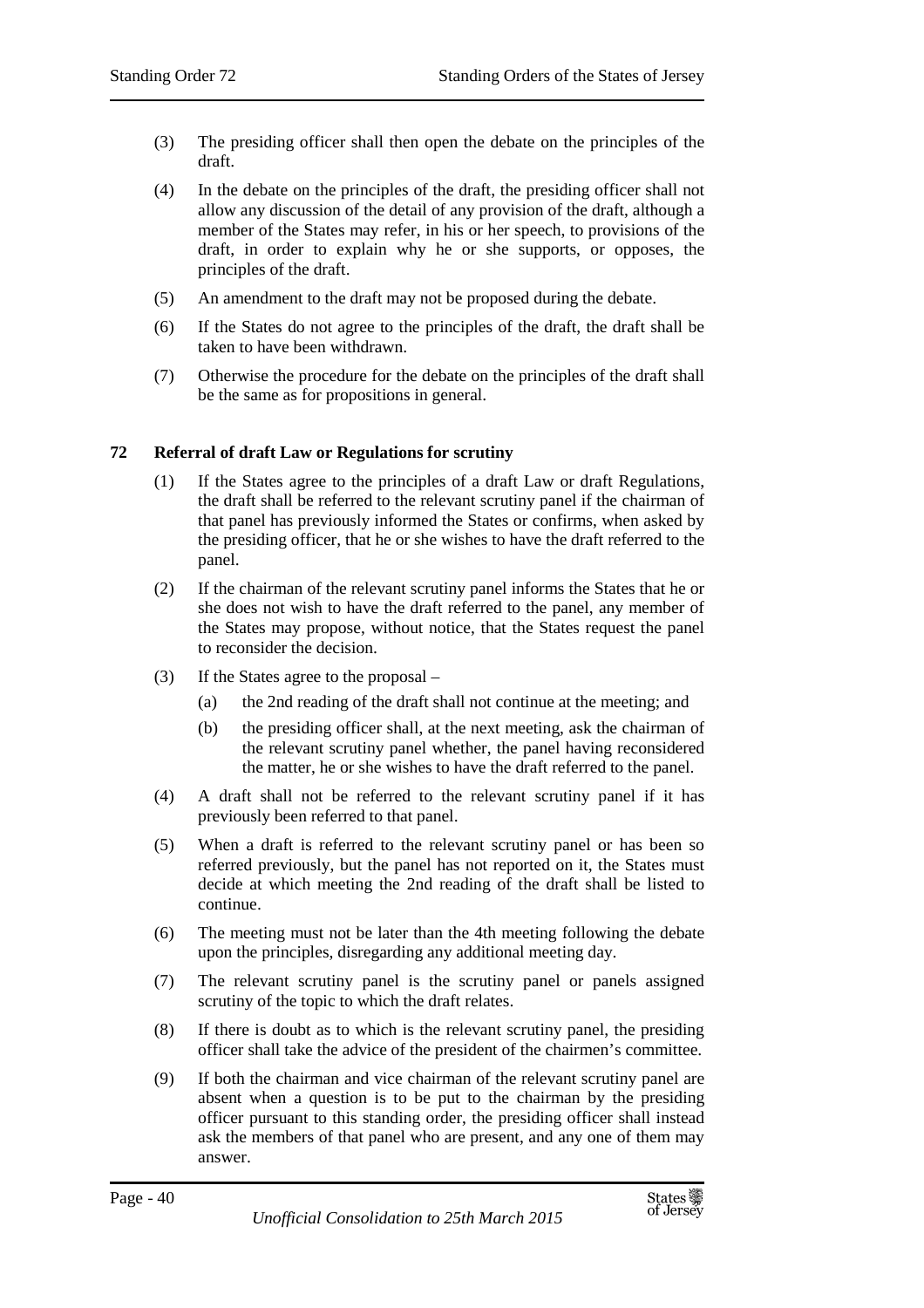- (3) The presiding officer shall then open the debate on the principles of the draft.
- (4) In the debate on the principles of the draft, the presiding officer shall not allow any discussion of the detail of any provision of the draft, although a member of the States may refer, in his or her speech, to provisions of the draft, in order to explain why he or she supports, or opposes, the principles of the draft.
- (5) An amendment to the draft may not be proposed during the debate.
- (6) If the States do not agree to the principles of the draft, the draft shall be taken to have been withdrawn.
- (7) Otherwise the procedure for the debate on the principles of the draft shall be the same as for propositions in general.

## **72 Referral of draft Law or Regulations for scrutiny**

- (1) If the States agree to the principles of a draft Law or draft Regulations, the draft shall be referred to the relevant scrutiny panel if the chairman of that panel has previously informed the States or confirms, when asked by the presiding officer, that he or she wishes to have the draft referred to the panel.
- (2) If the chairman of the relevant scrutiny panel informs the States that he or she does not wish to have the draft referred to the panel, any member of the States may propose, without notice, that the States request the panel to reconsider the decision.
- (3) If the States agree to the proposal
	- (a) the 2nd reading of the draft shall not continue at the meeting; and
	- (b) the presiding officer shall, at the next meeting, ask the chairman of the relevant scrutiny panel whether, the panel having reconsidered the matter, he or she wishes to have the draft referred to the panel.
- (4) A draft shall not be referred to the relevant scrutiny panel if it has previously been referred to that panel.
- (5) When a draft is referred to the relevant scrutiny panel or has been so referred previously, but the panel has not reported on it, the States must decide at which meeting the 2nd reading of the draft shall be listed to continue.
- (6) The meeting must not be later than the 4th meeting following the debate upon the principles, disregarding any additional meeting day.
- (7) The relevant scrutiny panel is the scrutiny panel or panels assigned scrutiny of the topic to which the draft relates.
- (8) If there is doubt as to which is the relevant scrutiny panel, the presiding officer shall take the advice of the president of the chairmen's committee.
- (9) If both the chairman and vice chairman of the relevant scrutiny panel are absent when a question is to be put to the chairman by the presiding officer pursuant to this standing order, the presiding officer shall instead ask the members of that panel who are present, and any one of them may answer.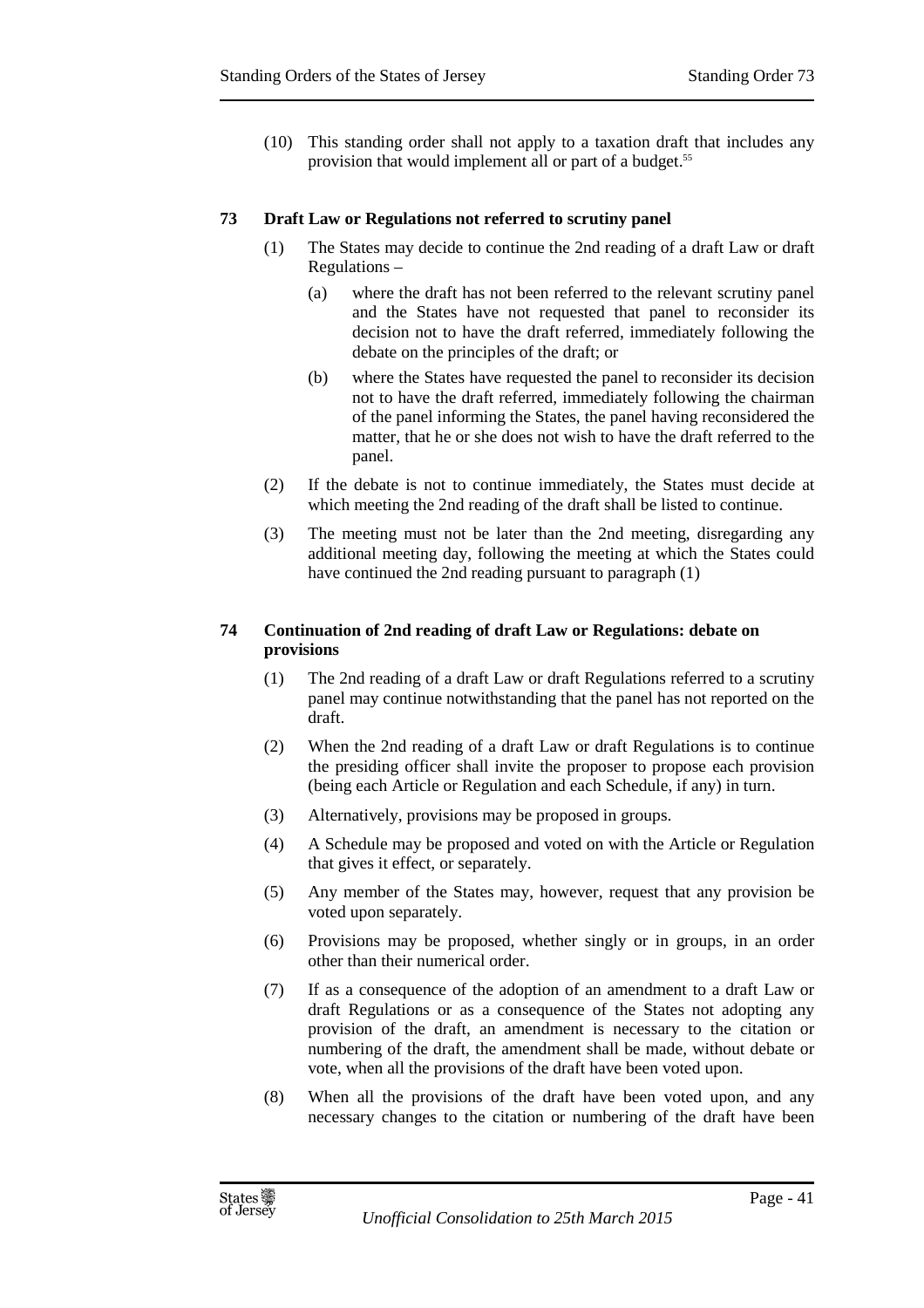(10) This standing order shall not apply to a taxation draft that includes any provision that would implement all or part of a budget.<sup>55</sup>

## **73 Draft Law or Regulations not referred to scrutiny panel**

- (1) The States may decide to continue the 2nd reading of a draft Law or draft Regulations –
	- (a) where the draft has not been referred to the relevant scrutiny panel and the States have not requested that panel to reconsider its decision not to have the draft referred, immediately following the debate on the principles of the draft; or
	- (b) where the States have requested the panel to reconsider its decision not to have the draft referred, immediately following the chairman of the panel informing the States, the panel having reconsidered the matter, that he or she does not wish to have the draft referred to the panel.
- (2) If the debate is not to continue immediately, the States must decide at which meeting the 2nd reading of the draft shall be listed to continue.
- (3) The meeting must not be later than the 2nd meeting, disregarding any additional meeting day, following the meeting at which the States could have continued the 2nd reading pursuant to paragraph (1)

# **74 Continuation of 2nd reading of draft Law or Regulations: debate on provisions**

- (1) The 2nd reading of a draft Law or draft Regulations referred to a scrutiny panel may continue notwithstanding that the panel has not reported on the draft.
- (2) When the 2nd reading of a draft Law or draft Regulations is to continue the presiding officer shall invite the proposer to propose each provision (being each Article or Regulation and each Schedule, if any) in turn.
- (3) Alternatively, provisions may be proposed in groups.
- (4) A Schedule may be proposed and voted on with the Article or Regulation that gives it effect, or separately.
- (5) Any member of the States may, however, request that any provision be voted upon separately.
- (6) Provisions may be proposed, whether singly or in groups, in an order other than their numerical order.
- (7) If as a consequence of the adoption of an amendment to a draft Law or draft Regulations or as a consequence of the States not adopting any provision of the draft, an amendment is necessary to the citation or numbering of the draft, the amendment shall be made, without debate or vote, when all the provisions of the draft have been voted upon.
- (8) When all the provisions of the draft have been voted upon, and any necessary changes to the citation or numbering of the draft have been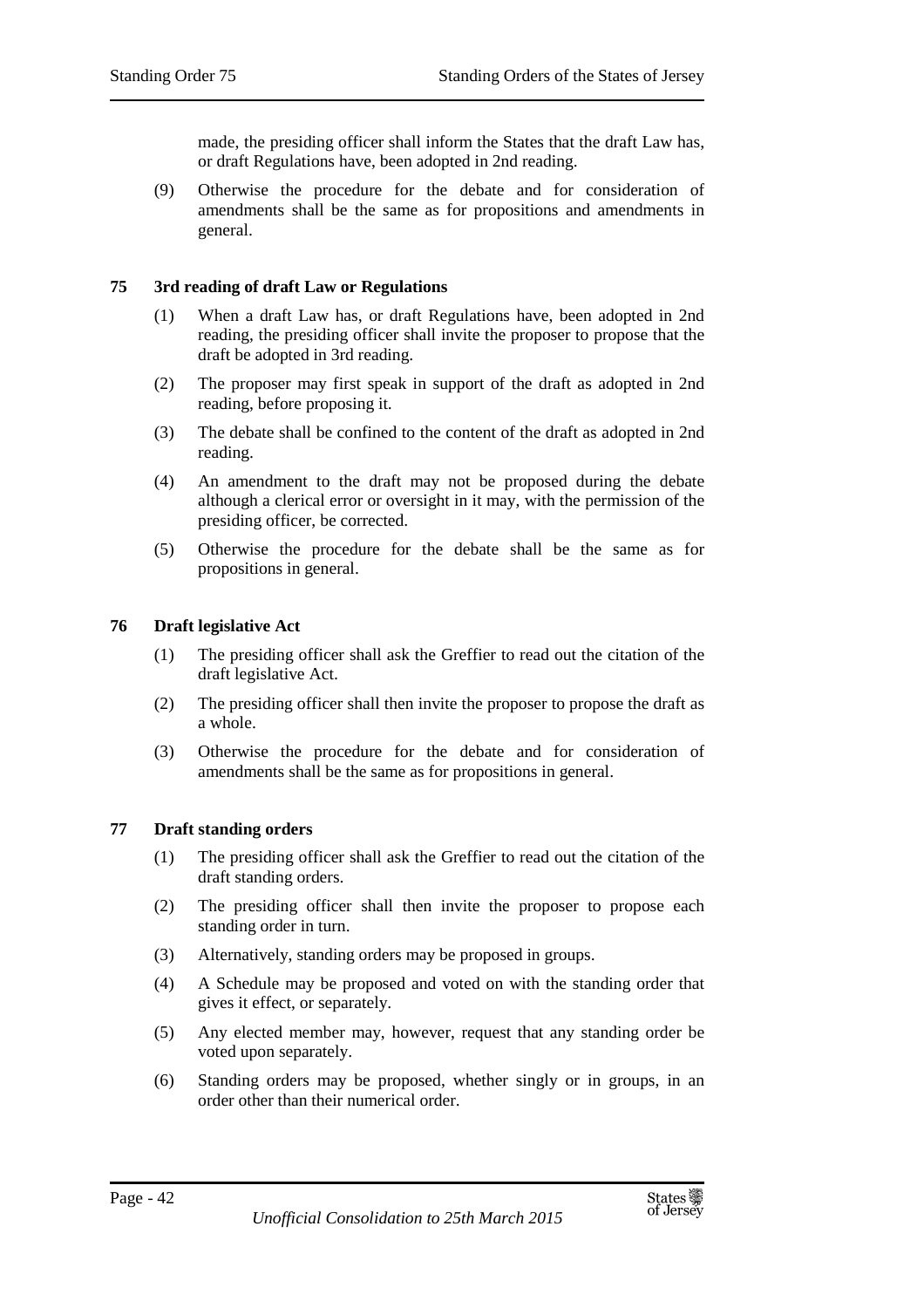made, the presiding officer shall inform the States that the draft Law has, or draft Regulations have, been adopted in 2nd reading.

(9) Otherwise the procedure for the debate and for consideration of amendments shall be the same as for propositions and amendments in general.

## **75 3rd reading of draft Law or Regulations**

- (1) When a draft Law has, or draft Regulations have, been adopted in 2nd reading, the presiding officer shall invite the proposer to propose that the draft be adopted in 3rd reading.
- (2) The proposer may first speak in support of the draft as adopted in 2nd reading, before proposing it.
- (3) The debate shall be confined to the content of the draft as adopted in 2nd reading.
- (4) An amendment to the draft may not be proposed during the debate although a clerical error or oversight in it may, with the permission of the presiding officer, be corrected.
- (5) Otherwise the procedure for the debate shall be the same as for propositions in general.

## **76 Draft legislative Act**

- (1) The presiding officer shall ask the Greffier to read out the citation of the draft legislative Act.
- (2) The presiding officer shall then invite the proposer to propose the draft as a whole.
- (3) Otherwise the procedure for the debate and for consideration of amendments shall be the same as for propositions in general.

### **77 Draft standing orders**

- (1) The presiding officer shall ask the Greffier to read out the citation of the draft standing orders.
- (2) The presiding officer shall then invite the proposer to propose each standing order in turn.
- (3) Alternatively, standing orders may be proposed in groups.
- (4) A Schedule may be proposed and voted on with the standing order that gives it effect, or separately.
- (5) Any elected member may, however, request that any standing order be voted upon separately.
- (6) Standing orders may be proposed, whether singly or in groups, in an order other than their numerical order.

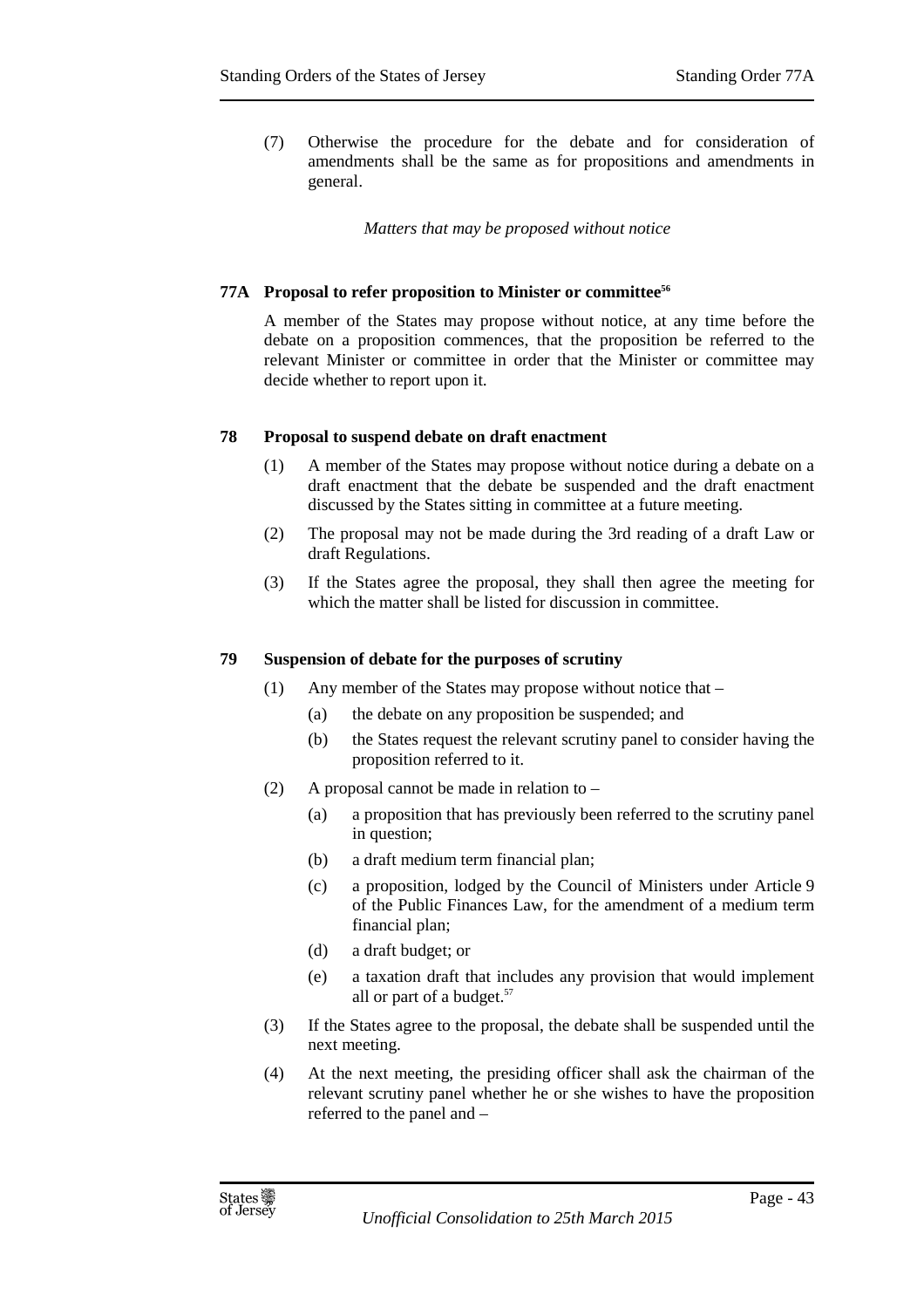(7) Otherwise the procedure for the debate and for consideration of amendments shall be the same as for propositions and amendments in general.

*Matters that may be proposed without notice* 

### **77A Proposal to refer proposition to Minister or committee<sup>56</sup>**

A member of the States may propose without notice, at any time before the debate on a proposition commences, that the proposition be referred to the relevant Minister or committee in order that the Minister or committee may decide whether to report upon it.

### **78 Proposal to suspend debate on draft enactment**

- (1) A member of the States may propose without notice during a debate on a draft enactment that the debate be suspended and the draft enactment discussed by the States sitting in committee at a future meeting.
- (2) The proposal may not be made during the 3rd reading of a draft Law or draft Regulations.
- (3) If the States agree the proposal, they shall then agree the meeting for which the matter shall be listed for discussion in committee.

### **79 Suspension of debate for the purposes of scrutiny**

- (1) Any member of the States may propose without notice that
	- (a) the debate on any proposition be suspended; and
	- (b) the States request the relevant scrutiny panel to consider having the proposition referred to it.
- (2) A proposal cannot be made in relation to
	- (a) a proposition that has previously been referred to the scrutiny panel in question;
	- (b) a draft medium term financial plan;
	- (c) a proposition, lodged by the Council of Ministers under Article 9 of the Public Finances Law, for the amendment of a medium term financial plan;
	- (d) a draft budget; or
	- (e) a taxation draft that includes any provision that would implement all or part of a budget.<sup>57</sup>
- (3) If the States agree to the proposal, the debate shall be suspended until the next meeting.
- (4) At the next meeting, the presiding officer shall ask the chairman of the relevant scrutiny panel whether he or she wishes to have the proposition referred to the panel and –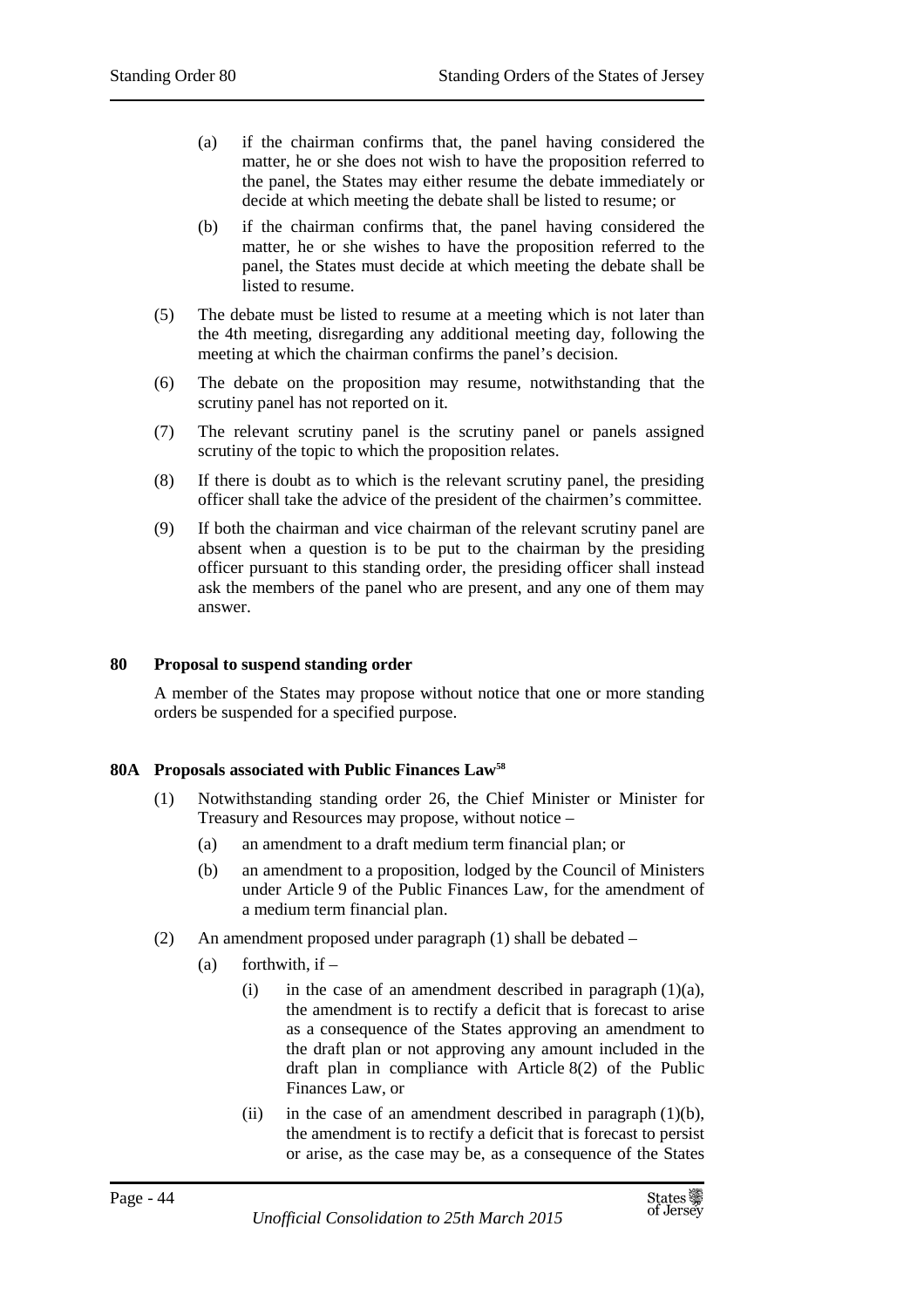- (a) if the chairman confirms that, the panel having considered the matter, he or she does not wish to have the proposition referred to the panel, the States may either resume the debate immediately or decide at which meeting the debate shall be listed to resume; or
- (b) if the chairman confirms that, the panel having considered the matter, he or she wishes to have the proposition referred to the panel, the States must decide at which meeting the debate shall be listed to resume.
- (5) The debate must be listed to resume at a meeting which is not later than the 4th meeting, disregarding any additional meeting day, following the meeting at which the chairman confirms the panel's decision.
- (6) The debate on the proposition may resume, notwithstanding that the scrutiny panel has not reported on it.
- (7) The relevant scrutiny panel is the scrutiny panel or panels assigned scrutiny of the topic to which the proposition relates.
- (8) If there is doubt as to which is the relevant scrutiny panel, the presiding officer shall take the advice of the president of the chairmen's committee.
- (9) If both the chairman and vice chairman of the relevant scrutiny panel are absent when a question is to be put to the chairman by the presiding officer pursuant to this standing order, the presiding officer shall instead ask the members of the panel who are present, and any one of them may answer.

## **80 Proposal to suspend standing order**

A member of the States may propose without notice that one or more standing orders be suspended for a specified purpose.

### **80A Proposals associated with Public Finances Law<sup>58</sup>**

- (1) Notwithstanding standing order 26, the Chief Minister or Minister for Treasury and Resources may propose, without notice –
	- (a) an amendment to a draft medium term financial plan; or
	- (b) an amendment to a proposition, lodged by the Council of Ministers under Article 9 of the Public Finances Law, for the amendment of a medium term financial plan.
- (2) An amendment proposed under paragraph (1) shall be debated
	- $(a)$  forthwith, if
		- (i) in the case of an amendment described in paragraph  $(1)(a)$ , the amendment is to rectify a deficit that is forecast to arise as a consequence of the States approving an amendment to the draft plan or not approving any amount included in the draft plan in compliance with Article 8(2) of the Public Finances Law, or
		- (ii) in the case of an amendment described in paragraph  $(1)(b)$ , the amendment is to rectify a deficit that is forecast to persist or arise, as the case may be, as a consequence of the States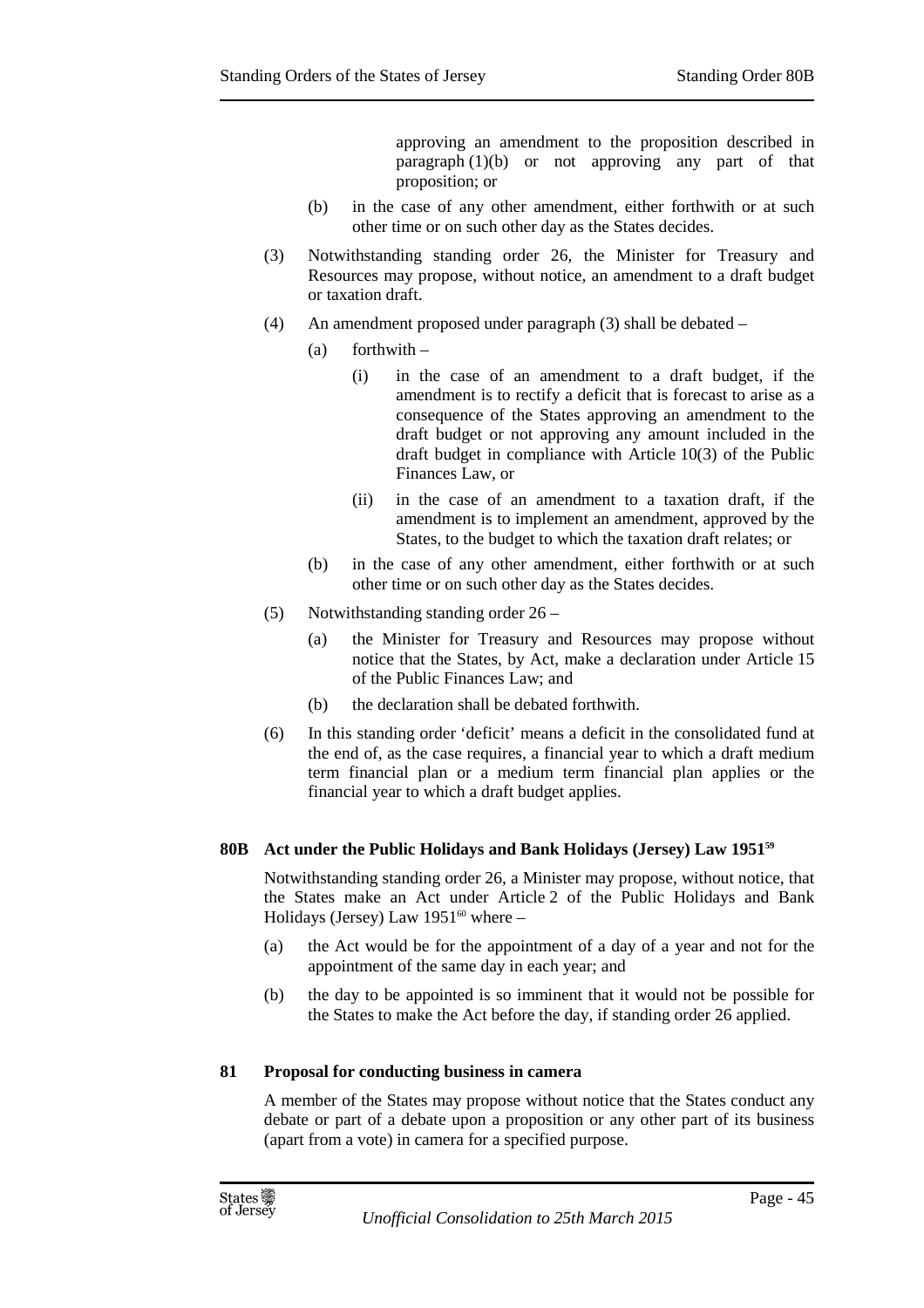approving an amendment to the proposition described in paragraph  $(1)(b)$  or not approving any part of that proposition; or

- (b) in the case of any other amendment, either forthwith or at such other time or on such other day as the States decides.
- (3) Notwithstanding standing order 26, the Minister for Treasury and Resources may propose, without notice, an amendment to a draft budget or taxation draft.
- (4) An amendment proposed under paragraph (3) shall be debated
	- $(a)$  forthwith
		- (i) in the case of an amendment to a draft budget, if the amendment is to rectify a deficit that is forecast to arise as a consequence of the States approving an amendment to the draft budget or not approving any amount included in the draft budget in compliance with Article 10(3) of the Public Finances Law, or
		- (ii) in the case of an amendment to a taxation draft, if the amendment is to implement an amendment, approved by the States, to the budget to which the taxation draft relates; or
	- (b) in the case of any other amendment, either forthwith or at such other time or on such other day as the States decides.
- (5) Notwithstanding standing order 26
	- (a) the Minister for Treasury and Resources may propose without notice that the States, by Act, make a declaration under Article 15 of the Public Finances Law; and
	- (b) the declaration shall be debated forthwith.
- (6) In this standing order 'deficit' means a deficit in the consolidated fund at the end of, as the case requires, a financial year to which a draft medium term financial plan or a medium term financial plan applies or the financial year to which a draft budget applies.

# **80B Act under the Public Holidays and Bank Holidays (Jersey) Law 1951<sup>59</sup>**

Notwithstanding standing order 26, a Minister may propose, without notice, that the States make an Act under Article 2 of the Public Holidays and Bank Holidays (Jersey) Law  $1951^{60}$  where –

- (a) the Act would be for the appointment of a day of a year and not for the appointment of the same day in each year; and
- (b) the day to be appointed is so imminent that it would not be possible for the States to make the Act before the day, if standing order 26 applied.

### **81 Proposal for conducting business in camera**

A member of the States may propose without notice that the States conduct any debate or part of a debate upon a proposition or any other part of its business (apart from a vote) in camera for a specified purpose.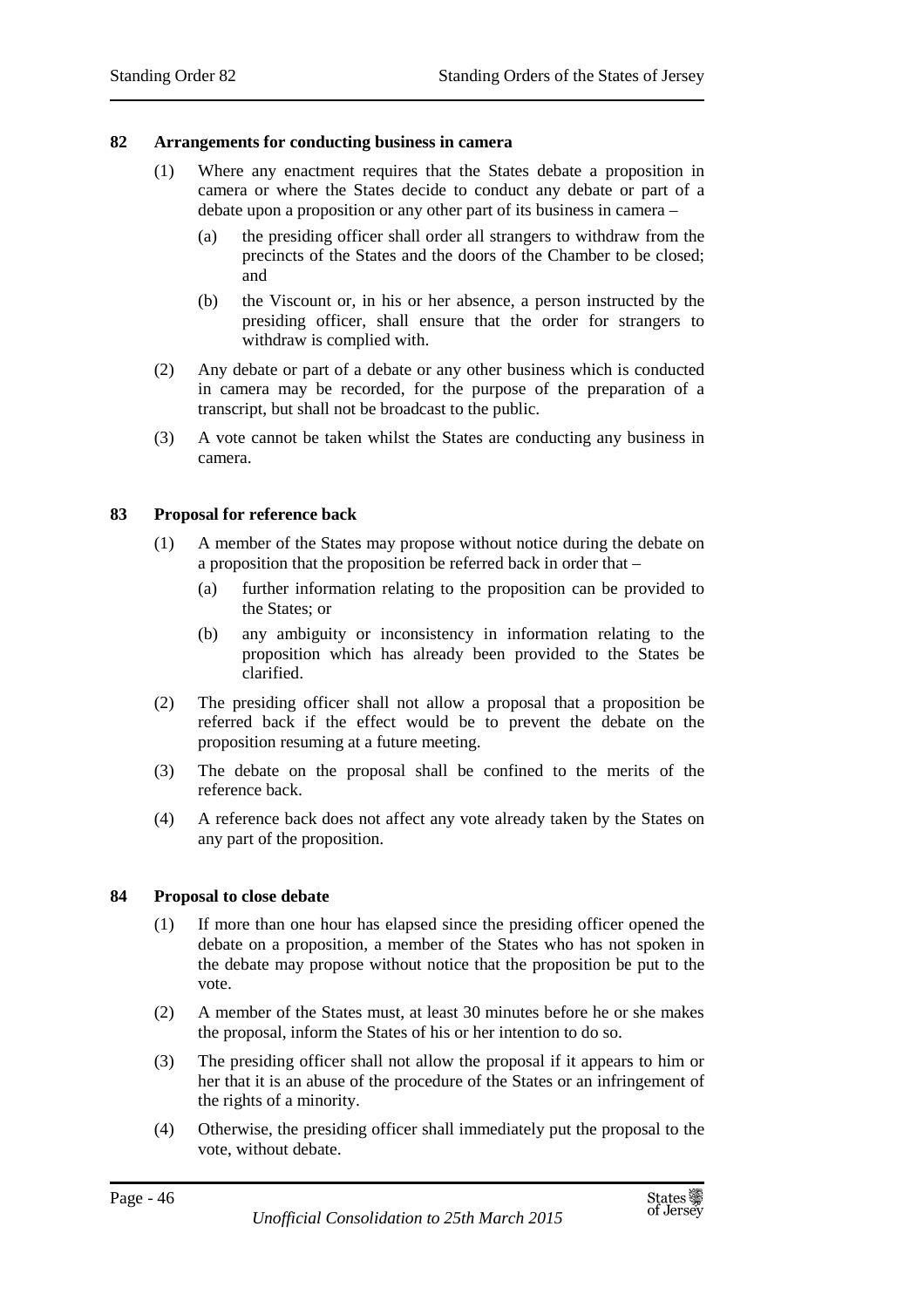### **82 Arrangements for conducting business in camera**

- (1) Where any enactment requires that the States debate a proposition in camera or where the States decide to conduct any debate or part of a debate upon a proposition or any other part of its business in camera –
	- (a) the presiding officer shall order all strangers to withdraw from the precincts of the States and the doors of the Chamber to be closed; and
	- (b) the Viscount or, in his or her absence, a person instructed by the presiding officer, shall ensure that the order for strangers to withdraw is complied with.
- (2) Any debate or part of a debate or any other business which is conducted in camera may be recorded, for the purpose of the preparation of a transcript, but shall not be broadcast to the public.
- (3) A vote cannot be taken whilst the States are conducting any business in camera.

### **83 Proposal for reference back**

- (1) A member of the States may propose without notice during the debate on a proposition that the proposition be referred back in order that –
	- (a) further information relating to the proposition can be provided to the States; or
	- (b) any ambiguity or inconsistency in information relating to the proposition which has already been provided to the States be clarified.
- (2) The presiding officer shall not allow a proposal that a proposition be referred back if the effect would be to prevent the debate on the proposition resuming at a future meeting.
- (3) The debate on the proposal shall be confined to the merits of the reference back.
- (4) A reference back does not affect any vote already taken by the States on any part of the proposition.

### **84 Proposal to close debate**

- (1) If more than one hour has elapsed since the presiding officer opened the debate on a proposition, a member of the States who has not spoken in the debate may propose without notice that the proposition be put to the vote.
- (2) A member of the States must, at least 30 minutes before he or she makes the proposal, inform the States of his or her intention to do so.
- (3) The presiding officer shall not allow the proposal if it appears to him or her that it is an abuse of the procedure of the States or an infringement of the rights of a minority.
- (4) Otherwise, the presiding officer shall immediately put the proposal to the vote, without debate.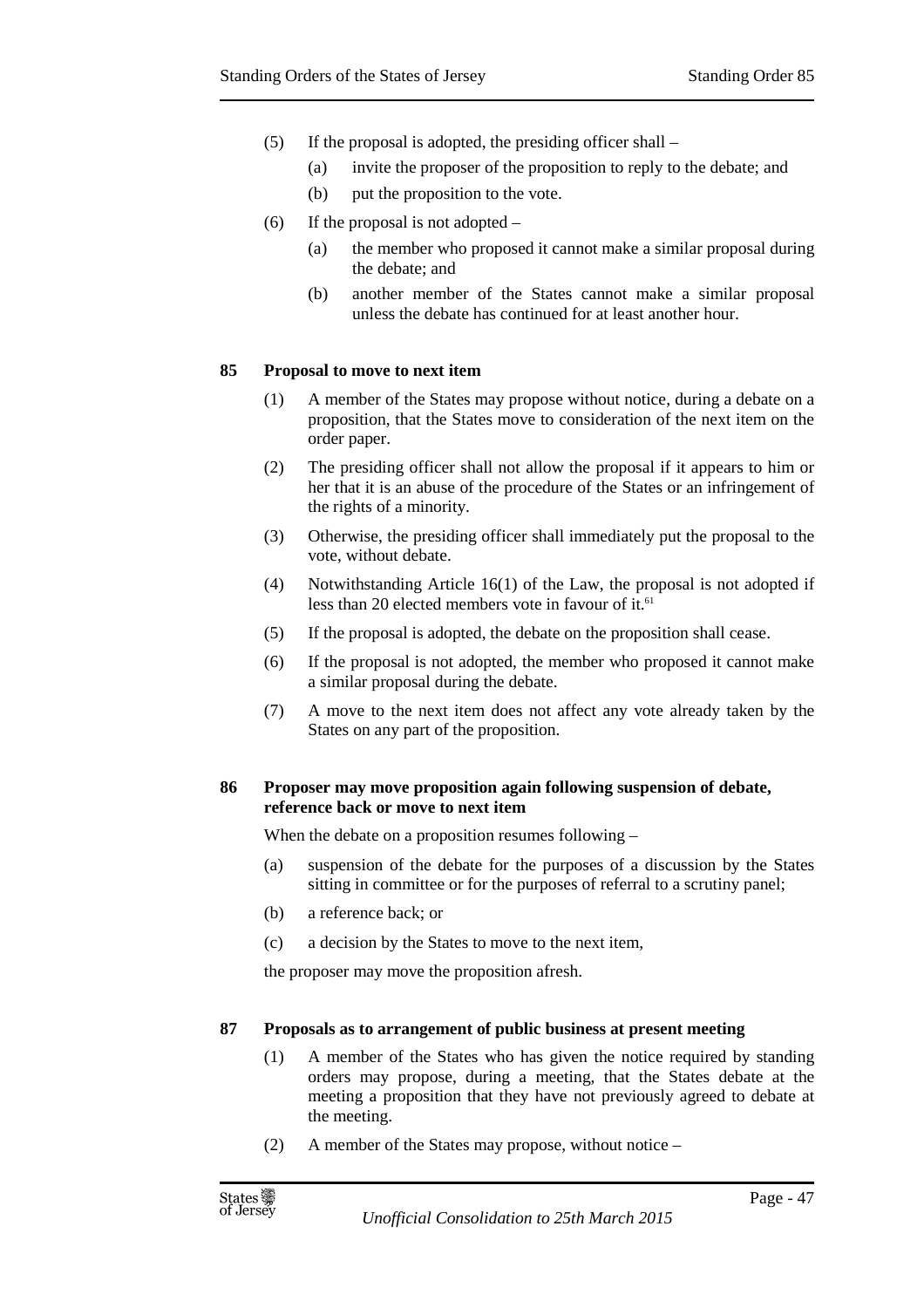- (5) If the proposal is adopted, the presiding officer shall
	- (a) invite the proposer of the proposition to reply to the debate; and
	- (b) put the proposition to the vote.
- (6) If the proposal is not adopted
	- (a) the member who proposed it cannot make a similar proposal during the debate; and
	- (b) another member of the States cannot make a similar proposal unless the debate has continued for at least another hour.

### **85 Proposal to move to next item**

- (1) A member of the States may propose without notice, during a debate on a proposition, that the States move to consideration of the next item on the order paper.
- (2) The presiding officer shall not allow the proposal if it appears to him or her that it is an abuse of the procedure of the States or an infringement of the rights of a minority.
- (3) Otherwise, the presiding officer shall immediately put the proposal to the vote, without debate.
- (4) Notwithstanding Article 16(1) of the Law, the proposal is not adopted if less than 20 elected members vote in favour of it.<sup>61</sup>
- (5) If the proposal is adopted, the debate on the proposition shall cease.
- (6) If the proposal is not adopted, the member who proposed it cannot make a similar proposal during the debate.
- (7) A move to the next item does not affect any vote already taken by the States on any part of the proposition.

### **86 Proposer may move proposition again following suspension of debate, reference back or move to next item**

When the debate on a proposition resumes following –

- (a) suspension of the debate for the purposes of a discussion by the States sitting in committee or for the purposes of referral to a scrutiny panel;
- (b) a reference back; or
- (c) a decision by the States to move to the next item,

the proposer may move the proposition afresh.

## **87 Proposals as to arrangement of public business at present meeting**

- (1) A member of the States who has given the notice required by standing orders may propose, during a meeting, that the States debate at the meeting a proposition that they have not previously agreed to debate at the meeting.
- (2) A member of the States may propose, without notice –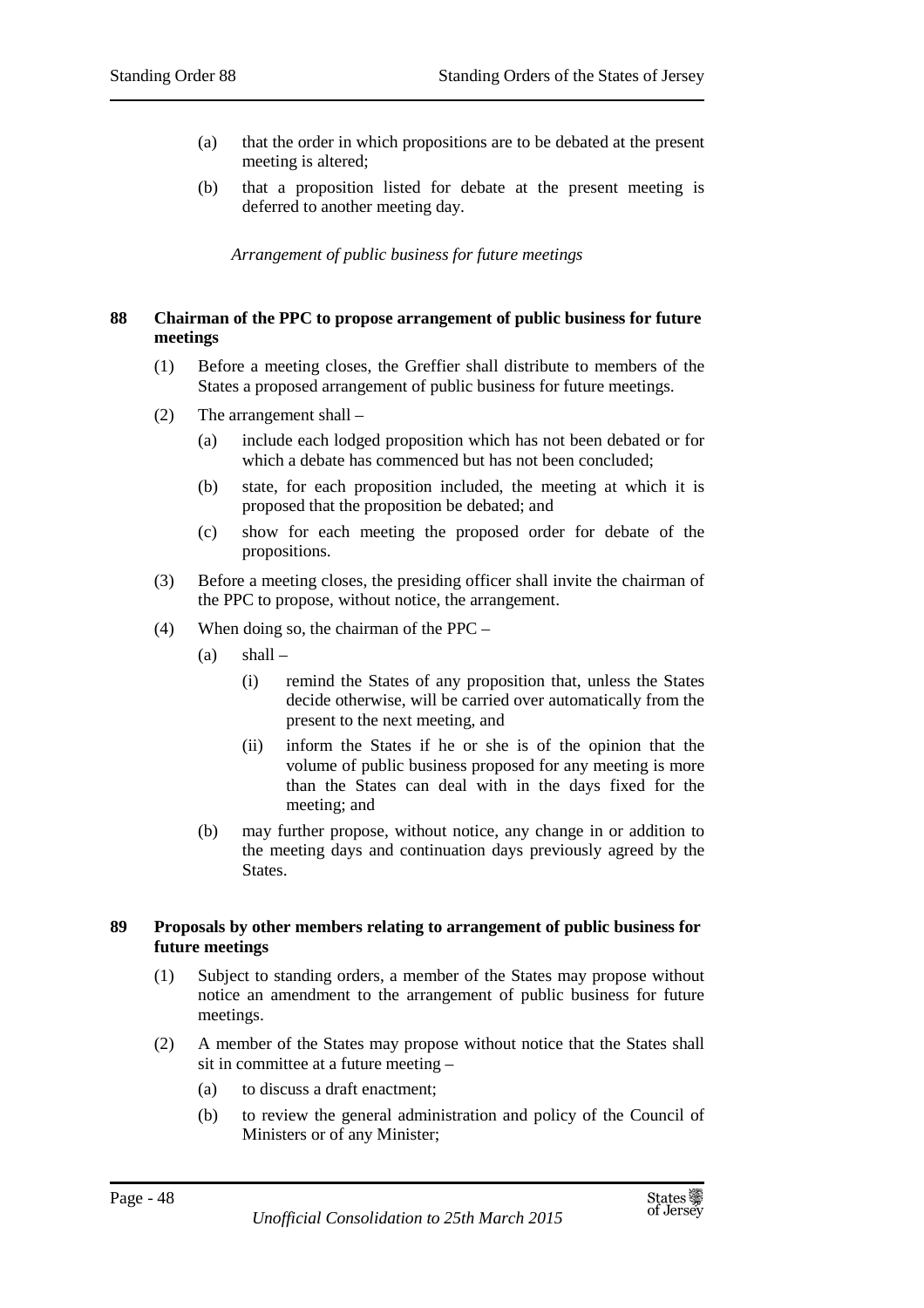- (a) that the order in which propositions are to be debated at the present meeting is altered;
- (b) that a proposition listed for debate at the present meeting is deferred to another meeting day.

*Arrangement of public business for future meetings* 

# **88 Chairman of the PPC to propose arrangement of public business for future meetings**

- (1) Before a meeting closes, the Greffier shall distribute to members of the States a proposed arrangement of public business for future meetings.
- (2) The arrangement shall
	- (a) include each lodged proposition which has not been debated or for which a debate has commenced but has not been concluded:
	- (b) state, for each proposition included, the meeting at which it is proposed that the proposition be debated; and
	- (c) show for each meeting the proposed order for debate of the propositions.
- (3) Before a meeting closes, the presiding officer shall invite the chairman of the PPC to propose, without notice, the arrangement.
- (4) When doing so, the chairman of the PPC
	- $(a)$  shall
		- (i) remind the States of any proposition that, unless the States decide otherwise, will be carried over automatically from the present to the next meeting, and
		- (ii) inform the States if he or she is of the opinion that the volume of public business proposed for any meeting is more than the States can deal with in the days fixed for the meeting; and
	- (b) may further propose, without notice, any change in or addition to the meeting days and continuation days previously agreed by the States.

# **89 Proposals by other members relating to arrangement of public business for future meetings**

- (1) Subject to standing orders, a member of the States may propose without notice an amendment to the arrangement of public business for future meetings.
- (2) A member of the States may propose without notice that the States shall sit in committee at a future meeting –
	- (a) to discuss a draft enactment;
	- (b) to review the general administration and policy of the Council of Ministers or of any Minister;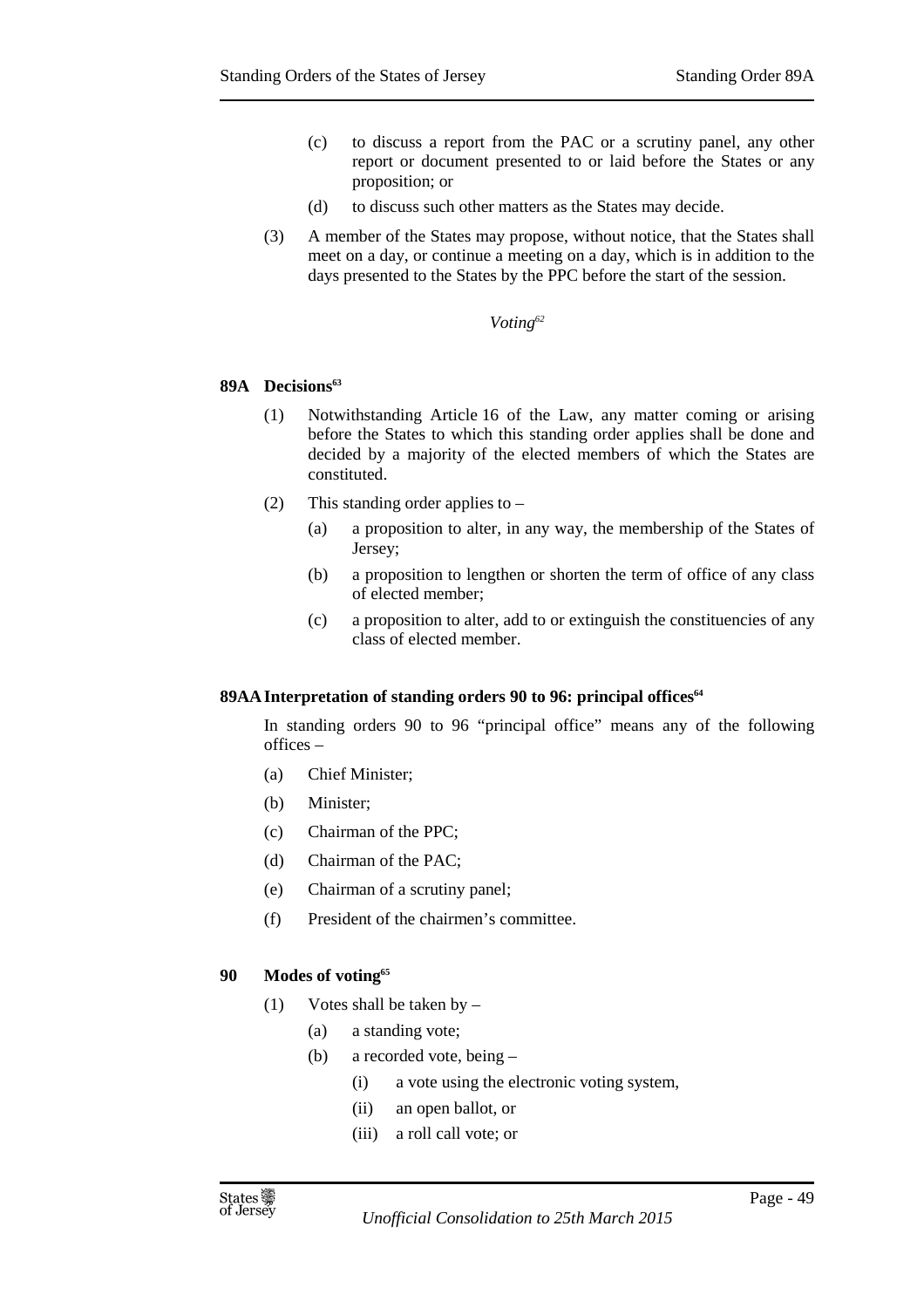- (c) to discuss a report from the PAC or a scrutiny panel, any other report or document presented to or laid before the States or any proposition; or
- (d) to discuss such other matters as the States may decide.
- (3) A member of the States may propose, without notice, that the States shall meet on a day, or continue a meeting on a day, which is in addition to the days presented to the States by the PPC before the start of the session.

### *Voting<sup>62</sup>*

### **89A Decisions<sup>63</sup>**

- (1) Notwithstanding Article 16 of the Law, any matter coming or arising before the States to which this standing order applies shall be done and decided by a majority of the elected members of which the States are constituted.
- (2) This standing order applies to
	- (a) a proposition to alter, in any way, the membership of the States of Jersey;
	- (b) a proposition to lengthen or shorten the term of office of any class of elected member;
	- (c) a proposition to alter, add to or extinguish the constituencies of any class of elected member.

### **89AA Interpretation of standing orders 90 to 96: principal offices<sup>64</sup>**

In standing orders 90 to 96 "principal office" means any of the following offices –

- (a) Chief Minister;
- (b) Minister;
- (c) Chairman of the PPC;
- (d) Chairman of the PAC;
- (e) Chairman of a scrutiny panel;
- (f) President of the chairmen's committee.

### **90 Modes of voting<sup>65</sup>**

- (1) Votes shall be taken by
	- (a) a standing vote;
	- (b) a recorded vote, being
		- (i) a vote using the electronic voting system,
		- (ii) an open ballot, or
		- (iii) a roll call vote; or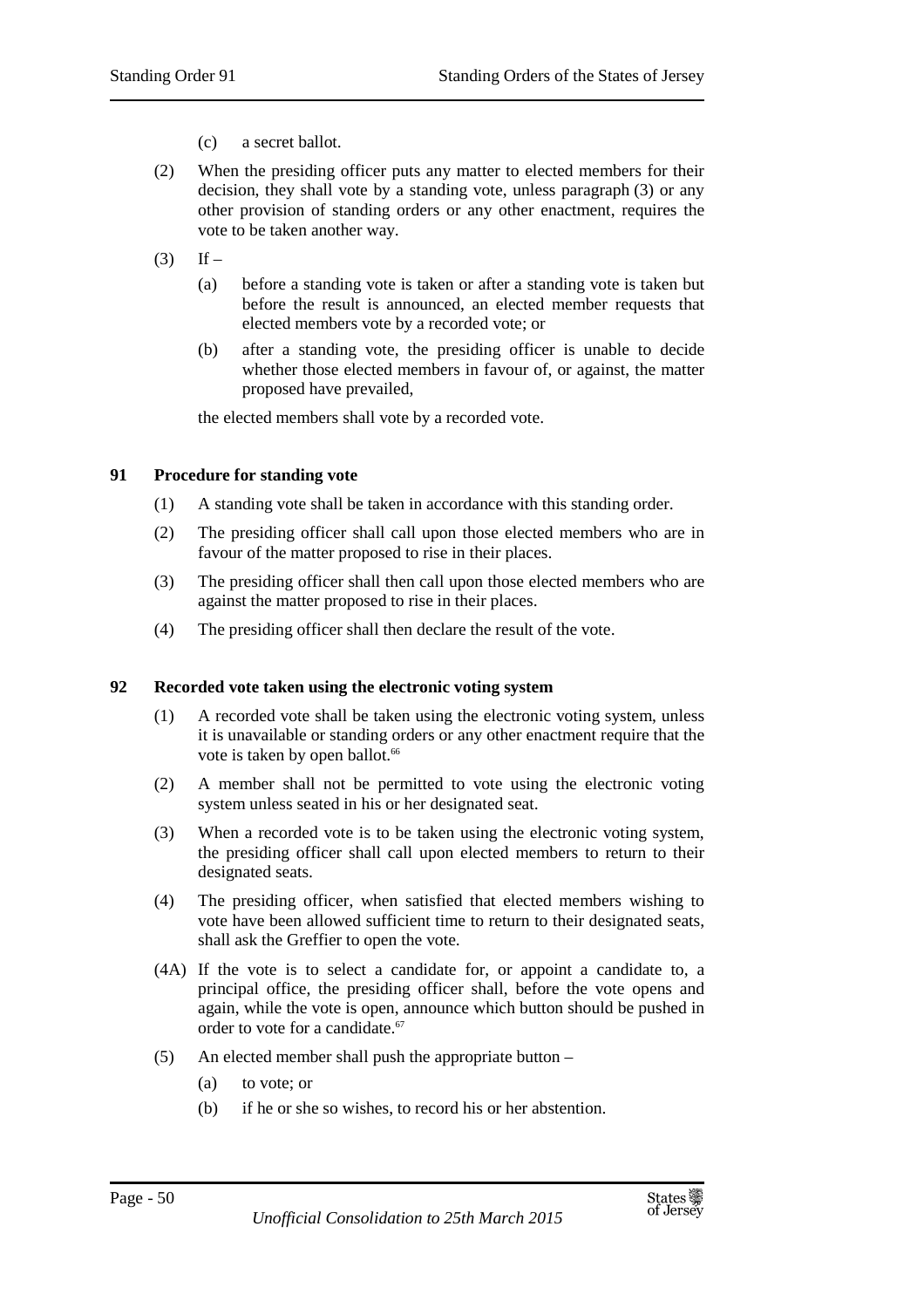- (c) a secret ballot.
- (2) When the presiding officer puts any matter to elected members for their decision, they shall vote by a standing vote, unless paragraph (3) or any other provision of standing orders or any other enactment, requires the vote to be taken another way.
- $(3)$  If
	- (a) before a standing vote is taken or after a standing vote is taken but before the result is announced, an elected member requests that elected members vote by a recorded vote; or
	- (b) after a standing vote, the presiding officer is unable to decide whether those elected members in favour of, or against, the matter proposed have prevailed,

the elected members shall vote by a recorded vote.

### **91 Procedure for standing vote**

- (1) A standing vote shall be taken in accordance with this standing order.
- (2) The presiding officer shall call upon those elected members who are in favour of the matter proposed to rise in their places.
- (3) The presiding officer shall then call upon those elected members who are against the matter proposed to rise in their places.
- (4) The presiding officer shall then declare the result of the vote.

### **92 Recorded vote taken using the electronic voting system**

- (1) A recorded vote shall be taken using the electronic voting system, unless it is unavailable or standing orders or any other enactment require that the vote is taken by open ballot.<sup>66</sup>
- (2) A member shall not be permitted to vote using the electronic voting system unless seated in his or her designated seat.
- (3) When a recorded vote is to be taken using the electronic voting system, the presiding officer shall call upon elected members to return to their designated seats.
- (4) The presiding officer, when satisfied that elected members wishing to vote have been allowed sufficient time to return to their designated seats, shall ask the Greffier to open the vote.
- (4A) If the vote is to select a candidate for, or appoint a candidate to, a principal office, the presiding officer shall, before the vote opens and again, while the vote is open, announce which button should be pushed in order to vote for a candidate.<sup>67</sup>
- (5) An elected member shall push the appropriate button
	- (a) to vote; or
	- (b) if he or she so wishes, to record his or her abstention.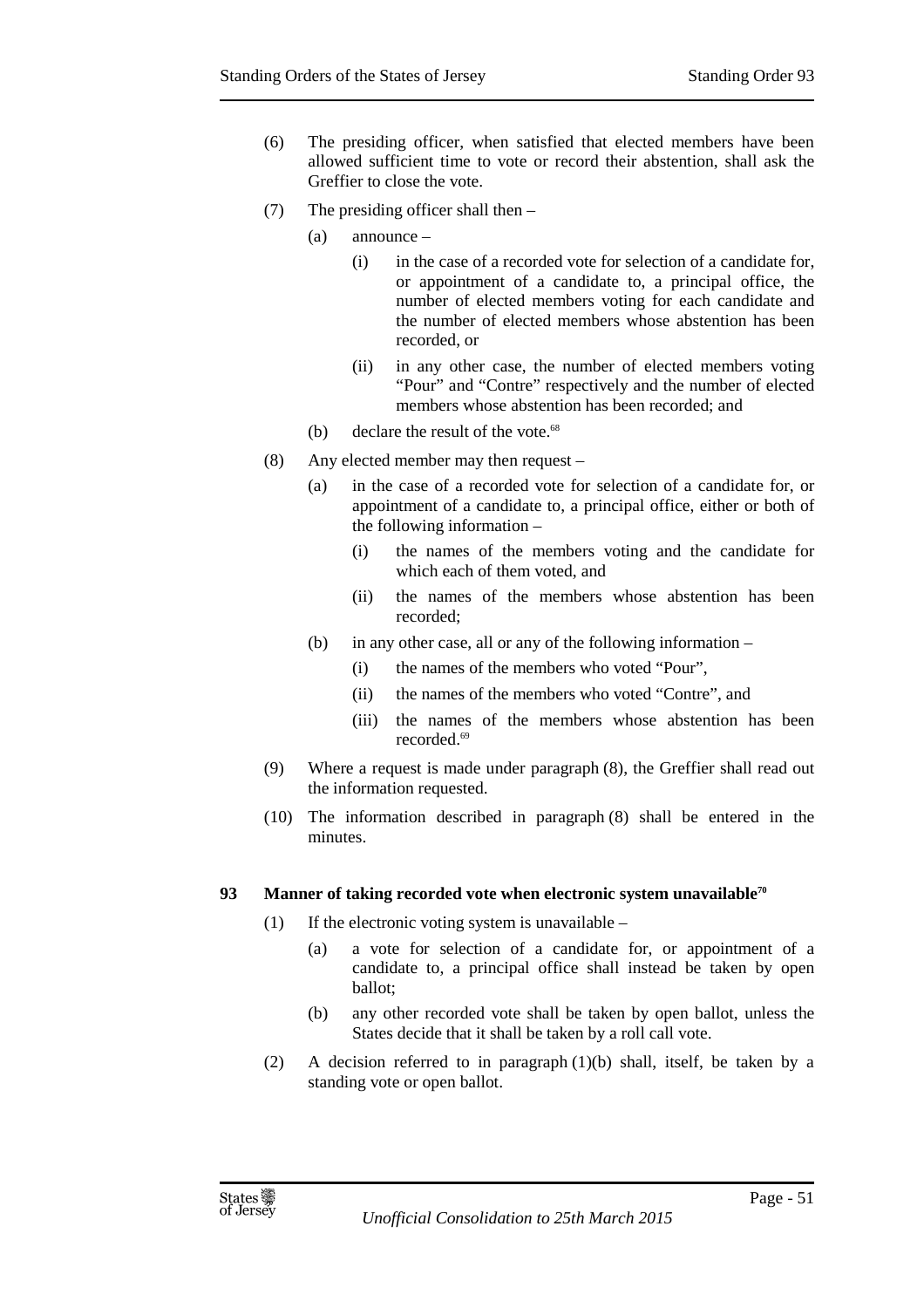- (6) The presiding officer, when satisfied that elected members have been allowed sufficient time to vote or record their abstention, shall ask the Greffier to close the vote.
- (7) The presiding officer shall then
	- (a) announce
		- (i) in the case of a recorded vote for selection of a candidate for, or appointment of a candidate to, a principal office, the number of elected members voting for each candidate and the number of elected members whose abstention has been recorded, or
		- (ii) in any other case, the number of elected members voting "Pour" and "Contre" respectively and the number of elected members whose abstention has been recorded; and
	- (b) declare the result of the vote. $68$
- (8) Any elected member may then request
	- (a) in the case of a recorded vote for selection of a candidate for, or appointment of a candidate to, a principal office, either or both of the following information –
		- (i) the names of the members voting and the candidate for which each of them voted, and
		- (ii) the names of the members whose abstention has been recorded;
	- (b) in any other case, all or any of the following information
		- (i) the names of the members who voted "Pour",
		- (ii) the names of the members who voted "Contre", and
		- (iii) the names of the members whose abstention has been recorded.<sup>69</sup>
- (9) Where a request is made under paragraph (8), the Greffier shall read out the information requested.
- (10) The information described in paragraph (8) shall be entered in the minutes.

### **93 Manner of taking recorded vote when electronic system unavailable<sup>70</sup>**

- (1) If the electronic voting system is unavailable  $-$ 
	- (a) a vote for selection of a candidate for, or appointment of a candidate to, a principal office shall instead be taken by open ballot;
	- (b) any other recorded vote shall be taken by open ballot, unless the States decide that it shall be taken by a roll call vote.
- (2) A decision referred to in paragraph  $(1)(b)$  shall, itself, be taken by a standing vote or open ballot.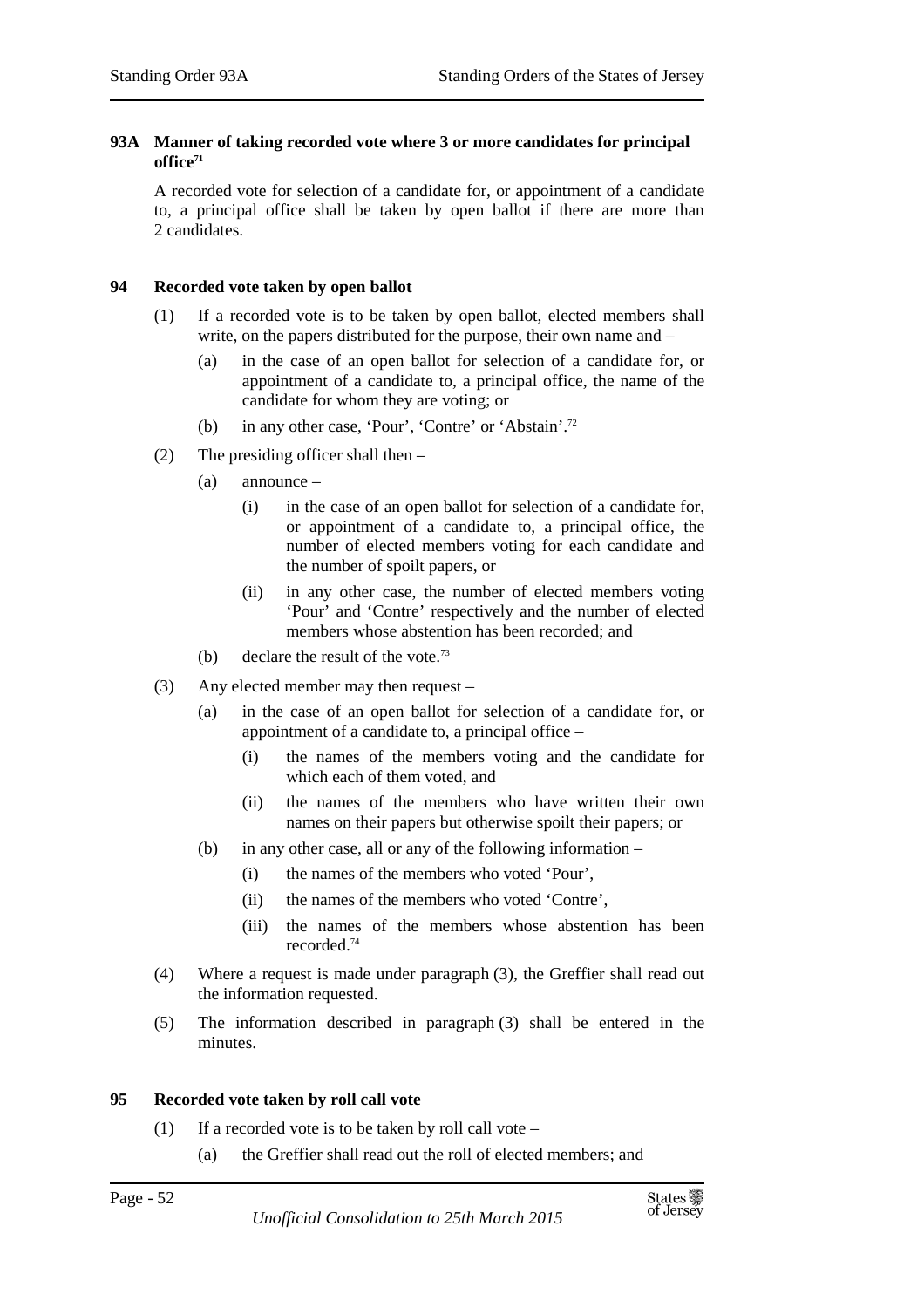## **93A Manner of taking recorded vote where 3 or more candidates for principal office<sup>71</sup>**

A recorded vote for selection of a candidate for, or appointment of a candidate to, a principal office shall be taken by open ballot if there are more than 2 candidates.

# **94 Recorded vote taken by open ballot**

- (1) If a recorded vote is to be taken by open ballot, elected members shall write, on the papers distributed for the purpose, their own name and –
	- (a) in the case of an open ballot for selection of a candidate for, or appointment of a candidate to, a principal office, the name of the candidate for whom they are voting; or
	- (b) in any other case, 'Pour', 'Contre' or 'Abstain'.<sup>72</sup>
- (2) The presiding officer shall then
	- (a) announce
		- (i) in the case of an open ballot for selection of a candidate for, or appointment of a candidate to, a principal office, the number of elected members voting for each candidate and the number of spoilt papers, or
		- (ii) in any other case, the number of elected members voting 'Pour' and 'Contre' respectively and the number of elected members whose abstention has been recorded; and
	- (b) declare the result of the vote.<sup>73</sup>
- (3) Any elected member may then request
	- (a) in the case of an open ballot for selection of a candidate for, or appointment of a candidate to, a principal office –
		- (i) the names of the members voting and the candidate for which each of them voted, and
		- (ii) the names of the members who have written their own names on their papers but otherwise spoilt their papers; or
	- (b) in any other case, all or any of the following information
		- (i) the names of the members who voted 'Pour',
		- (ii) the names of the members who voted 'Contre',
		- (iii) the names of the members whose abstention has been recorded.<sup>74</sup>
- (4) Where a request is made under paragraph (3), the Greffier shall read out the information requested.
- (5) The information described in paragraph (3) shall be entered in the minutes.

# **95 Recorded vote taken by roll call vote**

- (1) If a recorded vote is to be taken by roll call vote  $-$ 
	- (a) the Greffier shall read out the roll of elected members; and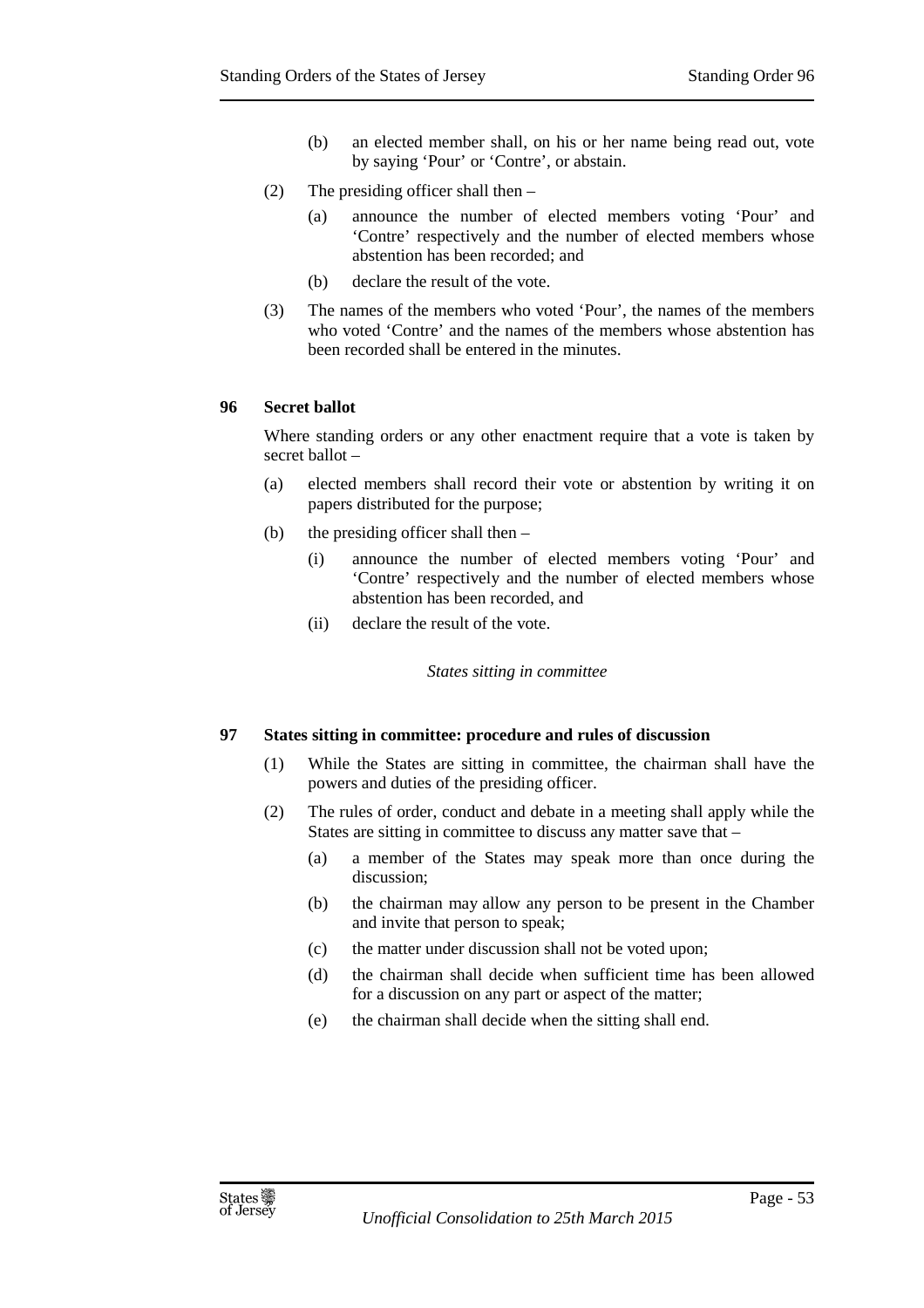- (b) an elected member shall, on his or her name being read out, vote by saying 'Pour' or 'Contre', or abstain.
- (2) The presiding officer shall then
	- (a) announce the number of elected members voting 'Pour' and 'Contre' respectively and the number of elected members whose abstention has been recorded; and
	- (b) declare the result of the vote.
- (3) The names of the members who voted 'Pour', the names of the members who voted 'Contre' and the names of the members whose abstention has been recorded shall be entered in the minutes.

## **96 Secret ballot**

Where standing orders or any other enactment require that a vote is taken by secret ballot –

- (a) elected members shall record their vote or abstention by writing it on papers distributed for the purpose;
- (b) the presiding officer shall then
	- (i) announce the number of elected members voting 'Pour' and 'Contre' respectively and the number of elected members whose abstention has been recorded, and
	- (ii) declare the result of the vote.

*States sitting in committee* 

### **97 States sitting in committee: procedure and rules of discussion**

- (1) While the States are sitting in committee, the chairman shall have the powers and duties of the presiding officer.
- (2) The rules of order, conduct and debate in a meeting shall apply while the States are sitting in committee to discuss any matter save that –
	- (a) a member of the States may speak more than once during the discussion;
	- (b) the chairman may allow any person to be present in the Chamber and invite that person to speak;
	- (c) the matter under discussion shall not be voted upon;
	- (d) the chairman shall decide when sufficient time has been allowed for a discussion on any part or aspect of the matter;
	- (e) the chairman shall decide when the sitting shall end.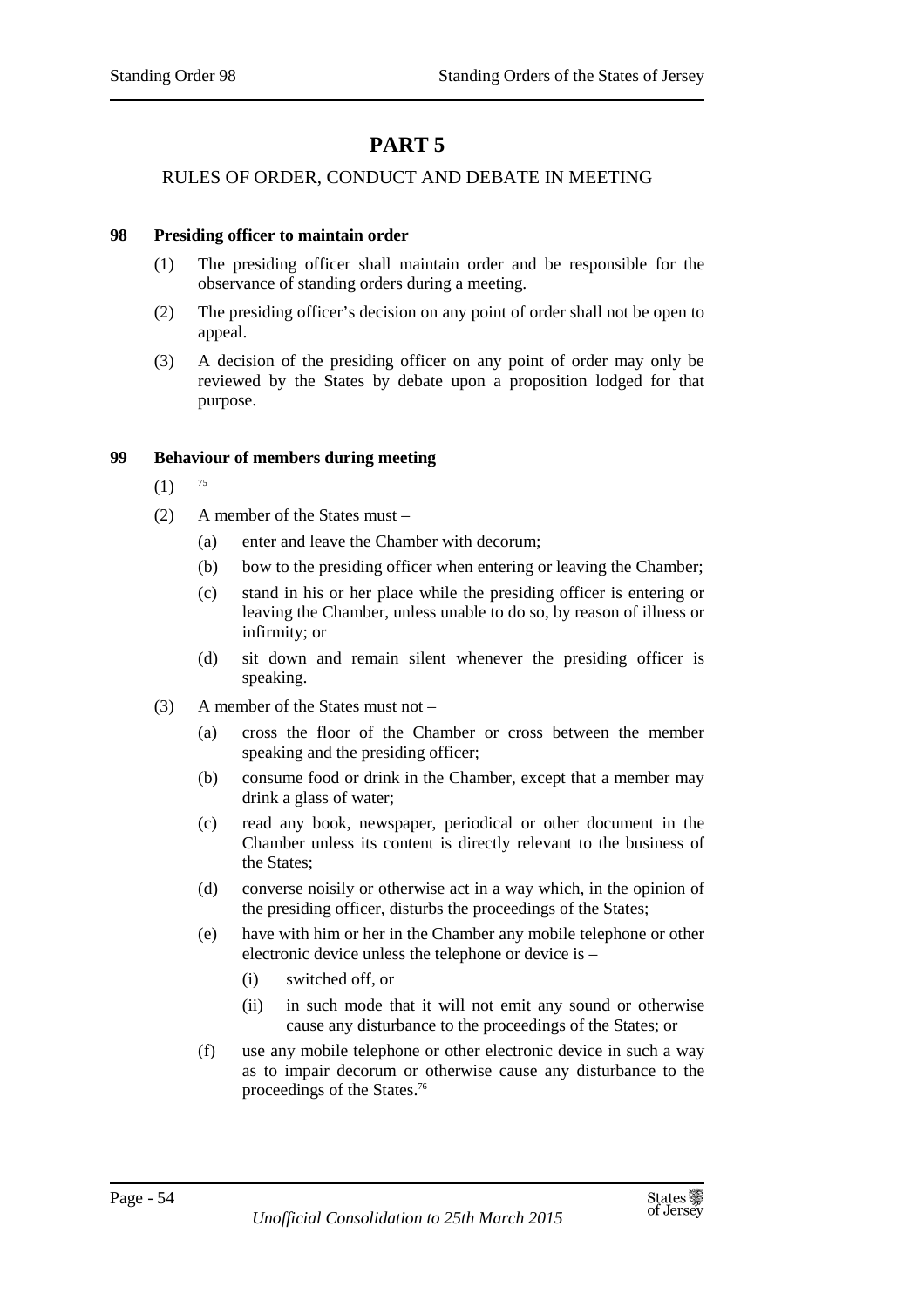# **PART 5**

# RULES OF ORDER, CONDUCT AND DEBATE IN MEETING

## **98 Presiding officer to maintain order**

- (1) The presiding officer shall maintain order and be responsible for the observance of standing orders during a meeting.
- (2) The presiding officer's decision on any point of order shall not be open to appeal.
- (3) A decision of the presiding officer on any point of order may only be reviewed by the States by debate upon a proposition lodged for that purpose.

## **99 Behaviour of members during meeting**

- $(1)$  75
- (2) A member of the States must
	- (a) enter and leave the Chamber with decorum;
	- (b) bow to the presiding officer when entering or leaving the Chamber;
	- (c) stand in his or her place while the presiding officer is entering or leaving the Chamber, unless unable to do so, by reason of illness or infirmity; or
	- (d) sit down and remain silent whenever the presiding officer is speaking.
- (3) A member of the States must not
	- (a) cross the floor of the Chamber or cross between the member speaking and the presiding officer;
	- (b) consume food or drink in the Chamber, except that a member may drink a glass of water;
	- (c) read any book, newspaper, periodical or other document in the Chamber unless its content is directly relevant to the business of the States;
	- (d) converse noisily or otherwise act in a way which, in the opinion of the presiding officer, disturbs the proceedings of the States;
	- (e) have with him or her in the Chamber any mobile telephone or other electronic device unless the telephone or device is –
		- (i) switched off, or
		- (ii) in such mode that it will not emit any sound or otherwise cause any disturbance to the proceedings of the States; or
	- (f) use any mobile telephone or other electronic device in such a way as to impair decorum or otherwise cause any disturbance to the proceedings of the States.76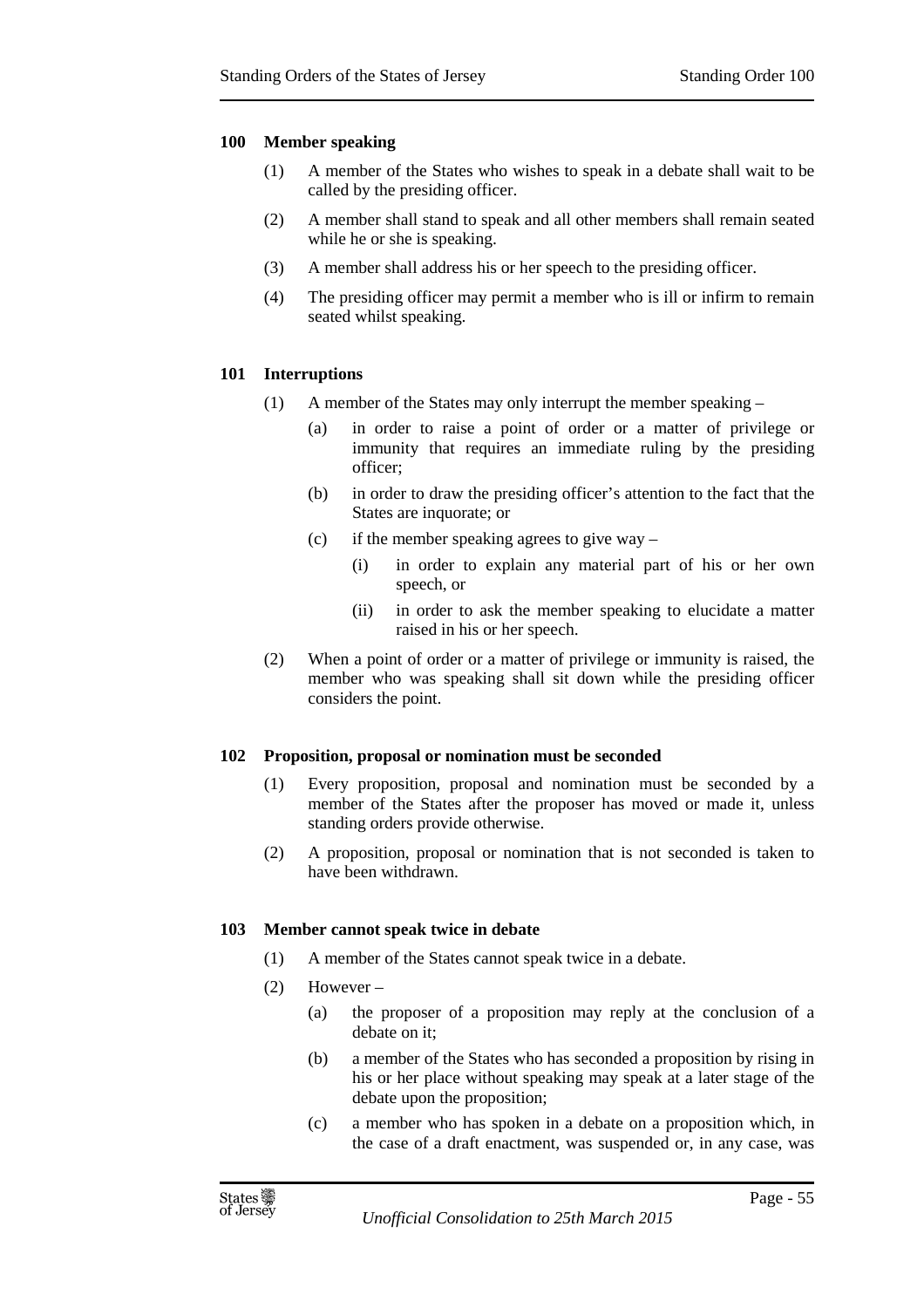## **100 Member speaking**

- (1) A member of the States who wishes to speak in a debate shall wait to be called by the presiding officer.
- (2) A member shall stand to speak and all other members shall remain seated while he or she is speaking.
- (3) A member shall address his or her speech to the presiding officer.
- (4) The presiding officer may permit a member who is ill or infirm to remain seated whilst speaking.

## **101 Interruptions**

- (1) A member of the States may only interrupt the member speaking
	- (a) in order to raise a point of order or a matter of privilege or immunity that requires an immediate ruling by the presiding officer;
	- (b) in order to draw the presiding officer's attention to the fact that the States are inquorate; or
	- (c) if the member speaking agrees to give way
		- (i) in order to explain any material part of his or her own speech, or
		- (ii) in order to ask the member speaking to elucidate a matter raised in his or her speech.
- (2) When a point of order or a matter of privilege or immunity is raised, the member who was speaking shall sit down while the presiding officer considers the point.

### **102 Proposition, proposal or nomination must be seconded**

- (1) Every proposition, proposal and nomination must be seconded by a member of the States after the proposer has moved or made it, unless standing orders provide otherwise.
- (2) A proposition, proposal or nomination that is not seconded is taken to have been withdrawn.

### **103 Member cannot speak twice in debate**

- (1) A member of the States cannot speak twice in a debate.
- (2) However
	- (a) the proposer of a proposition may reply at the conclusion of a debate on it;
	- (b) a member of the States who has seconded a proposition by rising in his or her place without speaking may speak at a later stage of the debate upon the proposition;
	- (c) a member who has spoken in a debate on a proposition which, in the case of a draft enactment, was suspended or, in any case, was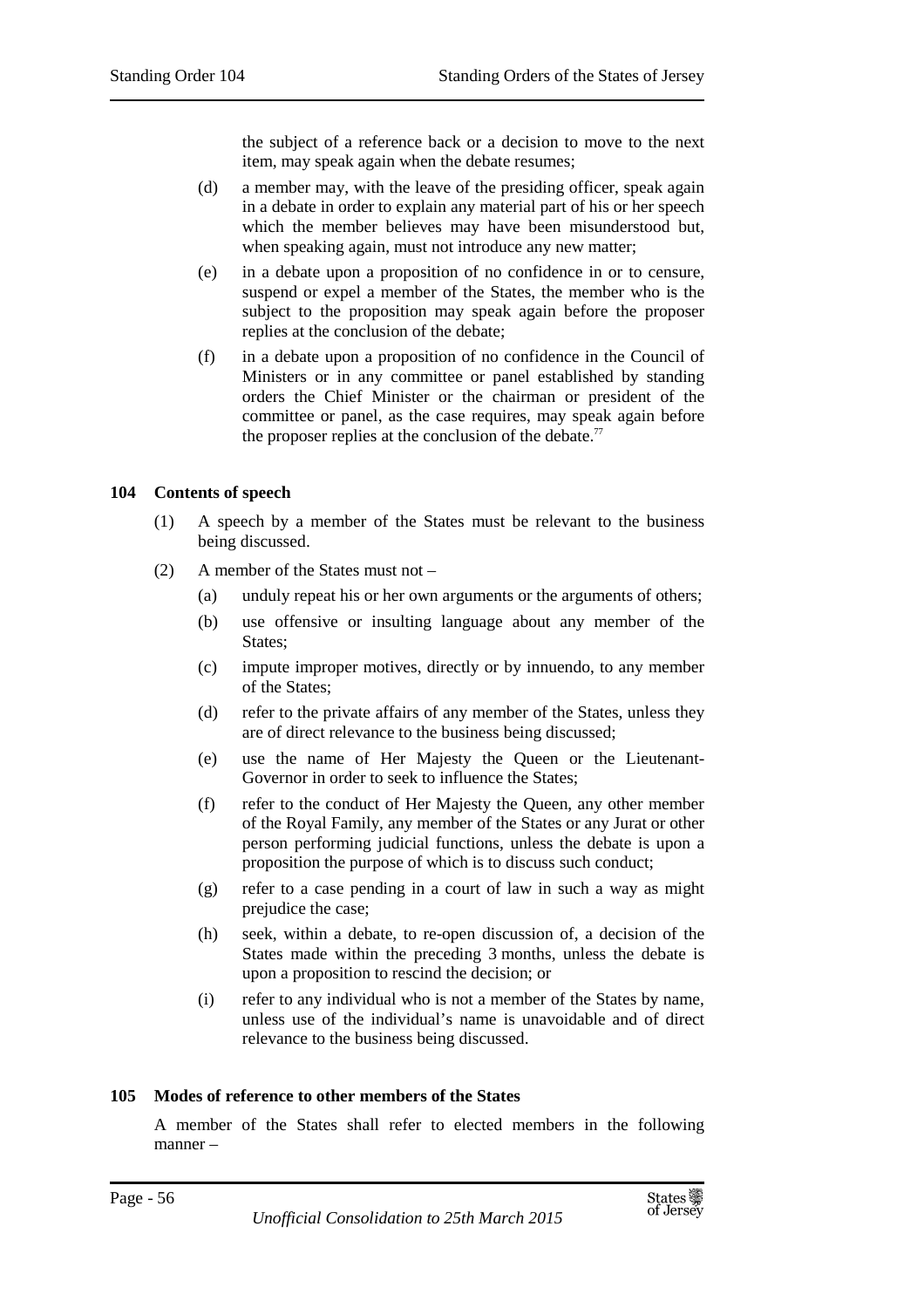the subject of a reference back or a decision to move to the next item, may speak again when the debate resumes;

- (d) a member may, with the leave of the presiding officer, speak again in a debate in order to explain any material part of his or her speech which the member believes may have been misunderstood but, when speaking again, must not introduce any new matter;
- (e) in a debate upon a proposition of no confidence in or to censure, suspend or expel a member of the States, the member who is the subject to the proposition may speak again before the proposer replies at the conclusion of the debate;
- (f) in a debate upon a proposition of no confidence in the Council of Ministers or in any committee or panel established by standing orders the Chief Minister or the chairman or president of the committee or panel, as the case requires, may speak again before the proposer replies at the conclusion of the debate.<sup>77</sup>

## **104 Contents of speech**

- (1) A speech by a member of the States must be relevant to the business being discussed.
- (2) A member of the States must not
	- (a) unduly repeat his or her own arguments or the arguments of others;
	- (b) use offensive or insulting language about any member of the States;
	- (c) impute improper motives, directly or by innuendo, to any member of the States;
	- (d) refer to the private affairs of any member of the States, unless they are of direct relevance to the business being discussed;
	- (e) use the name of Her Majesty the Queen or the Lieutenant-Governor in order to seek to influence the States;
	- (f) refer to the conduct of Her Majesty the Queen, any other member of the Royal Family, any member of the States or any Jurat or other person performing judicial functions, unless the debate is upon a proposition the purpose of which is to discuss such conduct;
	- (g) refer to a case pending in a court of law in such a way as might prejudice the case;
	- (h) seek, within a debate, to re-open discussion of, a decision of the States made within the preceding 3 months, unless the debate is upon a proposition to rescind the decision; or
	- (i) refer to any individual who is not a member of the States by name, unless use of the individual's name is unavoidable and of direct relevance to the business being discussed.

# **105 Modes of reference to other members of the States**

A member of the States shall refer to elected members in the following manner –

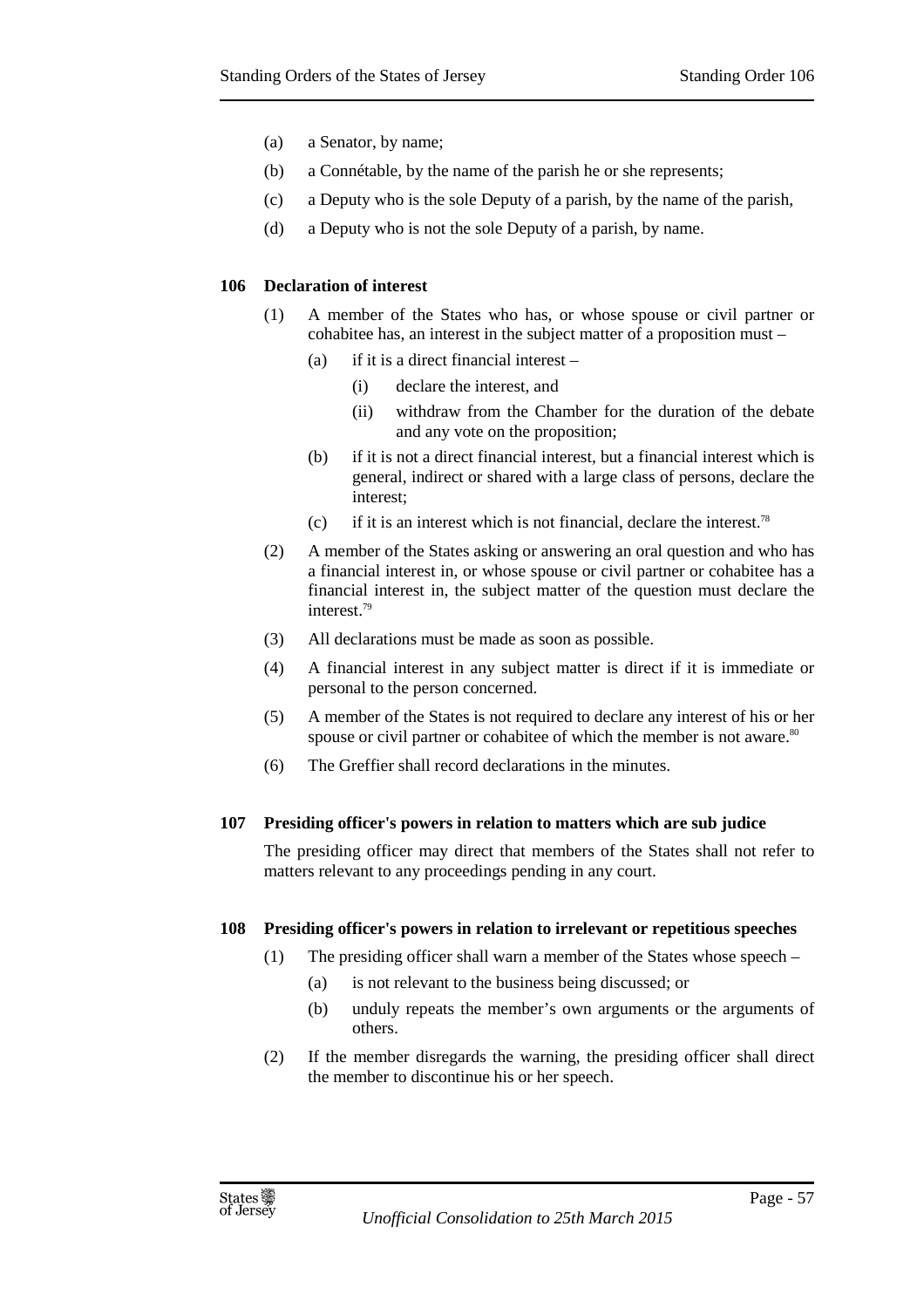- (a) a Senator, by name;
- (b) a Connétable, by the name of the parish he or she represents;
- (c) a Deputy who is the sole Deputy of a parish, by the name of the parish,
- (d) a Deputy who is not the sole Deputy of a parish, by name.

## **106 Declaration of interest**

- (1) A member of the States who has, or whose spouse or civil partner or cohabitee has, an interest in the subject matter of a proposition must –
	- (a) if it is a direct financial interest
		- (i) declare the interest, and
		- (ii) withdraw from the Chamber for the duration of the debate and any vote on the proposition;
	- (b) if it is not a direct financial interest, but a financial interest which is general, indirect or shared with a large class of persons, declare the interest;
	- (c) if it is an interest which is not financial, declare the interest.<sup>78</sup>
- (2) A member of the States asking or answering an oral question and who has a financial interest in, or whose spouse or civil partner or cohabitee has a financial interest in, the subject matter of the question must declare the interest.<sup>79</sup>
- (3) All declarations must be made as soon as possible.
- (4) A financial interest in any subject matter is direct if it is immediate or personal to the person concerned.
- (5) A member of the States is not required to declare any interest of his or her spouse or civil partner or cohabitee of which the member is not aware.<sup>80</sup>
- (6) The Greffier shall record declarations in the minutes.

### **107 Presiding officer's powers in relation to matters which are sub judice**

The presiding officer may direct that members of the States shall not refer to matters relevant to any proceedings pending in any court.

### **108 Presiding officer's powers in relation to irrelevant or repetitious speeches**

- (1) The presiding officer shall warn a member of the States whose speech
	- (a) is not relevant to the business being discussed; or
	- (b) unduly repeats the member's own arguments or the arguments of others.
- (2) If the member disregards the warning, the presiding officer shall direct the member to discontinue his or her speech.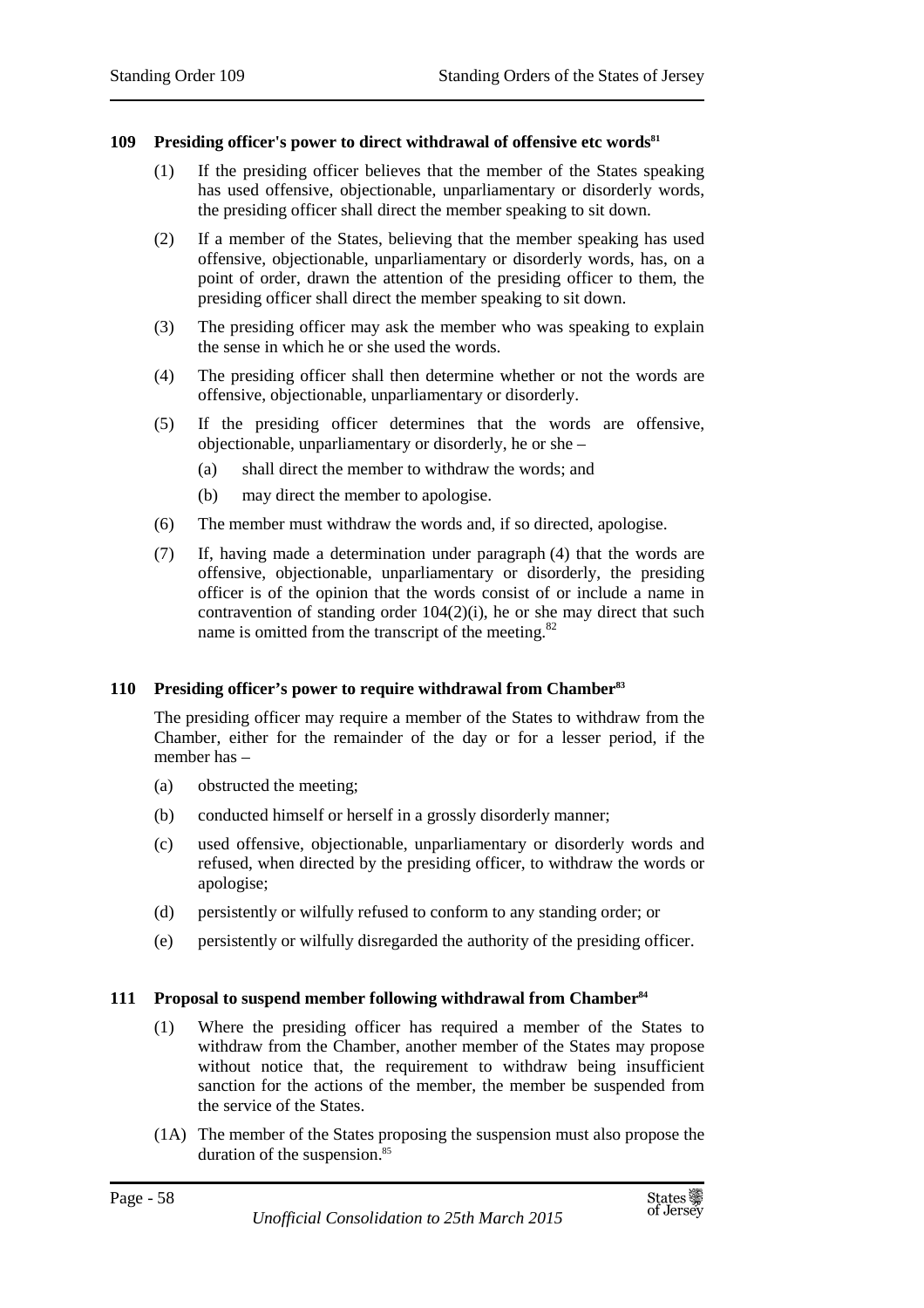## **109 Presiding officer's power to direct withdrawal of offensive etc words<sup>81</sup>**

- (1) If the presiding officer believes that the member of the States speaking has used offensive, objectionable, unparliamentary or disorderly words, the presiding officer shall direct the member speaking to sit down.
- (2) If a member of the States, believing that the member speaking has used offensive, objectionable, unparliamentary or disorderly words, has, on a point of order, drawn the attention of the presiding officer to them, the presiding officer shall direct the member speaking to sit down.
- (3) The presiding officer may ask the member who was speaking to explain the sense in which he or she used the words.
- (4) The presiding officer shall then determine whether or not the words are offensive, objectionable, unparliamentary or disorderly.
- (5) If the presiding officer determines that the words are offensive, objectionable, unparliamentary or disorderly, he or she –
	- (a) shall direct the member to withdraw the words; and
	- (b) may direct the member to apologise.
- (6) The member must withdraw the words and, if so directed, apologise.
- (7) If, having made a determination under paragraph (4) that the words are offensive, objectionable, unparliamentary or disorderly, the presiding officer is of the opinion that the words consist of or include a name in contravention of standing order 104(2)(i), he or she may direct that such name is omitted from the transcript of the meeting. $82$

### **110 Presiding officer's power to require withdrawal from Chamber<sup>83</sup>**

The presiding officer may require a member of the States to withdraw from the Chamber, either for the remainder of the day or for a lesser period, if the member has –

- (a) obstructed the meeting;
- (b) conducted himself or herself in a grossly disorderly manner;
- (c) used offensive, objectionable, unparliamentary or disorderly words and refused, when directed by the presiding officer, to withdraw the words or apologise;
- (d) persistently or wilfully refused to conform to any standing order; or
- (e) persistently or wilfully disregarded the authority of the presiding officer.

### **111 Proposal to suspend member following withdrawal from Chamber<sup>84</sup>**

- (1) Where the presiding officer has required a member of the States to withdraw from the Chamber, another member of the States may propose without notice that, the requirement to withdraw being insufficient sanction for the actions of the member, the member be suspended from the service of the States.
- (1A) The member of the States proposing the suspension must also propose the duration of the suspension.<sup>85</sup>

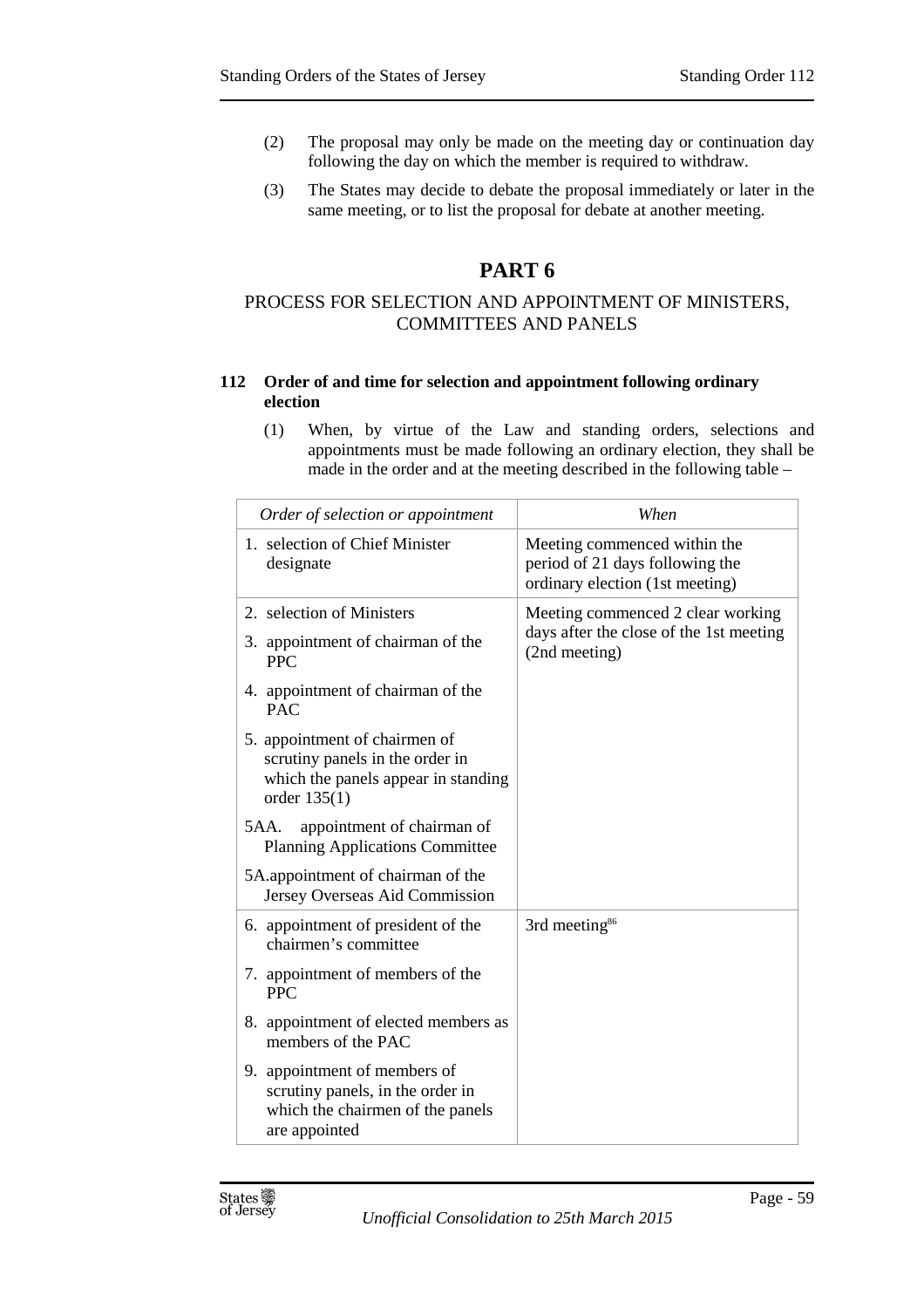- (2) The proposal may only be made on the meeting day or continuation day following the day on which the member is required to withdraw.
- (3) The States may decide to debate the proposal immediately or later in the same meeting, or to list the proposal for debate at another meeting.

# **PART 6**

# PROCESS FOR SELECTION AND APPOINTMENT OF MINISTERS, COMMITTEES AND PANELS

## **112 Order of and time for selection and appointment following ordinary election**

(1) When, by virtue of the Law and standing orders, selections and appointments must be made following an ordinary election, they shall be made in the order and at the meeting described in the following table –

| Order of selection or appointment                                                                                         | When                                                                                               |
|---------------------------------------------------------------------------------------------------------------------------|----------------------------------------------------------------------------------------------------|
| 1. selection of Chief Minister<br>designate                                                                               | Meeting commenced within the<br>period of 21 days following the<br>ordinary election (1st meeting) |
| 2. selection of Ministers                                                                                                 | Meeting commenced 2 clear working<br>days after the close of the 1st meeting<br>(2nd meeting)      |
| 3. appointment of chairman of the<br><b>PPC</b>                                                                           |                                                                                                    |
| 4. appointment of chairman of the<br><b>PAC</b>                                                                           |                                                                                                    |
| 5. appointment of chairmen of<br>scrutiny panels in the order in<br>which the panels appear in standing<br>order $135(1)$ |                                                                                                    |
| 5AA.<br>appointment of chairman of<br><b>Planning Applications Committee</b>                                              |                                                                                                    |
| 5A.appointment of chairman of the<br>Jersey Overseas Aid Commission                                                       |                                                                                                    |
| 6. appointment of president of the<br>chairmen's committee                                                                | 3rd meeting <sup>86</sup>                                                                          |
| 7. appointment of members of the<br><b>PPC</b>                                                                            |                                                                                                    |
| 8. appointment of elected members as<br>members of the PAC                                                                |                                                                                                    |
| 9. appointment of members of<br>scrutiny panels, in the order in<br>which the chairmen of the panels<br>are appointed     |                                                                                                    |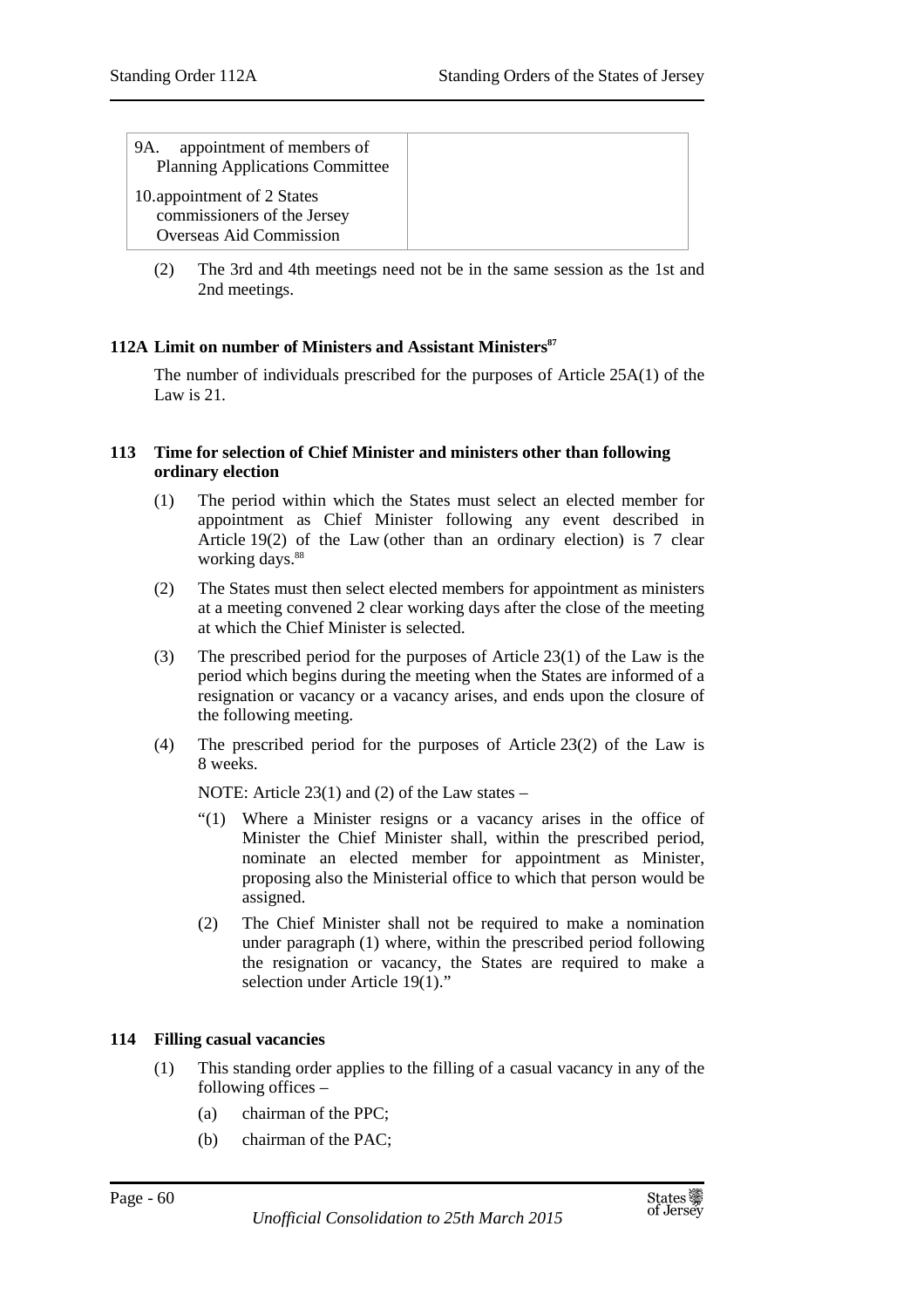| appointment of members of<br>9A.<br><b>Planning Applications Committee</b>                  |
|---------------------------------------------------------------------------------------------|
| 10.appointment of 2 States<br>commissioners of the Jersey<br><b>Overseas Aid Commission</b> |

(2) The 3rd and 4th meetings need not be in the same session as the 1st and 2nd meetings.

# **112A Limit on number of Ministers and Assistant Ministers<sup>87</sup>**

The number of individuals prescribed for the purposes of Article 25A(1) of the Law is 21.

### **113 Time for selection of Chief Minister and ministers other than following ordinary election**

- (1) The period within which the States must select an elected member for appointment as Chief Minister following any event described in Article 19(2) of the Law (other than an ordinary election) is 7 clear working days.<sup>88</sup>
- (2) The States must then select elected members for appointment as ministers at a meeting convened 2 clear working days after the close of the meeting at which the Chief Minister is selected.
- (3) The prescribed period for the purposes of Article 23(1) of the Law is the period which begins during the meeting when the States are informed of a resignation or vacancy or a vacancy arises, and ends upon the closure of the following meeting.
- (4) The prescribed period for the purposes of Article 23(2) of the Law is 8 weeks.

NOTE: Article 23(1) and (2) of the Law states –

- "(1) Where a Minister resigns or a vacancy arises in the office of Minister the Chief Minister shall, within the prescribed period, nominate an elected member for appointment as Minister, proposing also the Ministerial office to which that person would be assigned.
- (2) The Chief Minister shall not be required to make a nomination under paragraph (1) where, within the prescribed period following the resignation or vacancy, the States are required to make a selection under Article 19(1)."

# **114 Filling casual vacancies**

- (1) This standing order applies to the filling of a casual vacancy in any of the following offices –
	- (a) chairman of the PPC;
	- (b) chairman of the PAC;

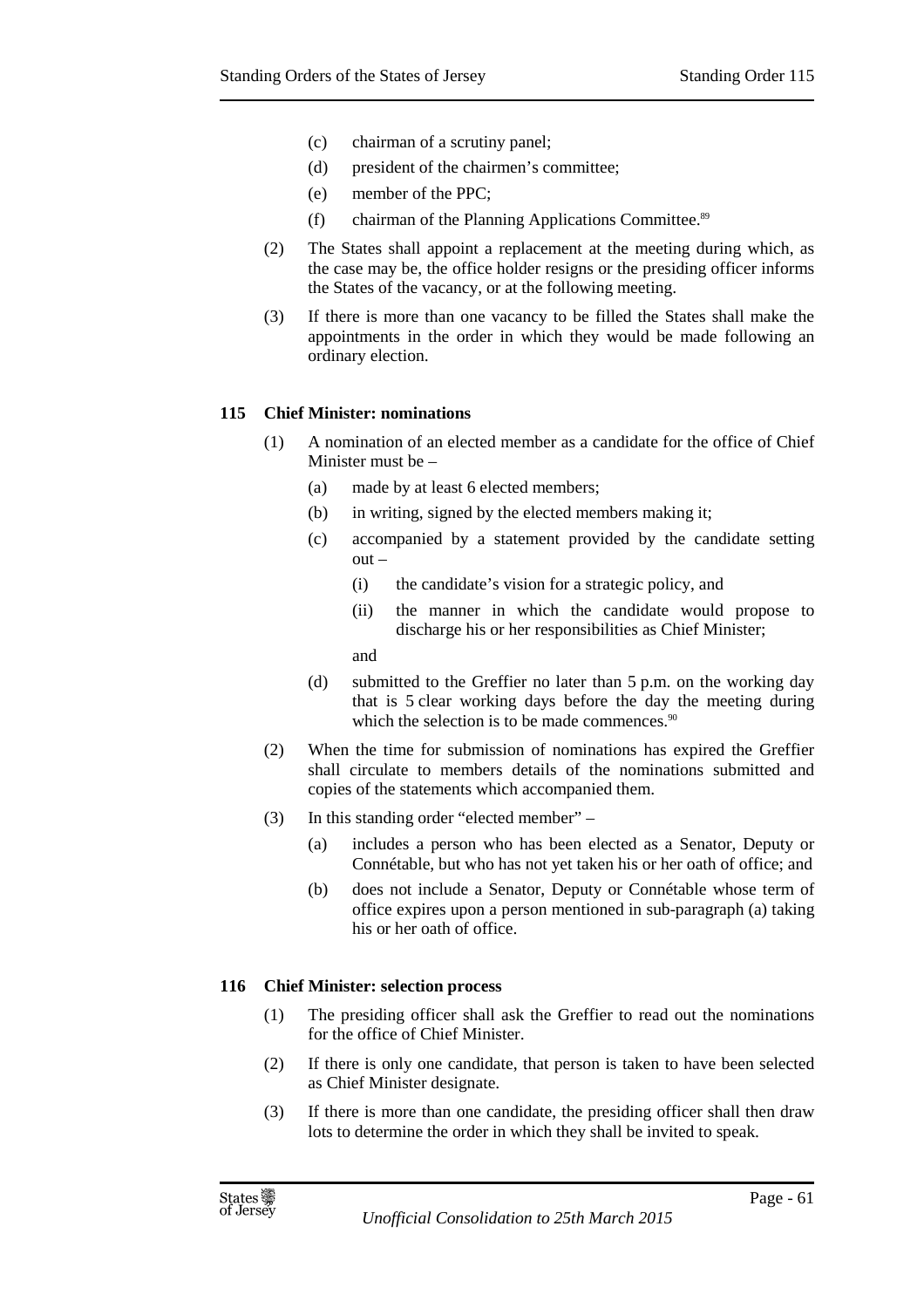- (c) chairman of a scrutiny panel;
- (d) president of the chairmen's committee;
- (e) member of the PPC;
- (f) chairman of the Planning Applications Committee. 89
- (2) The States shall appoint a replacement at the meeting during which, as the case may be, the office holder resigns or the presiding officer informs the States of the vacancy, or at the following meeting.
- (3) If there is more than one vacancy to be filled the States shall make the appointments in the order in which they would be made following an ordinary election.

### **115 Chief Minister: nominations**

- (1) A nomination of an elected member as a candidate for the office of Chief Minister must be –
	- (a) made by at least 6 elected members;
	- (b) in writing, signed by the elected members making it;
	- (c) accompanied by a statement provided by the candidate setting out –
		- (i) the candidate's vision for a strategic policy, and
		- (ii) the manner in which the candidate would propose to discharge his or her responsibilities as Chief Minister;
		- and
	- (d) submitted to the Greffier no later than 5 p.m. on the working day that is 5 clear working days before the day the meeting during which the selection is to be made commences.<sup>90</sup>
- (2) When the time for submission of nominations has expired the Greffier shall circulate to members details of the nominations submitted and copies of the statements which accompanied them.
- (3) In this standing order "elected member"
	- (a) includes a person who has been elected as a Senator, Deputy or Connétable, but who has not yet taken his or her oath of office; and
	- (b) does not include a Senator, Deputy or Connétable whose term of office expires upon a person mentioned in sub-paragraph (a) taking his or her oath of office.

### **116 Chief Minister: selection process**

- (1) The presiding officer shall ask the Greffier to read out the nominations for the office of Chief Minister.
- (2) If there is only one candidate, that person is taken to have been selected as Chief Minister designate.
- (3) If there is more than one candidate, the presiding officer shall then draw lots to determine the order in which they shall be invited to speak.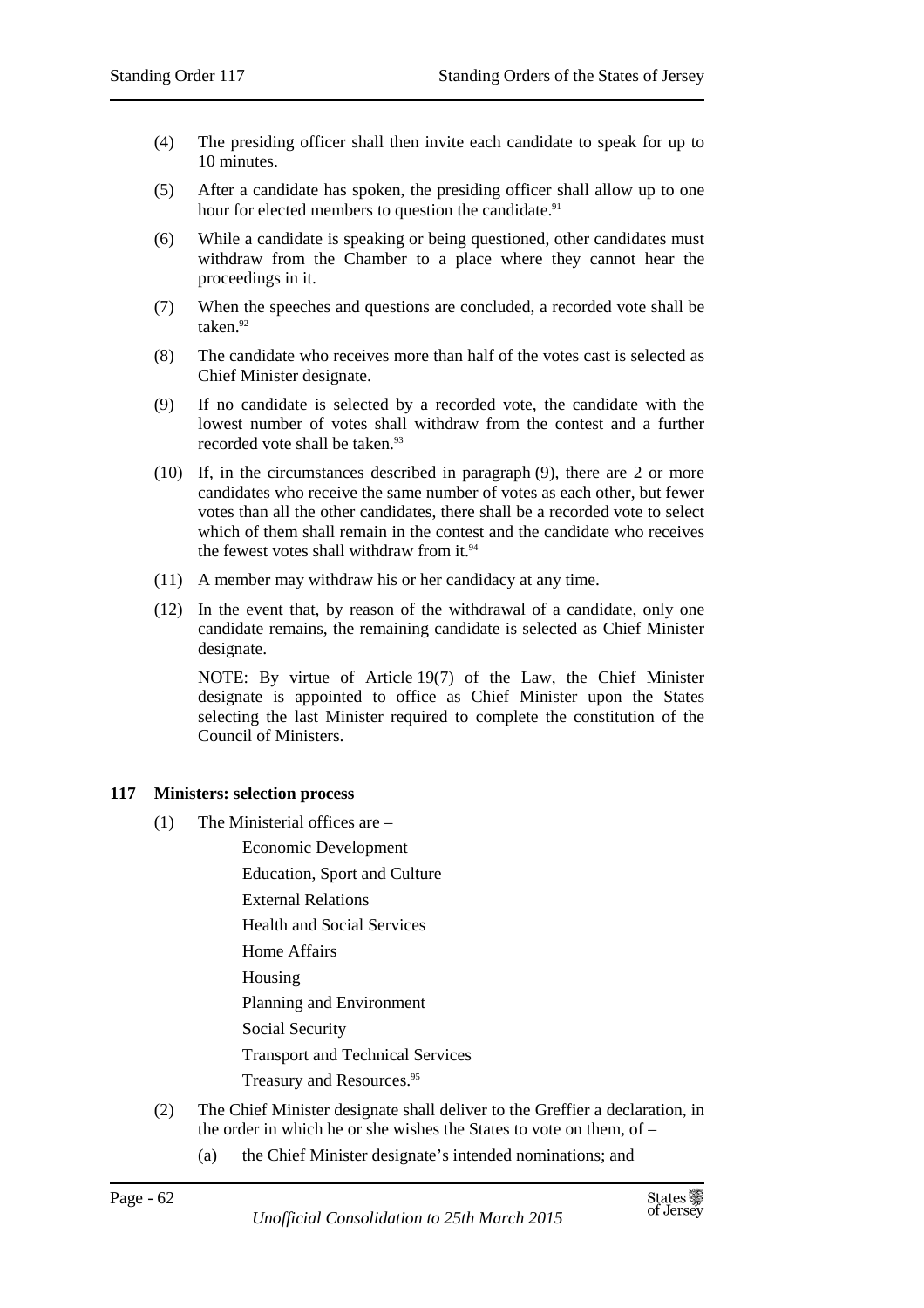- (4) The presiding officer shall then invite each candidate to speak for up to 10 minutes.
- (5) After a candidate has spoken, the presiding officer shall allow up to one hour for elected members to question the candidate.<sup>91</sup>
- (6) While a candidate is speaking or being questioned, other candidates must withdraw from the Chamber to a place where they cannot hear the proceedings in it.
- (7) When the speeches and questions are concluded, a recorded vote shall be taken.<sup>92</sup>
- (8) The candidate who receives more than half of the votes cast is selected as Chief Minister designate.
- (9) If no candidate is selected by a recorded vote, the candidate with the lowest number of votes shall withdraw from the contest and a further recorded vote shall be taken.<sup>93</sup>
- (10) If, in the circumstances described in paragraph (9), there are 2 or more candidates who receive the same number of votes as each other, but fewer votes than all the other candidates, there shall be a recorded vote to select which of them shall remain in the contest and the candidate who receives the fewest votes shall withdraw from it.<sup>94</sup>
- (11) A member may withdraw his or her candidacy at any time.
- (12) In the event that, by reason of the withdrawal of a candidate, only one candidate remains, the remaining candidate is selected as Chief Minister designate.

NOTE: By virtue of Article 19(7) of the Law, the Chief Minister designate is appointed to office as Chief Minister upon the States selecting the last Minister required to complete the constitution of the Council of Ministers.

### **117 Ministers: selection process**

- (1) The Ministerial offices are
	- Economic Development
	- Education, Sport and Culture
	- External Relations
	- Health and Social Services
	- Home Affairs
	- Housing

Planning and Environment

Social Security

Transport and Technical Services

Treasury and Resources.<sup>95</sup>

- (2) The Chief Minister designate shall deliver to the Greffier a declaration, in the order in which he or she wishes the States to vote on them, of –
	- (a) the Chief Minister designate's intended nominations; and

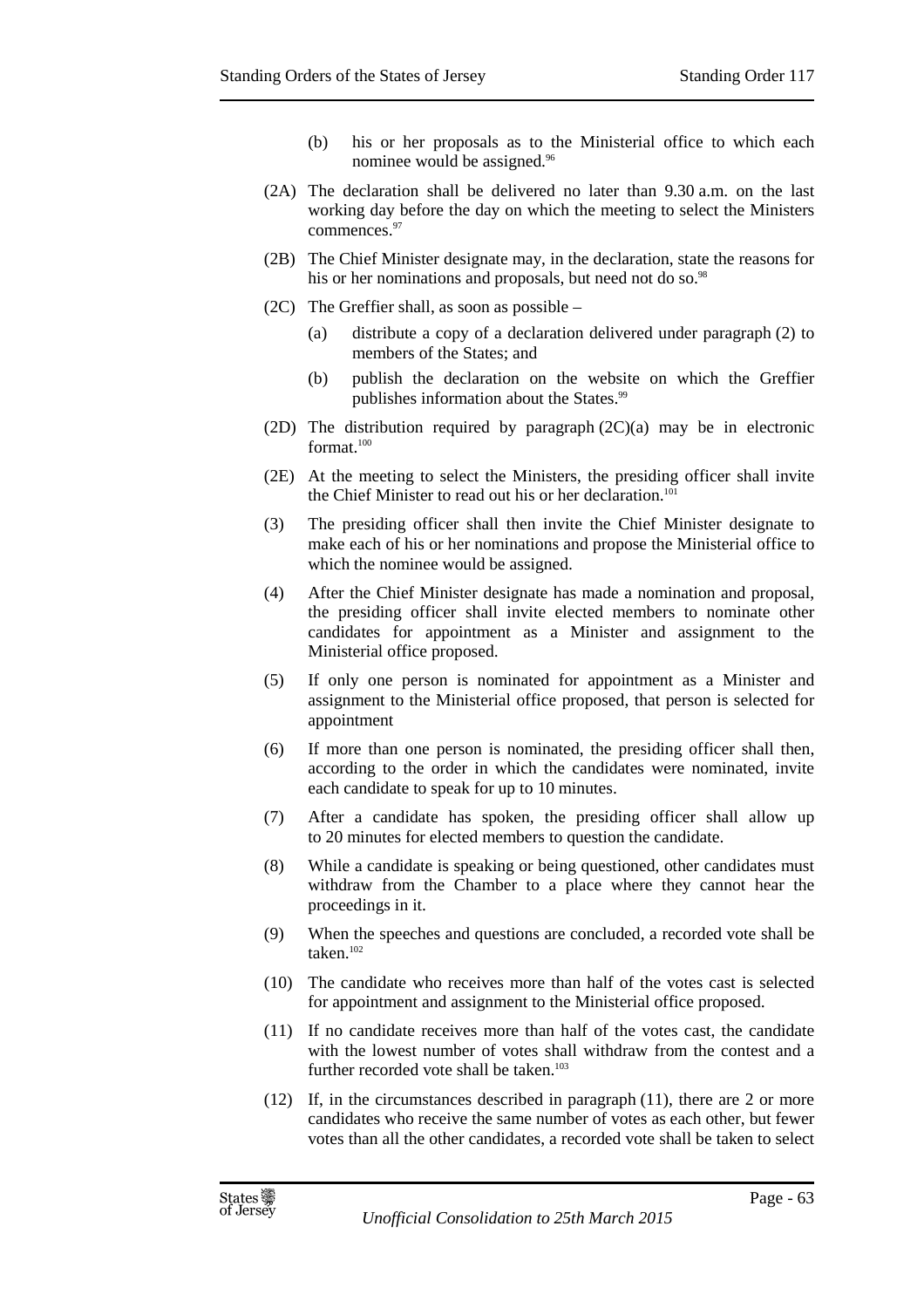- (b) his or her proposals as to the Ministerial office to which each nominee would be assigned.<sup>96</sup>
- (2A) The declaration shall be delivered no later than 9.30 a.m. on the last working day before the day on which the meeting to select the Ministers commences.<sup>97</sup>
- (2B) The Chief Minister designate may, in the declaration, state the reasons for his or her nominations and proposals, but need not do so.<sup>98</sup>
- (2C) The Greffier shall, as soon as possible
	- (a) distribute a copy of a declaration delivered under paragraph (2) to members of the States; and
	- (b) publish the declaration on the website on which the Greffier publishes information about the States.<sup>99</sup>
- (2D) The distribution required by paragraph (2C)(a) may be in electronic format.<sup>100</sup>
- (2E) At the meeting to select the Ministers, the presiding officer shall invite the Chief Minister to read out his or her declaration.<sup>101</sup>
- (3) The presiding officer shall then invite the Chief Minister designate to make each of his or her nominations and propose the Ministerial office to which the nominee would be assigned.
- (4) After the Chief Minister designate has made a nomination and proposal, the presiding officer shall invite elected members to nominate other candidates for appointment as a Minister and assignment to the Ministerial office proposed.
- (5) If only one person is nominated for appointment as a Minister and assignment to the Ministerial office proposed, that person is selected for appointment
- (6) If more than one person is nominated, the presiding officer shall then, according to the order in which the candidates were nominated, invite each candidate to speak for up to 10 minutes.
- (7) After a candidate has spoken, the presiding officer shall allow up to 20 minutes for elected members to question the candidate.
- (8) While a candidate is speaking or being questioned, other candidates must withdraw from the Chamber to a place where they cannot hear the proceedings in it.
- (9) When the speeches and questions are concluded, a recorded vote shall be taken.<sup>102</sup>
- (10) The candidate who receives more than half of the votes cast is selected for appointment and assignment to the Ministerial office proposed.
- (11) If no candidate receives more than half of the votes cast, the candidate with the lowest number of votes shall withdraw from the contest and a further recorded vote shall be taken.<sup>103</sup>
- (12) If, in the circumstances described in paragraph (11), there are 2 or more candidates who receive the same number of votes as each other, but fewer votes than all the other candidates, a recorded vote shall be taken to select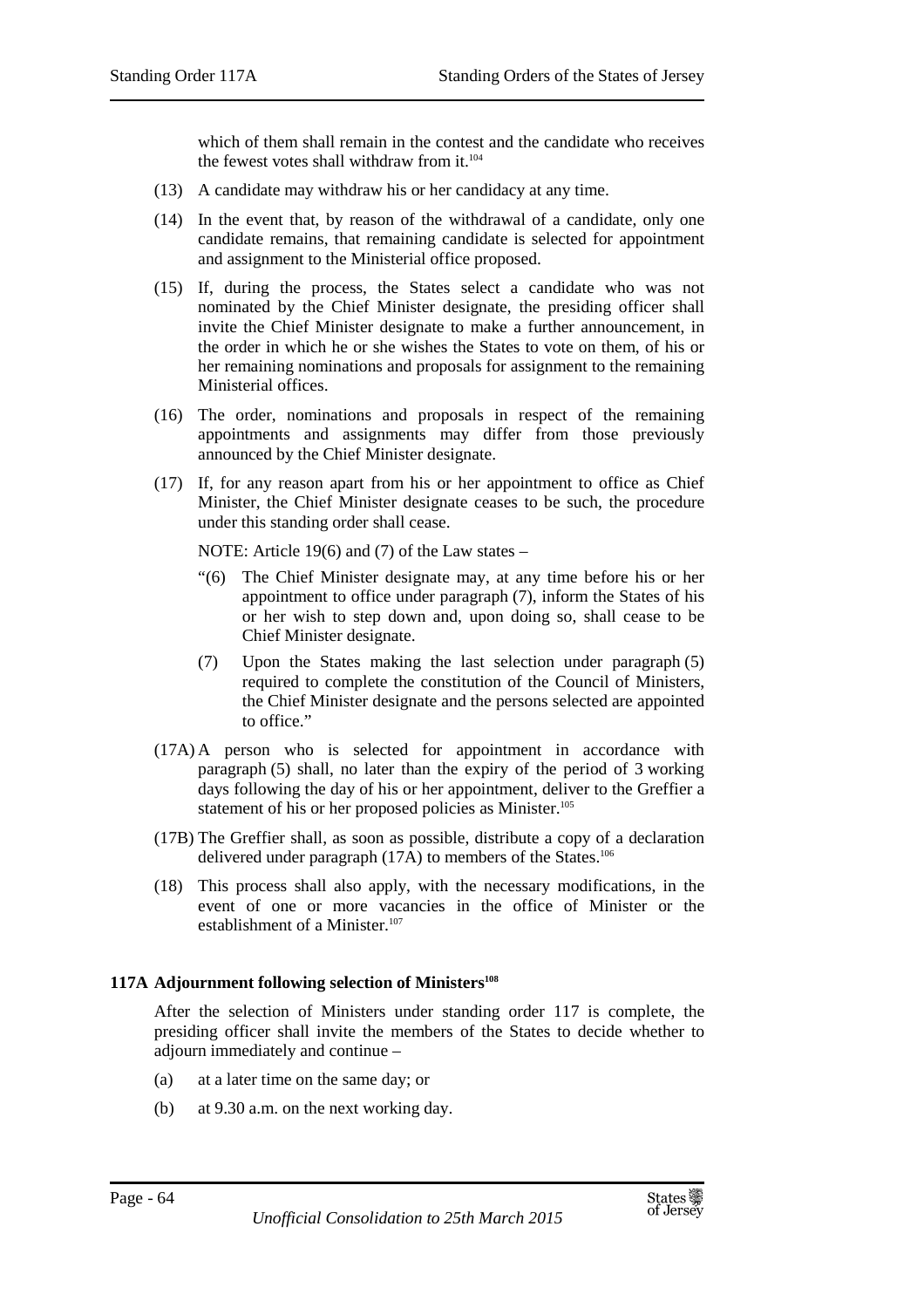which of them shall remain in the contest and the candidate who receives the fewest votes shall withdraw from it.<sup>104</sup>

- (13) A candidate may withdraw his or her candidacy at any time.
- (14) In the event that, by reason of the withdrawal of a candidate, only one candidate remains, that remaining candidate is selected for appointment and assignment to the Ministerial office proposed.
- (15) If, during the process, the States select a candidate who was not nominated by the Chief Minister designate, the presiding officer shall invite the Chief Minister designate to make a further announcement, in the order in which he or she wishes the States to vote on them, of his or her remaining nominations and proposals for assignment to the remaining Ministerial offices.
- (16) The order, nominations and proposals in respect of the remaining appointments and assignments may differ from those previously announced by the Chief Minister designate.
- (17) If, for any reason apart from his or her appointment to office as Chief Minister, the Chief Minister designate ceases to be such, the procedure under this standing order shall cease.

NOTE: Article 19(6) and (7) of the Law states –

- "(6) The Chief Minister designate may, at any time before his or her appointment to office under paragraph (7), inform the States of his or her wish to step down and, upon doing so, shall cease to be Chief Minister designate.
- (7) Upon the States making the last selection under paragraph (5) required to complete the constitution of the Council of Ministers, the Chief Minister designate and the persons selected are appointed to office."
- (17A) A person who is selected for appointment in accordance with paragraph (5) shall, no later than the expiry of the period of 3 working days following the day of his or her appointment, deliver to the Greffier a statement of his or her proposed policies as Minister.<sup>105</sup>
- (17B) The Greffier shall, as soon as possible, distribute a copy of a declaration delivered under paragraph (17A) to members of the States.<sup>106</sup>
- (18) This process shall also apply, with the necessary modifications, in the event of one or more vacancies in the office of Minister or the establishment of a Minister.<sup>107</sup>

# **117A Adjournment following selection of Ministers<sup>108</sup>**

After the selection of Ministers under standing order 117 is complete, the presiding officer shall invite the members of the States to decide whether to adjourn immediately and continue –

- (a) at a later time on the same day; or
- (b) at 9.30 a.m. on the next working day.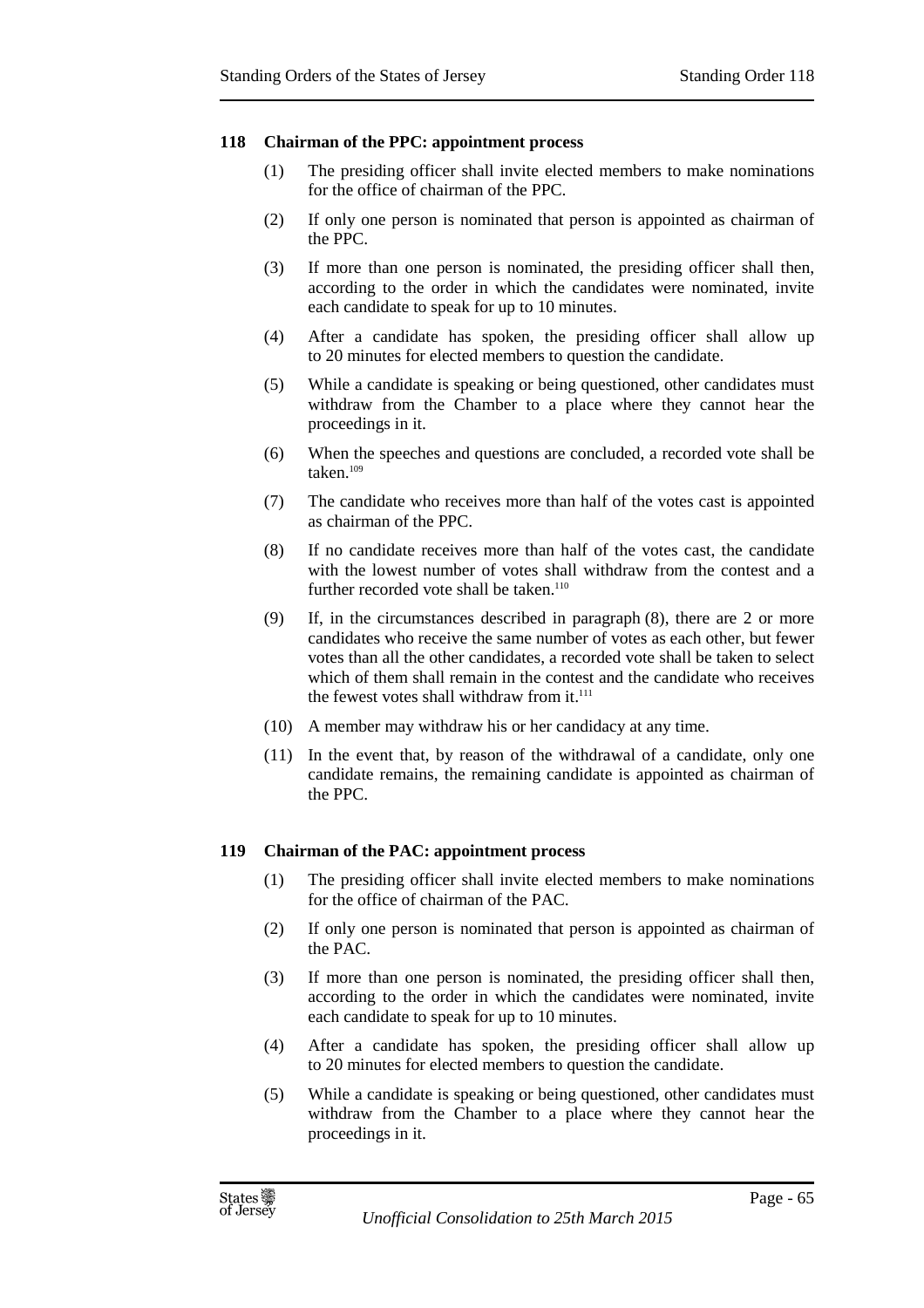## **118 Chairman of the PPC: appointment process**

- (1) The presiding officer shall invite elected members to make nominations for the office of chairman of the PPC.
- (2) If only one person is nominated that person is appointed as chairman of the PPC.
- (3) If more than one person is nominated, the presiding officer shall then, according to the order in which the candidates were nominated, invite each candidate to speak for up to 10 minutes.
- (4) After a candidate has spoken, the presiding officer shall allow up to 20 minutes for elected members to question the candidate.
- (5) While a candidate is speaking or being questioned, other candidates must withdraw from the Chamber to a place where they cannot hear the proceedings in it.
- (6) When the speeches and questions are concluded, a recorded vote shall be taken.<sup>109</sup>
- (7) The candidate who receives more than half of the votes cast is appointed as chairman of the PPC.
- (8) If no candidate receives more than half of the votes cast, the candidate with the lowest number of votes shall withdraw from the contest and a further recorded vote shall be taken.<sup>110</sup>
- (9) If, in the circumstances described in paragraph (8), there are 2 or more candidates who receive the same number of votes as each other, but fewer votes than all the other candidates, a recorded vote shall be taken to select which of them shall remain in the contest and the candidate who receives the fewest votes shall withdraw from it.<sup>111</sup>
- (10) A member may withdraw his or her candidacy at any time.
- (11) In the event that, by reason of the withdrawal of a candidate, only one candidate remains, the remaining candidate is appointed as chairman of the PPC.

# **119 Chairman of the PAC: appointment process**

- (1) The presiding officer shall invite elected members to make nominations for the office of chairman of the PAC.
- (2) If only one person is nominated that person is appointed as chairman of the PAC.
- (3) If more than one person is nominated, the presiding officer shall then, according to the order in which the candidates were nominated, invite each candidate to speak for up to 10 minutes.
- (4) After a candidate has spoken, the presiding officer shall allow up to 20 minutes for elected members to question the candidate.
- (5) While a candidate is speaking or being questioned, other candidates must withdraw from the Chamber to a place where they cannot hear the proceedings in it.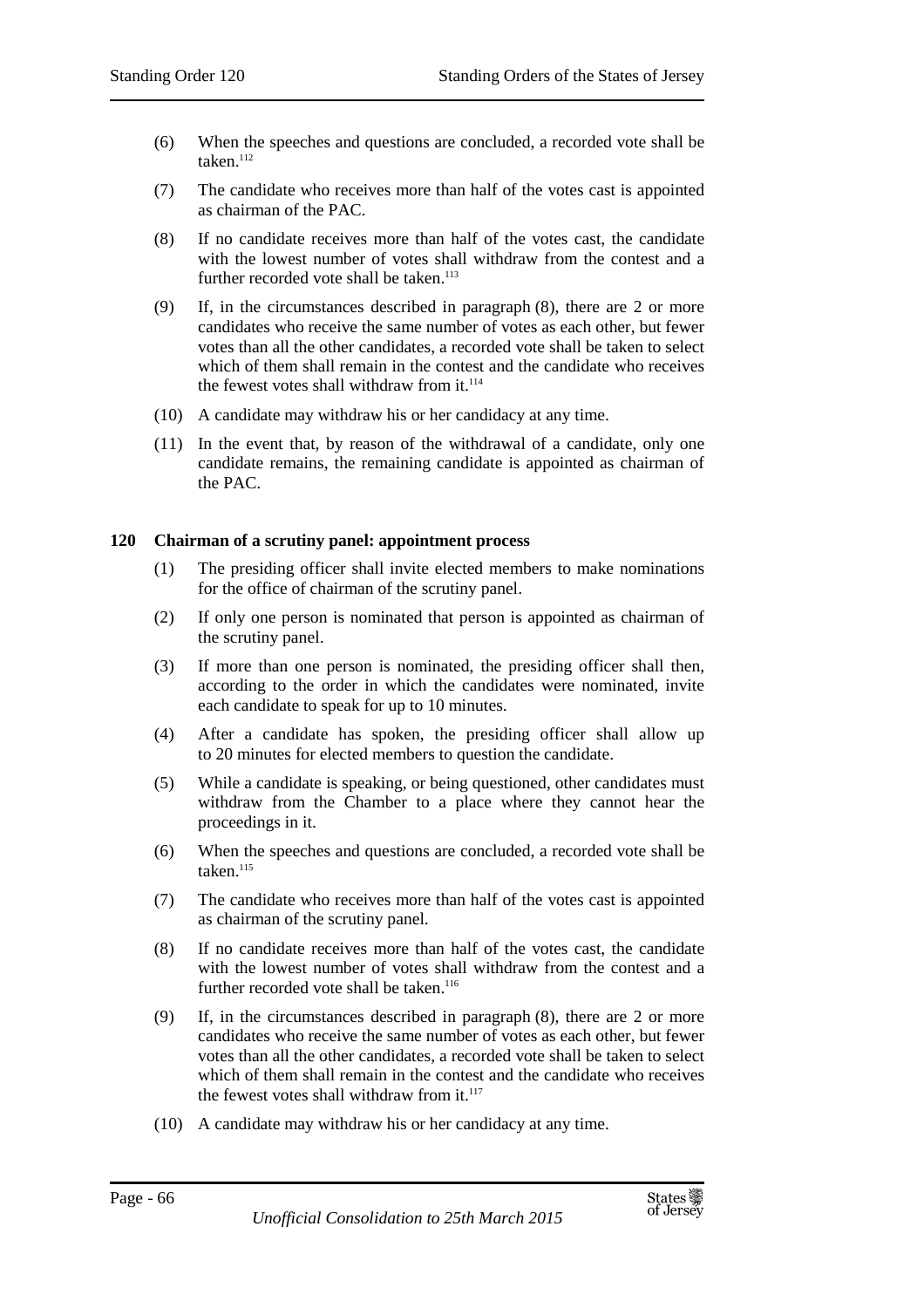- (6) When the speeches and questions are concluded, a recorded vote shall be taken.<sup>112</sup>
- (7) The candidate who receives more than half of the votes cast is appointed as chairman of the PAC.
- (8) If no candidate receives more than half of the votes cast, the candidate with the lowest number of votes shall withdraw from the contest and a further recorded vote shall be taken.<sup>113</sup>
- (9) If, in the circumstances described in paragraph (8), there are 2 or more candidates who receive the same number of votes as each other, but fewer votes than all the other candidates, a recorded vote shall be taken to select which of them shall remain in the contest and the candidate who receives the fewest votes shall withdraw from it.<sup>114</sup>
- (10) A candidate may withdraw his or her candidacy at any time.
- (11) In the event that, by reason of the withdrawal of a candidate, only one candidate remains, the remaining candidate is appointed as chairman of the PAC.

### **120 Chairman of a scrutiny panel: appointment process**

- (1) The presiding officer shall invite elected members to make nominations for the office of chairman of the scrutiny panel.
- (2) If only one person is nominated that person is appointed as chairman of the scrutiny panel.
- (3) If more than one person is nominated, the presiding officer shall then, according to the order in which the candidates were nominated, invite each candidate to speak for up to 10 minutes.
- (4) After a candidate has spoken, the presiding officer shall allow up to 20 minutes for elected members to question the candidate.
- (5) While a candidate is speaking, or being questioned, other candidates must withdraw from the Chamber to a place where they cannot hear the proceedings in it.
- (6) When the speeches and questions are concluded, a recorded vote shall be taken.<sup>115</sup>
- (7) The candidate who receives more than half of the votes cast is appointed as chairman of the scrutiny panel.
- (8) If no candidate receives more than half of the votes cast, the candidate with the lowest number of votes shall withdraw from the contest and a further recorded vote shall be taken.<sup>116</sup>
- (9) If, in the circumstances described in paragraph (8), there are 2 or more candidates who receive the same number of votes as each other, but fewer votes than all the other candidates, a recorded vote shall be taken to select which of them shall remain in the contest and the candidate who receives the fewest votes shall withdraw from it.<sup>117</sup>
- (10) A candidate may withdraw his or her candidacy at any time.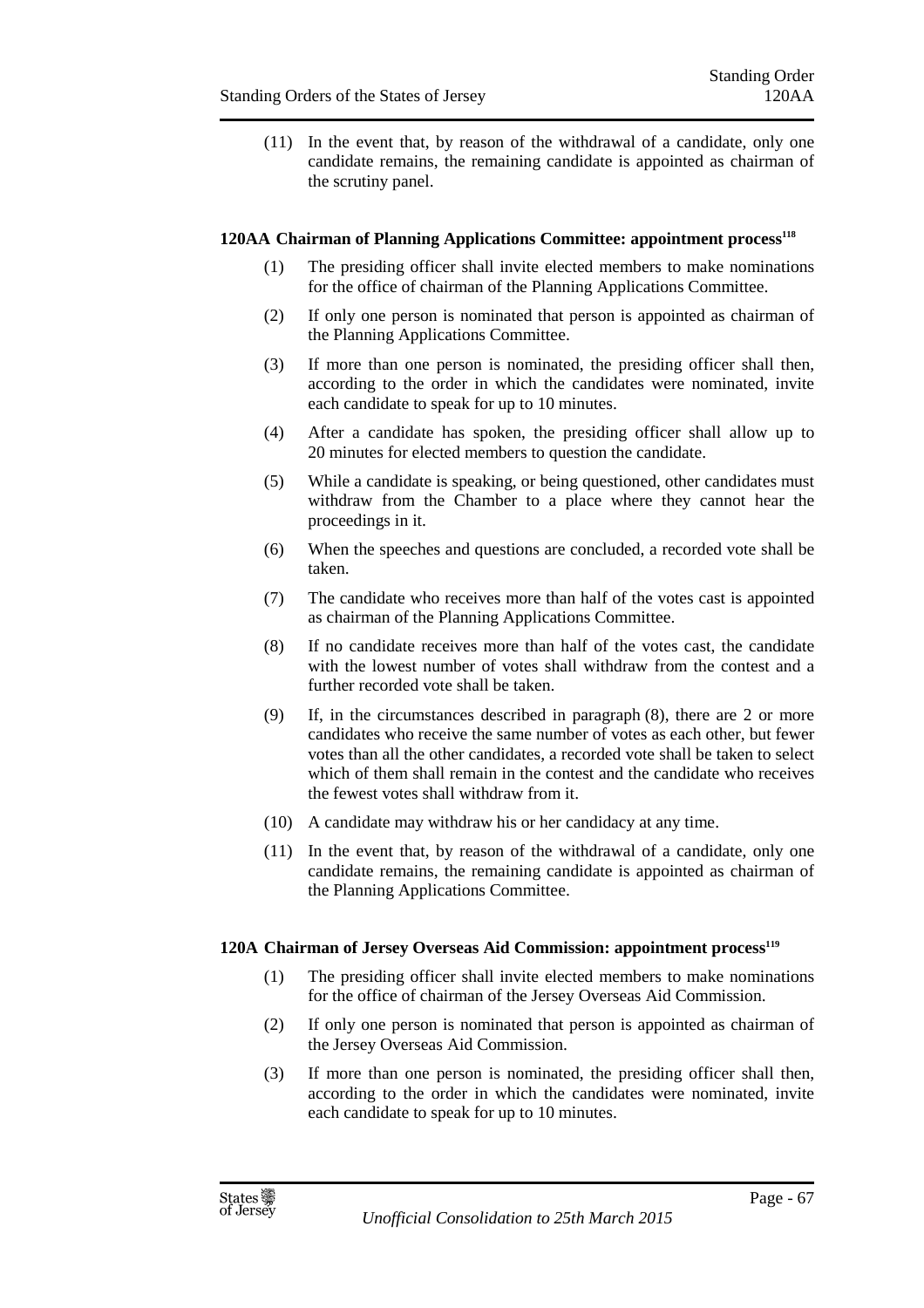(11) In the event that, by reason of the withdrawal of a candidate, only one candidate remains, the remaining candidate is appointed as chairman of the scrutiny panel.

## **120AA Chairman of Planning Applications Committee: appointment process<sup>118</sup>**

- (1) The presiding officer shall invite elected members to make nominations for the office of chairman of the Planning Applications Committee.
- (2) If only one person is nominated that person is appointed as chairman of the Planning Applications Committee.
- (3) If more than one person is nominated, the presiding officer shall then, according to the order in which the candidates were nominated, invite each candidate to speak for up to 10 minutes.
- (4) After a candidate has spoken, the presiding officer shall allow up to 20 minutes for elected members to question the candidate.
- (5) While a candidate is speaking, or being questioned, other candidates must withdraw from the Chamber to a place where they cannot hear the proceedings in it.
- (6) When the speeches and questions are concluded, a recorded vote shall be taken.
- (7) The candidate who receives more than half of the votes cast is appointed as chairman of the Planning Applications Committee.
- (8) If no candidate receives more than half of the votes cast, the candidate with the lowest number of votes shall withdraw from the contest and a further recorded vote shall be taken.
- (9) If, in the circumstances described in paragraph (8), there are 2 or more candidates who receive the same number of votes as each other, but fewer votes than all the other candidates, a recorded vote shall be taken to select which of them shall remain in the contest and the candidate who receives the fewest votes shall withdraw from it.
- (10) A candidate may withdraw his or her candidacy at any time.
- (11) In the event that, by reason of the withdrawal of a candidate, only one candidate remains, the remaining candidate is appointed as chairman of the Planning Applications Committee.

### **120A Chairman of Jersey Overseas Aid Commission: appointment process<sup>119</sup>**

- (1) The presiding officer shall invite elected members to make nominations for the office of chairman of the Jersey Overseas Aid Commission.
- (2) If only one person is nominated that person is appointed as chairman of the Jersey Overseas Aid Commission.
- (3) If more than one person is nominated, the presiding officer shall then, according to the order in which the candidates were nominated, invite each candidate to speak for up to 10 minutes.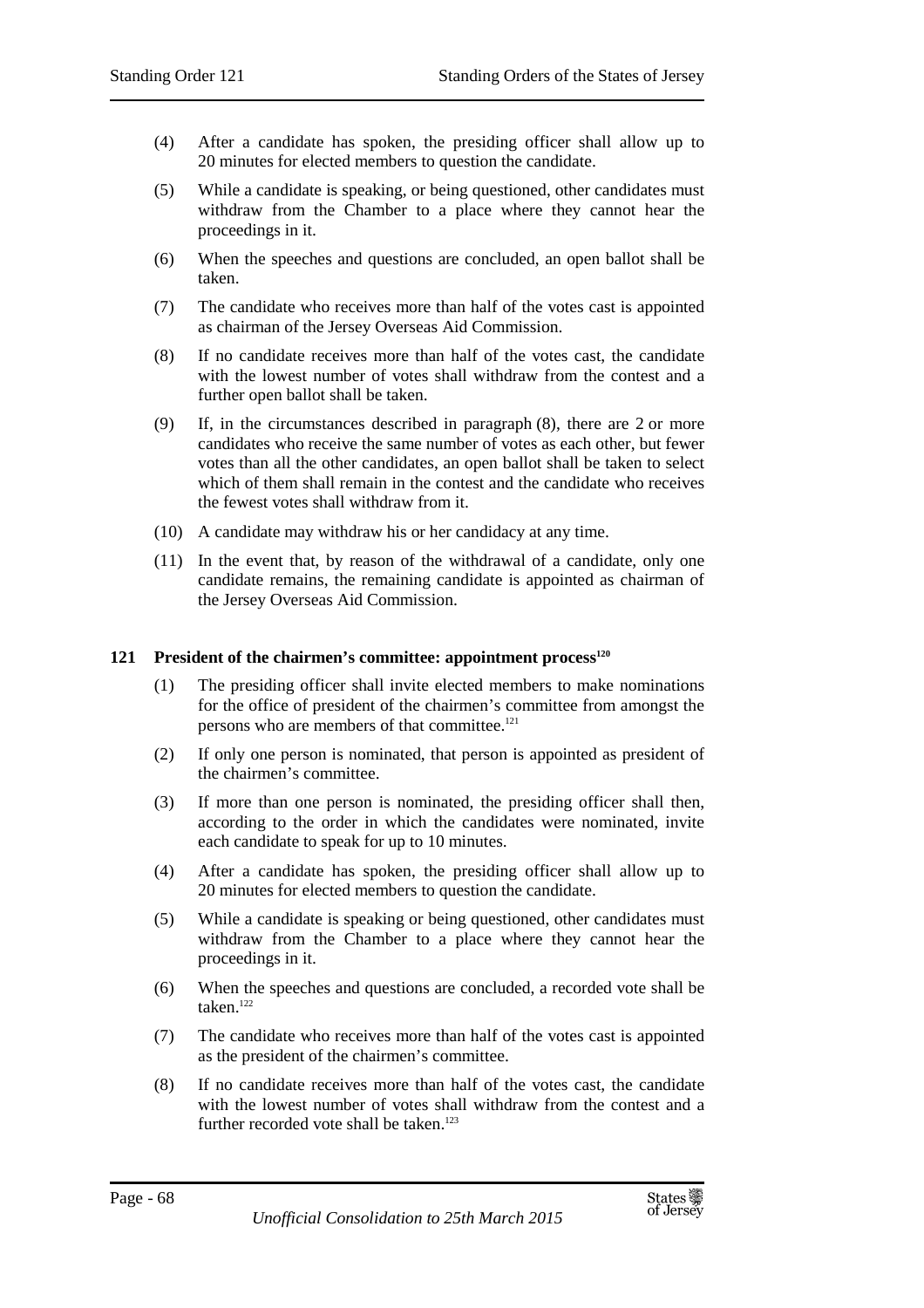- (4) After a candidate has spoken, the presiding officer shall allow up to 20 minutes for elected members to question the candidate.
- (5) While a candidate is speaking, or being questioned, other candidates must withdraw from the Chamber to a place where they cannot hear the proceedings in it.
- (6) When the speeches and questions are concluded, an open ballot shall be taken.
- (7) The candidate who receives more than half of the votes cast is appointed as chairman of the Jersey Overseas Aid Commission.
- (8) If no candidate receives more than half of the votes cast, the candidate with the lowest number of votes shall withdraw from the contest and a further open ballot shall be taken.
- (9) If, in the circumstances described in paragraph (8), there are 2 or more candidates who receive the same number of votes as each other, but fewer votes than all the other candidates, an open ballot shall be taken to select which of them shall remain in the contest and the candidate who receives the fewest votes shall withdraw from it.
- (10) A candidate may withdraw his or her candidacy at any time.
- (11) In the event that, by reason of the withdrawal of a candidate, only one candidate remains, the remaining candidate is appointed as chairman of the Jersey Overseas Aid Commission.

### **121 President of the chairmen's committee: appointment process<sup>120</sup>**

- (1) The presiding officer shall invite elected members to make nominations for the office of president of the chairmen's committee from amongst the persons who are members of that committee.<sup>121</sup>
- (2) If only one person is nominated, that person is appointed as president of the chairmen's committee.
- (3) If more than one person is nominated, the presiding officer shall then, according to the order in which the candidates were nominated, invite each candidate to speak for up to 10 minutes.
- (4) After a candidate has spoken, the presiding officer shall allow up to 20 minutes for elected members to question the candidate.
- (5) While a candidate is speaking or being questioned, other candidates must withdraw from the Chamber to a place where they cannot hear the proceedings in it.
- (6) When the speeches and questions are concluded, a recorded vote shall be taken.<sup>122</sup>
- (7) The candidate who receives more than half of the votes cast is appointed as the president of the chairmen's committee.
- (8) If no candidate receives more than half of the votes cast, the candidate with the lowest number of votes shall withdraw from the contest and a further recorded vote shall be taken.<sup>123</sup>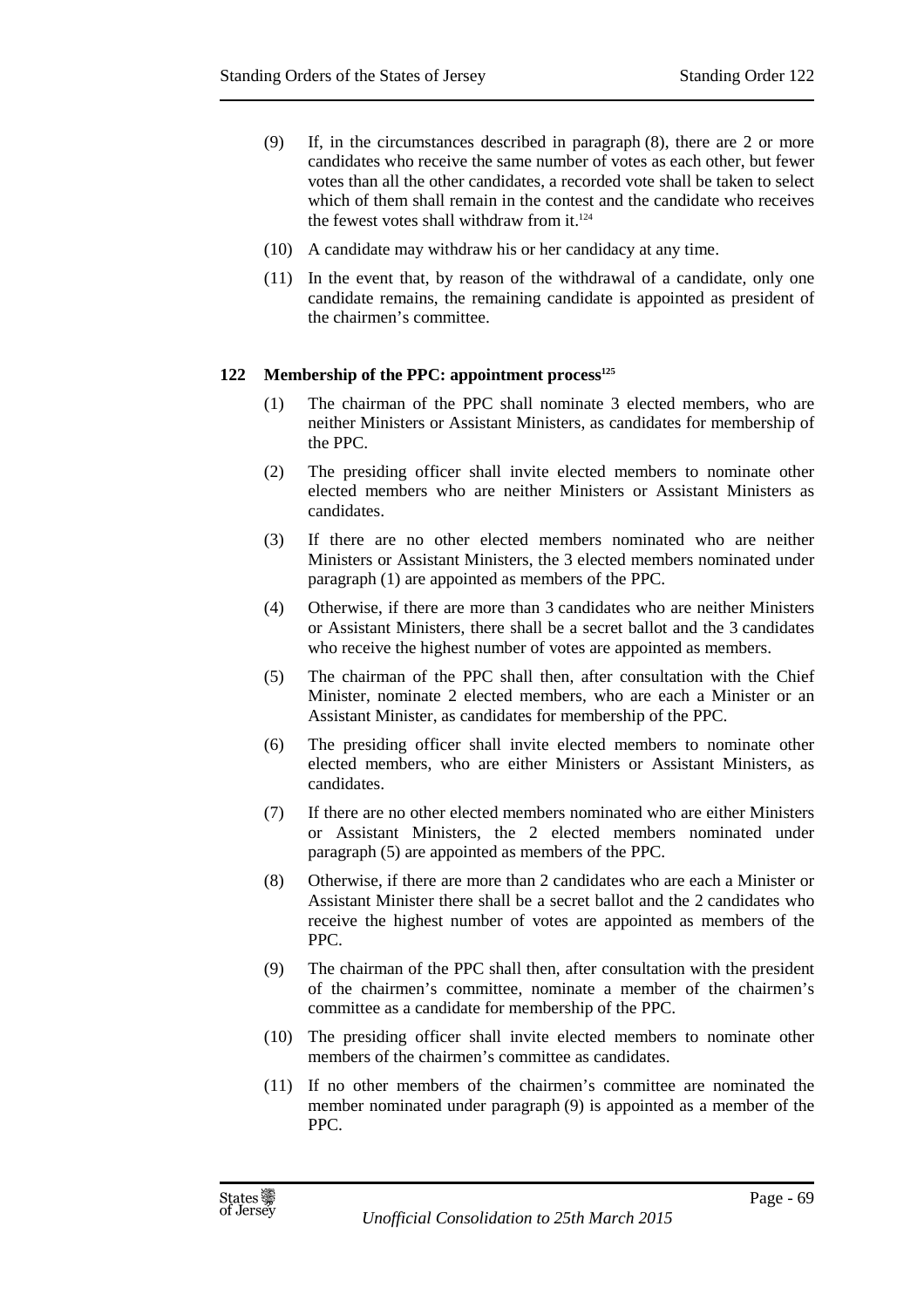- (9) If, in the circumstances described in paragraph (8), there are 2 or more candidates who receive the same number of votes as each other, but fewer votes than all the other candidates, a recorded vote shall be taken to select which of them shall remain in the contest and the candidate who receives the fewest votes shall withdraw from it.<sup>124</sup>
- (10) A candidate may withdraw his or her candidacy at any time.
- (11) In the event that, by reason of the withdrawal of a candidate, only one candidate remains, the remaining candidate is appointed as president of the chairmen's committee.

## **122 Membership of the PPC: appointment process<sup>125</sup>**

- (1) The chairman of the PPC shall nominate 3 elected members, who are neither Ministers or Assistant Ministers, as candidates for membership of the PPC.
- (2) The presiding officer shall invite elected members to nominate other elected members who are neither Ministers or Assistant Ministers as candidates.
- (3) If there are no other elected members nominated who are neither Ministers or Assistant Ministers, the 3 elected members nominated under paragraph (1) are appointed as members of the PPC.
- (4) Otherwise, if there are more than 3 candidates who are neither Ministers or Assistant Ministers, there shall be a secret ballot and the 3 candidates who receive the highest number of votes are appointed as members.
- (5) The chairman of the PPC shall then, after consultation with the Chief Minister, nominate 2 elected members, who are each a Minister or an Assistant Minister, as candidates for membership of the PPC.
- (6) The presiding officer shall invite elected members to nominate other elected members, who are either Ministers or Assistant Ministers, as candidates.
- (7) If there are no other elected members nominated who are either Ministers or Assistant Ministers, the 2 elected members nominated under paragraph (5) are appointed as members of the PPC.
- (8) Otherwise, if there are more than 2 candidates who are each a Minister or Assistant Minister there shall be a secret ballot and the 2 candidates who receive the highest number of votes are appointed as members of the PPC.
- (9) The chairman of the PPC shall then, after consultation with the president of the chairmen's committee, nominate a member of the chairmen's committee as a candidate for membership of the PPC.
- (10) The presiding officer shall invite elected members to nominate other members of the chairmen's committee as candidates.
- (11) If no other members of the chairmen's committee are nominated the member nominated under paragraph (9) is appointed as a member of the PPC.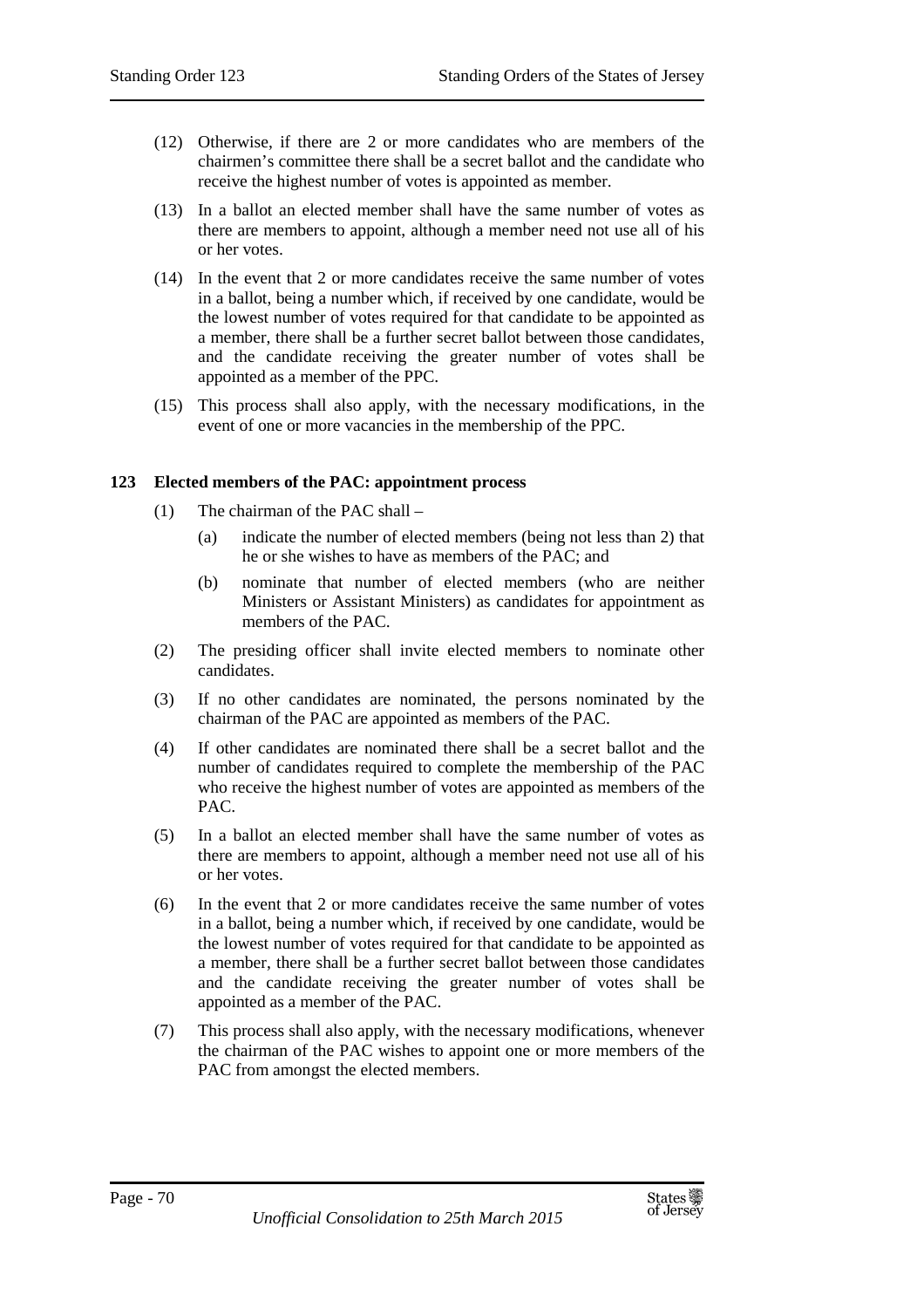- (12) Otherwise, if there are 2 or more candidates who are members of the chairmen's committee there shall be a secret ballot and the candidate who receive the highest number of votes is appointed as member.
- (13) In a ballot an elected member shall have the same number of votes as there are members to appoint, although a member need not use all of his or her votes.
- (14) In the event that 2 or more candidates receive the same number of votes in a ballot, being a number which, if received by one candidate, would be the lowest number of votes required for that candidate to be appointed as a member, there shall be a further secret ballot between those candidates, and the candidate receiving the greater number of votes shall be appointed as a member of the PPC.
- (15) This process shall also apply, with the necessary modifications, in the event of one or more vacancies in the membership of the PPC.

### **123 Elected members of the PAC: appointment process**

- (1) The chairman of the PAC shall
	- (a) indicate the number of elected members (being not less than 2) that he or she wishes to have as members of the PAC; and
	- (b) nominate that number of elected members (who are neither Ministers or Assistant Ministers) as candidates for appointment as members of the PAC.
- (2) The presiding officer shall invite elected members to nominate other candidates.
- (3) If no other candidates are nominated, the persons nominated by the chairman of the PAC are appointed as members of the PAC.
- (4) If other candidates are nominated there shall be a secret ballot and the number of candidates required to complete the membership of the PAC who receive the highest number of votes are appointed as members of the PAC.
- (5) In a ballot an elected member shall have the same number of votes as there are members to appoint, although a member need not use all of his or her votes.
- (6) In the event that 2 or more candidates receive the same number of votes in a ballot, being a number which, if received by one candidate, would be the lowest number of votes required for that candidate to be appointed as a member, there shall be a further secret ballot between those candidates and the candidate receiving the greater number of votes shall be appointed as a member of the PAC.
- (7) This process shall also apply, with the necessary modifications, whenever the chairman of the PAC wishes to appoint one or more members of the PAC from amongst the elected members.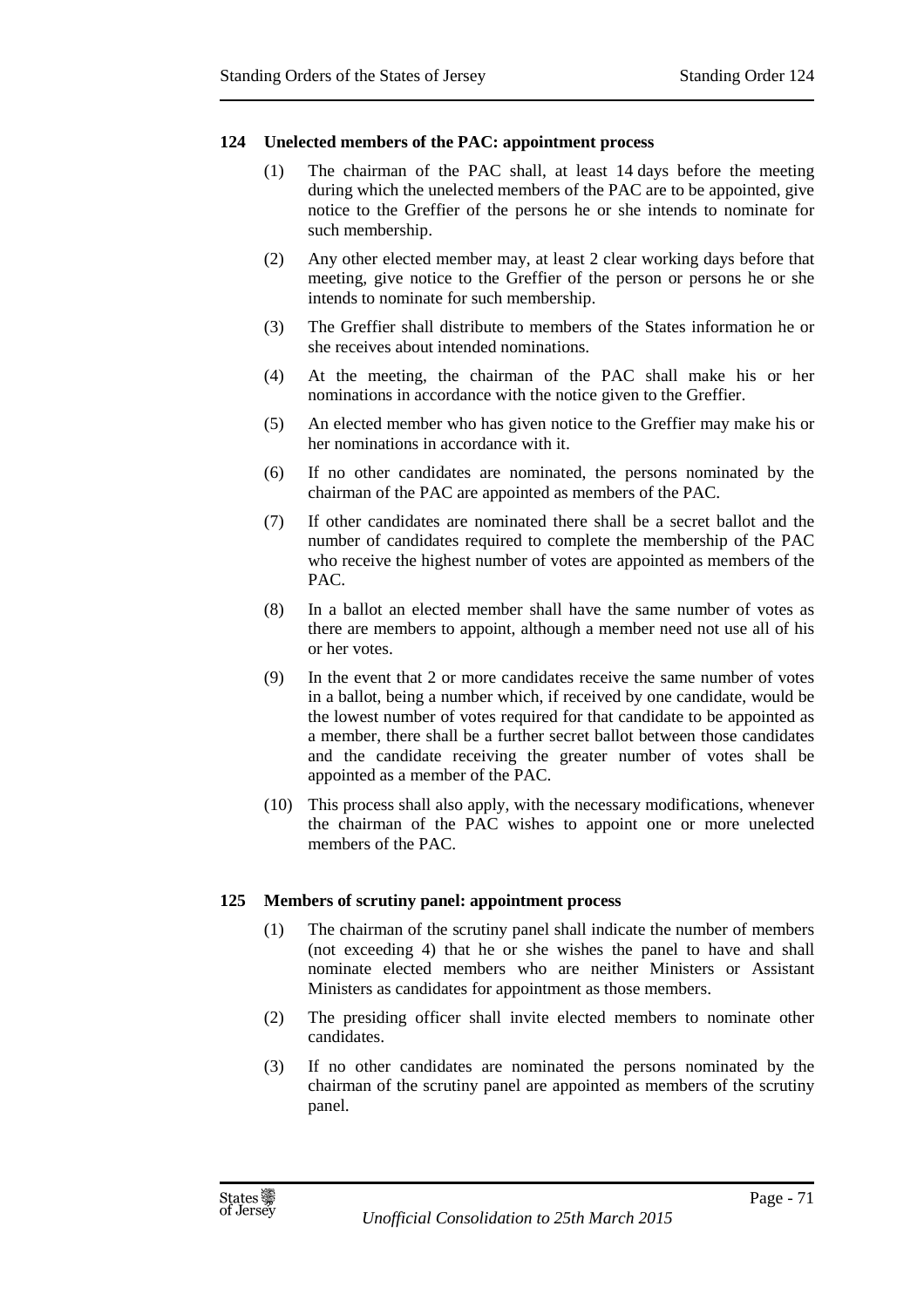## **124 Unelected members of the PAC: appointment process**

- (1) The chairman of the PAC shall, at least 14 days before the meeting during which the unelected members of the PAC are to be appointed, give notice to the Greffier of the persons he or she intends to nominate for such membership.
- (2) Any other elected member may, at least 2 clear working days before that meeting, give notice to the Greffier of the person or persons he or she intends to nominate for such membership.
- (3) The Greffier shall distribute to members of the States information he or she receives about intended nominations.
- (4) At the meeting, the chairman of the PAC shall make his or her nominations in accordance with the notice given to the Greffier.
- (5) An elected member who has given notice to the Greffier may make his or her nominations in accordance with it.
- (6) If no other candidates are nominated, the persons nominated by the chairman of the PAC are appointed as members of the PAC.
- (7) If other candidates are nominated there shall be a secret ballot and the number of candidates required to complete the membership of the PAC who receive the highest number of votes are appointed as members of the PAC.
- (8) In a ballot an elected member shall have the same number of votes as there are members to appoint, although a member need not use all of his or her votes.
- (9) In the event that 2 or more candidates receive the same number of votes in a ballot, being a number which, if received by one candidate, would be the lowest number of votes required for that candidate to be appointed as a member, there shall be a further secret ballot between those candidates and the candidate receiving the greater number of votes shall be appointed as a member of the PAC.
- (10) This process shall also apply, with the necessary modifications, whenever the chairman of the PAC wishes to appoint one or more unelected members of the PAC.

### **125 Members of scrutiny panel: appointment process**

- (1) The chairman of the scrutiny panel shall indicate the number of members (not exceeding 4) that he or she wishes the panel to have and shall nominate elected members who are neither Ministers or Assistant Ministers as candidates for appointment as those members.
- (2) The presiding officer shall invite elected members to nominate other candidates.
- (3) If no other candidates are nominated the persons nominated by the chairman of the scrutiny panel are appointed as members of the scrutiny panel.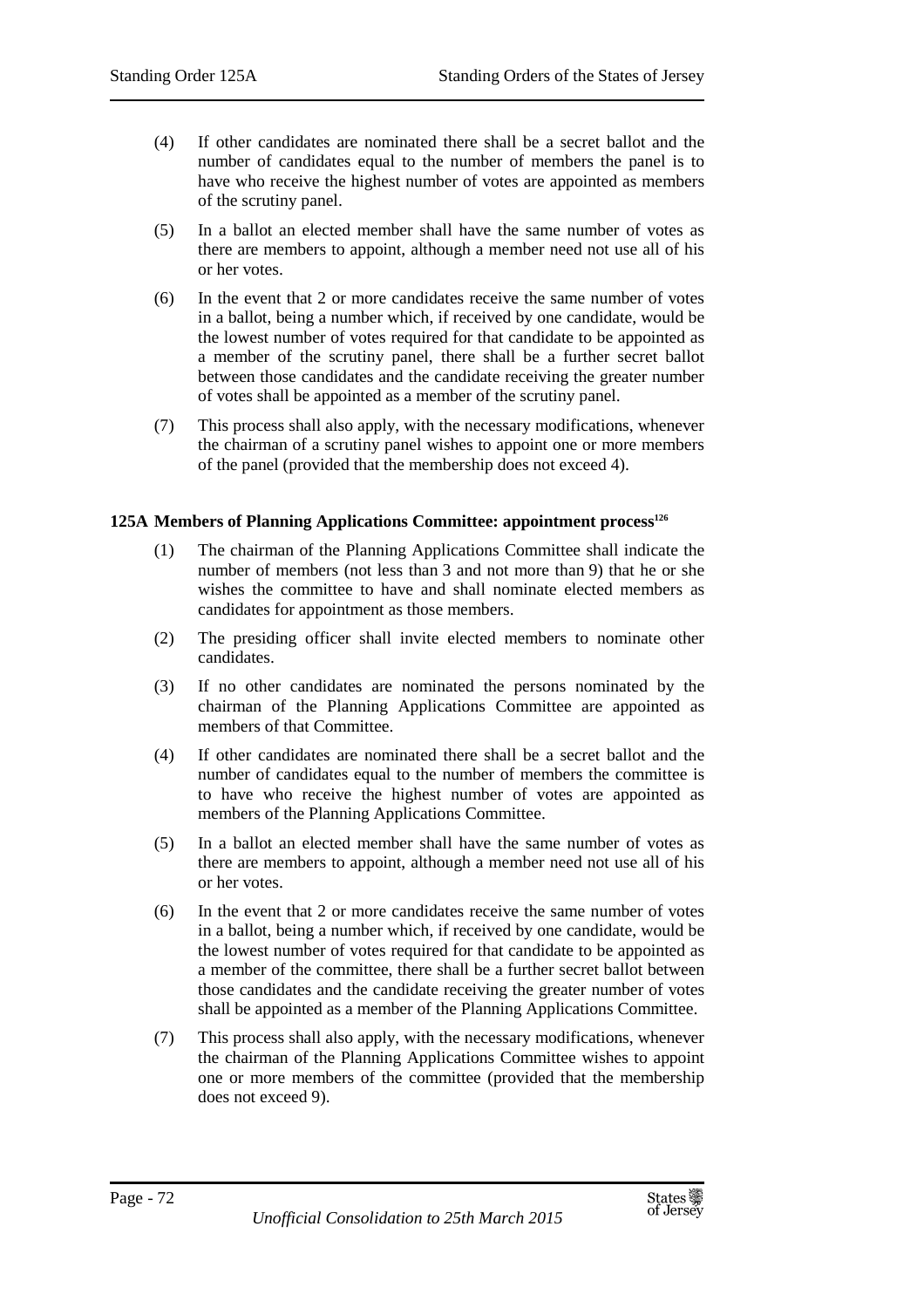- (4) If other candidates are nominated there shall be a secret ballot and the number of candidates equal to the number of members the panel is to have who receive the highest number of votes are appointed as members of the scrutiny panel.
- (5) In a ballot an elected member shall have the same number of votes as there are members to appoint, although a member need not use all of his or her votes.
- (6) In the event that 2 or more candidates receive the same number of votes in a ballot, being a number which, if received by one candidate, would be the lowest number of votes required for that candidate to be appointed as a member of the scrutiny panel, there shall be a further secret ballot between those candidates and the candidate receiving the greater number of votes shall be appointed as a member of the scrutiny panel.
- (7) This process shall also apply, with the necessary modifications, whenever the chairman of a scrutiny panel wishes to appoint one or more members of the panel (provided that the membership does not exceed 4).

# **125A Members of Planning Applications Committee: appointment process<sup>126</sup>**

- (1) The chairman of the Planning Applications Committee shall indicate the number of members (not less than 3 and not more than 9) that he or she wishes the committee to have and shall nominate elected members as candidates for appointment as those members.
- (2) The presiding officer shall invite elected members to nominate other candidates.
- (3) If no other candidates are nominated the persons nominated by the chairman of the Planning Applications Committee are appointed as members of that Committee.
- (4) If other candidates are nominated there shall be a secret ballot and the number of candidates equal to the number of members the committee is to have who receive the highest number of votes are appointed as members of the Planning Applications Committee.
- (5) In a ballot an elected member shall have the same number of votes as there are members to appoint, although a member need not use all of his or her votes.
- (6) In the event that 2 or more candidates receive the same number of votes in a ballot, being a number which, if received by one candidate, would be the lowest number of votes required for that candidate to be appointed as a member of the committee, there shall be a further secret ballot between those candidates and the candidate receiving the greater number of votes shall be appointed as a member of the Planning Applications Committee.
- (7) This process shall also apply, with the necessary modifications, whenever the chairman of the Planning Applications Committee wishes to appoint one or more members of the committee (provided that the membership does not exceed 9).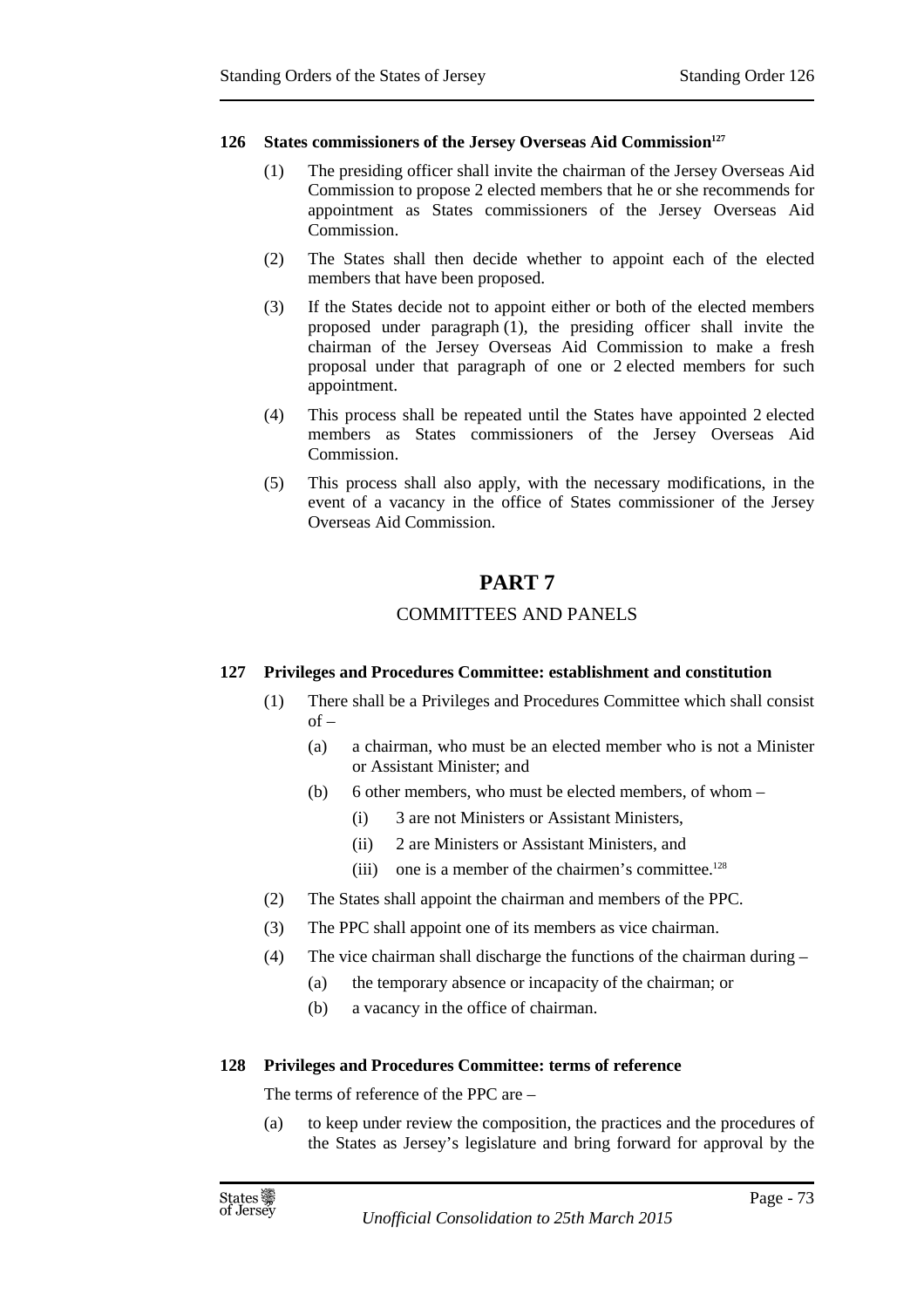#### **126 States commissioners of the Jersey Overseas Aid Commission<sup>127</sup>**

- (1) The presiding officer shall invite the chairman of the Jersey Overseas Aid Commission to propose 2 elected members that he or she recommends for appointment as States commissioners of the Jersey Overseas Aid Commission.
- (2) The States shall then decide whether to appoint each of the elected members that have been proposed.
- (3) If the States decide not to appoint either or both of the elected members proposed under paragraph (1), the presiding officer shall invite the chairman of the Jersey Overseas Aid Commission to make a fresh proposal under that paragraph of one or 2 elected members for such appointment.
- (4) This process shall be repeated until the States have appointed 2 elected members as States commissioners of the Jersey Overseas Aid Commission.
- (5) This process shall also apply, with the necessary modifications, in the event of a vacancy in the office of States commissioner of the Jersey Overseas Aid Commission.

# **PART 7**

# COMMITTEES AND PANELS

# **127 Privileges and Procedures Committee: establishment and constitution**

- (1) There shall be a Privileges and Procedures Committee which shall consist of –
	- (a) a chairman, who must be an elected member who is not a Minister or Assistant Minister; and
	- (b) 6 other members, who must be elected members, of whom
		- (i) 3 are not Ministers or Assistant Ministers,
		- (ii) 2 are Ministers or Assistant Ministers, and
		- (iii) one is a member of the chairmen's committee.<sup>128</sup>
- (2) The States shall appoint the chairman and members of the PPC.
- (3) The PPC shall appoint one of its members as vice chairman.
- (4) The vice chairman shall discharge the functions of the chairman during
	- (a) the temporary absence or incapacity of the chairman; or
	- (b) a vacancy in the office of chairman.

#### **128 Privileges and Procedures Committee: terms of reference**

The terms of reference of the PPC are –

(a) to keep under review the composition, the practices and the procedures of the States as Jersey's legislature and bring forward for approval by the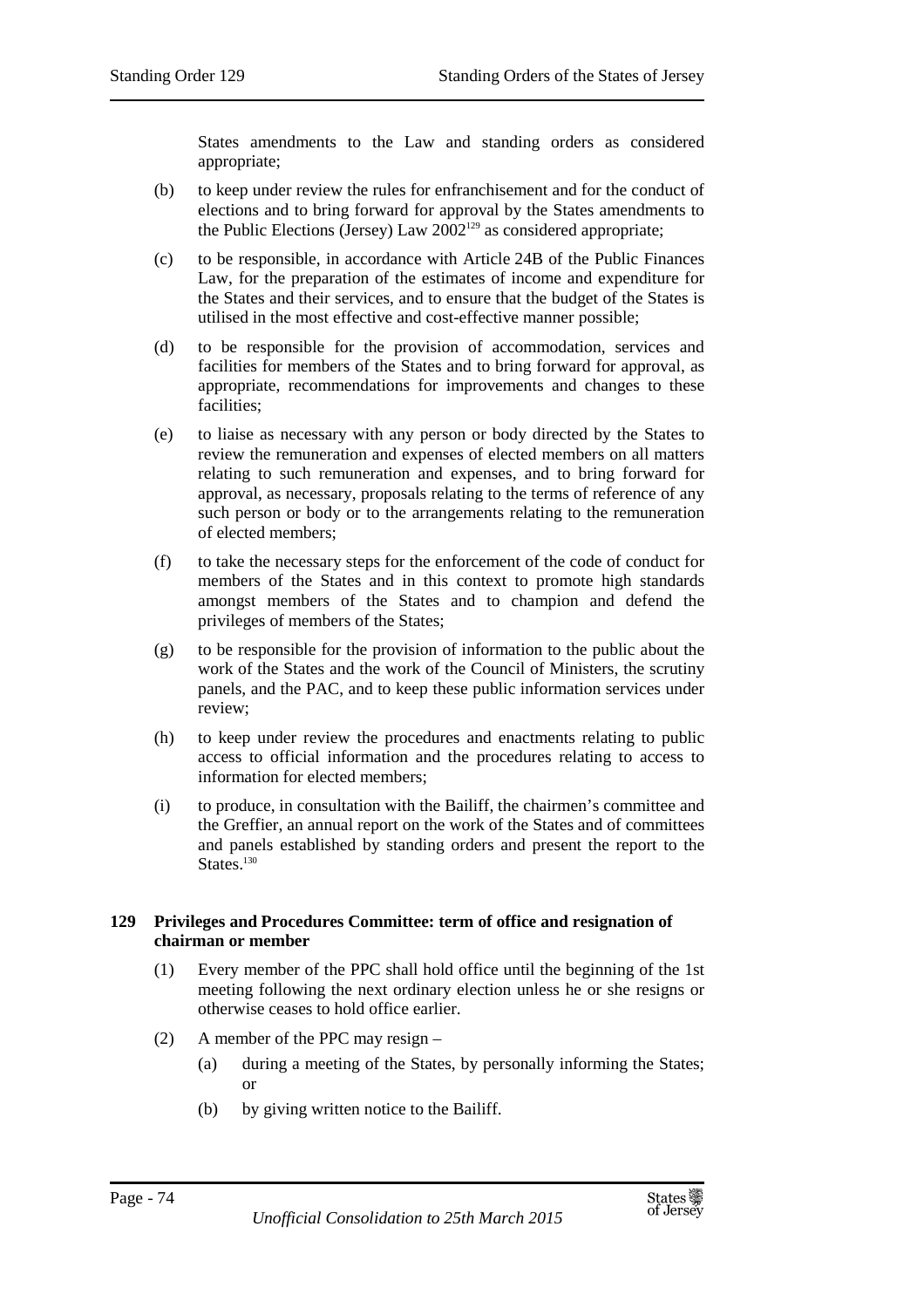States amendments to the Law and standing orders as considered appropriate;

- (b) to keep under review the rules for enfranchisement and for the conduct of elections and to bring forward for approval by the States amendments to the Public Elections (Jersey) Law  $2002^{129}$  as considered appropriate;
- (c) to be responsible, in accordance with Article 24B of the Public Finances Law, for the preparation of the estimates of income and expenditure for the States and their services, and to ensure that the budget of the States is utilised in the most effective and cost-effective manner possible;
- (d) to be responsible for the provision of accommodation, services and facilities for members of the States and to bring forward for approval, as appropriate, recommendations for improvements and changes to these facilities;
- (e) to liaise as necessary with any person or body directed by the States to review the remuneration and expenses of elected members on all matters relating to such remuneration and expenses, and to bring forward for approval, as necessary, proposals relating to the terms of reference of any such person or body or to the arrangements relating to the remuneration of elected members;
- (f) to take the necessary steps for the enforcement of the code of conduct for members of the States and in this context to promote high standards amongst members of the States and to champion and defend the privileges of members of the States;
- (g) to be responsible for the provision of information to the public about the work of the States and the work of the Council of Ministers, the scrutiny panels, and the PAC, and to keep these public information services under review;
- (h) to keep under review the procedures and enactments relating to public access to official information and the procedures relating to access to information for elected members;
- (i) to produce, in consultation with the Bailiff, the chairmen's committee and the Greffier, an annual report on the work of the States and of committees and panels established by standing orders and present the report to the States.<sup>130</sup>

# **129 Privileges and Procedures Committee: term of office and resignation of chairman or member**

- (1) Every member of the PPC shall hold office until the beginning of the 1st meeting following the next ordinary election unless he or she resigns or otherwise ceases to hold office earlier.
- (2) A member of the PPC may resign
	- (a) during a meeting of the States, by personally informing the States; or
	- (b) by giving written notice to the Bailiff.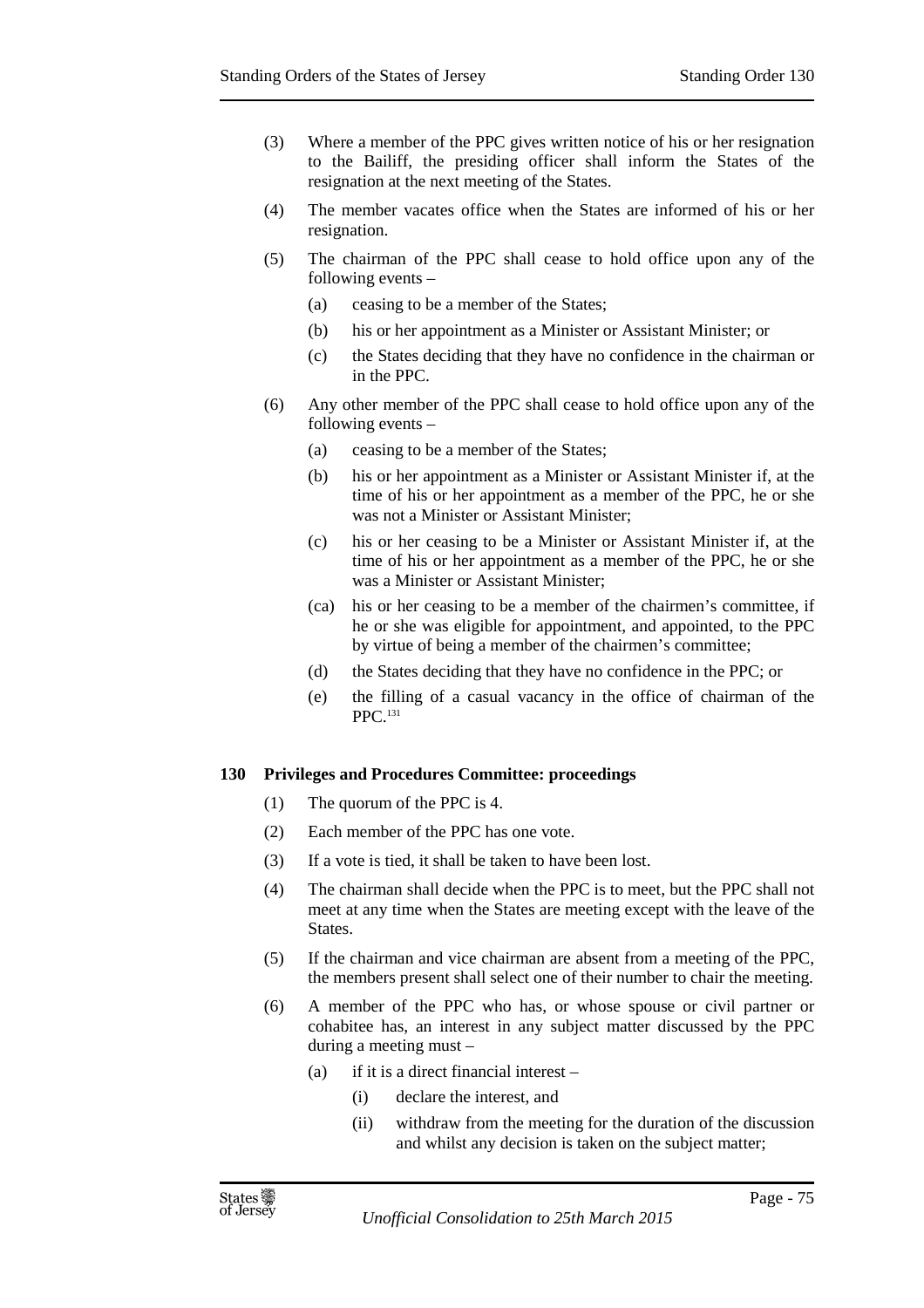- (3) Where a member of the PPC gives written notice of his or her resignation to the Bailiff, the presiding officer shall inform the States of the resignation at the next meeting of the States.
- (4) The member vacates office when the States are informed of his or her resignation.
- (5) The chairman of the PPC shall cease to hold office upon any of the following events –
	- (a) ceasing to be a member of the States;
	- (b) his or her appointment as a Minister or Assistant Minister; or
	- (c) the States deciding that they have no confidence in the chairman or in the PPC.
- (6) Any other member of the PPC shall cease to hold office upon any of the following events –
	- (a) ceasing to be a member of the States;
	- (b) his or her appointment as a Minister or Assistant Minister if, at the time of his or her appointment as a member of the PPC, he or she was not a Minister or Assistant Minister;
	- (c) his or her ceasing to be a Minister or Assistant Minister if, at the time of his or her appointment as a member of the PPC, he or she was a Minister or Assistant Minister;
	- (ca) his or her ceasing to be a member of the chairmen's committee, if he or she was eligible for appointment, and appointed, to the PPC by virtue of being a member of the chairmen's committee;
	- (d) the States deciding that they have no confidence in the PPC; or
	- (e) the filling of a casual vacancy in the office of chairman of the PPC.<sup>131</sup>

#### **130 Privileges and Procedures Committee: proceedings**

- (1) The quorum of the PPC is 4.
- (2) Each member of the PPC has one vote.
- (3) If a vote is tied, it shall be taken to have been lost.
- (4) The chairman shall decide when the PPC is to meet, but the PPC shall not meet at any time when the States are meeting except with the leave of the States.
- (5) If the chairman and vice chairman are absent from a meeting of the PPC, the members present shall select one of their number to chair the meeting.
- (6) A member of the PPC who has, or whose spouse or civil partner or cohabitee has, an interest in any subject matter discussed by the PPC during a meeting must –
	- (a) if it is a direct financial interest
		- (i) declare the interest, and
		- (ii) withdraw from the meeting for the duration of the discussion and whilst any decision is taken on the subject matter;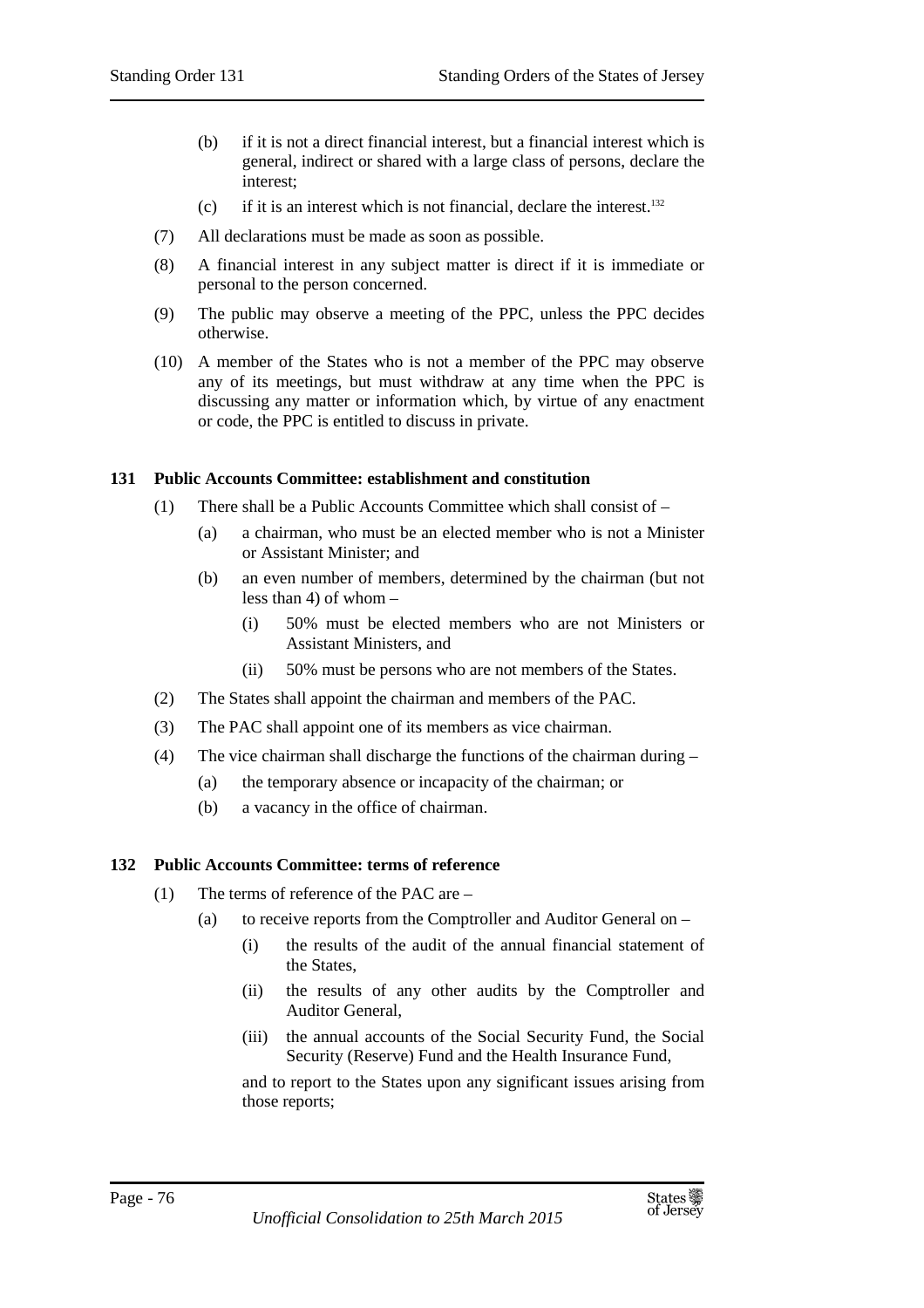- (b) if it is not a direct financial interest, but a financial interest which is general, indirect or shared with a large class of persons, declare the interest;
- (c) if it is an interest which is not financial, declare the interest.<sup>132</sup>
- (7) All declarations must be made as soon as possible.
- (8) A financial interest in any subject matter is direct if it is immediate or personal to the person concerned.
- (9) The public may observe a meeting of the PPC, unless the PPC decides otherwise.
- (10) A member of the States who is not a member of the PPC may observe any of its meetings, but must withdraw at any time when the PPC is discussing any matter or information which, by virtue of any enactment or code, the PPC is entitled to discuss in private.

## **131 Public Accounts Committee: establishment and constitution**

- (1) There shall be a Public Accounts Committee which shall consist of
	- (a) a chairman, who must be an elected member who is not a Minister or Assistant Minister; and
	- (b) an even number of members, determined by the chairman (but not less than 4) of whom –
		- (i) 50% must be elected members who are not Ministers or Assistant Ministers, and
		- (ii) 50% must be persons who are not members of the States.
- (2) The States shall appoint the chairman and members of the PAC.
- (3) The PAC shall appoint one of its members as vice chairman.
- (4) The vice chairman shall discharge the functions of the chairman during
	- (a) the temporary absence or incapacity of the chairman; or
	- (b) a vacancy in the office of chairman.

# **132 Public Accounts Committee: terms of reference**

- (1) The terms of reference of the PAC are
	- (a) to receive reports from the Comptroller and Auditor General on
		- (i) the results of the audit of the annual financial statement of the States,
		- (ii) the results of any other audits by the Comptroller and Auditor General,
		- (iii) the annual accounts of the Social Security Fund, the Social Security (Reserve) Fund and the Health Insurance Fund,

and to report to the States upon any significant issues arising from those reports;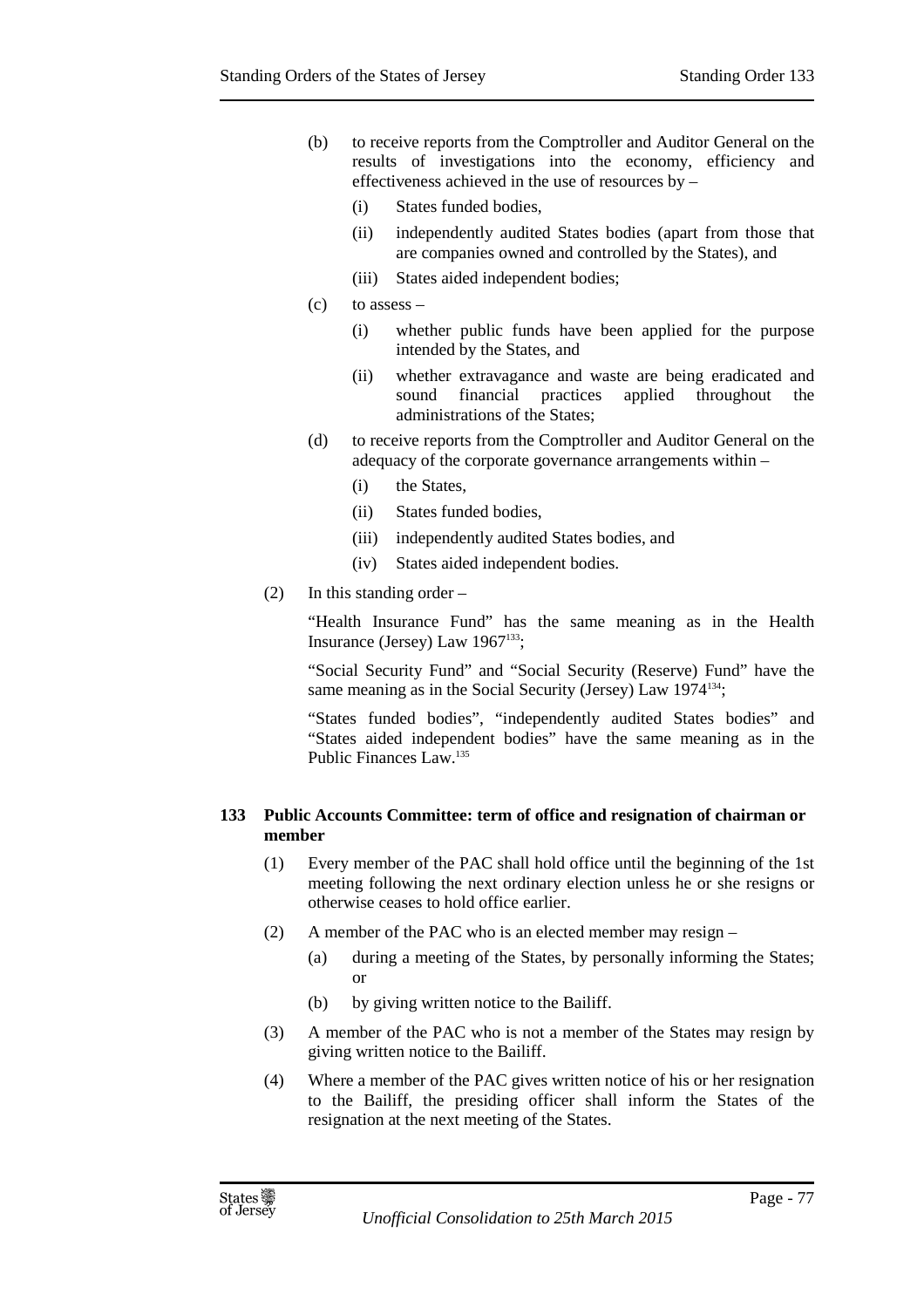- (b) to receive reports from the Comptroller and Auditor General on the results of investigations into the economy, efficiency and effectiveness achieved in the use of resources by –
	- (i) States funded bodies,
	- (ii) independently audited States bodies (apart from those that are companies owned and controlled by the States), and
	- (iii) States aided independent bodies;
- $(c)$  to assess
	- (i) whether public funds have been applied for the purpose intended by the States, and
	- (ii) whether extravagance and waste are being eradicated and sound financial practices applied throughout the administrations of the States;
- (d) to receive reports from the Comptroller and Auditor General on the adequacy of the corporate governance arrangements within –
	- (i) the States,
	- (ii) States funded bodies,
	- (iii) independently audited States bodies, and
	- (iv) States aided independent bodies.
- (2) In this standing order –

"Health Insurance Fund" has the same meaning as in the Health Insurance (Jersey) Law  $1967^{133}$ ;

"Social Security Fund" and "Social Security (Reserve) Fund" have the same meaning as in the Social Security (Jersey) Law 1974<sup>134</sup>;

"States funded bodies", "independently audited States bodies" and "States aided independent bodies" have the same meaning as in the Public Finances Law.<sup>135</sup>

## **133 Public Accounts Committee: term of office and resignation of chairman or member**

- (1) Every member of the PAC shall hold office until the beginning of the 1st meeting following the next ordinary election unless he or she resigns or otherwise ceases to hold office earlier.
- (2) A member of the PAC who is an elected member may resign
	- (a) during a meeting of the States, by personally informing the States; or
	- (b) by giving written notice to the Bailiff.
- (3) A member of the PAC who is not a member of the States may resign by giving written notice to the Bailiff.
- (4) Where a member of the PAC gives written notice of his or her resignation to the Bailiff, the presiding officer shall inform the States of the resignation at the next meeting of the States.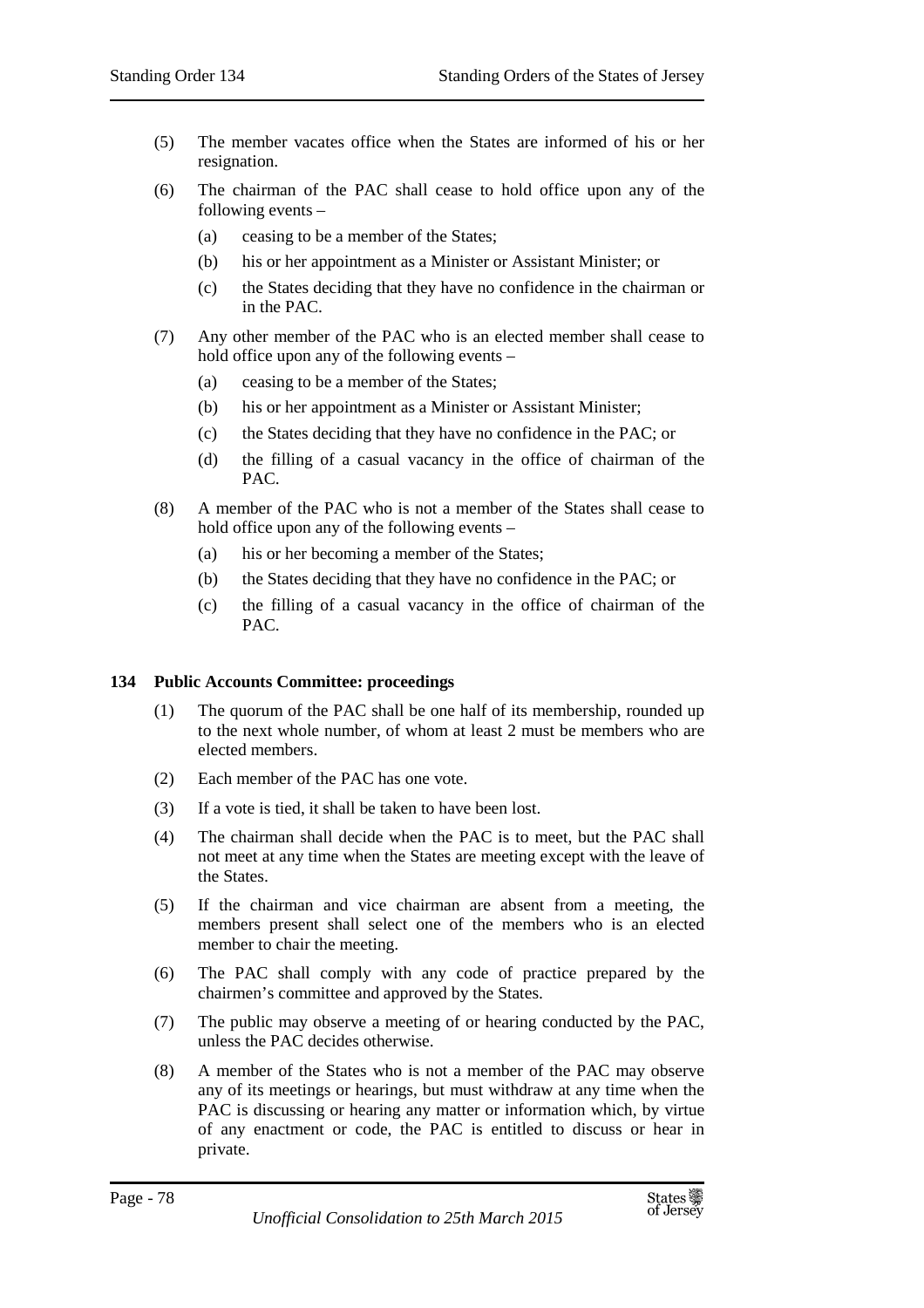- (5) The member vacates office when the States are informed of his or her resignation.
- (6) The chairman of the PAC shall cease to hold office upon any of the following events –
	- (a) ceasing to be a member of the States;
	- (b) his or her appointment as a Minister or Assistant Minister; or
	- (c) the States deciding that they have no confidence in the chairman or in the PAC.
- (7) Any other member of the PAC who is an elected member shall cease to hold office upon any of the following events –
	- (a) ceasing to be a member of the States;
	- (b) his or her appointment as a Minister or Assistant Minister;
	- (c) the States deciding that they have no confidence in the PAC; or
	- (d) the filling of a casual vacancy in the office of chairman of the PAC.
- (8) A member of the PAC who is not a member of the States shall cease to hold office upon any of the following events –
	- (a) his or her becoming a member of the States;
	- (b) the States deciding that they have no confidence in the PAC; or
	- (c) the filling of a casual vacancy in the office of chairman of the  $PAC$ .

#### **134 Public Accounts Committee: proceedings**

- (1) The quorum of the PAC shall be one half of its membership, rounded up to the next whole number, of whom at least 2 must be members who are elected members.
- (2) Each member of the PAC has one vote.
- (3) If a vote is tied, it shall be taken to have been lost.
- (4) The chairman shall decide when the PAC is to meet, but the PAC shall not meet at any time when the States are meeting except with the leave of the States.
- (5) If the chairman and vice chairman are absent from a meeting, the members present shall select one of the members who is an elected member to chair the meeting.
- (6) The PAC shall comply with any code of practice prepared by the chairmen's committee and approved by the States.
- (7) The public may observe a meeting of or hearing conducted by the PAC, unless the PAC decides otherwise.
- (8) A member of the States who is not a member of the PAC may observe any of its meetings or hearings, but must withdraw at any time when the PAC is discussing or hearing any matter or information which, by virtue of any enactment or code, the PAC is entitled to discuss or hear in private.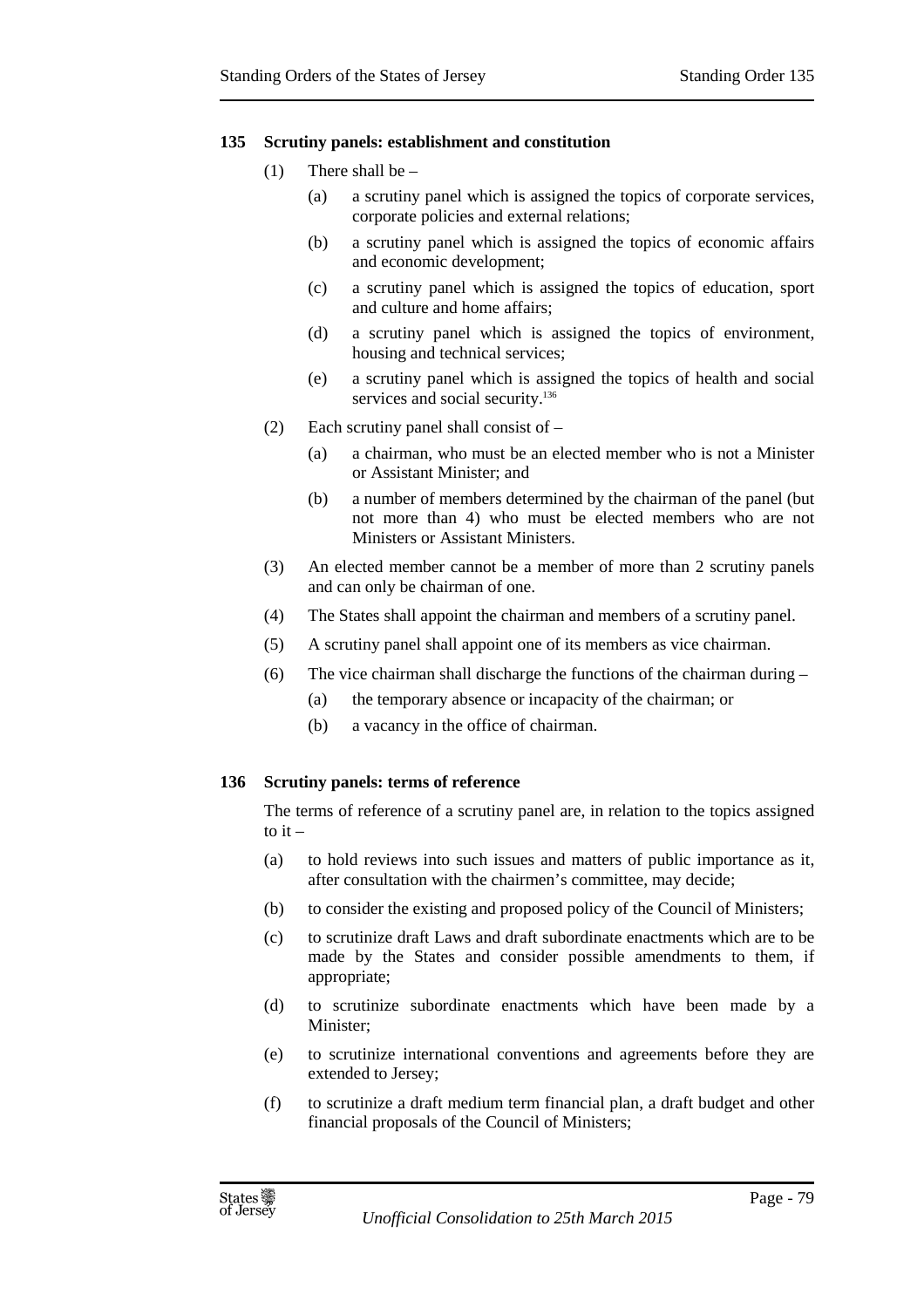#### **135 Scrutiny panels: establishment and constitution**

- (1) There shall be  $-$ 
	- (a) a scrutiny panel which is assigned the topics of corporate services, corporate policies and external relations;
	- (b) a scrutiny panel which is assigned the topics of economic affairs and economic development;
	- (c) a scrutiny panel which is assigned the topics of education, sport and culture and home affairs;
	- (d) a scrutiny panel which is assigned the topics of environment, housing and technical services;
	- (e) a scrutiny panel which is assigned the topics of health and social services and social security.<sup>136</sup>
- (2) Each scrutiny panel shall consist of
	- (a) a chairman, who must be an elected member who is not a Minister or Assistant Minister; and
	- (b) a number of members determined by the chairman of the panel (but not more than 4) who must be elected members who are not Ministers or Assistant Ministers.
- (3) An elected member cannot be a member of more than 2 scrutiny panels and can only be chairman of one.
- (4) The States shall appoint the chairman and members of a scrutiny panel.
- (5) A scrutiny panel shall appoint one of its members as vice chairman.
- (6) The vice chairman shall discharge the functions of the chairman during
	- (a) the temporary absence or incapacity of the chairman; or
	- (b) a vacancy in the office of chairman.

#### **136 Scrutiny panels: terms of reference**

The terms of reference of a scrutiny panel are, in relation to the topics assigned to  $it -$ 

- (a) to hold reviews into such issues and matters of public importance as it, after consultation with the chairmen's committee, may decide;
- (b) to consider the existing and proposed policy of the Council of Ministers;
- (c) to scrutinize draft Laws and draft subordinate enactments which are to be made by the States and consider possible amendments to them, if appropriate;
- (d) to scrutinize subordinate enactments which have been made by a Minister;
- (e) to scrutinize international conventions and agreements before they are extended to Jersey;
- (f) to scrutinize a draft medium term financial plan, a draft budget and other financial proposals of the Council of Ministers;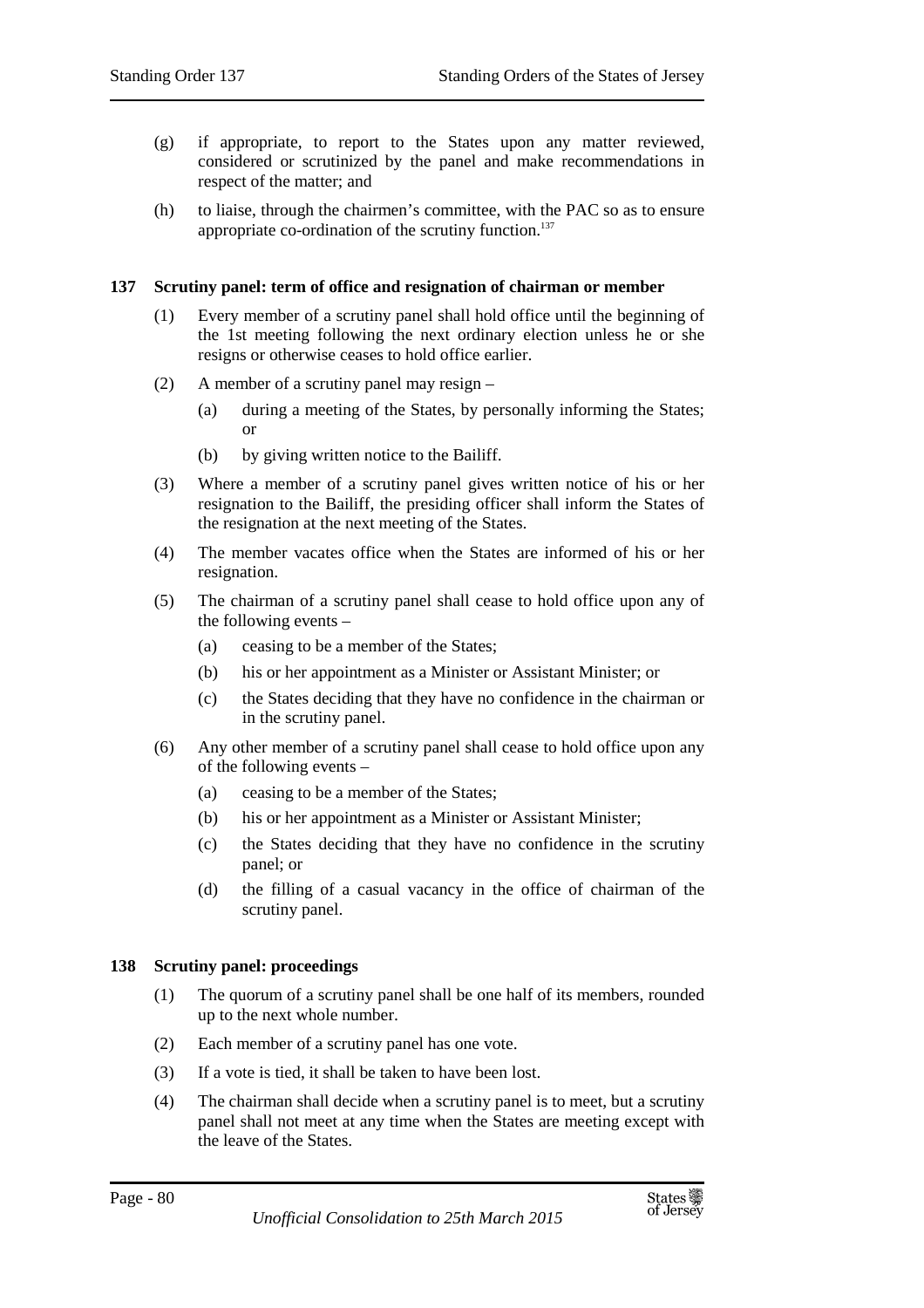- (g) if appropriate, to report to the States upon any matter reviewed, considered or scrutinized by the panel and make recommendations in respect of the matter; and
- (h) to liaise, through the chairmen's committee, with the PAC so as to ensure appropriate co-ordination of the scrutiny function.<sup>137</sup>

#### **137 Scrutiny panel: term of office and resignation of chairman or member**

- (1) Every member of a scrutiny panel shall hold office until the beginning of the 1st meeting following the next ordinary election unless he or she resigns or otherwise ceases to hold office earlier.
- (2) A member of a scrutiny panel may resign
	- (a) during a meeting of the States, by personally informing the States; or
	- (b) by giving written notice to the Bailiff.
- (3) Where a member of a scrutiny panel gives written notice of his or her resignation to the Bailiff, the presiding officer shall inform the States of the resignation at the next meeting of the States.
- (4) The member vacates office when the States are informed of his or her resignation.
- (5) The chairman of a scrutiny panel shall cease to hold office upon any of the following events –
	- (a) ceasing to be a member of the States;
	- (b) his or her appointment as a Minister or Assistant Minister; or
	- (c) the States deciding that they have no confidence in the chairman or in the scrutiny panel.
- (6) Any other member of a scrutiny panel shall cease to hold office upon any of the following events –
	- (a) ceasing to be a member of the States;
	- (b) his or her appointment as a Minister or Assistant Minister;
	- (c) the States deciding that they have no confidence in the scrutiny panel; or
	- (d) the filling of a casual vacancy in the office of chairman of the scrutiny panel.

#### **138 Scrutiny panel: proceedings**

- (1) The quorum of a scrutiny panel shall be one half of its members, rounded up to the next whole number.
- (2) Each member of a scrutiny panel has one vote.
- (3) If a vote is tied, it shall be taken to have been lost.
- (4) The chairman shall decide when a scrutiny panel is to meet, but a scrutiny panel shall not meet at any time when the States are meeting except with the leave of the States.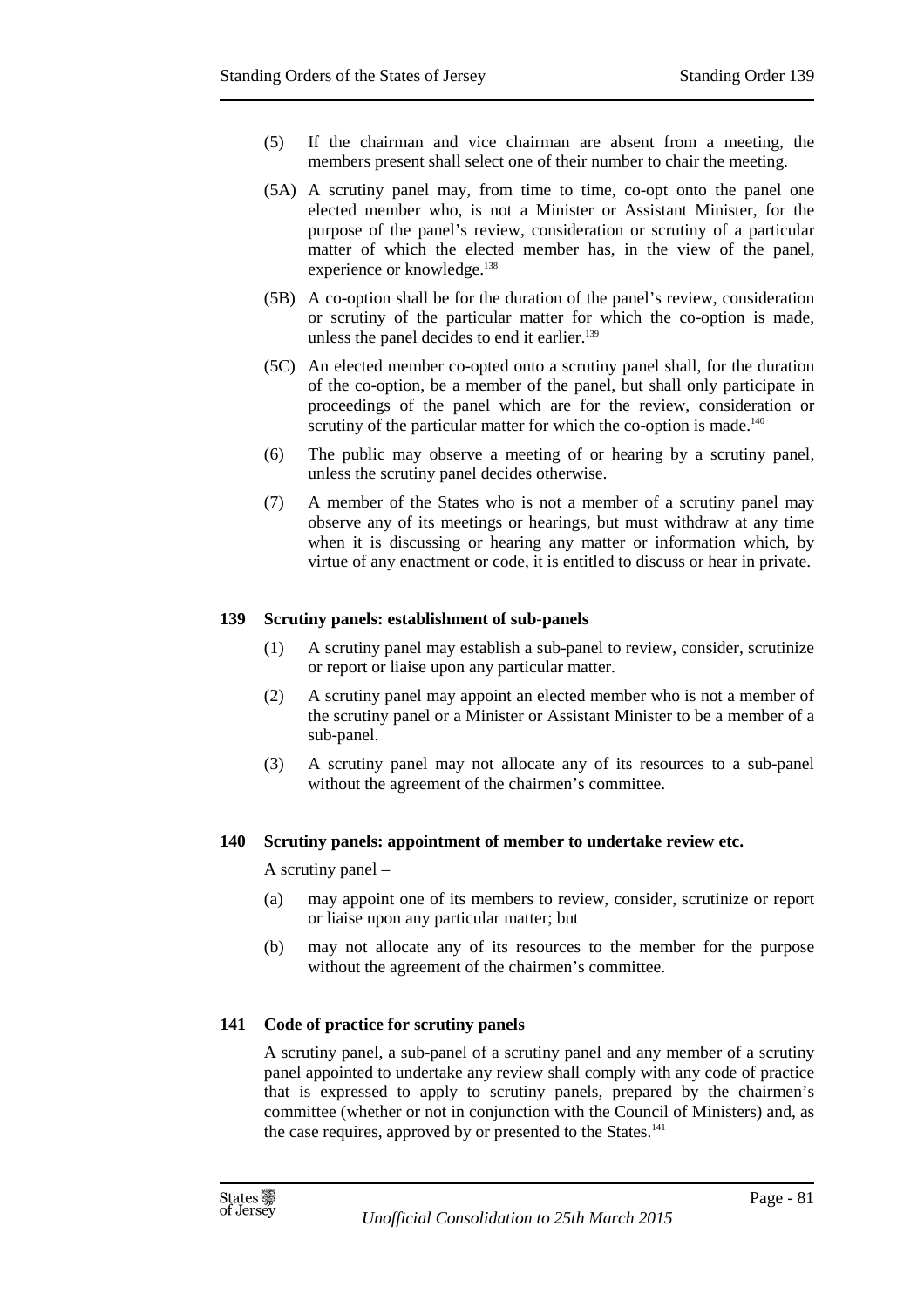- (5) If the chairman and vice chairman are absent from a meeting, the members present shall select one of their number to chair the meeting.
- (5A) A scrutiny panel may, from time to time, co-opt onto the panel one elected member who, is not a Minister or Assistant Minister, for the purpose of the panel's review, consideration or scrutiny of a particular matter of which the elected member has, in the view of the panel, experience or knowledge.<sup>138</sup>
- (5B) A co-option shall be for the duration of the panel's review, consideration or scrutiny of the particular matter for which the co-option is made, unless the panel decides to end it earlier.<sup>139</sup>
- (5C) An elected member co-opted onto a scrutiny panel shall, for the duration of the co-option, be a member of the panel, but shall only participate in proceedings of the panel which are for the review, consideration or scrutiny of the particular matter for which the co-option is made.<sup>140</sup>
- (6) The public may observe a meeting of or hearing by a scrutiny panel, unless the scrutiny panel decides otherwise.
- (7) A member of the States who is not a member of a scrutiny panel may observe any of its meetings or hearings, but must withdraw at any time when it is discussing or hearing any matter or information which, by virtue of any enactment or code, it is entitled to discuss or hear in private.

#### **139 Scrutiny panels: establishment of sub-panels**

- (1) A scrutiny panel may establish a sub-panel to review, consider, scrutinize or report or liaise upon any particular matter.
- (2) A scrutiny panel may appoint an elected member who is not a member of the scrutiny panel or a Minister or Assistant Minister to be a member of a sub-panel.
- (3) A scrutiny panel may not allocate any of its resources to a sub-panel without the agreement of the chairmen's committee.

#### **140 Scrutiny panels: appointment of member to undertake review etc.**

A scrutiny panel –

- (a) may appoint one of its members to review, consider, scrutinize or report or liaise upon any particular matter; but
- (b) may not allocate any of its resources to the member for the purpose without the agreement of the chairmen's committee.

#### **141 Code of practice for scrutiny panels**

A scrutiny panel, a sub-panel of a scrutiny panel and any member of a scrutiny panel appointed to undertake any review shall comply with any code of practice that is expressed to apply to scrutiny panels, prepared by the chairmen's committee (whether or not in conjunction with the Council of Ministers) and, as the case requires, approved by or presented to the States.<sup>141</sup>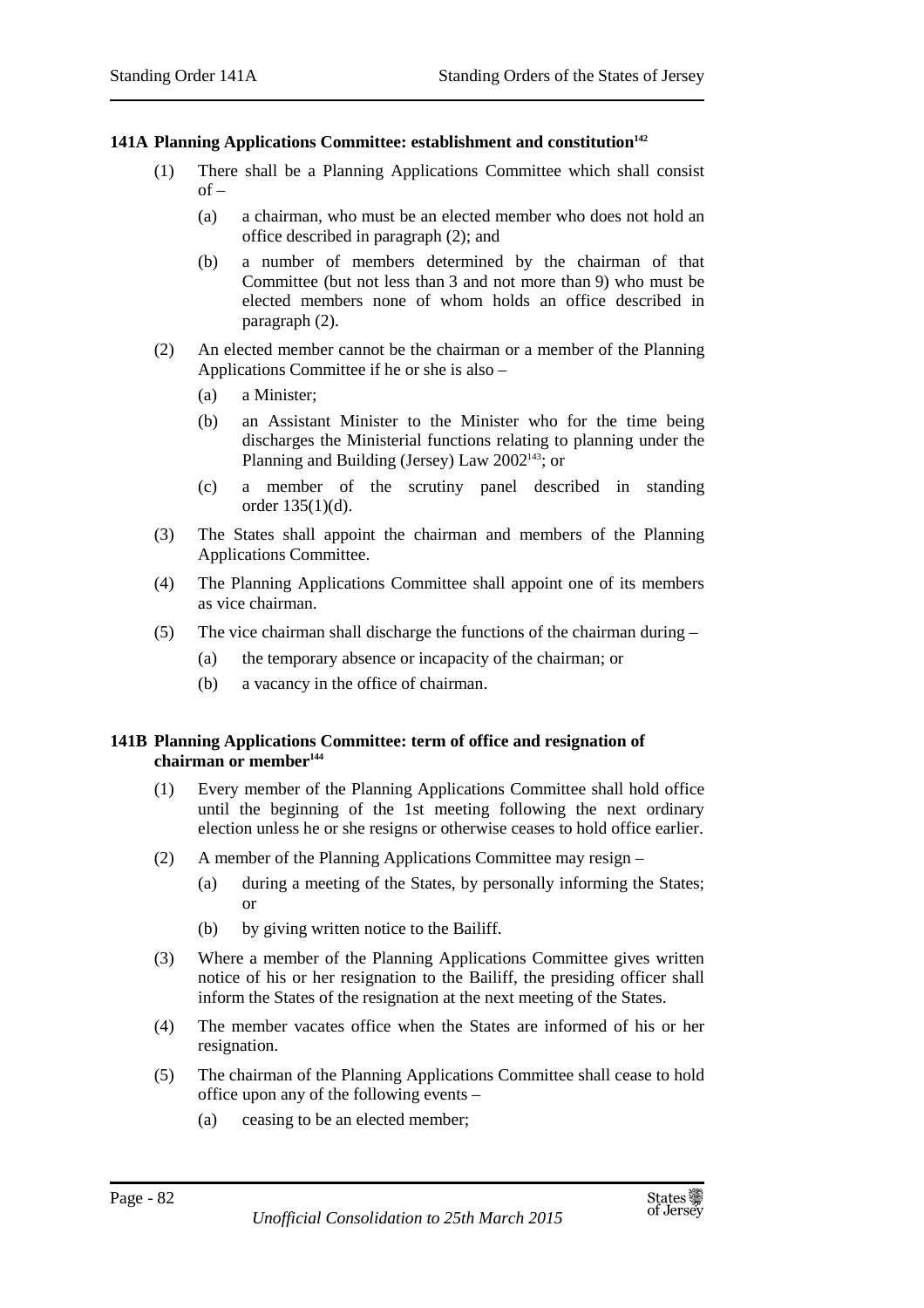#### **141A Planning Applications Committee: establishment and constitution<sup>142</sup>**

- (1) There shall be a Planning Applications Committee which shall consist  $of -$ 
	- (a) a chairman, who must be an elected member who does not hold an office described in paragraph (2); and
	- (b) a number of members determined by the chairman of that Committee (but not less than 3 and not more than 9) who must be elected members none of whom holds an office described in paragraph (2).
- (2) An elected member cannot be the chairman or a member of the Planning Applications Committee if he or she is also –
	- (a) a Minister;
	- (b) an Assistant Minister to the Minister who for the time being discharges the Ministerial functions relating to planning under the Planning and Building (Jersey) Law 2002<sup>143</sup>; or
	- (c) a member of the scrutiny panel described in standing order 135(1)(d).
- (3) The States shall appoint the chairman and members of the Planning Applications Committee.
- (4) The Planning Applications Committee shall appoint one of its members as vice chairman.
- (5) The vice chairman shall discharge the functions of the chairman during
	- (a) the temporary absence or incapacity of the chairman; or
	- (b) a vacancy in the office of chairman.

#### **141B Planning Applications Committee: term of office and resignation of chairman or member<sup>144</sup>**

- (1) Every member of the Planning Applications Committee shall hold office until the beginning of the 1st meeting following the next ordinary election unless he or she resigns or otherwise ceases to hold office earlier.
- (2) A member of the Planning Applications Committee may resign
	- (a) during a meeting of the States, by personally informing the States; or
	- (b) by giving written notice to the Bailiff.
- (3) Where a member of the Planning Applications Committee gives written notice of his or her resignation to the Bailiff, the presiding officer shall inform the States of the resignation at the next meeting of the States.
- (4) The member vacates office when the States are informed of his or her resignation.
- (5) The chairman of the Planning Applications Committee shall cease to hold office upon any of the following events –
	- (a) ceasing to be an elected member;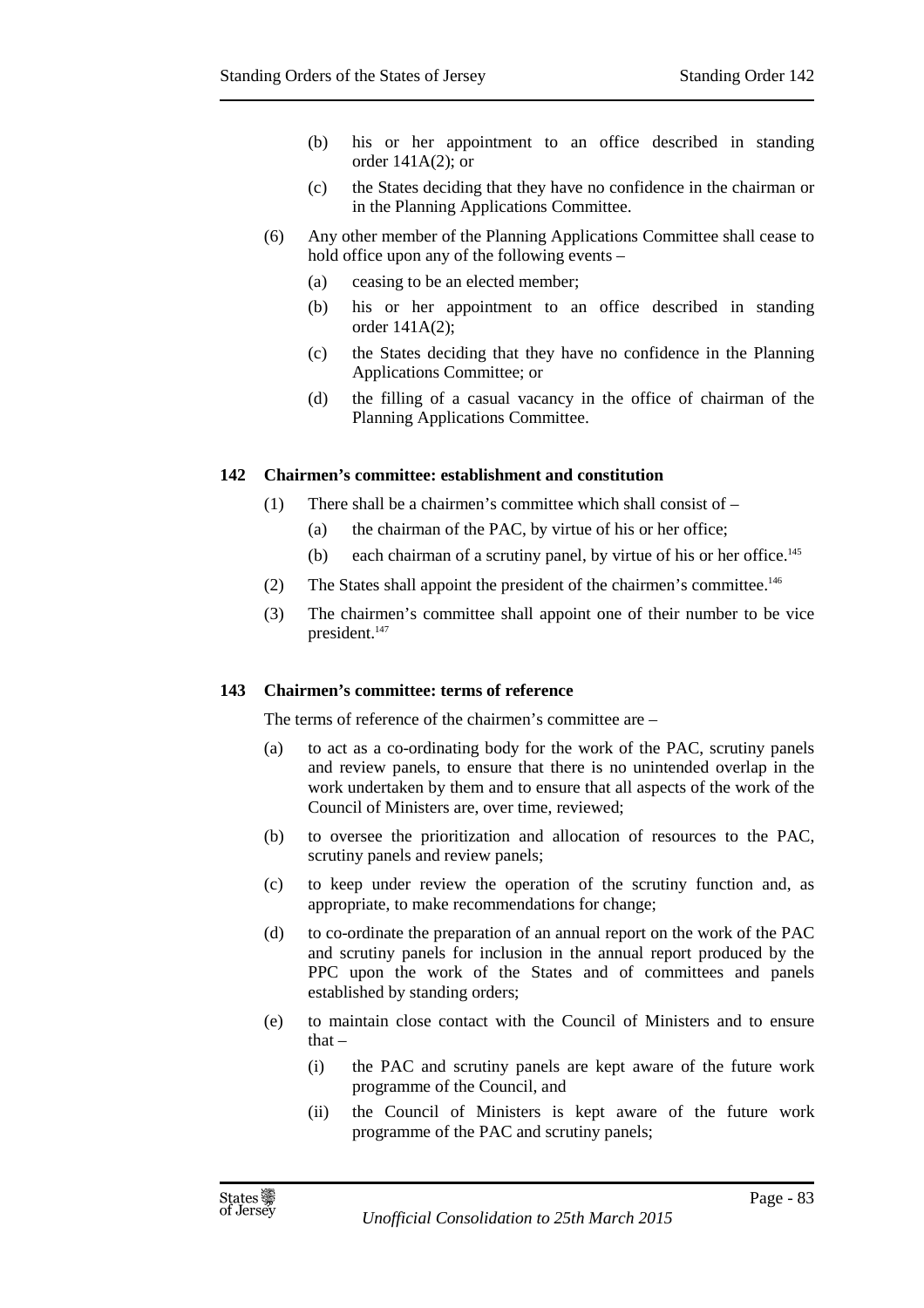- (b) his or her appointment to an office described in standing order 141A(2); or
- (c) the States deciding that they have no confidence in the chairman or in the Planning Applications Committee.
- (6) Any other member of the Planning Applications Committee shall cease to hold office upon any of the following events –
	- (a) ceasing to be an elected member;
	- (b) his or her appointment to an office described in standing order 141A(2);
	- (c) the States deciding that they have no confidence in the Planning Applications Committee; or
	- (d) the filling of a casual vacancy in the office of chairman of the Planning Applications Committee.

#### **142 Chairmen's committee: establishment and constitution**

- (1) There shall be a chairmen's committee which shall consist of
	- (a) the chairman of the PAC, by virtue of his or her office;
	- (b) each chairman of a scrutiny panel, by virtue of his or her office.<sup>145</sup>
- (2) The States shall appoint the president of the chairmen's committee.<sup>146</sup>
- (3) The chairmen's committee shall appoint one of their number to be vice president.<sup>147</sup>

#### **143 Chairmen's committee: terms of reference**

The terms of reference of the chairmen's committee are –

- (a) to act as a co-ordinating body for the work of the PAC, scrutiny panels and review panels, to ensure that there is no unintended overlap in the work undertaken by them and to ensure that all aspects of the work of the Council of Ministers are, over time, reviewed;
- (b) to oversee the prioritization and allocation of resources to the PAC, scrutiny panels and review panels;
- (c) to keep under review the operation of the scrutiny function and, as appropriate, to make recommendations for change;
- (d) to co-ordinate the preparation of an annual report on the work of the PAC and scrutiny panels for inclusion in the annual report produced by the PPC upon the work of the States and of committees and panels established by standing orders;
- (e) to maintain close contact with the Council of Ministers and to ensure that $-$ 
	- (i) the PAC and scrutiny panels are kept aware of the future work programme of the Council, and
	- (ii) the Council of Ministers is kept aware of the future work programme of the PAC and scrutiny panels;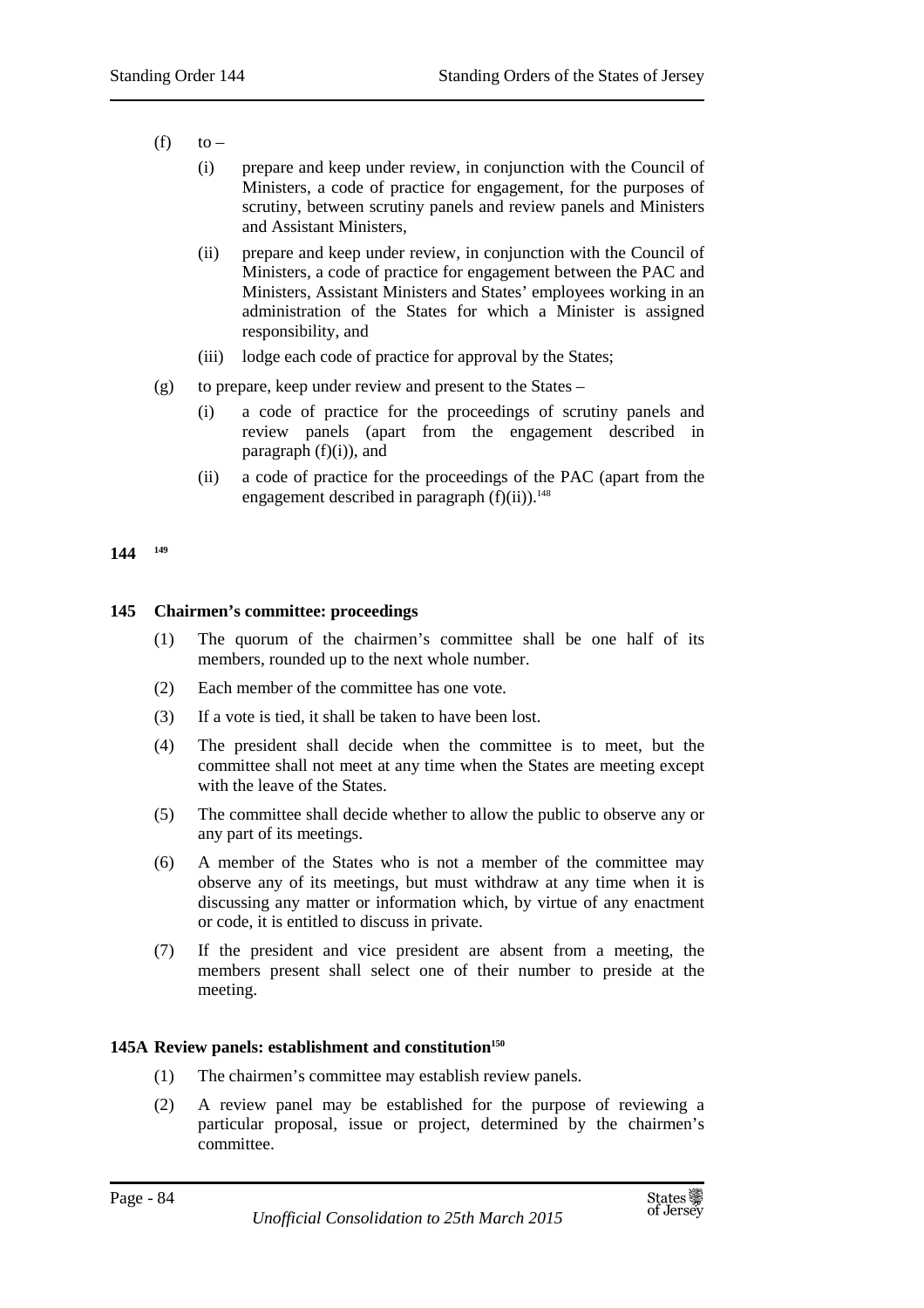- $(f)$  to
	- (i) prepare and keep under review, in conjunction with the Council of Ministers, a code of practice for engagement, for the purposes of scrutiny, between scrutiny panels and review panels and Ministers and Assistant Ministers,
	- (ii) prepare and keep under review, in conjunction with the Council of Ministers, a code of practice for engagement between the PAC and Ministers, Assistant Ministers and States' employees working in an administration of the States for which a Minister is assigned responsibility, and
	- (iii) lodge each code of practice for approval by the States;
- (g) to prepare, keep under review and present to the States
	- (i) a code of practice for the proceedings of scrutiny panels and review panels (apart from the engagement described in paragraph  $(f)(i)$ ), and
	- (ii) a code of practice for the proceedings of the PAC (apart from the engagement described in paragraph  $(f)(ii)$ .<sup>148</sup>

#### **144 <sup>149</sup>**

## **145 Chairmen's committee: proceedings**

- (1) The quorum of the chairmen's committee shall be one half of its members, rounded up to the next whole number.
- (2) Each member of the committee has one vote.
- (3) If a vote is tied, it shall be taken to have been lost.
- (4) The president shall decide when the committee is to meet, but the committee shall not meet at any time when the States are meeting except with the leave of the States.
- (5) The committee shall decide whether to allow the public to observe any or any part of its meetings.
- (6) A member of the States who is not a member of the committee may observe any of its meetings, but must withdraw at any time when it is discussing any matter or information which, by virtue of any enactment or code, it is entitled to discuss in private.
- (7) If the president and vice president are absent from a meeting, the members present shall select one of their number to preside at the meeting.

#### **145A Review panels: establishment and constitution<sup>150</sup>**

- (1) The chairmen's committee may establish review panels.
- (2) A review panel may be established for the purpose of reviewing a particular proposal, issue or project, determined by the chairmen's committee.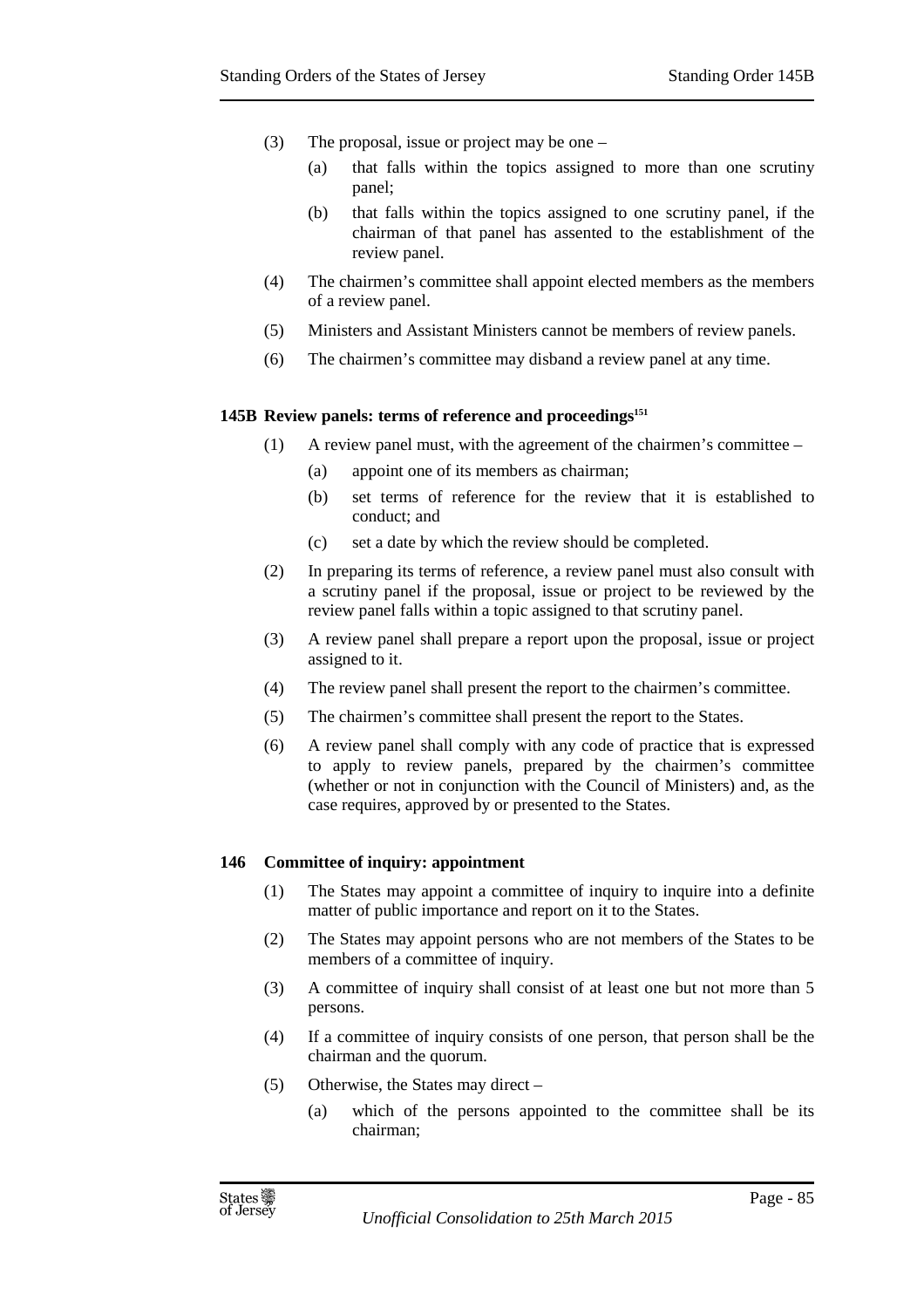- (3) The proposal, issue or project may be one
	- (a) that falls within the topics assigned to more than one scrutiny panel;
	- (b) that falls within the topics assigned to one scrutiny panel, if the chairman of that panel has assented to the establishment of the review panel.
- (4) The chairmen's committee shall appoint elected members as the members of a review panel.
- (5) Ministers and Assistant Ministers cannot be members of review panels.
- (6) The chairmen's committee may disband a review panel at any time.

#### **145B Review panels: terms of reference and proceedings<sup>151</sup>**

- (1) A review panel must, with the agreement of the chairmen's committee
	- (a) appoint one of its members as chairman;
	- (b) set terms of reference for the review that it is established to conduct; and
	- (c) set a date by which the review should be completed.
- (2) In preparing its terms of reference, a review panel must also consult with a scrutiny panel if the proposal, issue or project to be reviewed by the review panel falls within a topic assigned to that scrutiny panel.
- (3) A review panel shall prepare a report upon the proposal, issue or project assigned to it.
- (4) The review panel shall present the report to the chairmen's committee.
- (5) The chairmen's committee shall present the report to the States.
- (6) A review panel shall comply with any code of practice that is expressed to apply to review panels, prepared by the chairmen's committee (whether or not in conjunction with the Council of Ministers) and, as the case requires, approved by or presented to the States.

#### **146 Committee of inquiry: appointment**

- (1) The States may appoint a committee of inquiry to inquire into a definite matter of public importance and report on it to the States.
- (2) The States may appoint persons who are not members of the States to be members of a committee of inquiry.
- (3) A committee of inquiry shall consist of at least one but not more than 5 persons.
- (4) If a committee of inquiry consists of one person, that person shall be the chairman and the quorum.
- (5) Otherwise, the States may direct
	- (a) which of the persons appointed to the committee shall be its chairman;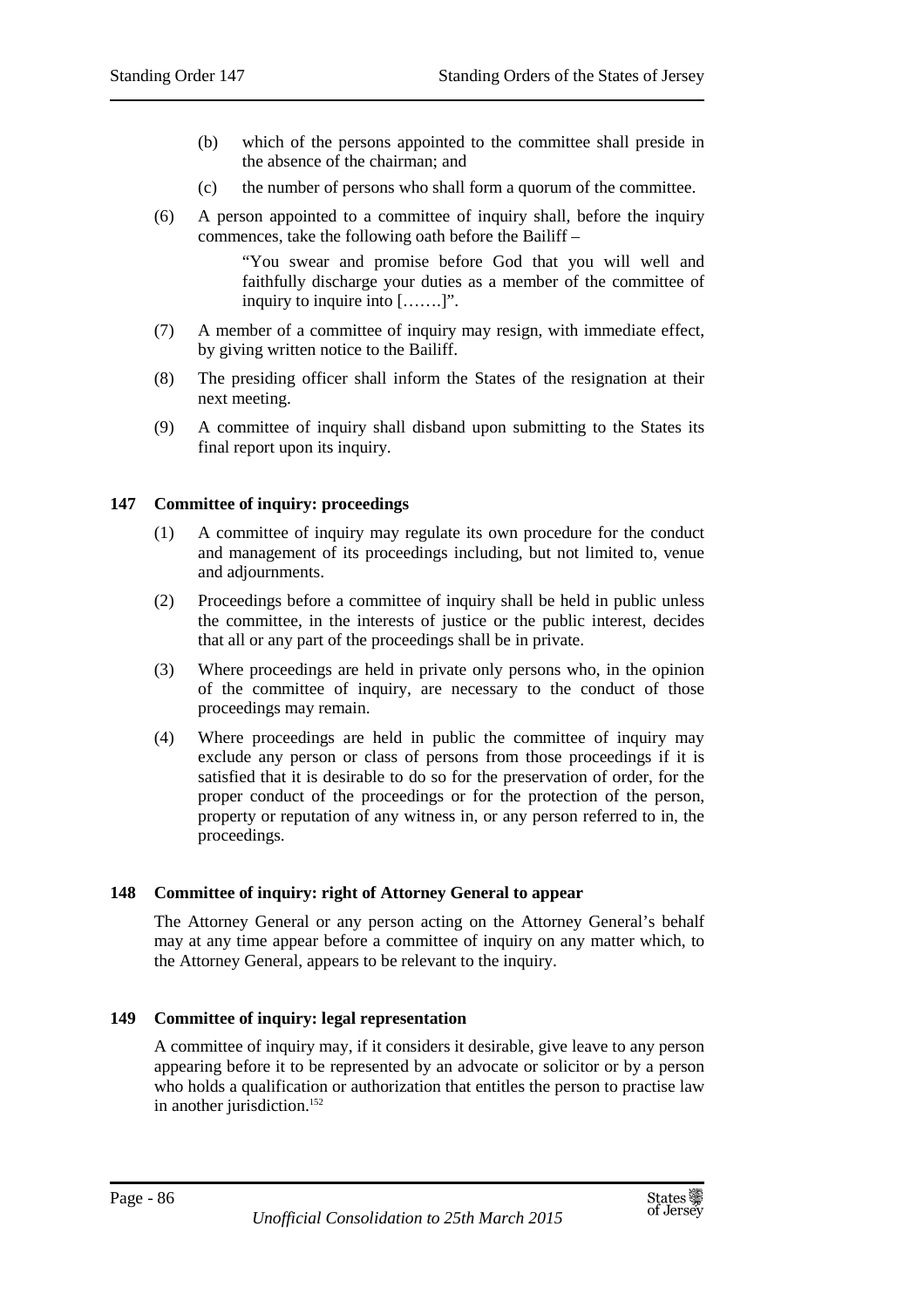- (b) which of the persons appointed to the committee shall preside in the absence of the chairman; and
- (c) the number of persons who shall form a quorum of the committee.
- (6) A person appointed to a committee of inquiry shall, before the inquiry commences, take the following oath before the Bailiff –

"You swear and promise before God that you will well and faithfully discharge your duties as a member of the committee of inquiry to inquire into […….]".

- (7) A member of a committee of inquiry may resign, with immediate effect, by giving written notice to the Bailiff.
- (8) The presiding officer shall inform the States of the resignation at their next meeting.
- (9) A committee of inquiry shall disband upon submitting to the States its final report upon its inquiry.

# **147 Committee of inquiry: proceedings**

- (1) A committee of inquiry may regulate its own procedure for the conduct and management of its proceedings including, but not limited to, venue and adjournments.
- (2) Proceedings before a committee of inquiry shall be held in public unless the committee, in the interests of justice or the public interest, decides that all or any part of the proceedings shall be in private.
- (3) Where proceedings are held in private only persons who, in the opinion of the committee of inquiry, are necessary to the conduct of those proceedings may remain.
- (4) Where proceedings are held in public the committee of inquiry may exclude any person or class of persons from those proceedings if it is satisfied that it is desirable to do so for the preservation of order, for the proper conduct of the proceedings or for the protection of the person, property or reputation of any witness in, or any person referred to in, the proceedings.

# **148 Committee of inquiry: right of Attorney General to appear**

The Attorney General or any person acting on the Attorney General's behalf may at any time appear before a committee of inquiry on any matter which, to the Attorney General, appears to be relevant to the inquiry.

# **149 Committee of inquiry: legal representation**

A committee of inquiry may, if it considers it desirable, give leave to any person appearing before it to be represented by an advocate or solicitor or by a person who holds a qualification or authorization that entitles the person to practise law in another jurisdiction.<sup>152</sup>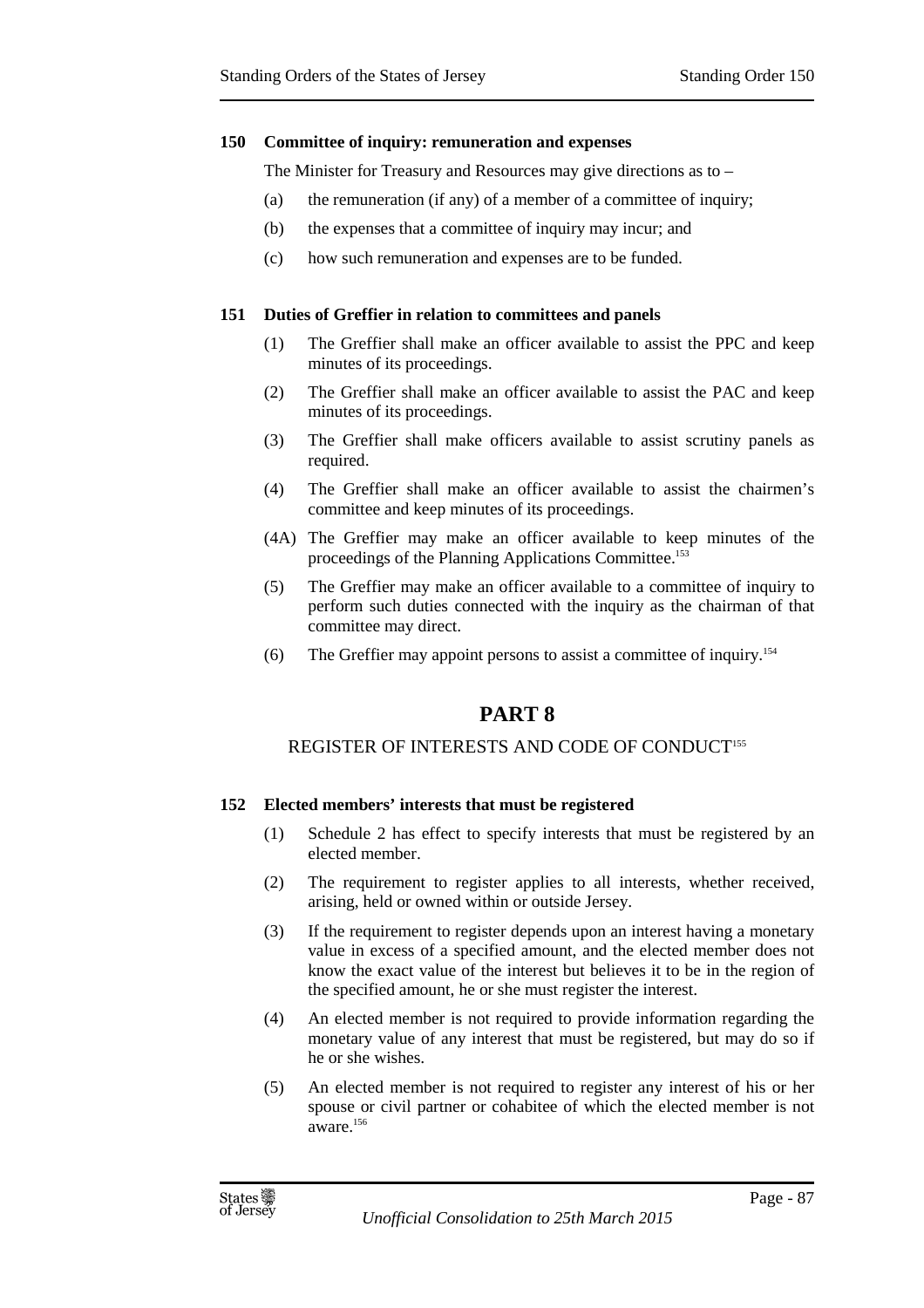#### **150 Committee of inquiry: remuneration and expenses**

The Minister for Treasury and Resources may give directions as to –

- (a) the remuneration (if any) of a member of a committee of inquiry;
- (b) the expenses that a committee of inquiry may incur; and
- (c) how such remuneration and expenses are to be funded.

#### **151 Duties of Greffier in relation to committees and panels**

- (1) The Greffier shall make an officer available to assist the PPC and keep minutes of its proceedings.
- (2) The Greffier shall make an officer available to assist the PAC and keep minutes of its proceedings.
- (3) The Greffier shall make officers available to assist scrutiny panels as required.
- (4) The Greffier shall make an officer available to assist the chairmen's committee and keep minutes of its proceedings.
- (4A) The Greffier may make an officer available to keep minutes of the proceedings of the Planning Applications Committee.<sup>153</sup>
- (5) The Greffier may make an officer available to a committee of inquiry to perform such duties connected with the inquiry as the chairman of that committee may direct.
- (6) The Greffier may appoint persons to assist a committee of inquiry.<sup>154</sup>

# **PART 8**

# REGISTER OF INTERESTS AND CODE OF CONDUCT<sup>155</sup>

# **152 Elected members' interests that must be registered**

- (1) Schedule 2 has effect to specify interests that must be registered by an elected member.
- (2) The requirement to register applies to all interests, whether received, arising, held or owned within or outside Jersey.
- (3) If the requirement to register depends upon an interest having a monetary value in excess of a specified amount, and the elected member does not know the exact value of the interest but believes it to be in the region of the specified amount, he or she must register the interest.
- (4) An elected member is not required to provide information regarding the monetary value of any interest that must be registered, but may do so if he or she wishes.
- (5) An elected member is not required to register any interest of his or her spouse or civil partner or cohabitee of which the elected member is not aware.<sup>156</sup>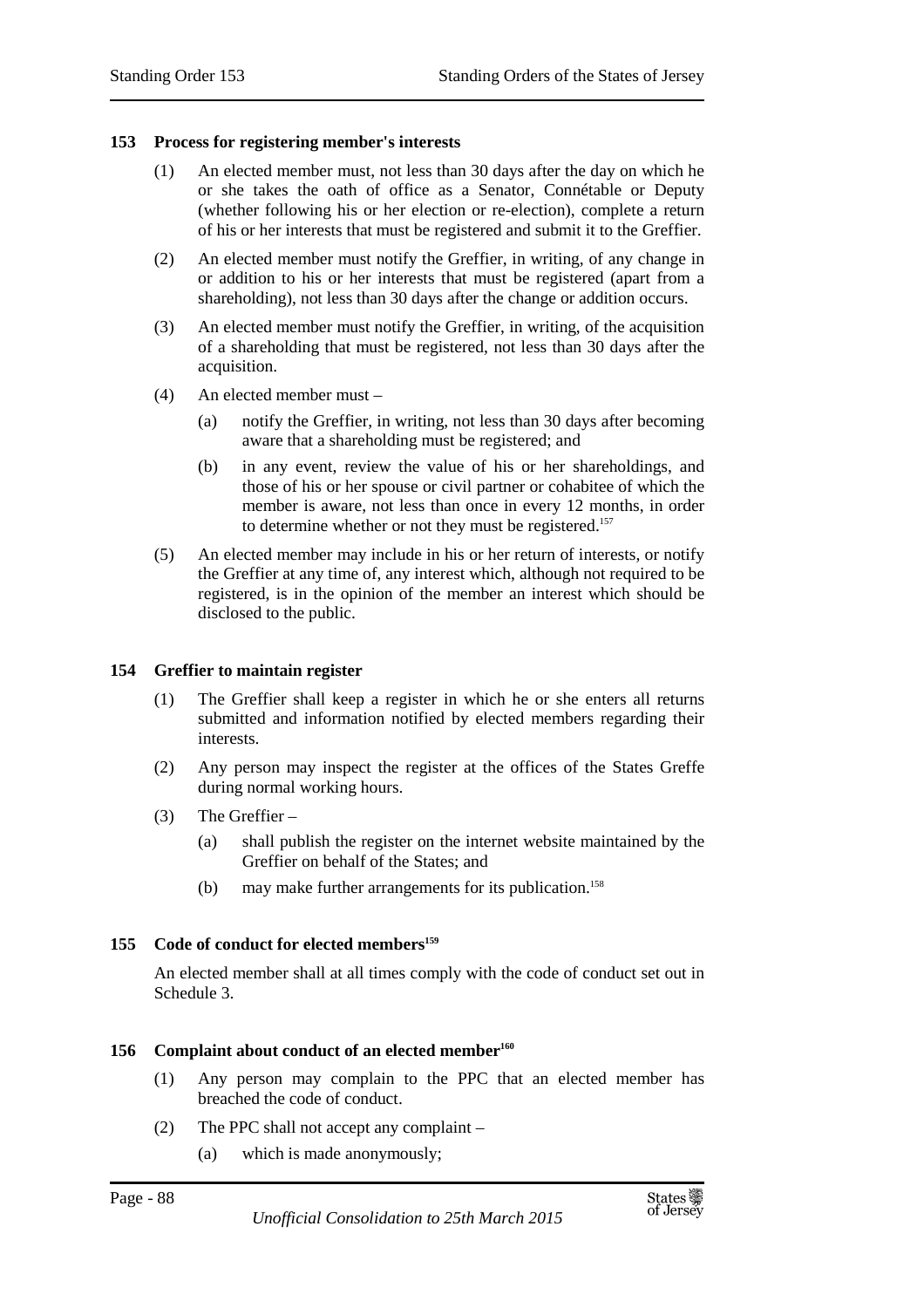#### **153 Process for registering member's interests**

- (1) An elected member must, not less than 30 days after the day on which he or she takes the oath of office as a Senator, Connétable or Deputy (whether following his or her election or re-election), complete a return of his or her interests that must be registered and submit it to the Greffier.
- (2) An elected member must notify the Greffier, in writing, of any change in or addition to his or her interests that must be registered (apart from a shareholding), not less than 30 days after the change or addition occurs.
- (3) An elected member must notify the Greffier, in writing, of the acquisition of a shareholding that must be registered, not less than 30 days after the acquisition.
- (4) An elected member must
	- (a) notify the Greffier, in writing, not less than 30 days after becoming aware that a shareholding must be registered; and
	- (b) in any event, review the value of his or her shareholdings, and those of his or her spouse or civil partner or cohabitee of which the member is aware, not less than once in every 12 months, in order to determine whether or not they must be registered. 157
- (5) An elected member may include in his or her return of interests, or notify the Greffier at any time of, any interest which, although not required to be registered, is in the opinion of the member an interest which should be disclosed to the public.

#### **154 Greffier to maintain register**

- (1) The Greffier shall keep a register in which he or she enters all returns submitted and information notified by elected members regarding their interests.
- (2) Any person may inspect the register at the offices of the States Greffe during normal working hours.
- (3) The Greffier
	- (a) shall publish the register on the internet website maintained by the Greffier on behalf of the States; and
	- (b) may make further arrangements for its publication.<sup>158</sup>

#### **155 Code of conduct for elected members<sup>159</sup>**

An elected member shall at all times comply with the code of conduct set out in Schedule 3.

#### **156 Complaint about conduct of an elected member<sup>160</sup>**

- (1) Any person may complain to the PPC that an elected member has breached the code of conduct.
- (2) The PPC shall not accept any complaint
	- (a) which is made anonymously;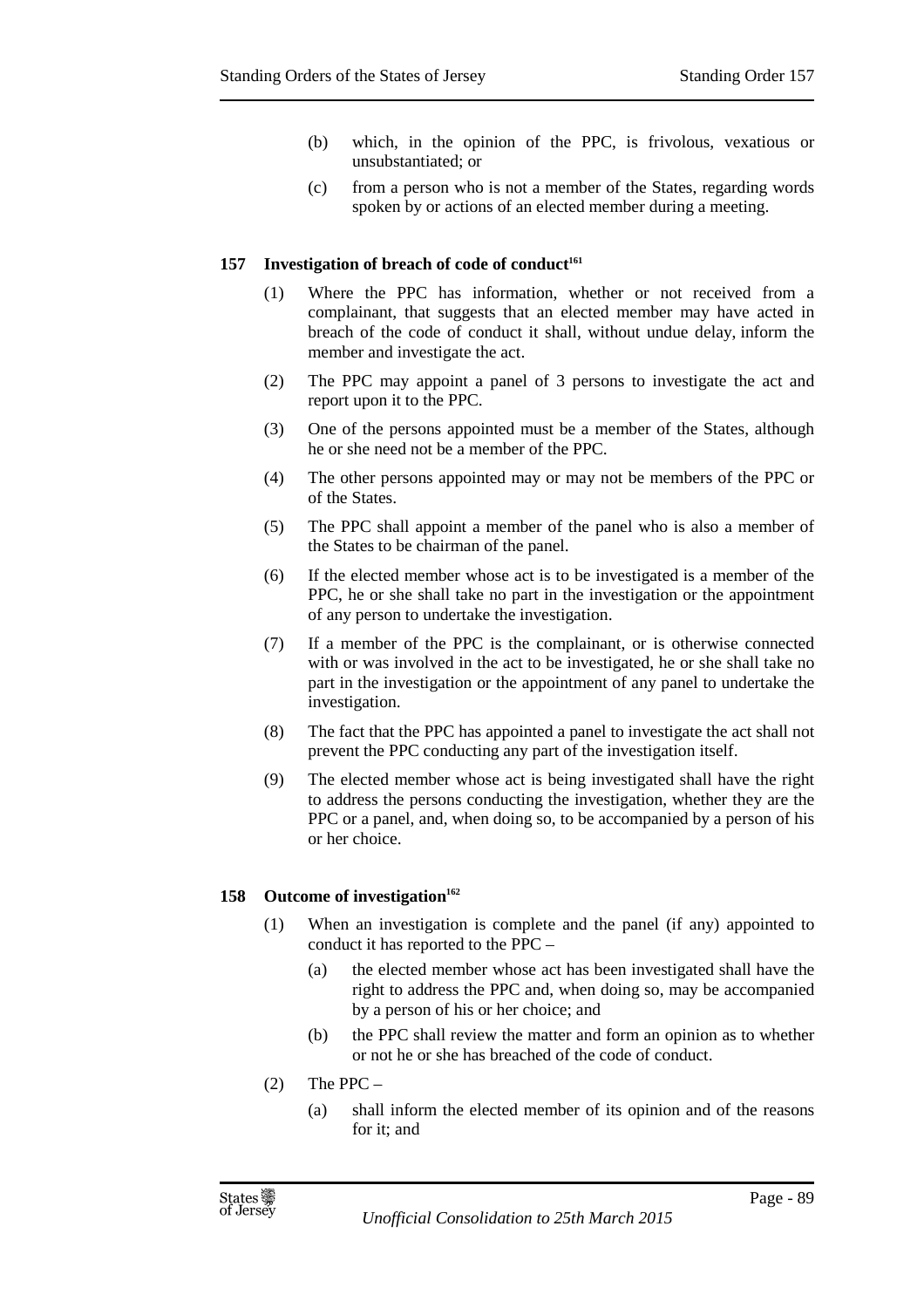- (b) which, in the opinion of the PPC, is frivolous, vexatious or unsubstantiated; or
- (c) from a person who is not a member of the States, regarding words spoken by or actions of an elected member during a meeting.

#### **157 Investigation of breach of code of conduct<sup>161</sup>**

- (1) Where the PPC has information, whether or not received from a complainant, that suggests that an elected member may have acted in breach of the code of conduct it shall, without undue delay, inform the member and investigate the act.
- (2) The PPC may appoint a panel of 3 persons to investigate the act and report upon it to the PPC.
- (3) One of the persons appointed must be a member of the States, although he or she need not be a member of the PPC.
- (4) The other persons appointed may or may not be members of the PPC or of the States.
- (5) The PPC shall appoint a member of the panel who is also a member of the States to be chairman of the panel.
- (6) If the elected member whose act is to be investigated is a member of the PPC, he or she shall take no part in the investigation or the appointment of any person to undertake the investigation.
- (7) If a member of the PPC is the complainant, or is otherwise connected with or was involved in the act to be investigated, he or she shall take no part in the investigation or the appointment of any panel to undertake the investigation.
- (8) The fact that the PPC has appointed a panel to investigate the act shall not prevent the PPC conducting any part of the investigation itself.
- (9) The elected member whose act is being investigated shall have the right to address the persons conducting the investigation, whether they are the PPC or a panel, and, when doing so, to be accompanied by a person of his or her choice.

#### **158 Outcome of investigation<sup>162</sup>**

- (1) When an investigation is complete and the panel (if any) appointed to conduct it has reported to the PPC –
	- (a) the elected member whose act has been investigated shall have the right to address the PPC and, when doing so, may be accompanied by a person of his or her choice; and
	- (b) the PPC shall review the matter and form an opinion as to whether or not he or she has breached of the code of conduct.
- (2) The PPC
	- (a) shall inform the elected member of its opinion and of the reasons for it; and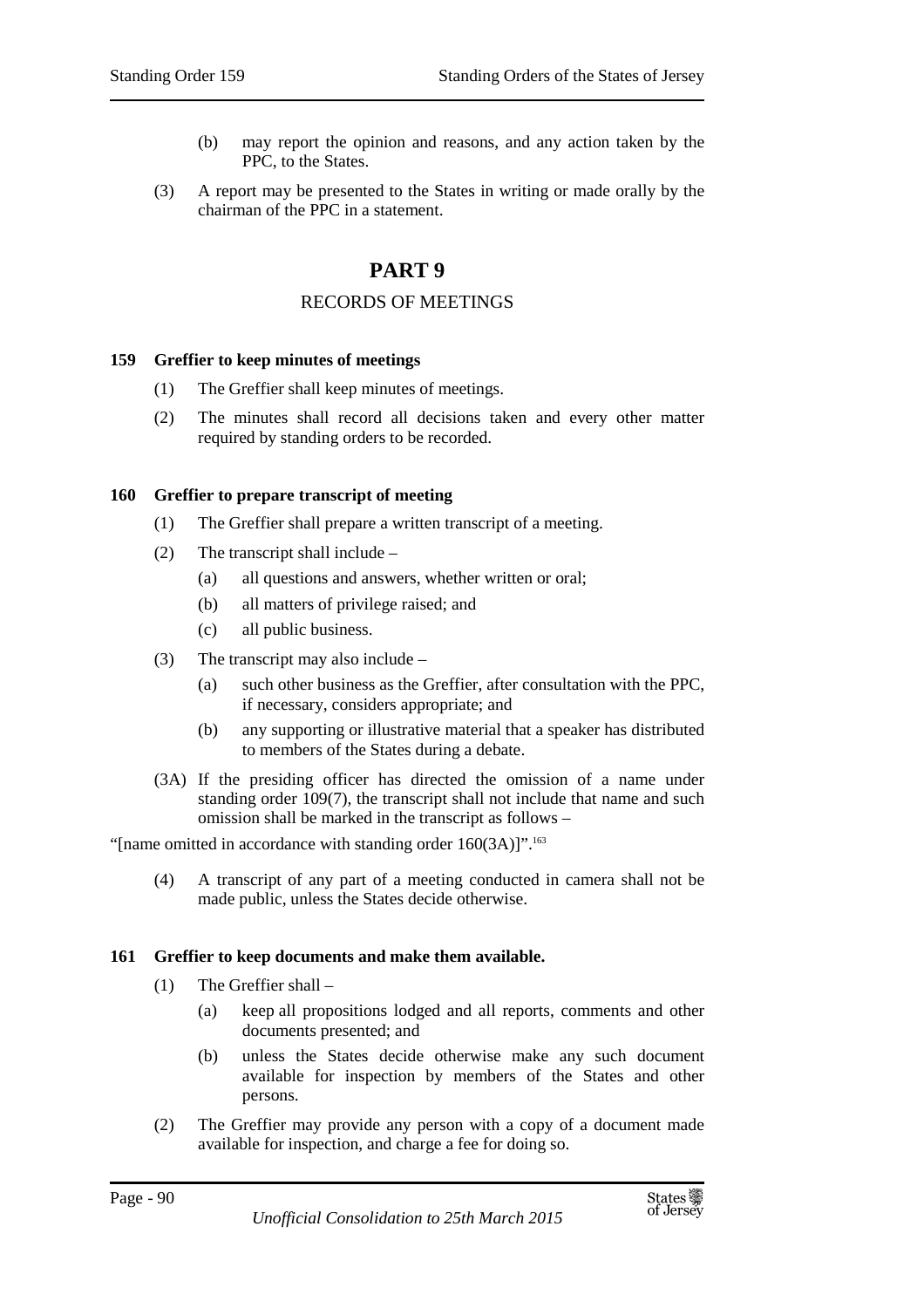- (b) may report the opinion and reasons, and any action taken by the PPC, to the States.
- (3) A report may be presented to the States in writing or made orally by the chairman of the PPC in a statement.

# **PART 9**

# RECORDS OF MEETINGS

#### **159 Greffier to keep minutes of meetings**

- (1) The Greffier shall keep minutes of meetings.
- (2) The minutes shall record all decisions taken and every other matter required by standing orders to be recorded.

#### **160 Greffier to prepare transcript of meeting**

- (1) The Greffier shall prepare a written transcript of a meeting.
- (2) The transcript shall include
	- (a) all questions and answers, whether written or oral;
	- (b) all matters of privilege raised; and
	- (c) all public business.
- (3) The transcript may also include
	- (a) such other business as the Greffier, after consultation with the PPC, if necessary, considers appropriate; and
	- (b) any supporting or illustrative material that a speaker has distributed to members of the States during a debate.
- (3A) If the presiding officer has directed the omission of a name under standing order 109(7), the transcript shall not include that name and such omission shall be marked in the transcript as follows –

"[name omitted in accordance with standing order  $160(3A)$ ]".<sup>163</sup>

(4) A transcript of any part of a meeting conducted in camera shall not be made public, unless the States decide otherwise.

#### **161 Greffier to keep documents and make them available.**

- (1) The Greffier shall
	- (a) keep all propositions lodged and all reports, comments and other documents presented; and
	- (b) unless the States decide otherwise make any such document available for inspection by members of the States and other persons.
- (2) The Greffier may provide any person with a copy of a document made available for inspection, and charge a fee for doing so.

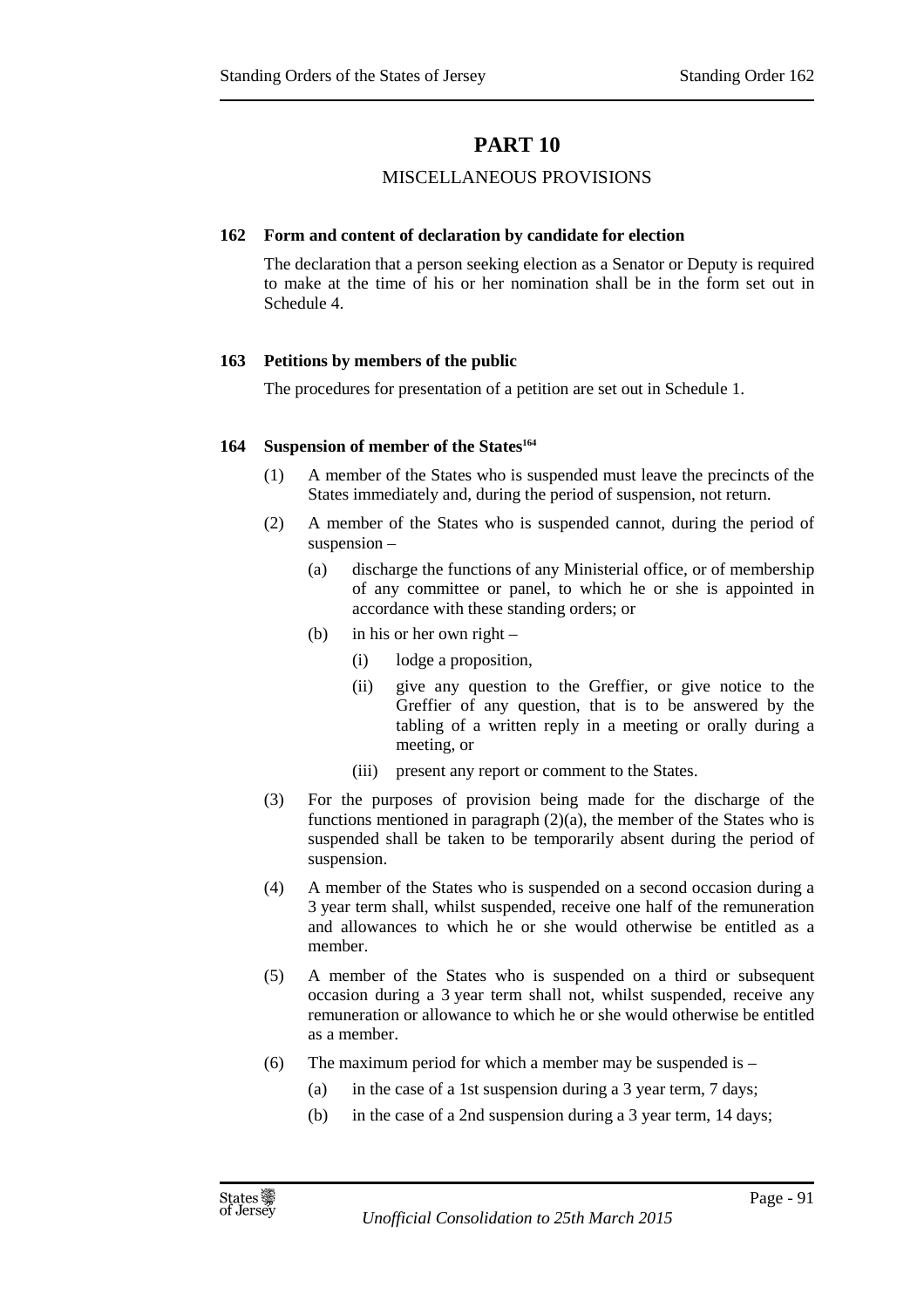# **PART 10**

# MISCELLANEOUS PROVISIONS

## **162 Form and content of declaration by candidate for election**

The declaration that a person seeking election as a Senator or Deputy is required to make at the time of his or her nomination shall be in the form set out in Schedule 4.

# **163 Petitions by members of the public**

The procedures for presentation of a petition are set out in Schedule 1.

## **164 Suspension of member of the States<sup>164</sup>**

- (1) A member of the States who is suspended must leave the precincts of the States immediately and, during the period of suspension, not return.
- (2) A member of the States who is suspended cannot, during the period of suspension –
	- (a) discharge the functions of any Ministerial office, or of membership of any committee or panel, to which he or she is appointed in accordance with these standing orders; or
	- (b) in his or her own right  $-$ 
		- (i) lodge a proposition,
		- (ii) give any question to the Greffier, or give notice to the Greffier of any question, that is to be answered by the tabling of a written reply in a meeting or orally during a meeting, or
		- (iii) present any report or comment to the States.
- (3) For the purposes of provision being made for the discharge of the functions mentioned in paragraph  $(2)(a)$ , the member of the States who is suspended shall be taken to be temporarily absent during the period of suspension.
- (4) A member of the States who is suspended on a second occasion during a 3 year term shall, whilst suspended, receive one half of the remuneration and allowances to which he or she would otherwise be entitled as a member.
- (5) A member of the States who is suspended on a third or subsequent occasion during a 3 year term shall not, whilst suspended, receive any remuneration or allowance to which he or she would otherwise be entitled as a member.
- (6) The maximum period for which a member may be suspended is  $-$ 
	- (a) in the case of a 1st suspension during a 3 year term, 7 days;
	- (b) in the case of a 2nd suspension during a 3 year term, 14 days;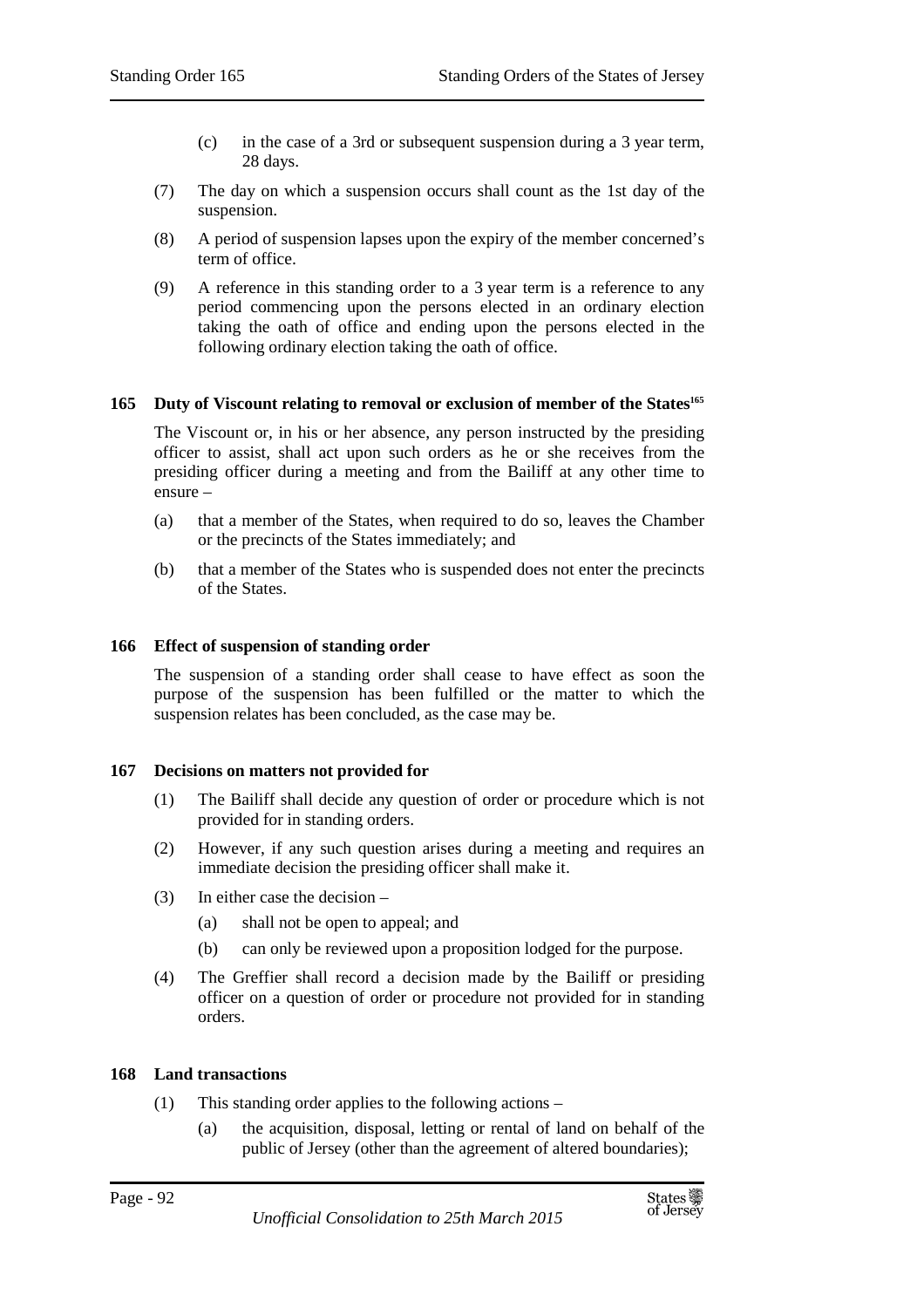- (c) in the case of a 3rd or subsequent suspension during a 3 year term, 28 days.
- (7) The day on which a suspension occurs shall count as the 1st day of the suspension.
- (8) A period of suspension lapses upon the expiry of the member concerned's term of office.
- (9) A reference in this standing order to a 3 year term is a reference to any period commencing upon the persons elected in an ordinary election taking the oath of office and ending upon the persons elected in the following ordinary election taking the oath of office.

## **165 Duty of Viscount relating to removal or exclusion of member of the States<sup>165</sup>**

The Viscount or, in his or her absence, any person instructed by the presiding officer to assist, shall act upon such orders as he or she receives from the presiding officer during a meeting and from the Bailiff at any other time to ensure –

- (a) that a member of the States, when required to do so, leaves the Chamber or the precincts of the States immediately; and
- (b) that a member of the States who is suspended does not enter the precincts of the States.

#### **166 Effect of suspension of standing order**

The suspension of a standing order shall cease to have effect as soon the purpose of the suspension has been fulfilled or the matter to which the suspension relates has been concluded, as the case may be.

#### **167 Decisions on matters not provided for**

- (1) The Bailiff shall decide any question of order or procedure which is not provided for in standing orders.
- (2) However, if any such question arises during a meeting and requires an immediate decision the presiding officer shall make it.
- (3) In either case the decision
	- (a) shall not be open to appeal; and
	- (b) can only be reviewed upon a proposition lodged for the purpose.
- (4) The Greffier shall record a decision made by the Bailiff or presiding officer on a question of order or procedure not provided for in standing orders.

#### **168 Land transactions**

- (1) This standing order applies to the following actions
	- (a) the acquisition, disposal, letting or rental of land on behalf of the public of Jersey (other than the agreement of altered boundaries);

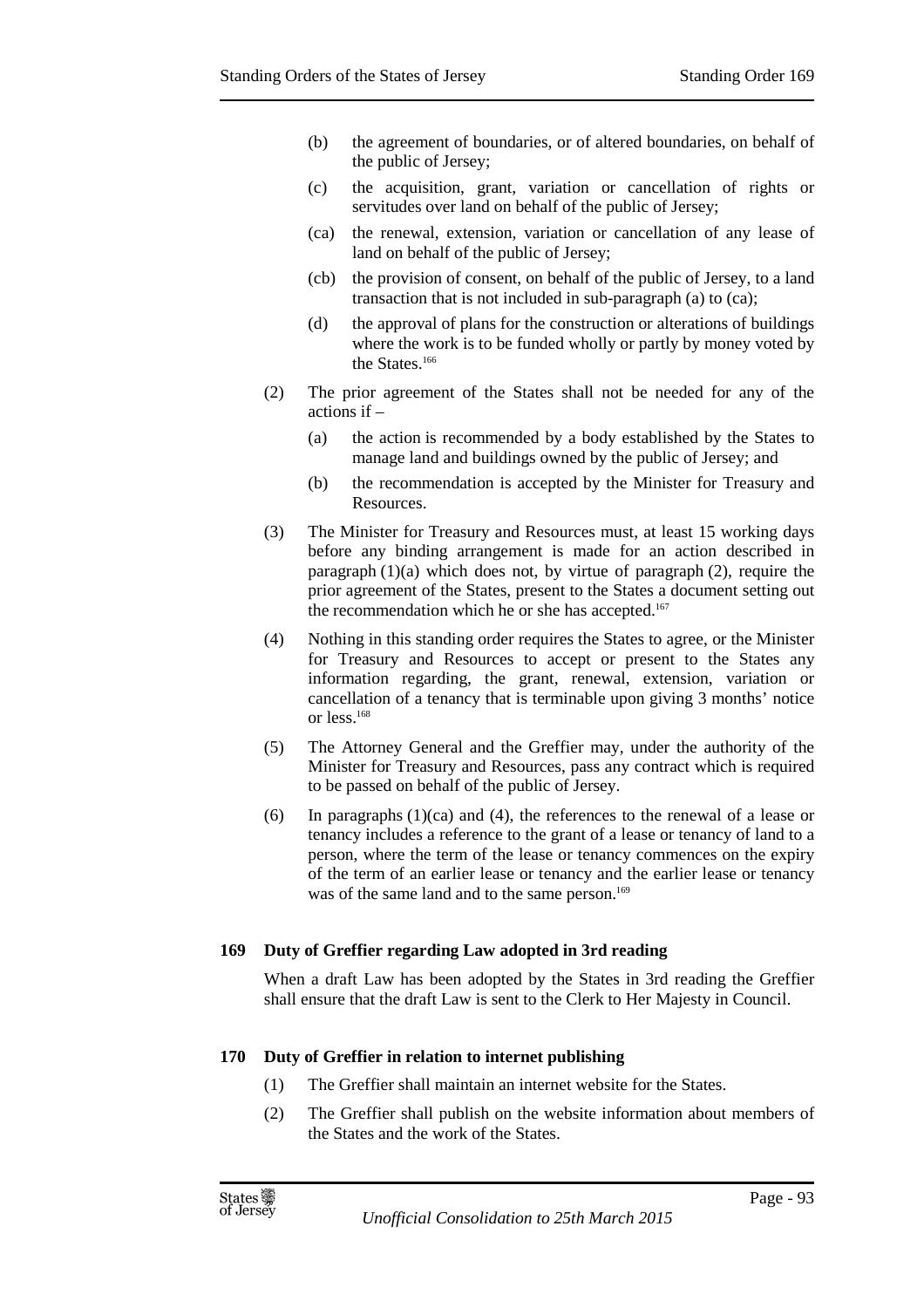- (b) the agreement of boundaries, or of altered boundaries, on behalf of the public of Jersey;
- (c) the acquisition, grant, variation or cancellation of rights or servitudes over land on behalf of the public of Jersey;
- (ca) the renewal, extension, variation or cancellation of any lease of land on behalf of the public of Jersey;
- (cb) the provision of consent, on behalf of the public of Jersey, to a land transaction that is not included in sub-paragraph (a) to (ca);
- (d) the approval of plans for the construction or alterations of buildings where the work is to be funded wholly or partly by money voted by the States.<sup>166</sup>
- (2) The prior agreement of the States shall not be needed for any of the actions if –
	- (a) the action is recommended by a body established by the States to manage land and buildings owned by the public of Jersey; and
	- (b) the recommendation is accepted by the Minister for Treasury and Resources.
- (3) The Minister for Treasury and Resources must, at least 15 working days before any binding arrangement is made for an action described in paragraph (1)(a) which does not, by virtue of paragraph (2), require the prior agreement of the States, present to the States a document setting out the recommendation which he or she has accepted.<sup>167</sup>
- (4) Nothing in this standing order requires the States to agree, or the Minister for Treasury and Resources to accept or present to the States any information regarding, the grant, renewal, extension, variation or cancellation of a tenancy that is terminable upon giving 3 months' notice or less.<sup>168</sup>
- (5) The Attorney General and the Greffier may, under the authority of the Minister for Treasury and Resources, pass any contract which is required to be passed on behalf of the public of Jersey.
- (6) In paragraphs  $(1)(ca)$  and  $(4)$ , the references to the renewal of a lease or tenancy includes a reference to the grant of a lease or tenancy of land to a person, where the term of the lease or tenancy commences on the expiry of the term of an earlier lease or tenancy and the earlier lease or tenancy was of the same land and to the same person.<sup>169</sup>

#### **169 Duty of Greffier regarding Law adopted in 3rd reading**

When a draft Law has been adopted by the States in 3rd reading the Greffier shall ensure that the draft Law is sent to the Clerk to Her Majesty in Council.

#### **170 Duty of Greffier in relation to internet publishing**

- (1) The Greffier shall maintain an internet website for the States.
- (2) The Greffier shall publish on the website information about members of the States and the work of the States.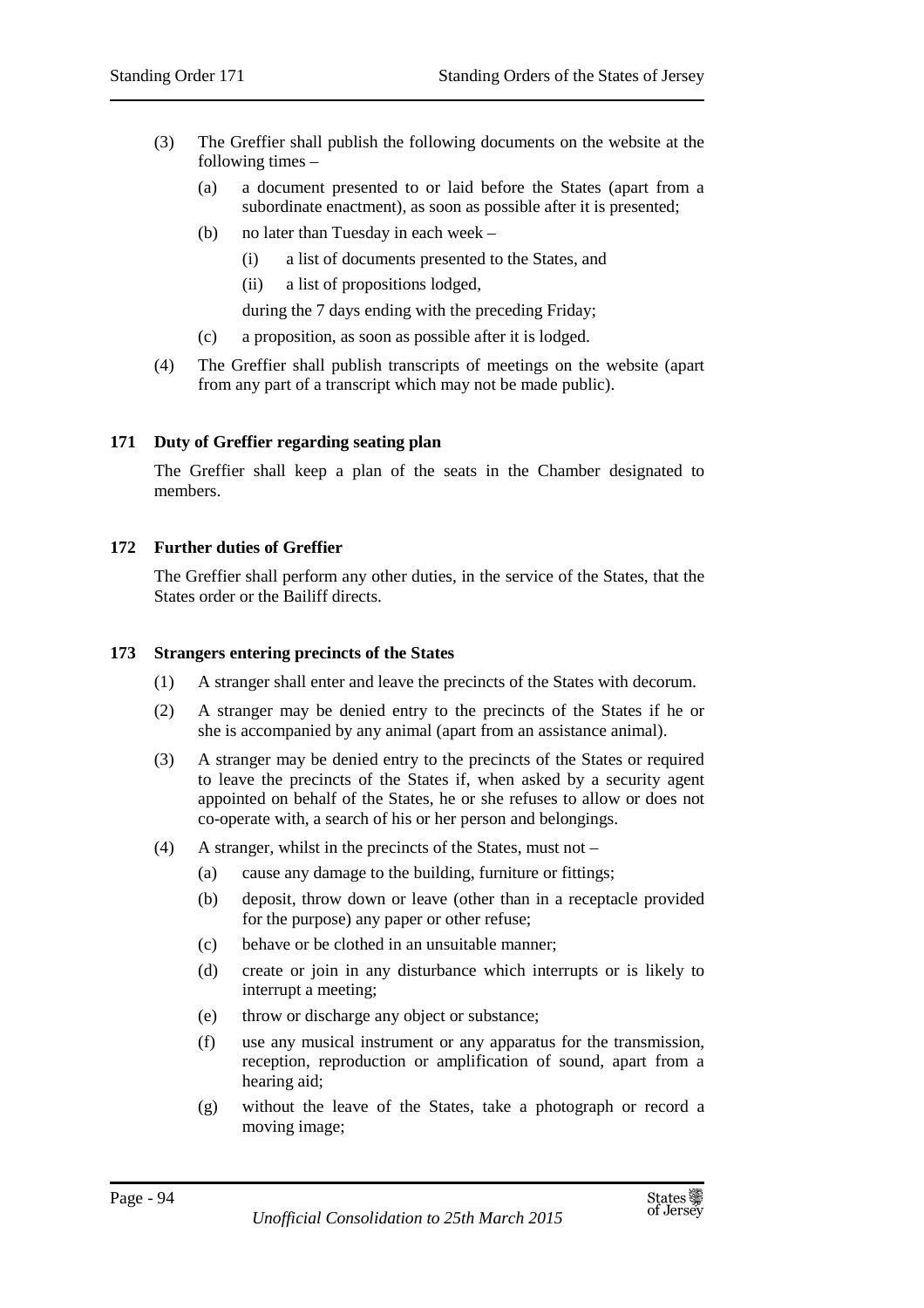- (3) The Greffier shall publish the following documents on the website at the following times –
	- (a) a document presented to or laid before the States (apart from a subordinate enactment), as soon as possible after it is presented;
	- (b) no later than Tuesday in each week
		- (i) a list of documents presented to the States, and
		- (ii) a list of propositions lodged,

during the 7 days ending with the preceding Friday;

- (c) a proposition, as soon as possible after it is lodged.
- (4) The Greffier shall publish transcripts of meetings on the website (apart from any part of a transcript which may not be made public).

## **171 Duty of Greffier regarding seating plan**

The Greffier shall keep a plan of the seats in the Chamber designated to members.

## **172 Further duties of Greffier**

The Greffier shall perform any other duties, in the service of the States, that the States order or the Bailiff directs.

#### **173 Strangers entering precincts of the States**

- (1) A stranger shall enter and leave the precincts of the States with decorum.
- (2) A stranger may be denied entry to the precincts of the States if he or she is accompanied by any animal (apart from an assistance animal).
- (3) A stranger may be denied entry to the precincts of the States or required to leave the precincts of the States if, when asked by a security agent appointed on behalf of the States, he or she refuses to allow or does not co-operate with, a search of his or her person and belongings.
- (4) A stranger, whilst in the precincts of the States, must not
	- (a) cause any damage to the building, furniture or fittings;
	- (b) deposit, throw down or leave (other than in a receptacle provided for the purpose) any paper or other refuse;
	- (c) behave or be clothed in an unsuitable manner;
	- (d) create or join in any disturbance which interrupts or is likely to interrupt a meeting;
	- (e) throw or discharge any object or substance;
	- (f) use any musical instrument or any apparatus for the transmission, reception, reproduction or amplification of sound, apart from a hearing aid;
	- (g) without the leave of the States, take a photograph or record a moving image;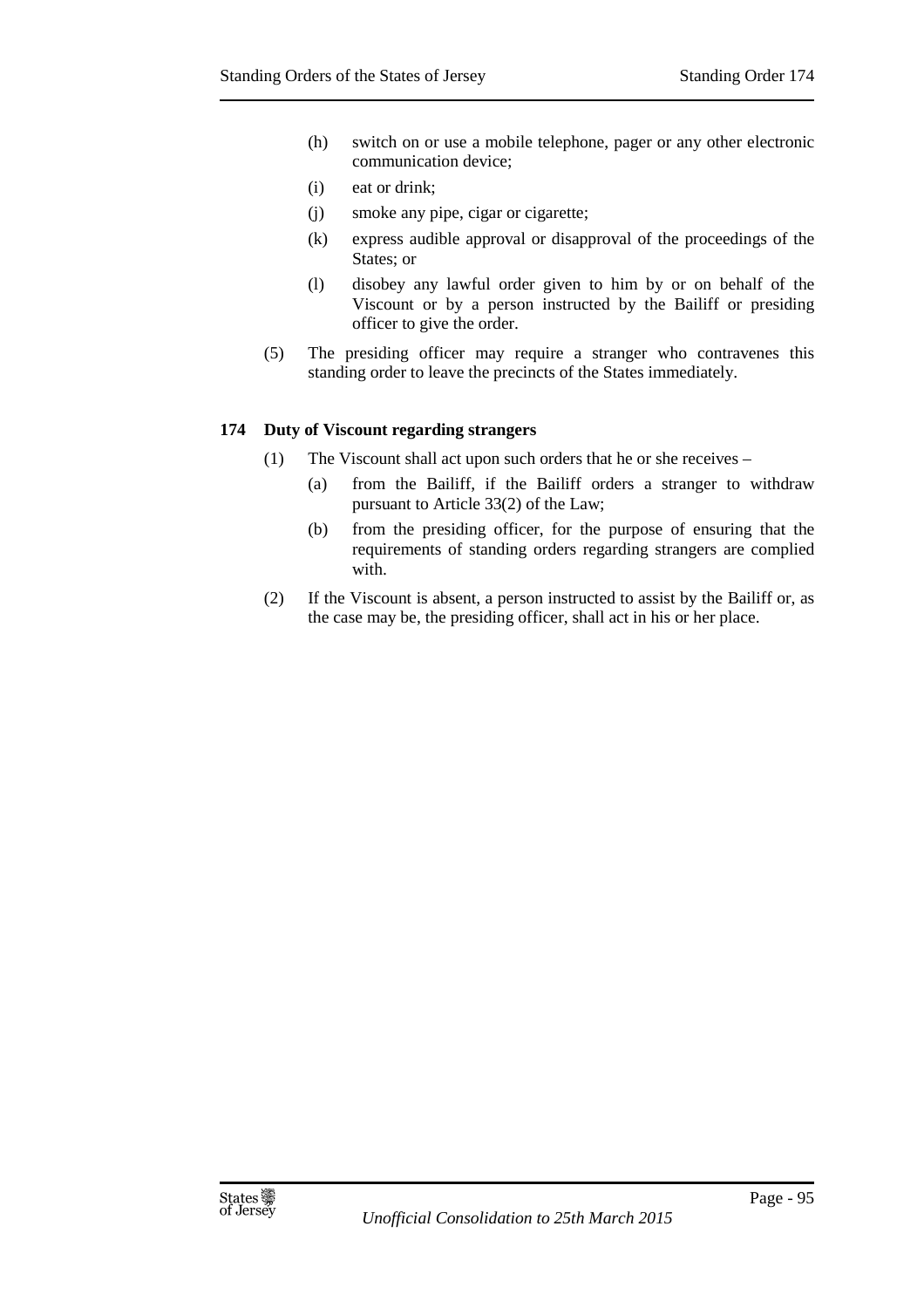- (h) switch on or use a mobile telephone, pager or any other electronic communication device;
- (i) eat or drink;
- (j) smoke any pipe, cigar or cigarette;
- (k) express audible approval or disapproval of the proceedings of the States; or
- (l) disobey any lawful order given to him by or on behalf of the Viscount or by a person instructed by the Bailiff or presiding officer to give the order.
- (5) The presiding officer may require a stranger who contravenes this standing order to leave the precincts of the States immediately.

## **174 Duty of Viscount regarding strangers**

- (1) The Viscount shall act upon such orders that he or she receives
	- (a) from the Bailiff, if the Bailiff orders a stranger to withdraw pursuant to Article 33(2) of the Law;
	- (b) from the presiding officer, for the purpose of ensuring that the requirements of standing orders regarding strangers are complied with.
- (2) If the Viscount is absent, a person instructed to assist by the Bailiff or, as the case may be, the presiding officer, shall act in his or her place.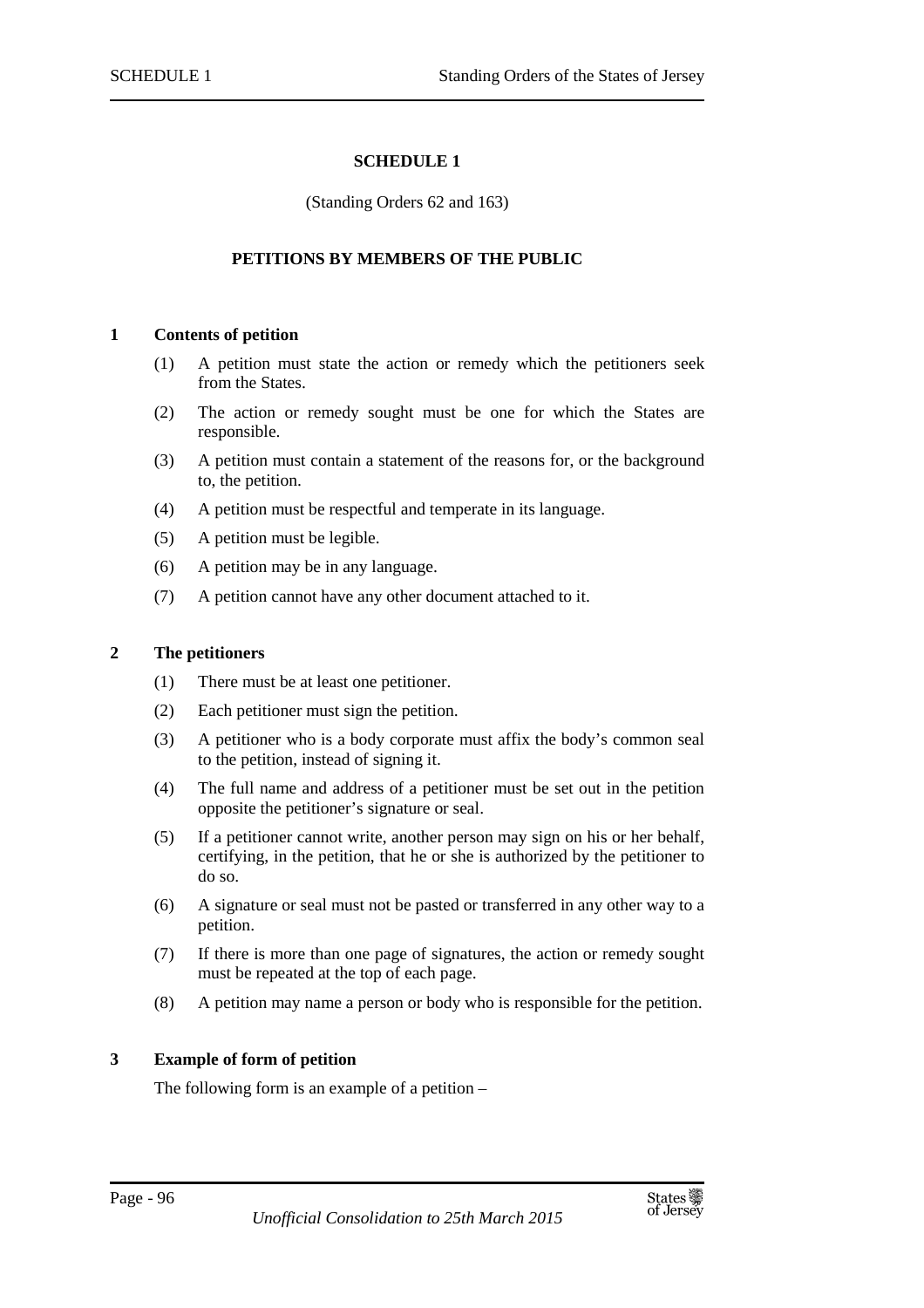## **SCHEDULE 1**

#### (Standing Orders 62 and 163)

## **PETITIONS BY MEMBERS OF THE PUBLIC**

## **1 Contents of petition**

- (1) A petition must state the action or remedy which the petitioners seek from the States.
- (2) The action or remedy sought must be one for which the States are responsible.
- (3) A petition must contain a statement of the reasons for, or the background to, the petition.
- (4) A petition must be respectful and temperate in its language.
- (5) A petition must be legible.
- (6) A petition may be in any language.
- (7) A petition cannot have any other document attached to it.

#### **2 The petitioners**

- (1) There must be at least one petitioner.
- (2) Each petitioner must sign the petition.
- (3) A petitioner who is a body corporate must affix the body's common seal to the petition, instead of signing it.
- (4) The full name and address of a petitioner must be set out in the petition opposite the petitioner's signature or seal.
- (5) If a petitioner cannot write, another person may sign on his or her behalf, certifying, in the petition, that he or she is authorized by the petitioner to do so.
- (6) A signature or seal must not be pasted or transferred in any other way to a petition.
- (7) If there is more than one page of signatures, the action or remedy sought must be repeated at the top of each page.
- (8) A petition may name a person or body who is responsible for the petition.

#### **3 Example of form of petition**

The following form is an example of a petition –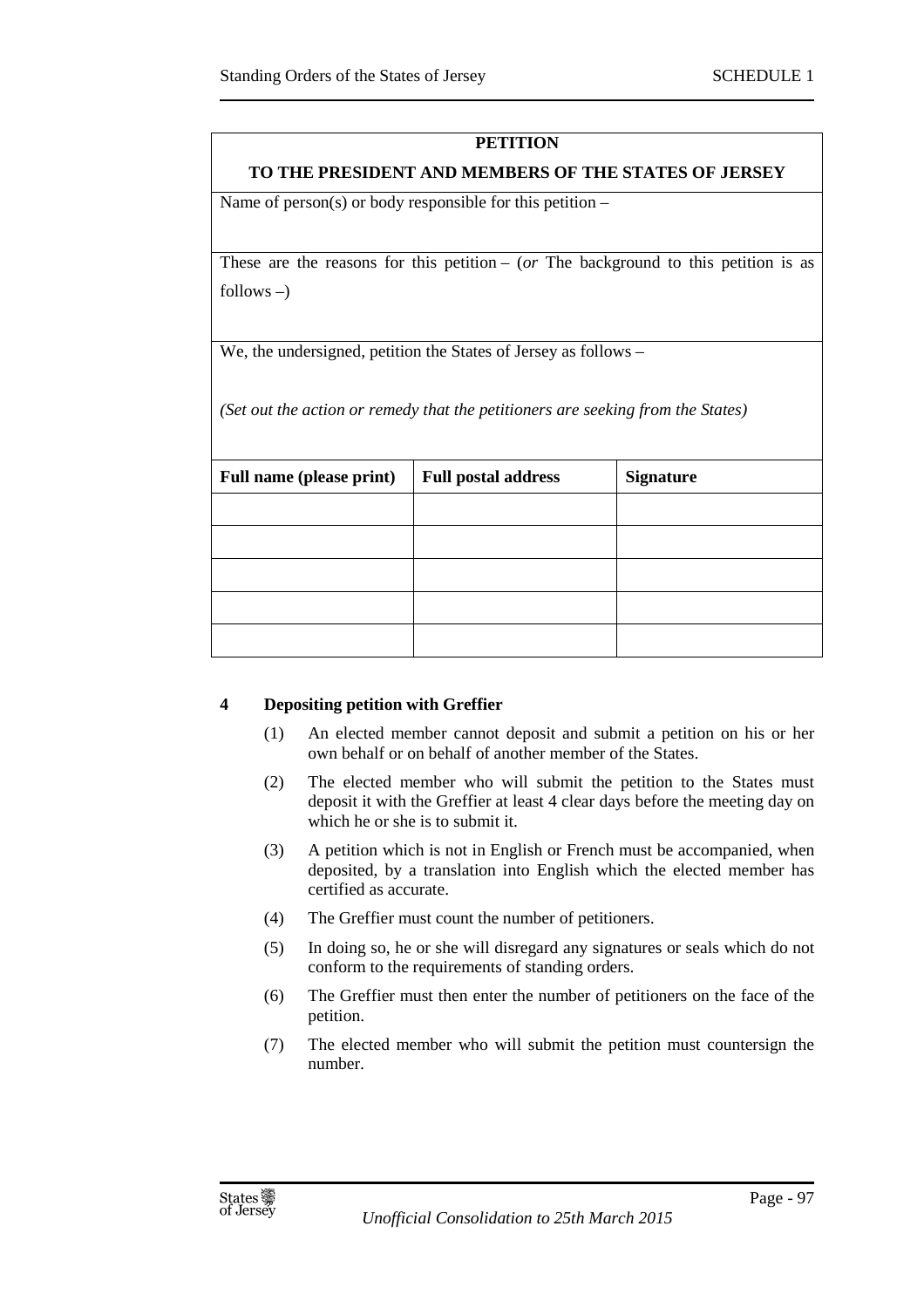# **PETITION**

## **TO THE PRESIDENT AND MEMBERS OF THE STATES OF JERSEY**

Name of person(s) or body responsible for this petition  $-$ 

These are the reasons for this petition –  $(or$  The background to this petition is as follows  $-$ )

We, the undersigned, petition the States of Jersey as follows –

*(Set out the action or remedy that the petitioners are seeking from the States)* 

| <b>Full name (please print)</b> | <b>Full postal address</b> | <b>Signature</b> |  |
|---------------------------------|----------------------------|------------------|--|
|                                 |                            |                  |  |
|                                 |                            |                  |  |
|                                 |                            |                  |  |
|                                 |                            |                  |  |
|                                 |                            |                  |  |

# **4 Depositing petition with Greffier**

- (1) An elected member cannot deposit and submit a petition on his or her own behalf or on behalf of another member of the States.
- (2) The elected member who will submit the petition to the States must deposit it with the Greffier at least 4 clear days before the meeting day on which he or she is to submit it.
- (3) A petition which is not in English or French must be accompanied, when deposited, by a translation into English which the elected member has certified as accurate.
- (4) The Greffier must count the number of petitioners.
- (5) In doing so, he or she will disregard any signatures or seals which do not conform to the requirements of standing orders.
- (6) The Greffier must then enter the number of petitioners on the face of the petition.
- (7) The elected member who will submit the petition must countersign the number.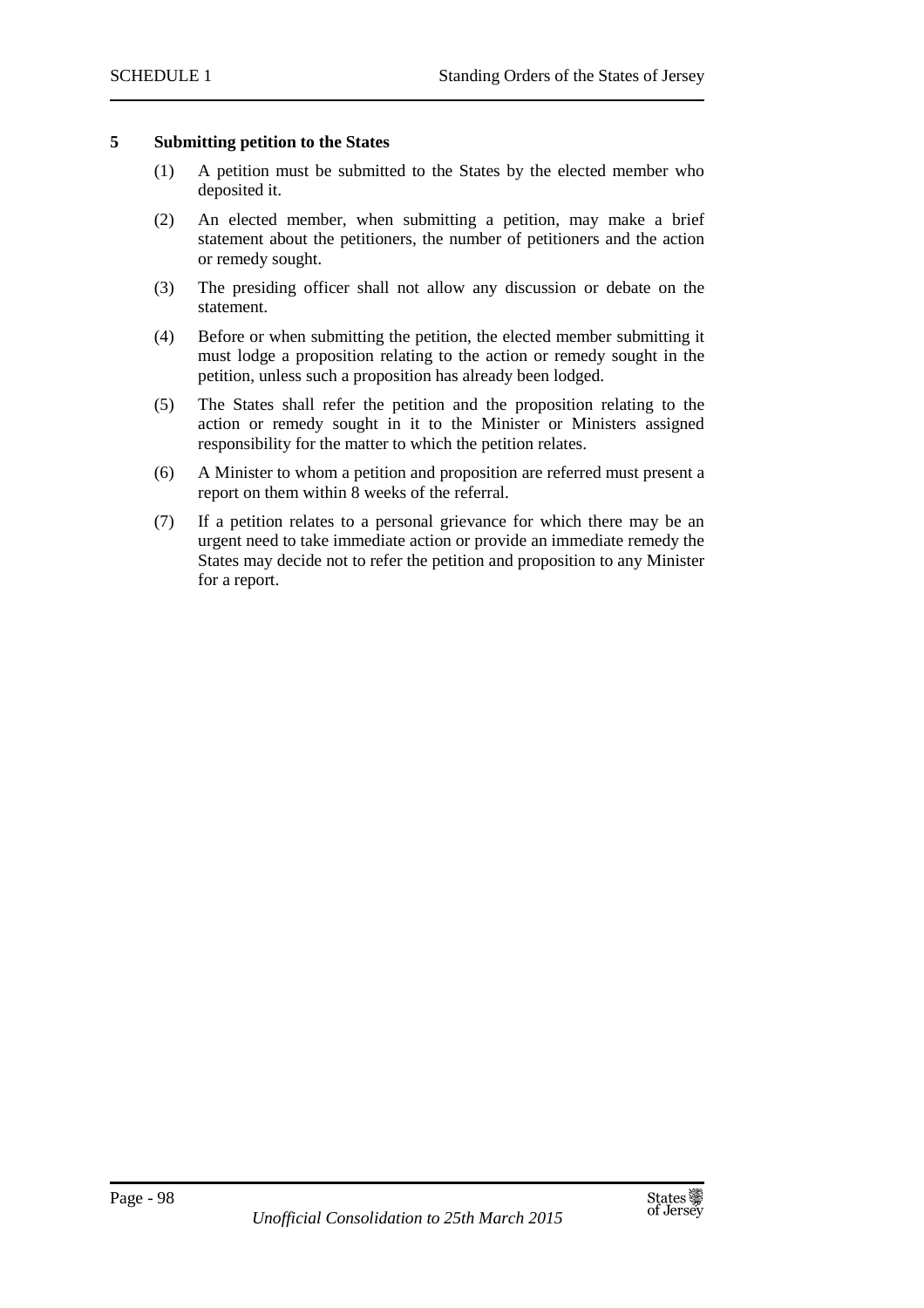## **5 Submitting petition to the States**

- (1) A petition must be submitted to the States by the elected member who deposited it.
- (2) An elected member, when submitting a petition, may make a brief statement about the petitioners, the number of petitioners and the action or remedy sought.
- (3) The presiding officer shall not allow any discussion or debate on the statement.
- (4) Before or when submitting the petition, the elected member submitting it must lodge a proposition relating to the action or remedy sought in the petition, unless such a proposition has already been lodged.
- (5) The States shall refer the petition and the proposition relating to the action or remedy sought in it to the Minister or Ministers assigned responsibility for the matter to which the petition relates.
- (6) A Minister to whom a petition and proposition are referred must present a report on them within 8 weeks of the referral.
- (7) If a petition relates to a personal grievance for which there may be an urgent need to take immediate action or provide an immediate remedy the States may decide not to refer the petition and proposition to any Minister for a report.

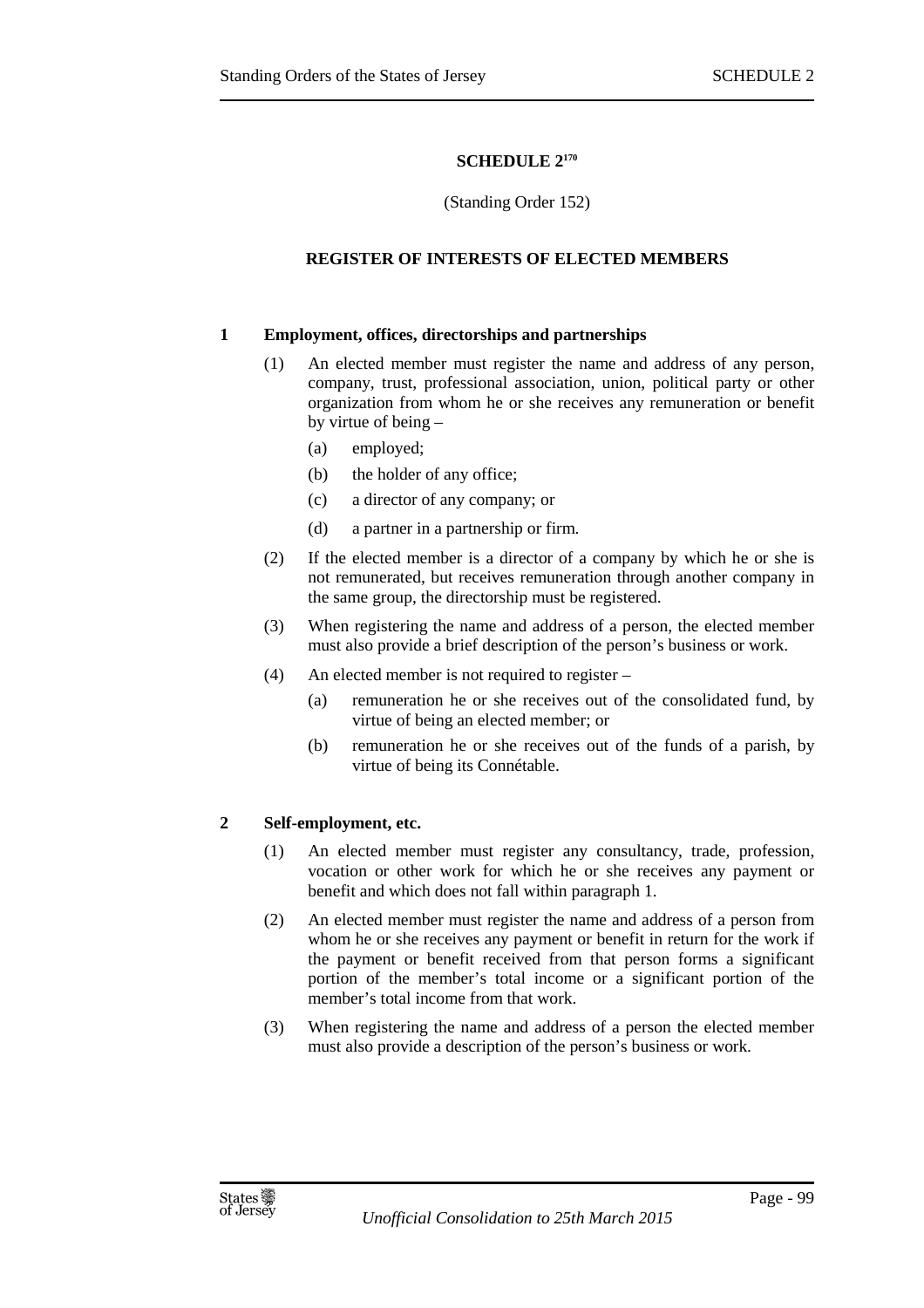# **SCHEDULE 2<sup>170</sup>**

## (Standing Order 152)

## **REGISTER OF INTERESTS OF ELECTED MEMBERS**

## **1 Employment, offices, directorships and partnerships**

- (1) An elected member must register the name and address of any person, company, trust, professional association, union, political party or other organization from whom he or she receives any remuneration or benefit by virtue of being –
	- (a) employed;
	- (b) the holder of any office;
	- (c) a director of any company; or
	- (d) a partner in a partnership or firm.
- (2) If the elected member is a director of a company by which he or she is not remunerated, but receives remuneration through another company in the same group, the directorship must be registered.
- (3) When registering the name and address of a person, the elected member must also provide a brief description of the person's business or work.
- (4) An elected member is not required to register
	- (a) remuneration he or she receives out of the consolidated fund, by virtue of being an elected member; or
	- (b) remuneration he or she receives out of the funds of a parish, by virtue of being its Connétable.

# **2 Self-employment, etc.**

- (1) An elected member must register any consultancy, trade, profession, vocation or other work for which he or she receives any payment or benefit and which does not fall within paragraph 1.
- (2) An elected member must register the name and address of a person from whom he or she receives any payment or benefit in return for the work if the payment or benefit received from that person forms a significant portion of the member's total income or a significant portion of the member's total income from that work.
- (3) When registering the name and address of a person the elected member must also provide a description of the person's business or work.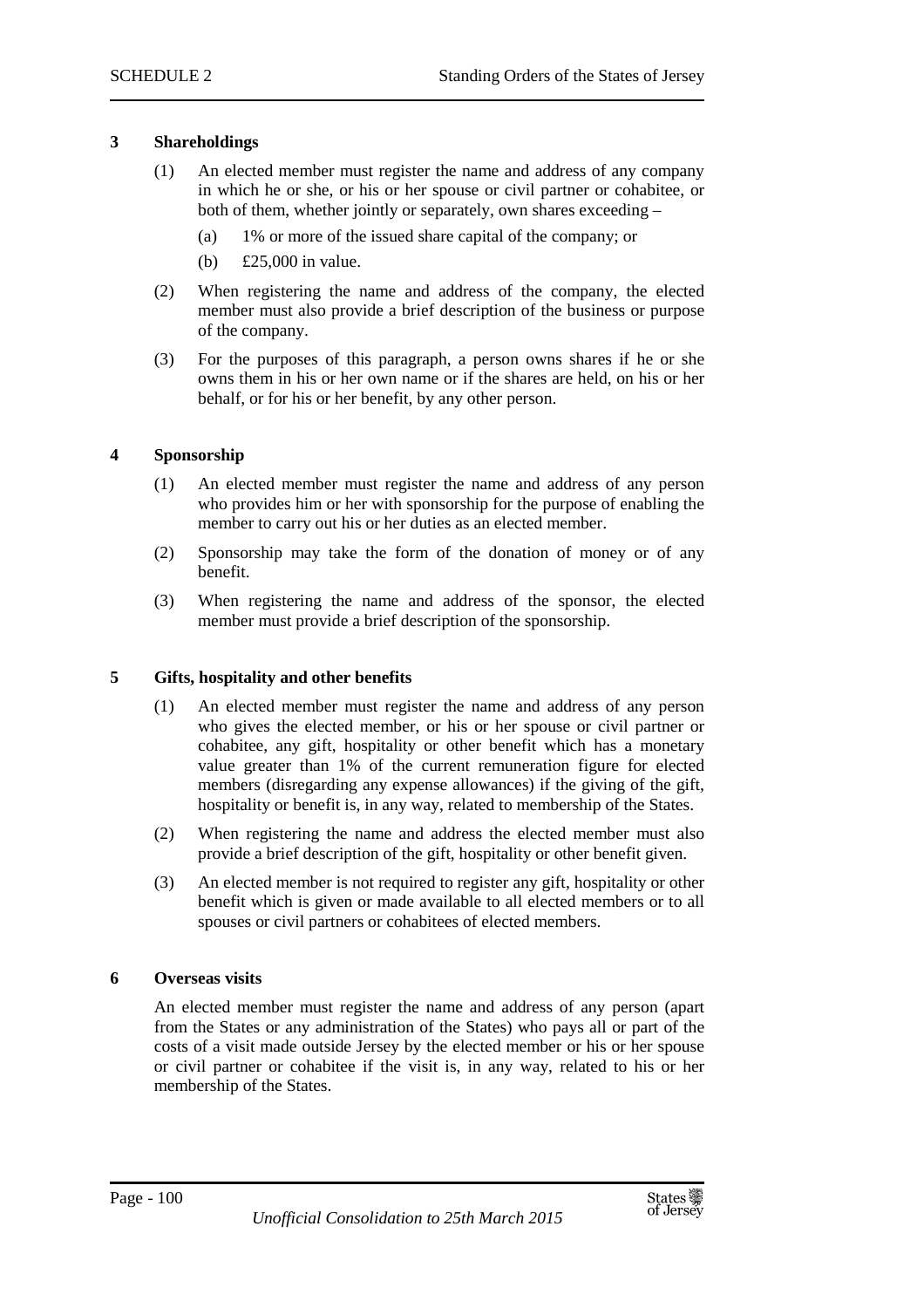#### **3 Shareholdings**

- (1) An elected member must register the name and address of any company in which he or she, or his or her spouse or civil partner or cohabitee, or both of them, whether jointly or separately, own shares exceeding –
	- (a) 1% or more of the issued share capital of the company; or
	- (b) £25,000 in value.
- (2) When registering the name and address of the company, the elected member must also provide a brief description of the business or purpose of the company.
- (3) For the purposes of this paragraph, a person owns shares if he or she owns them in his or her own name or if the shares are held, on his or her behalf, or for his or her benefit, by any other person.

#### **4 Sponsorship**

- (1) An elected member must register the name and address of any person who provides him or her with sponsorship for the purpose of enabling the member to carry out his or her duties as an elected member.
- (2) Sponsorship may take the form of the donation of money or of any benefit.
- (3) When registering the name and address of the sponsor, the elected member must provide a brief description of the sponsorship.

#### **5 Gifts, hospitality and other benefits**

- (1) An elected member must register the name and address of any person who gives the elected member, or his or her spouse or civil partner or cohabitee, any gift, hospitality or other benefit which has a monetary value greater than 1% of the current remuneration figure for elected members (disregarding any expense allowances) if the giving of the gift, hospitality or benefit is, in any way, related to membership of the States.
- (2) When registering the name and address the elected member must also provide a brief description of the gift, hospitality or other benefit given.
- (3) An elected member is not required to register any gift, hospitality or other benefit which is given or made available to all elected members or to all spouses or civil partners or cohabitees of elected members.

#### **6 Overseas visits**

An elected member must register the name and address of any person (apart from the States or any administration of the States) who pays all or part of the costs of a visit made outside Jersey by the elected member or his or her spouse or civil partner or cohabitee if the visit is, in any way, related to his or her membership of the States.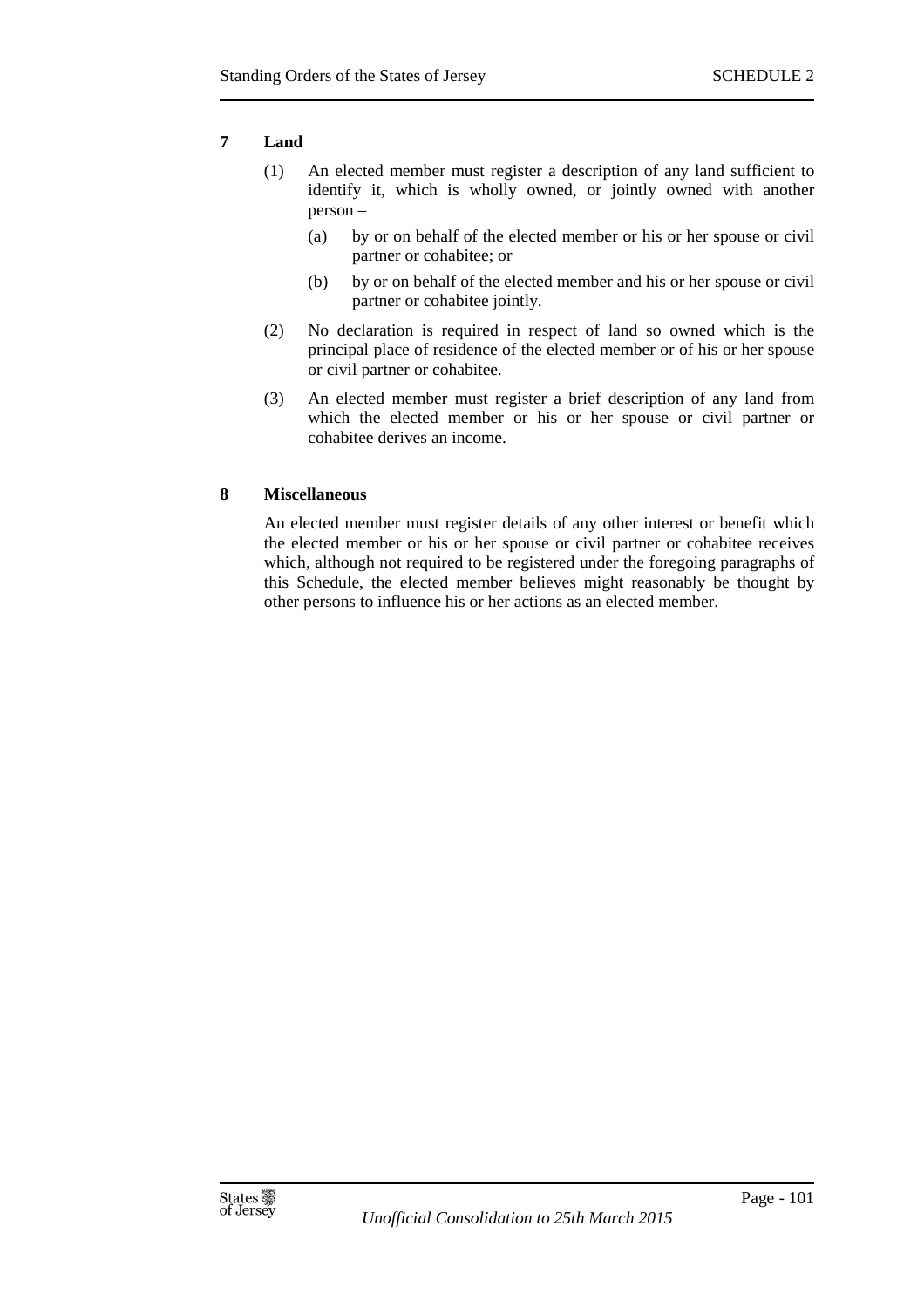# **7 Land**

- (1) An elected member must register a description of any land sufficient to identify it, which is wholly owned, or jointly owned with another person –
	- (a) by or on behalf of the elected member or his or her spouse or civil partner or cohabitee; or
	- (b) by or on behalf of the elected member and his or her spouse or civil partner or cohabitee jointly.
- (2) No declaration is required in respect of land so owned which is the principal place of residence of the elected member or of his or her spouse or civil partner or cohabitee.
- (3) An elected member must register a brief description of any land from which the elected member or his or her spouse or civil partner or cohabitee derives an income.

# **8 Miscellaneous**

An elected member must register details of any other interest or benefit which the elected member or his or her spouse or civil partner or cohabitee receives which, although not required to be registered under the foregoing paragraphs of this Schedule, the elected member believes might reasonably be thought by other persons to influence his or her actions as an elected member.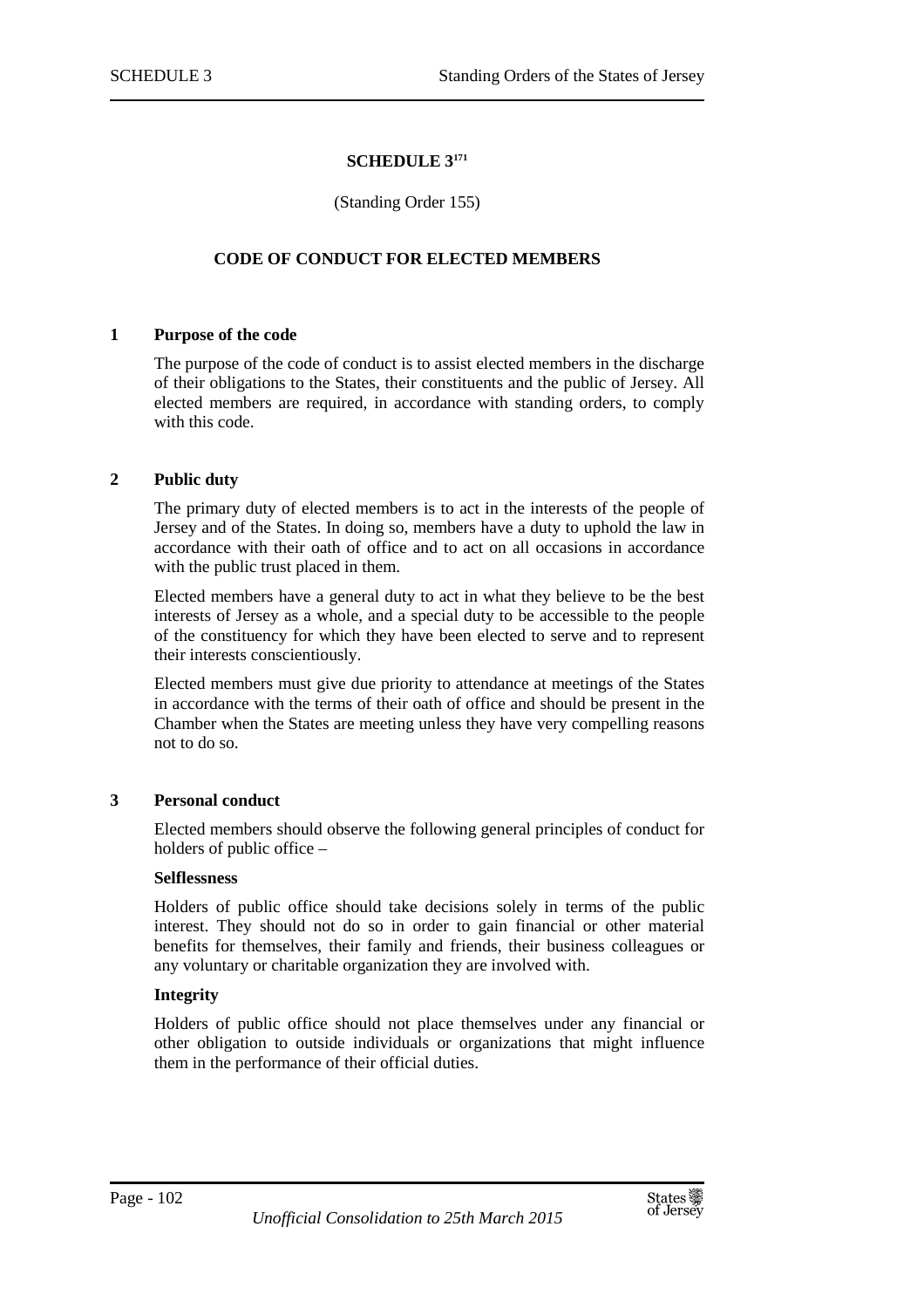#### **SCHEDULE 3<sup>171</sup>**

#### (Standing Order 155)

## **CODE OF CONDUCT FOR ELECTED MEMBERS**

#### **1 Purpose of the code**

The purpose of the code of conduct is to assist elected members in the discharge of their obligations to the States, their constituents and the public of Jersey. All elected members are required, in accordance with standing orders, to comply with this code.

#### **2 Public duty**

The primary duty of elected members is to act in the interests of the people of Jersey and of the States. In doing so, members have a duty to uphold the law in accordance with their oath of office and to act on all occasions in accordance with the public trust placed in them.

Elected members have a general duty to act in what they believe to be the best interests of Jersey as a whole, and a special duty to be accessible to the people of the constituency for which they have been elected to serve and to represent their interests conscientiously.

Elected members must give due priority to attendance at meetings of the States in accordance with the terms of their oath of office and should be present in the Chamber when the States are meeting unless they have very compelling reasons not to do so.

#### **3 Personal conduct**

Elected members should observe the following general principles of conduct for holders of public office –

#### **Selflessness**

Holders of public office should take decisions solely in terms of the public interest. They should not do so in order to gain financial or other material benefits for themselves, their family and friends, their business colleagues or any voluntary or charitable organization they are involved with.

#### **Integrity**

Holders of public office should not place themselves under any financial or other obligation to outside individuals or organizations that might influence them in the performance of their official duties.

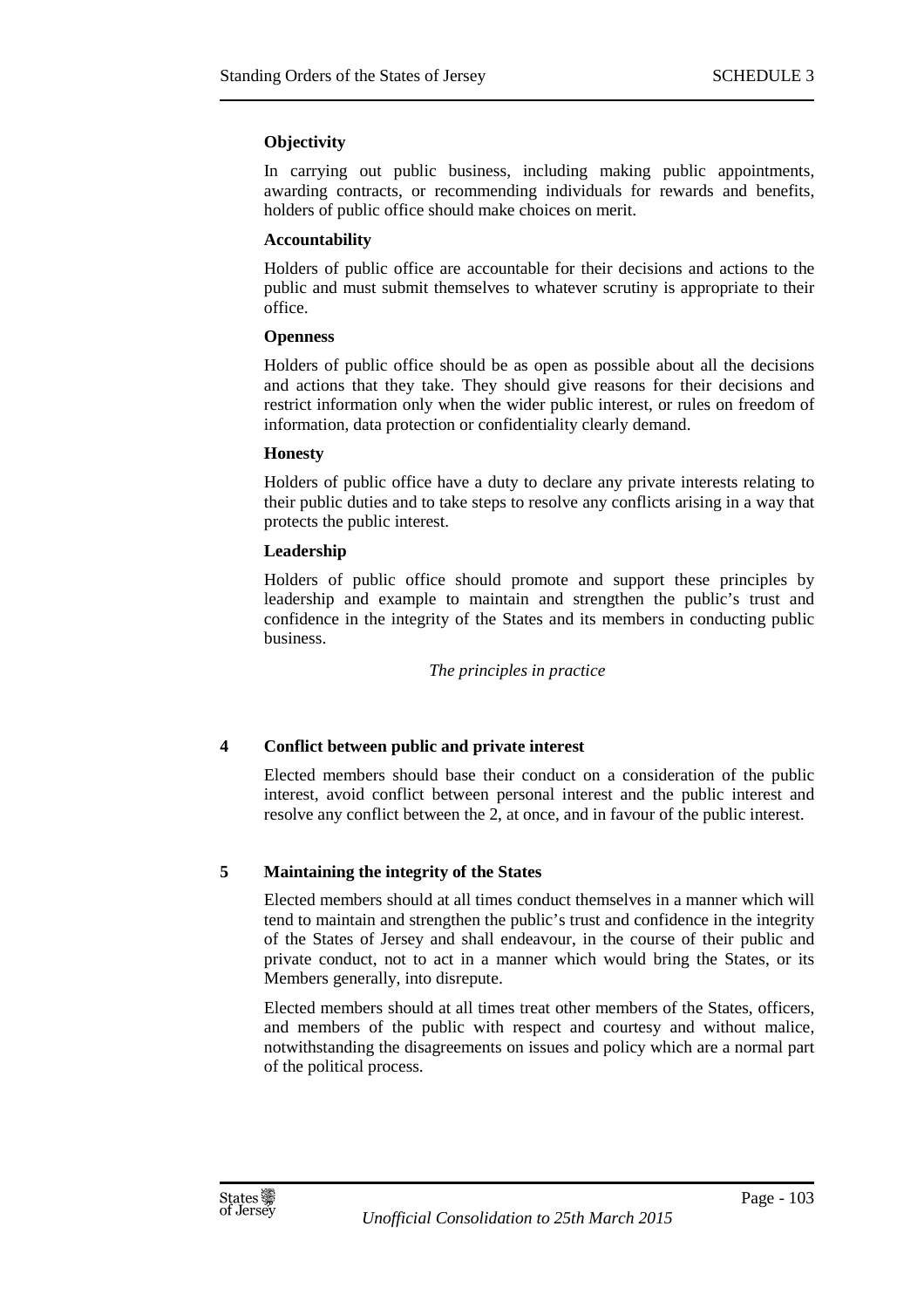# **Objectivity**

In carrying out public business, including making public appointments, awarding contracts, or recommending individuals for rewards and benefits, holders of public office should make choices on merit.

## **Accountability**

Holders of public office are accountable for their decisions and actions to the public and must submit themselves to whatever scrutiny is appropriate to their office.

## **Openness**

Holders of public office should be as open as possible about all the decisions and actions that they take. They should give reasons for their decisions and restrict information only when the wider public interest, or rules on freedom of information, data protection or confidentiality clearly demand.

#### **Honesty**

Holders of public office have a duty to declare any private interests relating to their public duties and to take steps to resolve any conflicts arising in a way that protects the public interest.

## **Leadership**

Holders of public office should promote and support these principles by leadership and example to maintain and strengthen the public's trust and confidence in the integrity of the States and its members in conducting public business.

*The principles in practice* 

# **4 Conflict between public and private interest**

Elected members should base their conduct on a consideration of the public interest, avoid conflict between personal interest and the public interest and resolve any conflict between the 2, at once, and in favour of the public interest.

# **5 Maintaining the integrity of the States**

Elected members should at all times conduct themselves in a manner which will tend to maintain and strengthen the public's trust and confidence in the integrity of the States of Jersey and shall endeavour, in the course of their public and private conduct, not to act in a manner which would bring the States, or its Members generally, into disrepute.

Elected members should at all times treat other members of the States, officers, and members of the public with respect and courtesy and without malice, notwithstanding the disagreements on issues and policy which are a normal part of the political process.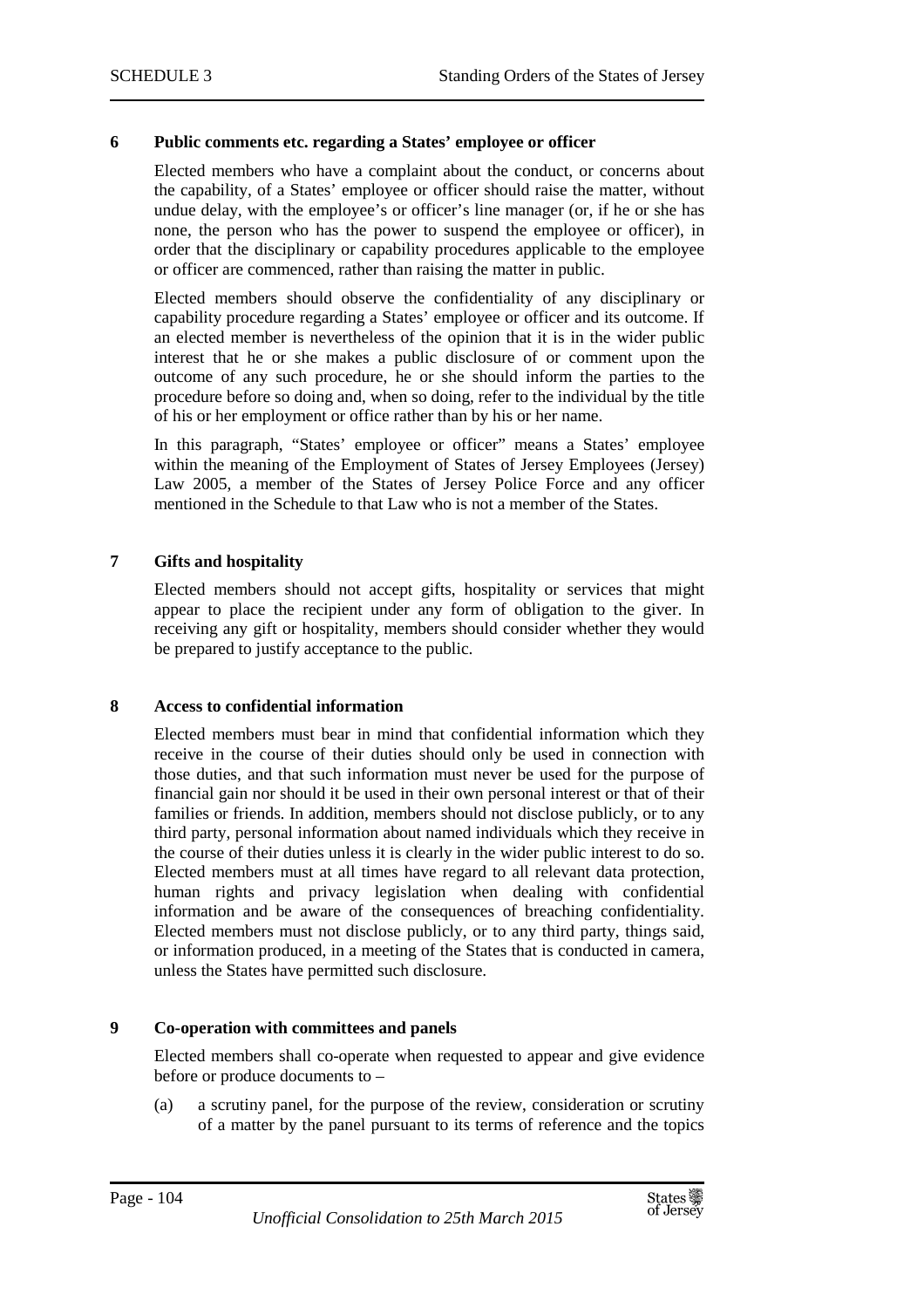#### **6 Public comments etc. regarding a States' employee or officer**

Elected members who have a complaint about the conduct, or concerns about the capability, of a States' employee or officer should raise the matter, without undue delay, with the employee's or officer's line manager (or, if he or she has none, the person who has the power to suspend the employee or officer), in order that the disciplinary or capability procedures applicable to the employee or officer are commenced, rather than raising the matter in public.

Elected members should observe the confidentiality of any disciplinary or capability procedure regarding a States' employee or officer and its outcome. If an elected member is nevertheless of the opinion that it is in the wider public interest that he or she makes a public disclosure of or comment upon the outcome of any such procedure, he or she should inform the parties to the procedure before so doing and, when so doing, refer to the individual by the title of his or her employment or office rather than by his or her name.

In this paragraph, "States' employee or officer" means a States' employee within the meaning of the Employment of States of Jersey Employees (Jersey) Law 2005, a member of the States of Jersey Police Force and any officer mentioned in the Schedule to that Law who is not a member of the States.

## **7 Gifts and hospitality**

Elected members should not accept gifts, hospitality or services that might appear to place the recipient under any form of obligation to the giver. In receiving any gift or hospitality, members should consider whether they would be prepared to justify acceptance to the public.

#### **8 Access to confidential information**

Elected members must bear in mind that confidential information which they receive in the course of their duties should only be used in connection with those duties, and that such information must never be used for the purpose of financial gain nor should it be used in their own personal interest or that of their families or friends. In addition, members should not disclose publicly, or to any third party, personal information about named individuals which they receive in the course of their duties unless it is clearly in the wider public interest to do so. Elected members must at all times have regard to all relevant data protection, human rights and privacy legislation when dealing with confidential information and be aware of the consequences of breaching confidentiality. Elected members must not disclose publicly, or to any third party, things said, or information produced, in a meeting of the States that is conducted in camera, unless the States have permitted such disclosure.

#### **9 Co-operation with committees and panels**

Elected members shall co-operate when requested to appear and give evidence before or produce documents to –

(a) a scrutiny panel, for the purpose of the review, consideration or scrutiny of a matter by the panel pursuant to its terms of reference and the topics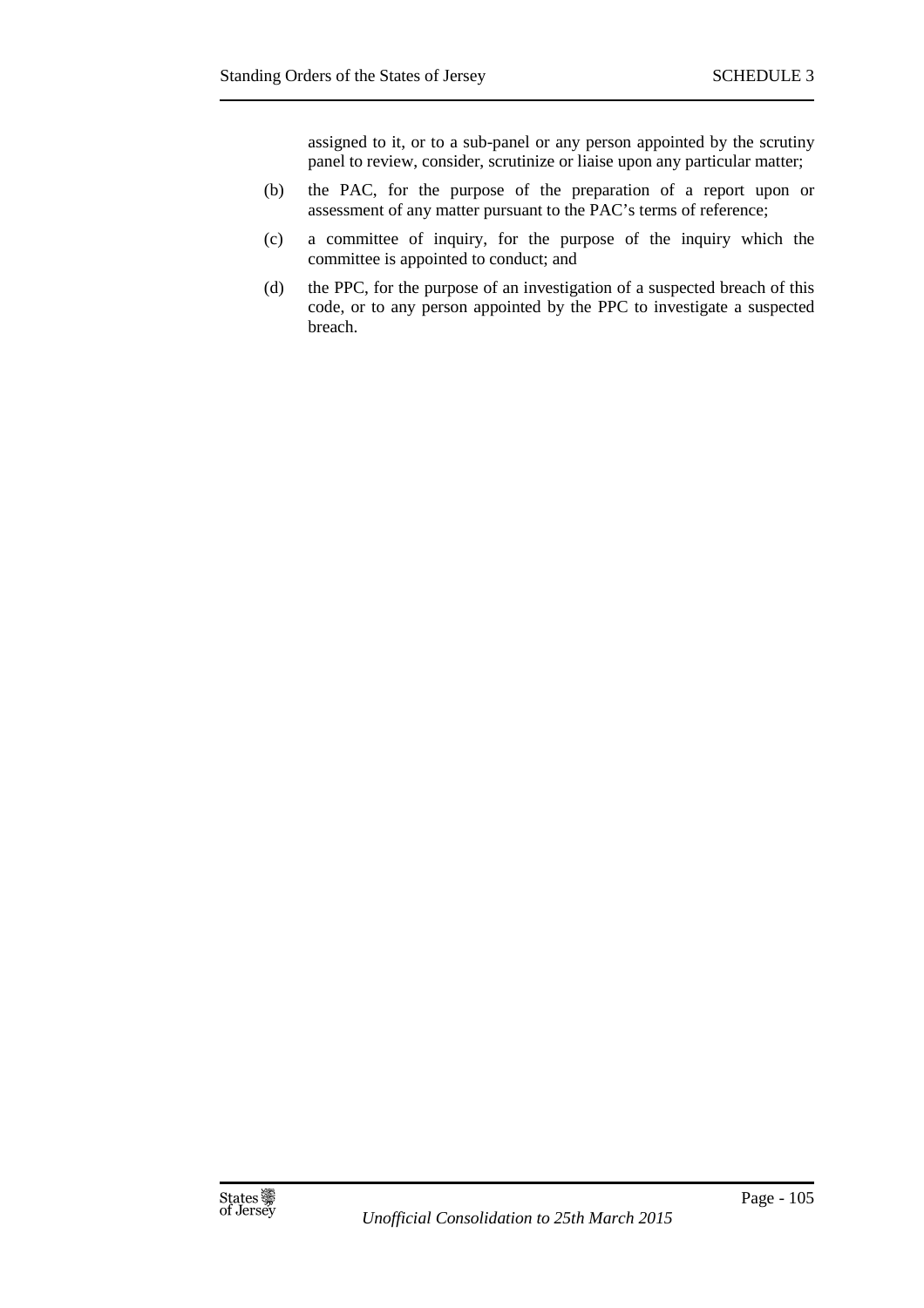assigned to it, or to a sub-panel or any person appointed by the scrutiny panel to review, consider, scrutinize or liaise upon any particular matter;

- (b) the PAC, for the purpose of the preparation of a report upon or assessment of any matter pursuant to the PAC's terms of reference;
- (c) a committee of inquiry, for the purpose of the inquiry which the committee is appointed to conduct; and
- (d) the PPC, for the purpose of an investigation of a suspected breach of this code, or to any person appointed by the PPC to investigate a suspected breach.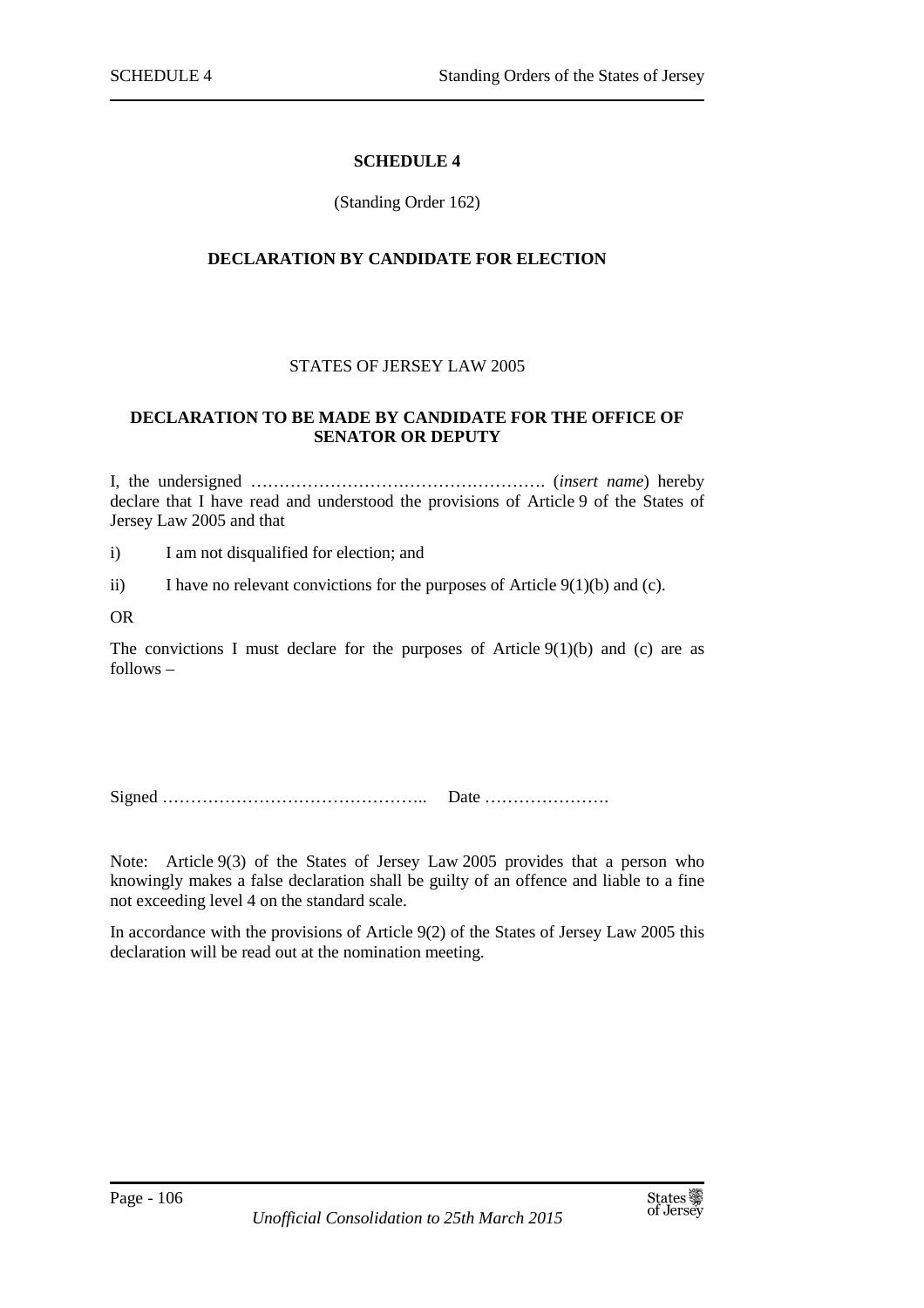#### **SCHEDULE 4**

#### (Standing Order 162)

#### **DECLARATION BY CANDIDATE FOR ELECTION**

## STATES OF JERSEY LAW 2005

#### **DECLARATION TO BE MADE BY CANDIDATE FOR THE OFFICE OF SENATOR OR DEPUTY**

I, the undersigned ……………………………………………. (*insert name*) hereby declare that I have read and understood the provisions of Article 9 of the States of Jersey Law 2005 and that

i) I am not disqualified for election; and

- ii) I have no relevant convictions for the purposes of Article  $9(1)(b)$  and (c).
- OR

The convictions I must declare for the purposes of Article  $9(1)(b)$  and (c) are as follows –

Signed ……………………………………….. Date ………………….

Note: Article 9(3) of the States of Jersey Law 2005 provides that a person who knowingly makes a false declaration shall be guilty of an offence and liable to a fine not exceeding level 4 on the standard scale.

In accordance with the provisions of Article 9(2) of the States of Jersey Law 2005 this declaration will be read out at the nomination meeting.

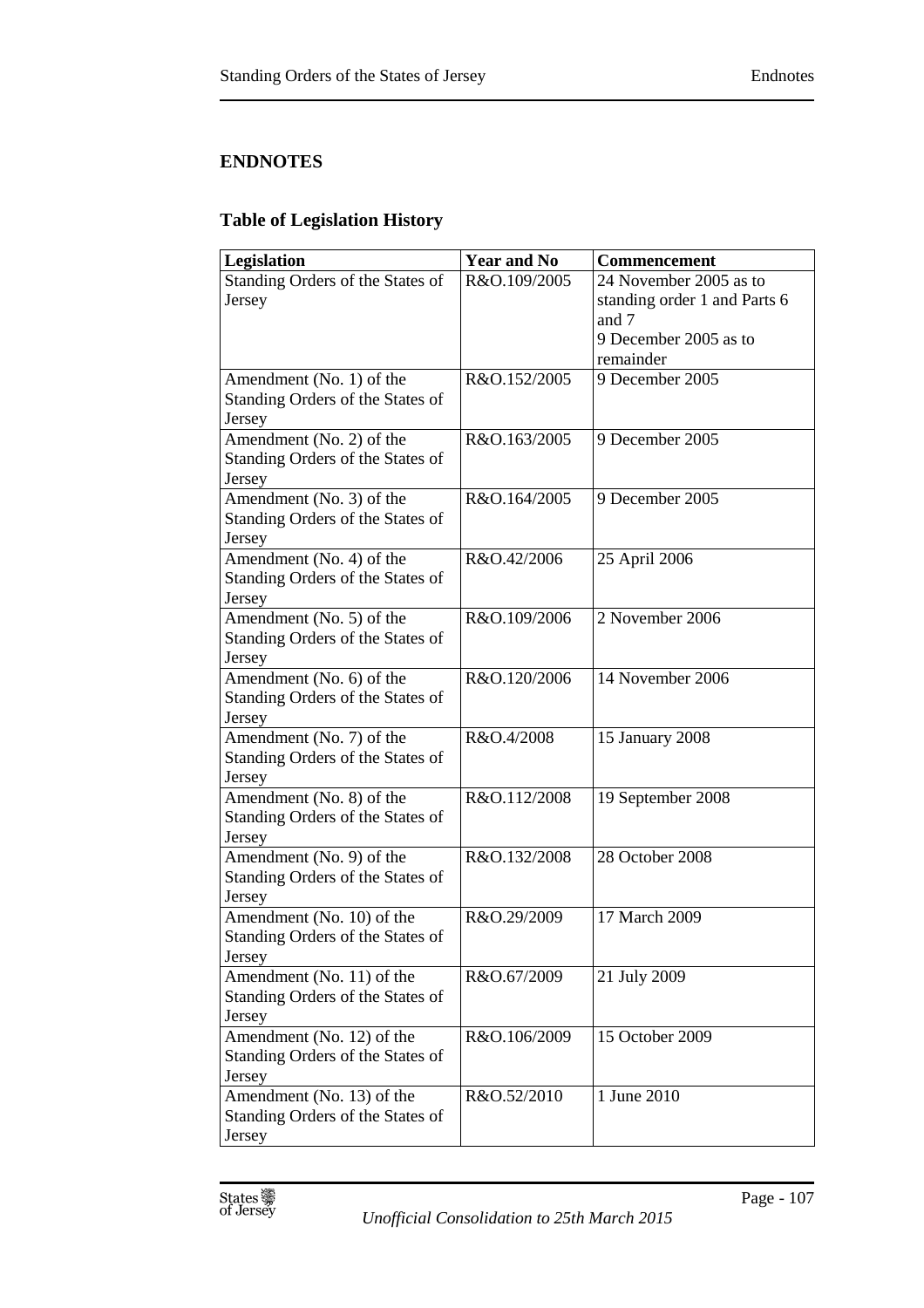# **ENDNOTES**

# **Table of Legislation History**

| <b>Legislation</b>                                           | <b>Year and No</b> | Commencement                 |
|--------------------------------------------------------------|--------------------|------------------------------|
| Standing Orders of the States of                             | R&O.109/2005       | 24 November 2005 as to       |
| Jersey                                                       |                    | standing order 1 and Parts 6 |
|                                                              |                    | and 7                        |
|                                                              |                    | 9 December 2005 as to        |
|                                                              |                    | remainder                    |
| Amendment (No. 1) of the                                     | R&O.152/2005       | 9 December 2005              |
| Standing Orders of the States of                             |                    |                              |
| Jersey                                                       |                    |                              |
| Amendment (No. 2) of the                                     | R&O.163/2005       | 9 December 2005              |
| Standing Orders of the States of                             |                    |                              |
| Jersey                                                       |                    |                              |
| Amendment (No. 3) of the                                     | R&O.164/2005       | 9 December 2005              |
| Standing Orders of the States of                             |                    |                              |
| Jersey                                                       |                    |                              |
| Amendment (No. 4) of the<br>Standing Orders of the States of | R&O.42/2006        | 25 April 2006                |
|                                                              |                    |                              |
| Jersey<br>Amendment (No. 5) of the                           | R&O.109/2006       | 2 November 2006              |
| Standing Orders of the States of                             |                    |                              |
| Jersey                                                       |                    |                              |
| Amendment (No. 6) of the                                     | R&O.120/2006       | 14 November 2006             |
| Standing Orders of the States of                             |                    |                              |
| Jersey                                                       |                    |                              |
| Amendment (No. 7) of the                                     | R&O.4/2008         | 15 January 2008              |
| Standing Orders of the States of                             |                    |                              |
| Jersey                                                       |                    |                              |
| Amendment (No. 8) of the                                     | R&O.112/2008       | 19 September 2008            |
| Standing Orders of the States of                             |                    |                              |
| Jersey                                                       |                    |                              |
| Amendment (No. 9) of the                                     | R&O.132/2008       | 28 October 2008              |
| Standing Orders of the States of                             |                    |                              |
| Jersey                                                       |                    |                              |
| Amendment (No. 10) of the                                    | R&O.29/2009        | 17 March 2009                |
| Standing Orders of the States of                             |                    |                              |
| Jersey                                                       |                    |                              |
| Amendment (No. 11) of the                                    | R&O.67/2009        | 21 July 2009                 |
| Standing Orders of the States of                             |                    |                              |
| Jersey                                                       |                    |                              |
| Amendment (No. 12) of the                                    | R&O.106/2009       | 15 October 2009              |
| Standing Orders of the States of                             |                    |                              |
| Jersey                                                       |                    |                              |
| Amendment (No. 13) of the                                    | R&O.52/2010        | 1 June 2010                  |
| Standing Orders of the States of                             |                    |                              |
| Jersey                                                       |                    |                              |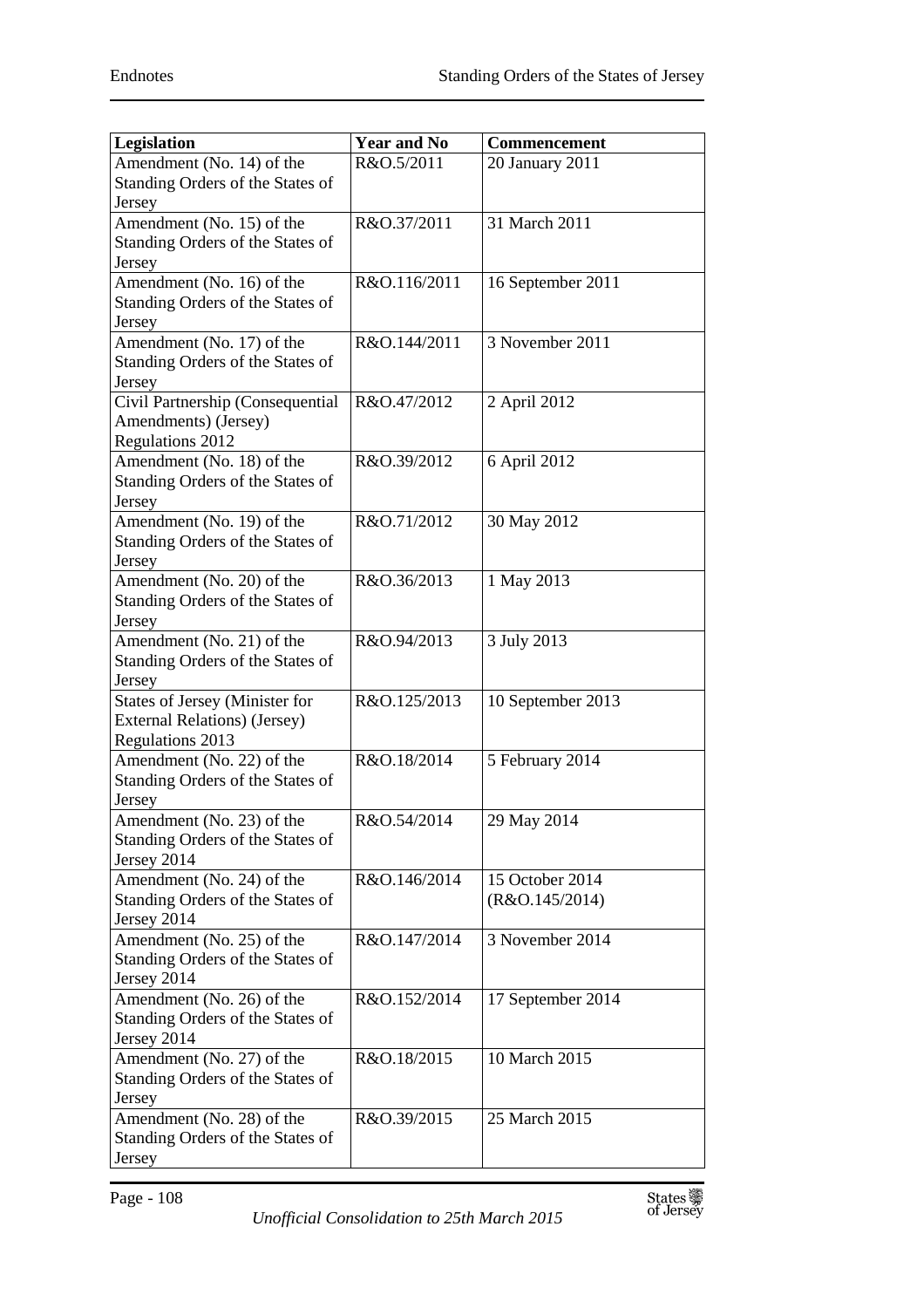| Legislation                      | <b>Year and No</b> | Commencement         |
|----------------------------------|--------------------|----------------------|
| Amendment (No. 14) of the        | R&O.5/2011         | 20 January 2011      |
| Standing Orders of the States of |                    |                      |
| Jersey                           |                    |                      |
| Amendment (No. 15) of the        | R&O.37/2011        | 31 March 2011        |
| Standing Orders of the States of |                    |                      |
| Jersey                           |                    |                      |
| Amendment (No. 16) of the        | R&O.116/2011       | 16 September 2011    |
| Standing Orders of the States of |                    |                      |
| Jersey                           |                    |                      |
| Amendment (No. 17) of the        | R&O.144/2011       | 3 November 2011      |
| Standing Orders of the States of |                    |                      |
| Jersey                           |                    |                      |
| Civil Partnership (Consequential | R&O.47/2012        | 2 April 2012         |
| Amendments) (Jersey)             |                    |                      |
| <b>Regulations 2012</b>          |                    |                      |
| Amendment (No. 18) of the        | R&O.39/2012        | 6 April 2012         |
| Standing Orders of the States of |                    |                      |
| Jersey                           |                    |                      |
| Amendment (No. 19) of the        | R&O.71/2012        | 30 May 2012          |
| Standing Orders of the States of |                    |                      |
| Jersey                           |                    |                      |
| Amendment (No. 20) of the        | R&O.36/2013        | 1 May 2013           |
| Standing Orders of the States of |                    |                      |
| Jersey                           |                    |                      |
| Amendment (No. 21) of the        | R&O.94/2013        | 3 July 2013          |
| Standing Orders of the States of |                    |                      |
| Jersey                           |                    |                      |
| States of Jersey (Minister for   | R&O.125/2013       | 10 September 2013    |
| External Relations) (Jersey)     |                    |                      |
| Regulations 2013                 |                    |                      |
| Amendment (No. 22) of the        | R&O.18/2014        | 5 February 2014      |
| Standing Orders of the States of |                    |                      |
| Jersey                           |                    |                      |
| Amendment (No. 23) of the        | R&O.54/2014        | $\sqrt{29}$ May 2014 |
| Standing Orders of the States of |                    |                      |
| Jersey 2014                      |                    |                      |
| Amendment (No. 24) of the        | R&O.146/2014       | 15 October 2014      |
| Standing Orders of the States of |                    | (R&O.145/2014)       |
| Jersey 2014                      |                    |                      |
| Amendment (No. 25) of the        | R&O.147/2014       | 3 November 2014      |
| Standing Orders of the States of |                    |                      |
| Jersey 2014                      |                    |                      |
| Amendment (No. 26) of the        | R&O.152/2014       | 17 September 2014    |
| Standing Orders of the States of |                    |                      |
| Jersey 2014                      |                    |                      |
| Amendment (No. 27) of the        | R&O.18/2015        | 10 March 2015        |
| Standing Orders of the States of |                    |                      |
| Jersey                           |                    |                      |
| Amendment (No. 28) of the        | R&O.39/2015        | 25 March 2015        |
| Standing Orders of the States of |                    |                      |
| Jersey                           |                    |                      |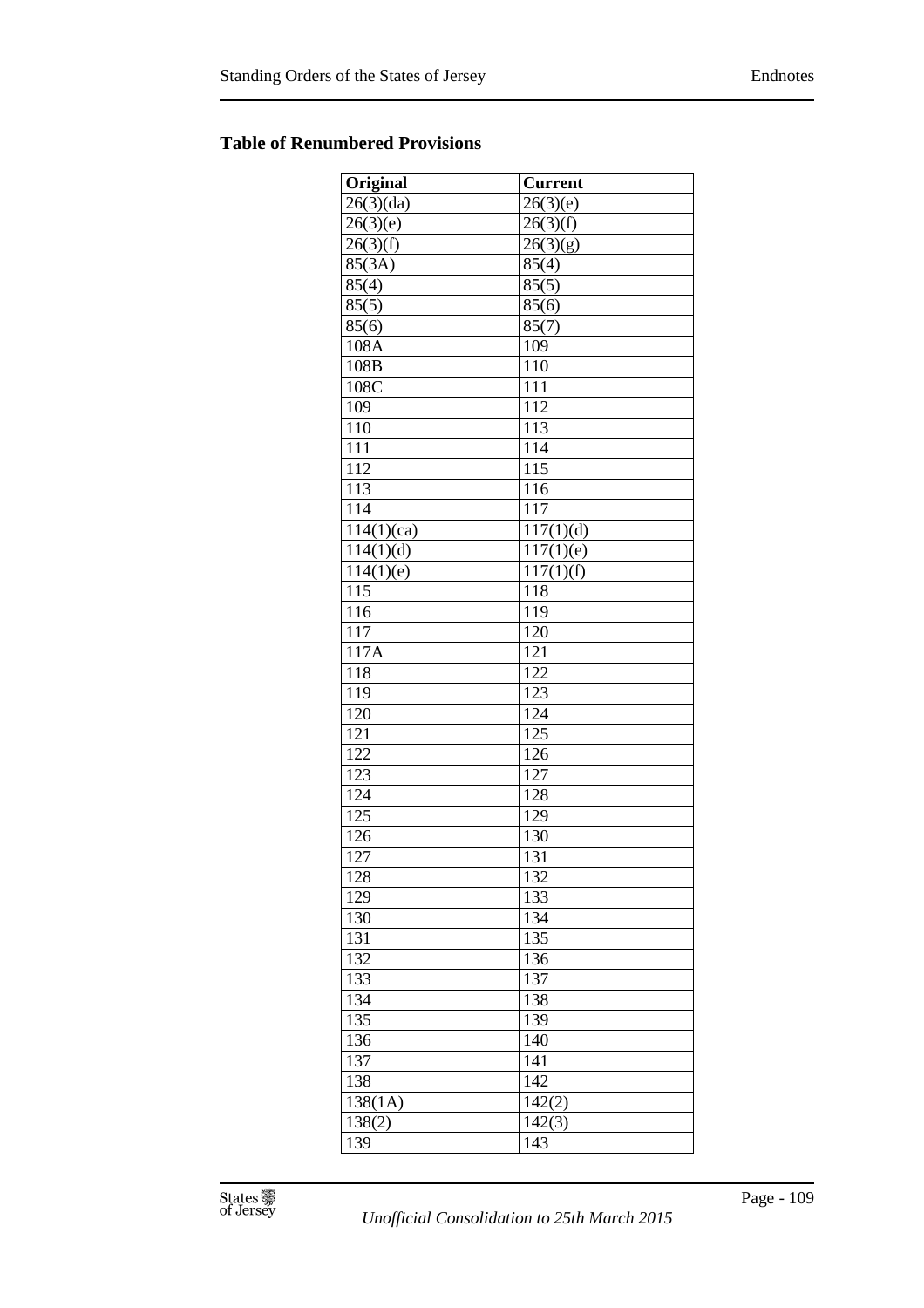## **Table of Renumbered Provisions**

| Original         | <b>Current</b>         |
|------------------|------------------------|
| 26(3)(da)        | 26(3)(e)               |
| 26(3)(e)         | 26(3)(f)               |
| 26(3)(f)         | 26(3)(g)               |
| 85(3A)           | 85(4)                  |
| 85(4)            | 85(5)                  |
| 85(5)            | 85(6)                  |
| 85(6)            | 85(7)                  |
| 108A             | 109                    |
| 108B             | 110                    |
| 108C             | 111                    |
| 109              | 112                    |
| 110              | 113                    |
| $\overline{111}$ | 114                    |
| 112              | 115                    |
| 113              | 116                    |
| 114              | $\overline{117}$       |
| 114(1)(ca)       | 117(1)(d)              |
| 114(1)(d)        | 117(1)(e)              |
| 114(1)(e)        | $\overline{1}17(1)(f)$ |
| $\overline{115}$ | 118                    |
| 116              | 119                    |
| 117              | 120                    |
| 117A             | 121                    |
| 118              | 122                    |
| 119              | 123                    |
| 120              | 124                    |
| 121              | 125                    |
| 122              | 126                    |
| 123              | 127                    |
| 124              | 128                    |
| 125              | 129                    |
| 126              | 130                    |
| 127              | 131                    |
| 128              | 132                    |
| 129              | 133                    |
| 130              | 134                    |
| 131              | 135                    |
| 132              | 136                    |
| 133              | 137                    |
| 134              | 138                    |
| 135              | 139                    |
| 136              | 140                    |
| 137              | 141                    |
| 138              | 142                    |
| 138(1A)          | 142(2)                 |
| 138(2)           | 142(3)                 |
| 139              | 143                    |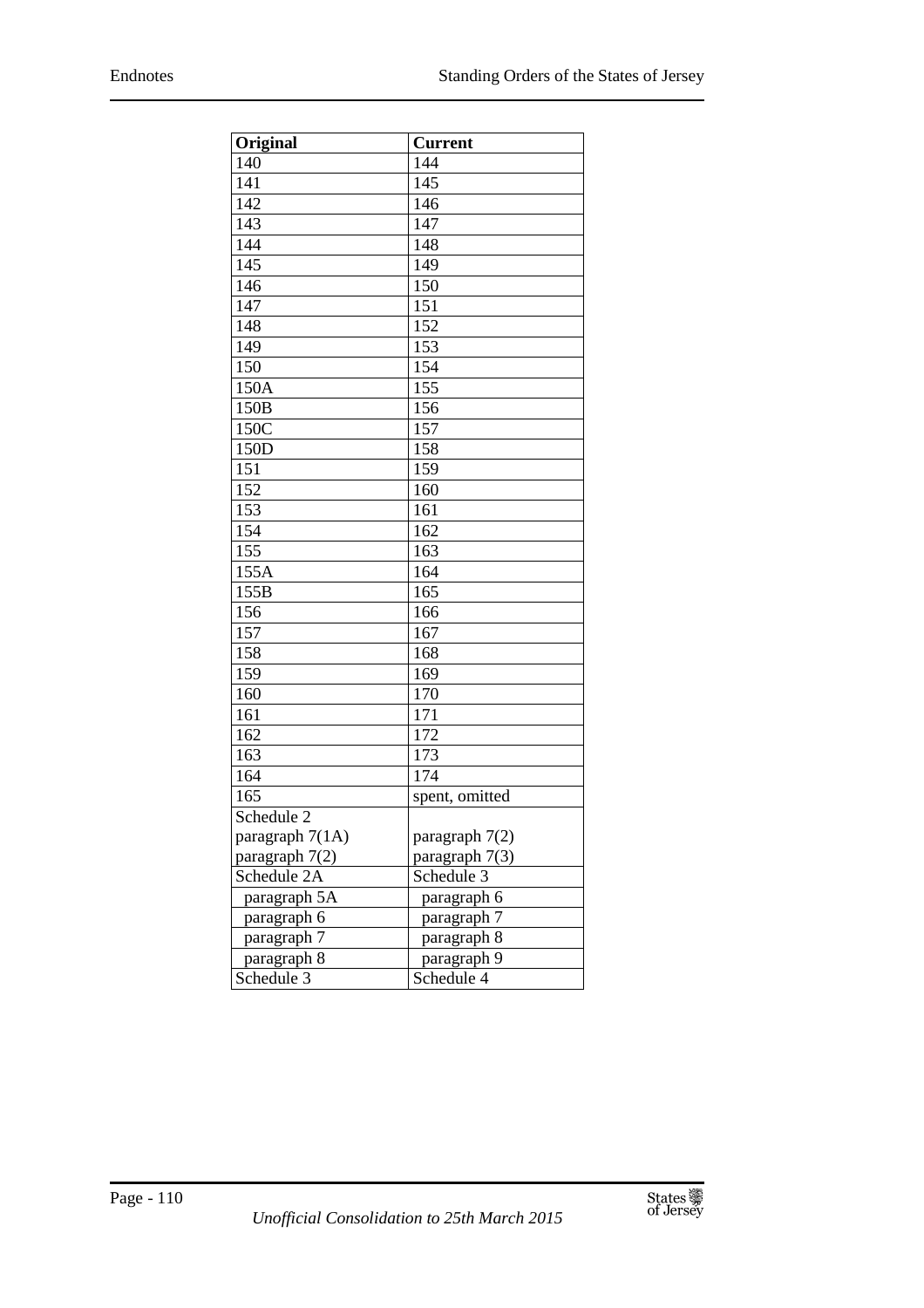| Original        | <b>Current</b>          |
|-----------------|-------------------------|
| 140             | 144                     |
| 141             | 145                     |
| 142             | 146                     |
| 143             | 147                     |
| 144             | 148                     |
| 145             | 149                     |
| 146             | 150                     |
| 147             | 151                     |
| 148             | 152                     |
| 149             | 153                     |
| 150             | 154                     |
| 150A            | $\overline{155}$        |
| 150B            | 156                     |
| 150C            | 157                     |
| 150D            | 158                     |
| 151             | 159                     |
| 152             | 160                     |
| 153             | 161                     |
| 154             | 162                     |
| 155             | 163                     |
| 155A            | 164                     |
| 155B            | 165                     |
| 156             | 166                     |
| 157             | 167                     |
| 158             | 168                     |
| 159             | 169                     |
| 160             | 170                     |
| 161             | 171                     |
| 162             | 172                     |
| 163             | 173                     |
| 164             | 174                     |
| 165             | spent, omitted          |
| Schedule 2      |                         |
| paragraph 7(1A) | paragraph 7(2)          |
| paragraph 7(2)  | paragraph 7(3)          |
| Schedule 2A     | Schedule 3              |
| paragraph 5A    | paragraph 6             |
| paragraph 6     | paragraph 7             |
| paragraph 7     | paragraph 8             |
| paragraph 8     | paragraph 9             |
| Schedule 3      | Schedule $\overline{4}$ |

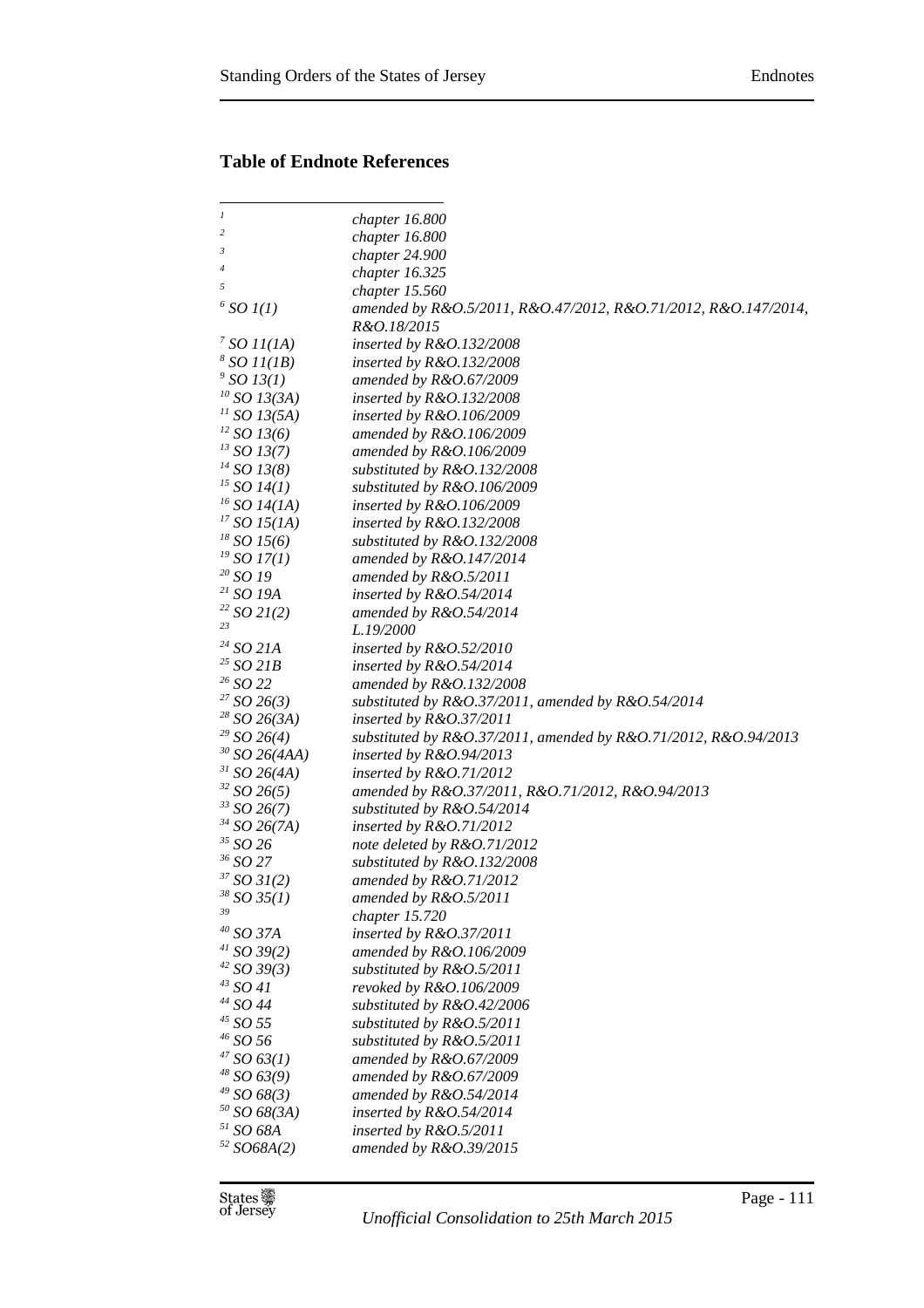## **Table of Endnote References**

| $\boldsymbol{l}$        | chapter 16.800                                                          |
|-------------------------|-------------------------------------------------------------------------|
| 2                       | chapter 16.800                                                          |
| 3                       | chapter 24.900                                                          |
| 4                       | chapter 16.325                                                          |
| 5                       | chapter 15.560                                                          |
| $6$ SO $I(1)$           | amended by R&O.5/2011, R&O.47/2012, R&O.71/2012, R&O.147/2014,          |
|                         | R&O.18/2015                                                             |
| $\frac{7}{2}$ SO 11(1A) | inserted by $R&O.132/2008$                                              |
| 8 SO 11 (1B)            | inserted by R&O.132/2008                                                |
| $\degree$ SO 13(1)      | amended by $R&O.67/2009$                                                |
| $10$ SO 13(3A)          | inserted by $R&O.132/2008$                                              |
| $^{11}$ SO 13(5A)       | inserted by $R&O.106/2009$                                              |
| $^{12}$ SO 13(6)        | amended by $R&O.106/2009$                                               |
| $^{13}$ SO 13(7)        | amended by $R&O.106/2009$                                               |
| $^{14}$ SO 13(8)        | substituted by R&O.132/2008                                             |
| $^{15}$ SO 14(1)        | substituted by R&O.106/2009                                             |
| $16$ SO 14(1A)          | inserted by $R&O.106/2009$                                              |
| $^{17}$ SO 15(1A)       | inserted by R&O.132/2008                                                |
| $^{18}$ SO 15(6)        | substituted by R&O.132/2008                                             |
| $^{19}$ SO 17(1)        | amended by $R&O.147/2014$                                               |
| $20$ SO 19              | amended by $R&O.5/2011$                                                 |
| $21$ SO 19A             | inserted by $R&O.54/2014$                                               |
| $22$ SO 21(2)           | amended by $R&O.54/2014$                                                |
| 23                      | L.19/2000                                                               |
| $^{24}$ SO 21A          | inserted by $R&O.52/2010$                                               |
| $25$ SO 21B             | inserted by $R&O.54/2014$                                               |
| $26$ SO 22              | amended by R&O.132/2008                                                 |
| 27 SO 26(3)             | substituted by $R&O.37/2011$ , amended by $R&O.54/2014$                 |
| 28 SO 26 (3A)           | inserted by $R&O.37/2011$                                               |
| $29$ SO 26(4)           | substituted by $R&0.37/2011$ , amended by $R&0.71/2012$ , $R&0.94/2013$ |
| $30$ SO 26(4AA)         | inserted by $R&O.94/2013$                                               |
| $31$ SO 26(4A)          | inserted by $R&O.71/2012$                                               |
| 32 SO 26(5)             | amended by R&O.37/2011, R&O.71/2012, R&O.94/2013                        |
| $33$ SO 26(7)           | substituted by R&O.54/2014                                              |
| $34$ SO 26(7A)          | inserted by $R&O.71/2012$                                               |
| $^\mathrm{35}$ SO 26    | note deleted by R&O.71/2012                                             |
| $^{36}$ SO 27 $\,$      | substituted by R&O.132/2008                                             |
| 37 SO 31(2)             | amended by $R&O.71/2012$                                                |
| 38 SO 35(1)             | amended by R&O.5/2011                                                   |
| 39                      | chapter 15.720                                                          |
| $^{40}$ SO 37A          | inserted by $R&O.37/2011$                                               |
| $41$ SO 39(2)           | amended by $R&O.106/2009$                                               |
| 42 SO 39(3)             | substituted by $R&0.5/2011$                                             |
| $^{43}$ SO 41           | revoked by R&O.106/2009                                                 |
| $44$ SO 44              | substituted by R&O.42/2006                                              |
| $^{45}$ SO 55 $\,$      | substituted by R&O.5/2011                                               |
| $^{46}$ SO 56 $\,$      | substituted by R&O.5/2011                                               |
| 47 SO 63(1)             | amended by R&O.67/2009                                                  |
| $48$ SO 63(9)           | amended by $R&O.67/2009$                                                |
| $49$ SO 68(3)           | amended by $R&O.54/2014$                                                |
| $50$ SO 68(3A)          | inserted by R&O.54/2014                                                 |
| $51$ SO 68A             | inserted by $R&O.5/2011$                                                |
| 52 SO68A(2)             | amended by $R&O.39/2015$                                                |
|                         |                                                                         |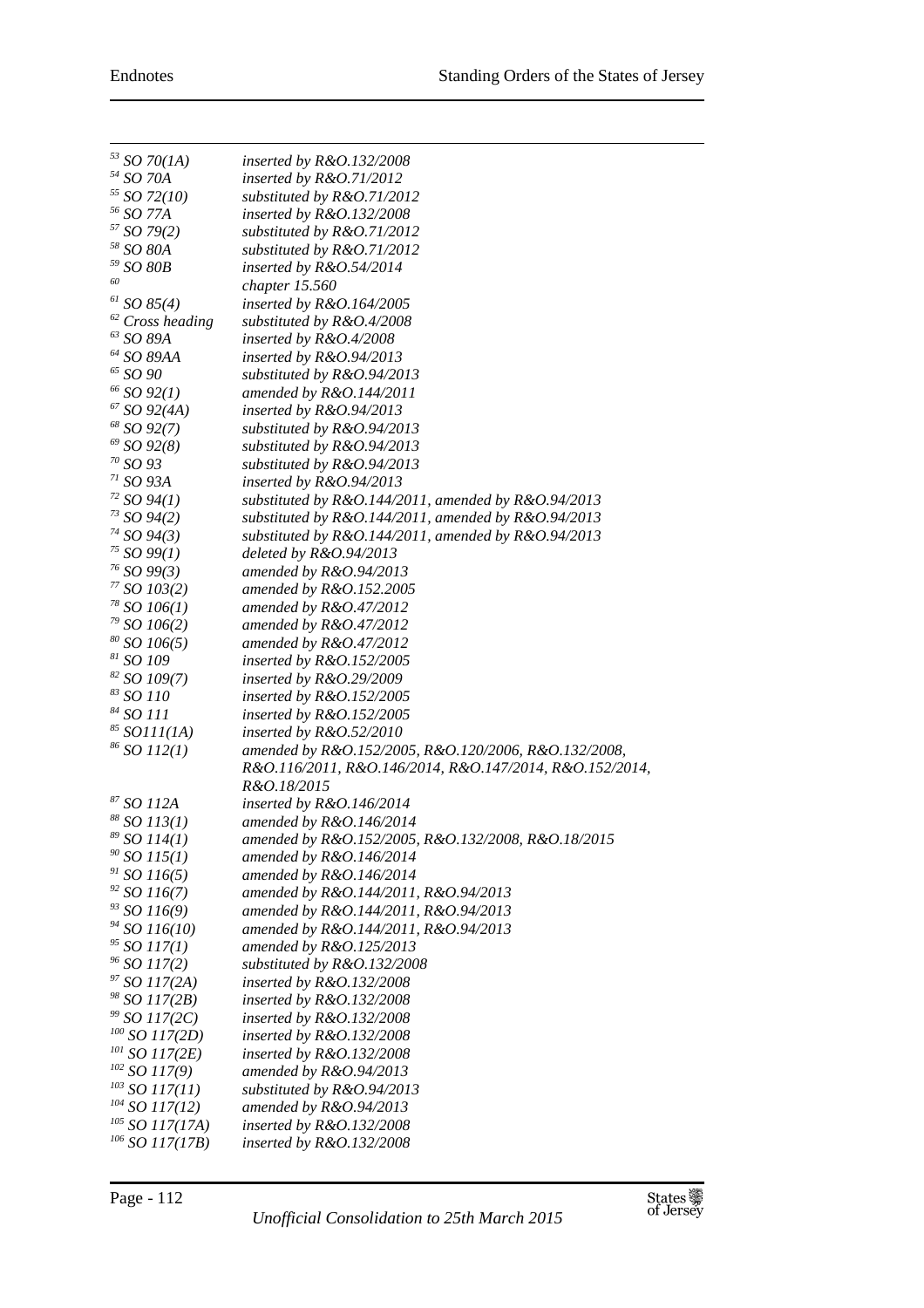| $^{53}$ SO 70(1A)                | inserted by R&O.132/2008                                               |
|----------------------------------|------------------------------------------------------------------------|
| $^{54}$ SO 70A                   | inserted by $R&O.71/2012$                                              |
| $55$ SO 72(10)                   | substituted by R&O.71/2012                                             |
| <sup>56</sup> SO 77A             | inserted by R&O.132/2008                                               |
| 57 SO 79(2)                      | substituted by R&O.71/2012                                             |
| $^\mathrm{58}$ SO $80\mathrm{A}$ | substituted by R&O.71/2012                                             |
| $^\mathrm{59}$ SO $\mathrm{80B}$ | inserted by $R&O.54/2014$                                              |
| 60                               | chapter 15.560                                                         |
| $61$ SO 85(4)                    | inserted by $R&O.164/2005$                                             |
| $62$ Cross heading               | substituted by R&O.4/2008                                              |
| $^{63}$ SO $89\!$                | inserted by R&O.4/2008                                                 |
| $^{64}$ SO 89AA                  | inserted by $R&O.94/2013$                                              |
| $^{65}$ SO $90\,$                | substituted by R&O.94/2013                                             |
| $66$ SO $92(1)$                  | amended by R&O.144/2011                                                |
| $67$ SO 92(4A)                   | inserted by $R&O.94/2013$                                              |
| $68$ SO 92(7)                    | substituted by R&O.94/2013                                             |
| $69$ SO 92(8)                    | substituted by R&O.94/2013                                             |
| <sup>70</sup> SO 93              | substituted by R&O.94/2013                                             |
| $71$ SO 93A                      | inserted by R&O.94/2013                                                |
| 72 SO 94(1)                      | substituted by $R&O.144/2011$ , amended by $R&O.94/2013$               |
| $73$ SO $94(2)$                  | substituted by R&O.144/2011, amended by R&O.94/2013                    |
| $74$ SO 94(3)                    | substituted by R&O.144/2011, amended by R&O.94/2013                    |
| 75 SO 99(1)                      | deleted by R&O.94/2013                                                 |
| $^{76}$ SO 99(3)                 | amended by R&O.94/2013                                                 |
| 77 SO 103(2)                     | amended by R&O.152.2005                                                |
| $78$ SO 106(1)                   | amended by $R&O.47/2012$                                               |
| $79$ SO 106(2)                   | amended by $R&O.47/2012$                                               |
| $80$ SO 106(5)                   | amended by $R&O.47/2012$                                               |
| 81 SO 109                        | inserted by $R&O.152/2005$                                             |
| 82 SO 109(7)                     | inserted by $R&O.29/2009$                                              |
| <sup>83</sup> SO 110             | inserted by $R&O.152/2005$                                             |
| <sup>84</sup> SO 111             | inserted by R&O.152/2005                                               |
| $85$ SO111(1A)                   | inserted by $R&O.52/2010$                                              |
| $86$ SO 112(1)                   | amended by R&O.152/2005, R&O.120/2006, R&O.132/2008,                   |
|                                  | R&O.116/2011, R&O.146/2014, R&O.147/2014, R&O.152/2014,<br>R&O.18/2015 |
| <sup>87</sup> SO 112A            | inserted by $R&O.146/2014$                                             |
| <sup>88</sup> SO 113(1)          | amended by R&O.146/2014                                                |
| $89$ SO 114(1)                   | amended by R&O.152/2005, R&O.132/2008, R&O.18/2015                     |
| $90$ SO 115(1)                   | amended by $R&O.146/2014$                                              |
| $91$ SO 116(5)                   | amended by $R&O.146/2014$                                              |
| $92$ SO 116(7)                   | amended by R&O.144/2011, R&O.94/2013                                   |
| $93$ SO 116(9)                   | amended by R&O.144/2011, R&O.94/2013                                   |
| $94$ SO 116(10)                  | amended by R&O.144/2011, R&O.94/2013                                   |
| $95$ SO 117(1)                   | amended by R&O.125/2013                                                |
| $96$ SO 117(2)                   | substituted by R&O.132/2008                                            |
| 97 SO 117(2A)                    | inserted by R&O.132/2008                                               |
| <sup>98</sup> SO 117(2B)         | inserted by R&O.132/2008                                               |
| $99$ SO 117(2C)                  | inserted by R&O.132/2008                                               |
| $100$ SO 117(2D)                 | inserted by R&O.132/2008                                               |
| $^{101}$ SO 117(2E)              | inserted by R&O.132/2008                                               |
| $102$ SO 117(9)                  | amended by R&O.94/2013                                                 |
| $^{103}$ SO 117(11)              | substituted by R&O.94/2013                                             |
| $^{104}$ SO 117(12)              | amended by R&O.94/2013                                                 |
| $^{105}$ SO 117(17A)             | inserted by R&O.132/2008                                               |
| $106$ SO 117(17B)                |                                                                        |
|                                  | inserted by R&O.132/2008                                               |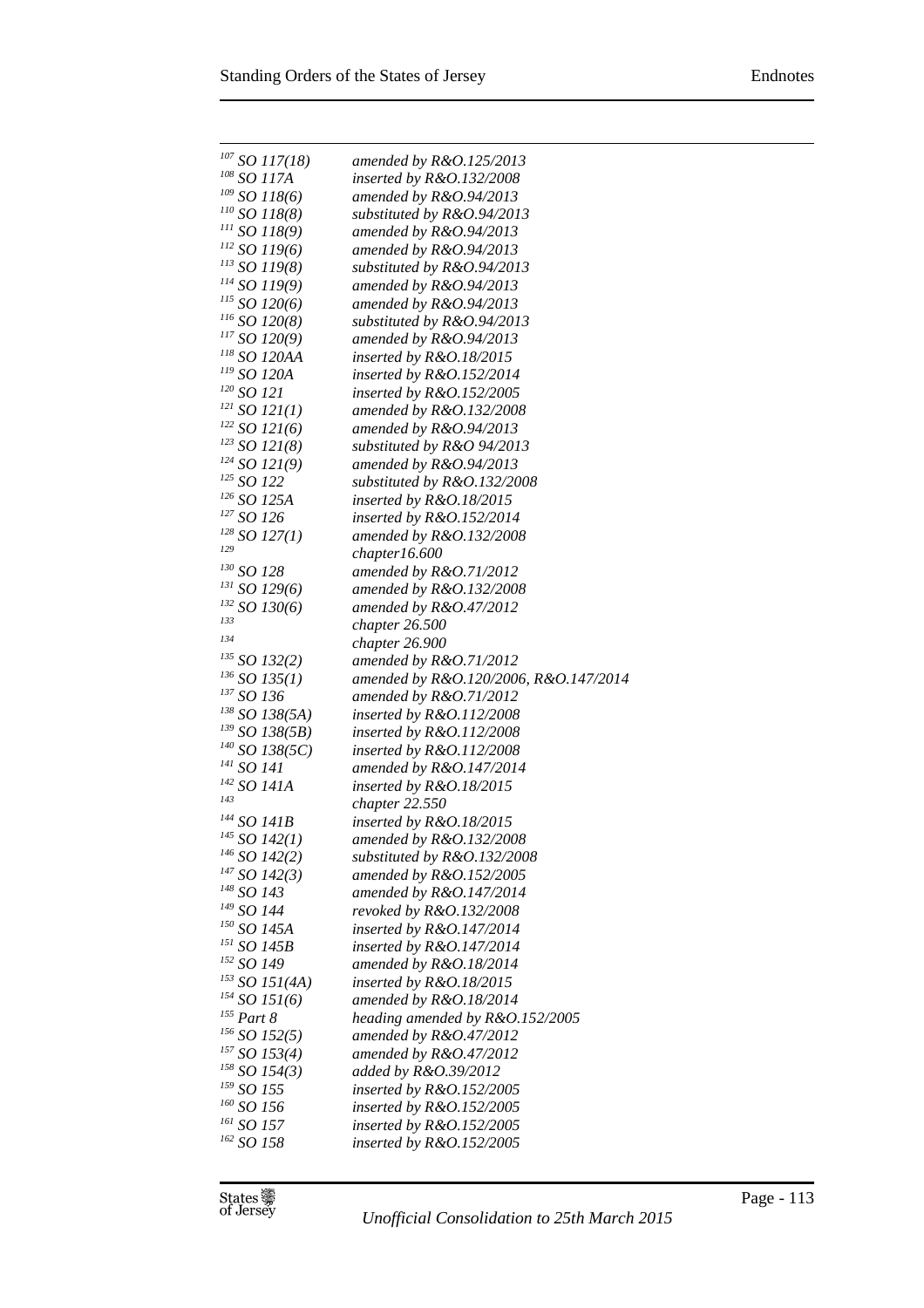| $107$ SO 117(18)                    | amended by $R&O.125/2013$             |
|-------------------------------------|---------------------------------------|
| $^{108}$ SO 117A                    | inserted by $R&O.132/2008$            |
| $109$ SO 118(6)                     | amended by $R&O.94/2013$              |
| $^{110}$ SO 118(8)                  | substituted by R&O.94/2013            |
| $^{111}$ SO 118(9)                  | amended by $R&O.94/2013$              |
| $^{112}$ SO 119(6)                  | amended by $R&O.94/2013$              |
| $^{113}$ SO 119(8)                  | substituted by R&O.94/2013            |
| $^{114}$ SO 119(9)                  | amended by $R&O.94/2013$              |
| $^{115}$ SO 120(6)                  | amended by $R&O.94/2013$              |
| $^{116}$ SO 120(8)                  | substituted by R&O.94/2013            |
| $^{117}$ SO 120(9)                  | amended by $R&O.94/2013$              |
| $\prescript{118}{}{SO}$ 120AA       | inserted by $R&O.18/2015$             |
| $^{\scriptscriptstyle 119}$ SO 120A | inserted by $R&O.152/2014$            |
| $120$ SO 121                        | inserted by $R&O.152/2005$            |
| $^{121}$ SO 121(1)                  | amended by $R&O.132/2008$             |
| $122$ SO 121(6)                     | amended by $R&O.94/2013$              |
| $^{123}$ SO 121(8)                  | substituted by R&O 94/2013            |
| $124$ SO 121(9)                     | amended by $R&O.94/2013$              |
| $^{125}$ SO 122                     | substituted by R&O.132/2008           |
| <sup>126</sup> SO 125A              | inserted by $R&O.18/2015$             |
| $^{127}$ SO 126                     | inserted by $R&O.152/2014$            |
| $128$ SO 127(1)                     | amended by R&O.132/2008               |
| 129                                 | chapter16.600                         |
| $130$ SO 128                        | amended by $R&O.71/2012$              |
| $^{131}$ SO 129(6)                  | amended by R&O.132/2008               |
| $^{132}$ SO 130(6)                  | amended by $R&O.47/2012$              |
| 133                                 | chapter 26.500                        |
| 134                                 | chapter 26.900                        |
| $^{135}$ SO 132(2)                  | amended by $R&O.71/2012$              |
| $^{136}$ SO 135(1)                  | amended by R&O.120/2006, R&O.147/2014 |
| $^{137}$ SO 136                     | amended by $R&O.71/2012$              |
| $^{138}$ SO 138(5A)                 | inserted by $R&O.112/2008$            |
| $^{139}$ SO 138(5B)                 | inserted by $R&O.112/2008$            |
| $140$ SO 138(5C)                    | inserted by R&O.112/2008              |
| <sup>141</sup> SO 141               | amended by $R&O.147/2014$             |
| $^{142}$ SO 141A<br>143             | inserted by $R&O.18/2015$             |
|                                     | chapter 22.550                        |
| $^{144}$ SO 141B                    | inserted by R&O.18/2015               |
| $^{145}$ SO 142(1)                  | amended by R&O.132/2008               |
| $^{146}$ SO 142(2)                  | substituted by R&O.132/2008           |
| $^{147}$ SO 142(3)                  | amended by $R&O.152/2005$             |
| <sup>148</sup> SO 143               | amended by $R&O.147/2014$             |
| <sup>149</sup> SO 144               | revoked by R&O.132/2008               |
| $^\mathrm{150}$ SO 145A             | inserted by $R&O.147/2014$            |
| <sup>151</sup> SO 145B              | inserted by $R&O.147/2014$            |
| 152 SO 149                          | amended by $R&O.18/2014$              |
| $^{153}$ SO 151(4A)                 | inserted by $R&O.18/2015$             |
| $^{154}$ SO 151(6)                  | amended by $R&O.18/2014$              |
| $^{155}$ Part $8\,$                 | heading amended by R&O.152/2005       |
| $156$ SO 152(5)                     | amended by $R&O.47/2012$              |
| $157$ SO 153(4)                     | amended by $R&O.47/2012$              |
| $^{158}$ SO 154(3)                  | added by R&O.39/2012                  |
| $^{159}$ SO 155                     | inserted by R&O.152/2005              |
| $160$ SO 156                        | inserted by $R&O.152/2005$            |
| $^{161}$ SO 157 $\,$                | inserted by R&O.152/2005              |
| $162$ SO 158                        | inserted by R&O.152/2005              |